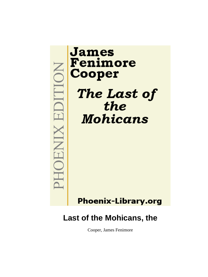

# James Fenimore Cooper The Last of the **Mohicans**

**Phoenix-Library.org** 

## **Last of the Mohicans, the**

Cooper, James Fenimore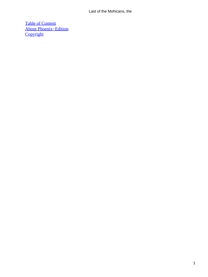[Table of Content](#page-316-0) [About Phoenix−Edition](#page-318-0) **[Copyright](#page-319-0)**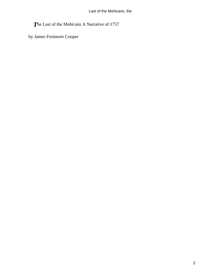*T*he Last of the Mohicans A Narrative of 1757

by James Fenimore Cooper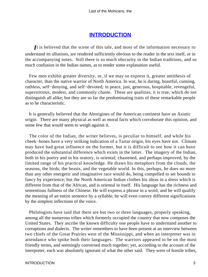### **[INTRODUCTION](#page-316-0)**

*I*t is believed that the scene of this tale, and most of the information necessary to understand its allusions, are rendered sufficiently obvious to the reader in the text itself, or in the accompanying notes. Still there is so much obscurity in the Indian traditions, and so much confusion in the Indian names, as to render some explanation useful.

 Few men exhibit greater diversity, or, if we may so express it, greater antithesis of character, than the native warrior of North America. In war, he is daring, boastful, cunning, ruthless, self−denying, and self−devoted; in peace, just, generous, hospitable, revengeful, superstitious, modest, and commonly chaste. These are qualities, it is true, which do not distinguish all alike; but they are so far the predominating traits of these remarkable people as to be characteristic.

 It is generally believed that the Aborigines of the American continent have an Asiatic origin. There are many physical as well as moral facts which corroborate this opinion, and some few that would seem to weigh against it.

 The color of the Indian, the writer believes, is peculiar to himself, and while his cheek−bones have a very striking indication of a Tartar origin, his eyes have not. Climate may have had great influence on the former, but it is difficult to see how it can have produced the substantial difference which exists in the latter. The imagery of the Indian, both in his poetry and in his oratory, is oriental; chastened, and perhaps improved, by the limited range of his practical knowledge. He draws his metaphors from the clouds, the seasons, the birds, the beasts, and the vegetable world. In this, perhaps, he does no more than any other energetic and imaginative race would do, being compelled to set bounds to fancy by experience; but the North American Indian clothes his ideas in a dress which is different from that of the African, and is oriental in itself. His language has the richness and sententious fullness of the Chinese. He will express a phrase in a word, and he will qualify the meaning of an entire sentence by a syllable; he will even convey different significations by the simplest inflections of the voice.

 Philologists have said that there are but two or three languages, properly speaking, among all the numerous tribes which formerly occupied the country that now composes the United States. They ascribe the known difficulty one people have to understand another to corruptions and dialects. The writer remembers to have been present at an interview between two chiefs of the Great Prairies west of the Mississippi, and when an interpreter was in attendance who spoke both their languages. The warriors appeared to be on the most friendly terms, and seemingly conversed much together; yet, according to the account of the interpreter, each was absolutely ignorant of what the other said. They were of hostile tribes,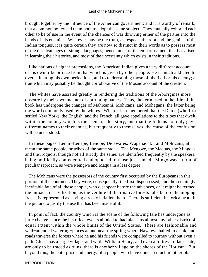brought together by the influence of the American government; and it is worthy of remark, that a common policy led them both to adopt the same subject. They mutually exhorted each other to be of use in the event of the chances of war throwing either of the parties into the hands of his enemies. Whatever may be the truth, as respects the root and the genius of the Indian tongues, it is quite certain they are now so distinct in their words as to possess most of the disadvantages of strange languages; hence much of the embarrassment that has arisen in learning their histories, and most of the uncertainty which exists in their traditions.

 Like nations of higher pretensions, the American Indian gives a very different account of his own tribe or race from that which is given by other people. He is much addicted to overestimating his own perfections, and to undervaluing those of his rival or his enemy; a trait which may possibly be thought corroborative of the Mosaic account of the creation.

 The whites have assisted greatly in rendering the traditions of the Aborigines more obscure by their own manner of corrupting names. Thus, the term used in the title of this book has undergone the changes of Mahicanni, Mohicans, and Mohegans; the latter being the word commonly used by the whites. When it is remembered that the Dutch (who first settled New York), the English, and the French, all gave appellations to the tribes that dwelt within the country which is the scene of this story, and that the Indians not only gave different names to their enemies, but frequently to themselves, the cause of the confusion will be understood.

 In these pages, Lenni−Lenape, Lenope, Delawares, Wapanachki, and Mohicans, all mean the same people, or tribes of the same stock. The Mengwe, the Maquas, the Mingoes, and the Iroquois, though not all strictly the same, are identified frequently by the speakers, being politically confederated and opposed to those just named. Mingo was a term of peculiar reproach, as were Mengwe and Maqua in a less degree.

 The Mohicans were the possessors of the country first occupied by the Europeans in this portion of the continent. They were, consequently, the first dispossessed; and the seemingly inevitable fate of all these people, who disappear before the advances, or it might be termed the inroads, of civilization, as the verdure of their native forests falls before the nipping frosts, is represented as having already befallen them. There is sufficient historical truth in the picture to justify the use that has been made of it.

 In point of fact, the country which is the scene of the following tale has undergone as little change, since the historical events alluded to had place, as almost any other district of equal extent within the whole limits of the United States. There are fashionable and well−attended watering−places at and near the spring where Hawkeye halted to drink, and roads traverse the forests where he and his friends were compelled to journey without even a path. Glen's has a large village; and while William Henry, and even a fortress of later date, are only to be traced as ruins, there is another village on the shores of the Horican. But, beyond this, the enterprise and energy of a people who have done so much in other places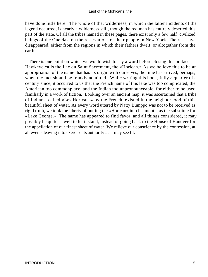have done little here. The whole of that wilderness, in which the latter incidents of the legend occurred, is nearly a wilderness still, though the red man has entirely deserted this part of the state. Of all the tribes named in these pages, there exist only a few half−civilized beings of the Oneidas, on the reservations of their people in New York. The rest have disappeared, either from the regions in which their fathers dwelt, or altogether from the earth.

 There is one point on which we would wish to say a word before closing this preface. Hawkeye calls the Lac du Saint Sacrement, the «Horican.» As we believe this to be an appropriation of the name that has its origin with ourselves, the time has arrived, perhaps, when the fact should be frankly admitted. While writing this book, fully a quarter of a century since, it occurred to us that the French name of this lake was too complicated, the American too commonplace, and the Indian too unpronounceable, for either to be used familiarly in a work of fiction. Looking over an ancient map, it was ascertained that a tribe of Indians, called «Les Horicans» by the French, existed in the neighborhood of this beautiful sheet of water. As every word uttered by Natty Bumppo was not to be received as rigid truth, we took the liberty of putting the «Horican» into his mouth, as the substitute for «Lake George.» The name has appeared to find favor, and all things considered, it may possibly be quite as well to let it stand, instead of going back to the House of Hanover for the appellation of our finest sheet of water. We relieve our conscience by the confession, at all events leaving it to exercise its authority as it may see fit.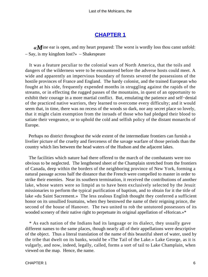## **[CHAPTER 1](#page-316-0)**

**«***M*ine ear is open, and my heart prepared: The worst is wordly loss thou canst unfold: – Say, is my kingdom lost?» – Shakespeare

 It was a feature peculiar to the colonial wars of North America, that the toils and dangers of the wilderness were to be encountered before the adverse hosts could meet. A wide and apparently an impervious boundary of forests severed the possessions of the hostile provinces of France and England. The hardy colonist, and the trained European who fought at his side, frequently expended months in struggling against the rapids of the streams, or in effecting the rugged passes of the mountains, in quest of an opportunity to exhibit their courage in a more martial conflict. But, emulating the patience and self−denial of the practiced native warriors, they learned to overcome every difficulty; and it would seem that, in time, there was no recess of the woods so dark, nor any secret place so lovely, that it might claim exemption from the inroads of those who had pledged their blood to satiate their vengeance, or to uphold the cold and selfish policy of the distant monarchs of Europe.

 Perhaps no district throughout the wide extent of the intermediate frontiers can furnish a livelier picture of the cruelty and fierceness of the savage warfare of those periods than the country which lies between the head waters of the Hudson and the adjacent lakes.

 The facilities which nature had there offered to the march of the combatants were too obvious to be neglected. The lengthened sheet of the Champlain stretched from the frontiers of Canada, deep within the borders of the neighboring province of New York, forming a natural passage across half the distance that the French were compelled to master in order to strike their enemies. Near its southern termination, it received the contributions of another lake, whose waters were so limpid as to have been exclusively selected by the Jesuit missionaries to perform the typical purification of baptism, and to obtain for it the title of lake «du Saint Sacrement.» The less zealous English thought they conferred a sufficient honor on its unsullied fountains, when they bestowed the name of their reigning prince, the second of the house of Hanover. The two united to rob the untutored possessors of its wooded scenery of their native right to perpetuate its original appellation of «Horican.»\*

 \* As each nation of the Indians had its language or its dialect, they usually gave different names to the same places, though nearly all of their appellations were descriptive of the object. Thus a literal translation of the name of this beautiful sheet of water, used by the tribe that dwelt on its banks, would be «The Tail of the Lake.» Lake George, as it is vulgarly, and now, indeed, legally, called, forms a sort of tail to Lake Champlain, when viewed on the map. Hence, the name.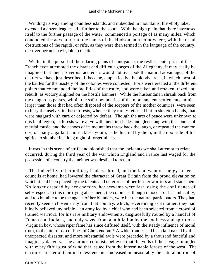Winding its way among countless islands, and imbedded in mountains, the «holy lake» extended a dozen leagues still further to the south. With the high plain that there interposed itself to the further passage of the water, commenced a portage of as many miles, which conducted the adventurer to the banks of the Hudson, at a point where, with the usual obstructions of the rapids, or rifts, as they were then termed in the language of the country, the river became navigable to the tide.

 While, in the pursuit of their daring plans of annoyance, the restless enterprise of the French even attempted the distant and difficult gorges of the Alleghany, it may easily be imagined that their proverbial acuteness would not overlook the natural advantages of the district we have just described. It became, emphatically, the bloody arena, in which most of the battles for the mastery of the colonies were contested. Forts were erected at the different points that commanded the facilities of the route, and were taken and retaken, razed and rebuilt, as victory alighted on the hostile banners. While the husbandman shrank back from the dangerous passes, within the safer boundaries of the more ancient settlements, armies larger than those that had often disposed of the scepters of the mother countries, were seen to bury themselves in these forests, whence they rarely returned but in skeleton bands, that were haggard with care or dejected by defeat. Though the arts of peace were unknown to this fatal region, its forests were alive with men; its shades and glens rang with the sounds of martial music, and the echoes of its mountains threw back the laugh, or repeated the wanton cry, of many a gallant and reckless youth, as he hurried by them, in the noontide of his spirits, to slumber in a long night of forgetfulness.

 It was in this scene of strife and bloodshed that the incidents we shall attempt to relate occurred, during the third year of the war which England and France last waged for the possession of a country that neither was destined to retain.

 The imbecility of her military leaders abroad, and the fatal want of energy in her councils at home, had lowered the character of Great Britain from the proud elevation on which it had been placed by the talents and enterprise of her former warriors and statesmen. No longer dreaded by her enemies, her servants were fast losing the confidence of self−respect. In this mortifying abasement, the colonists, though innocent of her imbecility, and too humble to be the agents of her blunders, were but the natural participators. They had recently seen a chosen army from that country, which, reverencing as a mother, they had blindly believed invincible – an army led by a chief who had been selected from a crowd of trained warriors, for his rare military endowments, disgracefully routed by a handful of French and Indians, and only saved from annihilation by the coolness and spirit of a Virginian boy, whose riper fame has since diffused itself, with the steady influence of moral truth, to the uttermost confines of Christendom.\* A wide frontier had been laid naked by this unexpected disaster, and more substantial evils were preceded by a thousand fanciful and imaginary dangers. The alarmed colonists believed that the yells of the savages mingled with every fitful gust of wind that issued from the interminable forests of the west. The terrific character of their merciless enemies increased immeasurably the natural horrors of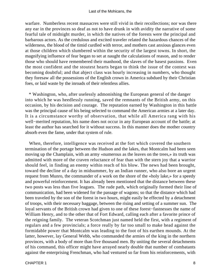warfare. Numberless recent massacres were still vivid in their recollections; nor was there any ear in the provinces so deaf as not to have drunk in with avidity the narrative of some fearful tale of midnight murder, in which the natives of the forests were the principal and barbarous actors. As the credulous and excited traveler related the hazardous chances of the wilderness, the blood of the timid curdled with terror, and mothers cast anxious glances even at those children which slumbered within the security of the largest towns. In short, the magnifying influence of fear began to set at naught the calculations of reason, and to render those who should have remembered their manhood, the slaves of the basest passions. Even the most confident and the stoutest hearts began to think the issue of the contest was becoming doubtful; and that abject class was hourly increasing in numbers, who thought they foresaw all the possessions of the English crown in America subdued by their Christian foes, or laid waste by the inroads of their relentless allies.

 \* Washington, who, after uselessly admonishing the European general of the danger into which he was heedlessly running, saved the remnants of the British army, on this occasion, by his decision and courage. The reputation earned by Washington in this battle was the principal cause of his being selected to command the American armies at a later day. It is a circumstance worthy of observation, that while all America rang with his well−merited reputation, his name does not occur in any European account of the battle; at least the author has searched for it without success. In this manner does the mother country absorb even the fame, under that system of rule.

 When, therefore, intelligence was received at the fort which covered the southern termination of the portage between the Hudson and the lakes, that Montcalm had been seen moving up the Champlain, with an army «numerous as the leaves on the trees,» its truth was admitted with more of the craven reluctance of fear than with the stern joy that a warrior should feel, in finding an enemy within reach of his blow. The news had been brought, toward the decline of a day in midsummer, by an Indian runner, who also bore an urgent request from Munro, the commander of a work on the shore of the «holy lake,» for a speedy and powerful reinforcement. It has already been mentioned that the distance between these two posts was less than five leagues. The rude path, which originally formed their line of communication, had been widened for the passage of wagons; so that the distance which had been traveled by the son of the forest in two hours, might easily be effected by a detachment of troops, with their necessary baggage, between the rising and setting of a summer sun. The loyal servants of the British crown had given to one of these forest−fastnesses the name of William Henry, and to the other that of Fort Edward, calling each after a favorite prince of the reigning family. The veteran Scotchman just named held the first, with a regiment of regulars and a few provincials; a force really by far too small to make head against the formidable power that Montcalm was leading to the foot of his earthen mounds. At the latter, however, lay General Webb, who commanded the armies of the king in the northern provinces, with a body of more than five thousand men. By uniting the several detachments of his command, this officer might have arrayed nearly double that number of combatants against the enterprising Frenchman, who had ventured so far from his reinforcements, with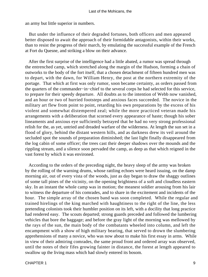an army but little superior in numbers.

 But under the influence of their degraded fortunes, both officers and men appeared better disposed to await the approach of their formidable antagonists, within their works, than to resist the progress of their march, by emulating the successful example of the French at Fort du Quesne, and striking a blow on their advance.

 After the first surprise of the intelligence had a little abated, a rumor was spread through the entrenched camp, which stretched along the margin of the Hudson, forming a chain of outworks to the body of the fort itself, that a chosen detachment of fifteen hundred men was to depart, with the dawn, for William Henry, the post at the northern extremity of the portage. That which at first was only rumor, soon became certainty, as orders passed from the quarters of the commander−in−chief to the several corps he had selected for this service, to prepare for their speedy departure. All doubts as to the intention of Webb now vanished, and an hour or two of hurried footsteps and anxious faces succeeded. The novice in the military art flew from point to point, retarding his own preparations by the excess of his violent and somewhat distempered zeal; while the more practiced veteran made his arrangements with a deliberation that scorned every appearance of haste; though his sober lineaments and anxious eye sufficiently betrayed that he had no very strong professional relish for the, as yet, untried and dreaded warfare of the wilderness. At length the sun set in a flood of glory, behind the distant western hills, and as darkness drew its veil around the secluded spot the sounds of preparation diminished; the last light finally disappeared from the log cabin of some officer; the trees cast their deeper shadows over the mounds and the rippling stream, and a silence soon pervaded the camp, as deep as that which reigned in the vast forest by which it was environed.

 According to the orders of the preceding night, the heavy sleep of the army was broken by the rolling of the warning drums, whose rattling echoes were heard issuing, on the damp morning air, out of every vista of the woods, just as day began to draw the shaggy outlines of some tall pines of the vicinity, on the opening brightness of a soft and cloudless eastern sky. In an instant the whole camp was in motion; the meanest soldier arousing from his lair to witness the departure of his comrades, and to share in the excitement and incidents of the hour. The simple array of the chosen band was soon completed. While the regular and trained hirelings of the king marched with haughtiness to the right of the line, the less pretending colonists took their humbler position on its left, with a docility that long practice had rendered easy. The scouts departed; strong guards preceded and followed the lumbering vehicles that bore the baggage; and before the gray light of the morning was mellowed by the rays of the sun, the main body of the combatants wheeled into column, and left the encampment with a show of high military bearing, that served to drown the slumbering apprehensions of many a novice, who was now about to make his first essay in arms. While in view of their admiring comrades, the same proud front and ordered array was observed, until the notes of their fifes growing fainter in distance, the forest at length appeared to swallow up the living mass which had slowly entered its bosom.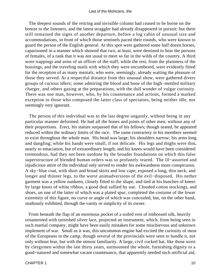The deepest sounds of the retiring and invisible column had ceased to be borne on the breeze to the listeners, and the latest straggler had already disappeared in pursuit; but there still remained the signs of another departure, before a log cabin of unusual size and accommodations, in front of which those sentinels paced their rounds, who were known to guard the person of the English general. At this spot were gathered some half dozen horses, caparisoned in a manner which showed that two, at least, were destined to bear the persons of females, of a rank that it was not usual to meet so far in the wilds of the country. A third wore trappings and arms of an officer of the staff; while the rest, from the plainness of the housings, and the traveling mails with which they were encumbered, were evidently fitted for the reception of as many menials, who were, seemingly, already waiting the pleasure of those they served. At a respectful distance from this unusual show, were gathered divers groups of curious idlers; some admiring the blood and bone of the high−mettled military charger, and others gazing at the preparations, with the dull wonder of vulgar curiosity. There was one man, however, who, by his countenance and actions, formed a marked exception to those who composed the latter class of spectators, being neither idle, nor seemingly very ignorant.

 The person of this individual was to the last degree ungainly, without being in any particular manner deformed. He had all the bones and joints of other men, without any of their proportions. Erect, his stature surpassed that of his fellows; though seated, he appeared reduced within the ordinary limits of the race. The same contrariety in his members seemed to exist throughout the whole man. His head was large; his shoulders narrow; his arms long and dangling; while his hands were small, if not delicate. His legs and thighs were thin, nearly to emaciation, but of extraordinary length; and his knees would have been considered tremendous, had they not been outdone by the broader foundations on which this false superstructure of blended human orders was so profanely reared. The ill−assorted and injudicious attire of the individual only served to render his awkwardness more conspicuous. A sky−blue coat, with short and broad skirts and low cape, exposed a long, thin neck, and longer and thinner legs, to the worst animadversions of the evil−disposed. His nether garment was a yellow nankeen, closely fitted to the shape, and tied at his bunches of knees by large knots of white ribbon, a good deal sullied by use. Clouded cotton stockings, and shoes, on one of the latter of which was a plated spur, completed the costume of the lower extremity of this figure, no curve or angle of which was concealed, but, on the other hand, studiously exhibited, through the vanity or simplicity of its owner.

 From beneath the flap of an enormous pocket of a soiled vest of embossed silk, heavily ornamented with tarnished silver lace, projected an instrument, which, from being seen in such martial company, might have been easily mistaken for some mischievous and unknown implement of war. Small as it was, this uncommon engine had excited the curiosity of most of the Europeans in the camp, though several of the provincials were seen to handle it, not only without fear, but with the utmost familiarity. A large, civil cocked hat, like those worn by clergymen within the last thirty years, surmounted the whole, furnishing dignity to a good−natured and somewhat vacant countenance, that apparently needed such artificial aid,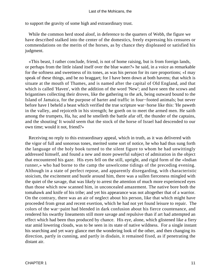to support the gravity of some high and extraordinary trust.

 While the common herd stood aloof, in deference to the quarters of Webb, the figure we have described stalked into the center of the domestics, freely expressing his censures or commendations on the merits of the horses, as by chance they displeased or satisfied his judgment.

 «This beast, I rather conclude, friend, is not of home raising, but is from foreign lands, or perhaps from the little island itself over the blue water?» he said, in a voice as remarkable for the softness and sweetness of its tones, as was his person for its rare proportions; «I may speak of these things, and be no braggart; for I have been down at both havens; that which is situate at the mouth of Thames, and is named after the capital of Old England, and that which is called 'Haven', with the addition of the word 'New'; and have seen the scows and brigantines collecting their droves, like the gathering to the ark, being outward bound to the Island of Jamaica, for the purpose of barter and traffic in four−footed animals; but never before have I beheld a beast which verified the true scripture war−horse like this: 'He paweth in the valley, and rejoiceth in his strength; he goeth on to meet the armed men. He saith among the trumpets, Ha, ha; and he smelleth the battle afar off, the thunder of the captains, and the shouting' It would seem that the stock of the horse of Israel had descended to our own time; would it not, friend?»

 Receiving no reply to this extraordinary appeal, which in truth, as it was delivered with the vigor of full and sonorous tones, merited some sort of notice, he who had thus sung forth the language of the holy book turned to the silent figure to whom he had unwittingly addressed himself, and found a new and more powerful subject of admiration in the object that encountered his gaze. His eyes fell on the still, upright, and rigid form of the «Indian runner,» who had borne to the camp the unwelcome tidings of the preceding evening. Although in a state of perfect repose, and apparently disregarding, with characteristic stoicism, the excitement and bustle around him, there was a sullen fierceness mingled with the quiet of the savage, that was likely to arrest the attention of much more experienced eyes than those which now scanned him, in unconcealed amazement. The native bore both the tomahawk and knife of his tribe; and yet his appearance was not altogether that of a warrior. On the contrary, there was an air of neglect about his person, like that which might have proceeded from great and recent exertion, which he had not yet found leisure to repair. The colors of the war−paint had blended in dark confusion about his fierce countenance, and rendered his swarthy lineaments still more savage and repulsive than if art had attempted an effect which had been thus produced by chance. His eye, alone, which glistened like a fiery star amid lowering clouds, was to be seen in its state of native wildness. For a single instant his searching and yet wary glance met the wondering look of the other, and then changing its direction, partly in cunning, and partly in disdain, it remained fixed, as if penetrating the distant air.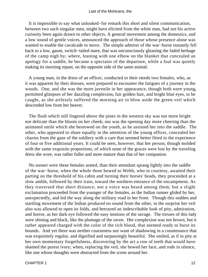#### Last of the Mohicans, the

 It is impossible to say what unlooked−for remark this short and silent communication, between two such singular men, might have elicited from the white man, had not his active curiosity been again drawn to other objects. A general movement among the domestics, and a low sound of gentle voices, announced the approach of those whose presence alone was wanted to enable the cavalcade to move. The simple admirer of the war−horse instantly fell back to a low, gaunt, switch−tailed mare, that was unconsciously gleaning the faded herbage of the camp nigh by; where, leaning with one elbow on the blanket that concealed an apology for a saddle, he became a spectator of the departure, while a foal was quietly making its morning repast, on the opposite side of the same animal.

 A young man, in the dress of an officer, conducted to their steeds two females, who, as it was apparent by their dresses, were prepared to encounter the fatigues of a journey in the woods. One, and she was the more juvenile in her appearance, though both were young, permitted glimpses of her dazzling complexion, fair golden hair, and bright blue eyes, to be caught, as she artlessly suffered the morning air to blow aside the green veil which descended low from her beaver.

 The flush which still lingered above the pines in the western sky was not more bright nor delicate than the bloom on her cheek; nor was the opening day more cheering than the animated smile which she bestowed on the youth, as he assisted her into the saddle. The other, who appeared to share equally in the attention of the young officer, concealed her charms from the gaze of the soldiery with a care that seemed better fitted to the experience of four or five additional years. It could be seen, however, that her person, though molded with the same exquisite proportions, of which none of the graces were lost by the traveling dress she wore, was rather fuller and more mature than that of her companion.

 No sooner were these females seated, than their attendant sprang lightly into the saddle of the war−horse, when the whole three bowed to Webb, who in courtesy, awaited their parting on the threshold of his cabin and turning their horses' heads, they proceeded at a slow amble, followed by their train, toward the northern entrance of the encampment. As they traversed that short distance, not a voice was heard among them; but a slight exclamation proceeded from the younger of the females, as the Indian runner glided by her, unexpectedly, and led the way along the military road in her front. Though this sudden and startling movement of the Indian produced no sound from the other, in the surprise her veil also was allowed to open its folds, and betrayed an indescribable look of pity, admiration, and horror, as her dark eye followed the easy motions of the savage. The tresses of this lady were shining and black, like the plumage of the raven. Her complexion was not brown, but it rather appeared charged with the color of the rich blood, that seemed ready to burst its bounds. And yet there was neither coarseness nor want of shadowing in a countenance that was exquisitely regular, and dignified and surpassingly beautiful. She smiled, as if in pity at her own momentary forgetfulness, discovering by the act a row of teeth that would have shamed the purest ivory; when, replacing the veil, she bowed her face, and rode in silence, like one whose thoughts were abstracted from the scene around her.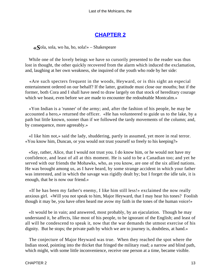## **[CHAPTER 2](#page-316-0)**

*«S*ola, sola, wo ha, ho, sola!» – Shakespeare

 While one of the lovely beings we have so cursorily presented to the reader was thus lost in thought, the other quickly recovered from the alarm which induced the exclamation, and, laughing at her own weakness, she inquired of the youth who rode by her side:

 «Are such specters frequent in the woods, Heyward, or is this sight an especial entertainment ordered on our behalf? If the latter, gratitude must close our mouths; but if the former, both Cora and I shall have need to draw largely on that stock of hereditary courage which we boast, even before we are made to encounter the redoubtable Montcalm.»

 «Yon Indian is a 'runner' of the army; and, after the fashion of his people, he may be accounted a hero,» returned the officer. «He has volunteered to guide us to the lake, by a path but little known, sooner than if we followed the tardy movements of the column; and, by consequence, more agreeably.»

 «I like him not,» said the lady, shuddering, partly in assumed, yet more in real terror. «You know him, Duncan, or you would not trust yourself so freely to his keeping?»

 «Say, rather, Alice, that I would not trust you. I do know him, or he would not have my confidence, and least of all at this moment. He is said to be a Canadian too; and yet he served with our friends the Mohawks, who, as you know, are one of the six allied nations. He was brought among us, as I have heard, by some strange accident in which your father was interested, and in which the savage was rigidly dealt by; but I forget the idle tale, it is enough, that he is now our friend.»

 «If he has been my father's enemy, I like him still less!» exclaimed the now really anxious girl. «Will you not speak to him, Major Heyward, that I may hear his tones? Foolish though it may be, you have often heard me avow my faith in the tones of the human voice!»

 «It would be in vain; and answered, most probably, by an ejaculation. Though he may understand it, he affects, like most of his people, to be ignorant of the English; and least of all will he condescend to speak it, now that the war demands the utmost exercise of his dignity. But he stops; the private path by which we are to journey is, doubtless, at hand.»

 The conjecture of Major Heyward was true. When they reached the spot where the Indian stood, pointing into the thicket that fringed the military road; a narrow and blind path, which might, with some little inconvenience, receive one person at a time, became visible.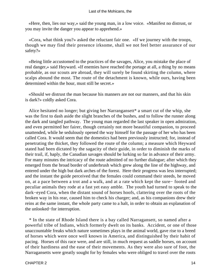«Here, then, lies our way,» said the young man, in a low voice. «Manifest no distrust, or you may invite the danger you appear to apprehend.»

 «Cora, what think you?» asked the reluctant fair one. «If we journey with the troops, though we may find their presence irksome, shall we not feel better assurance of our safety?»

 «Being little accustomed to the practices of the savages, Alice, you mistake the place of real danger,» said Heyward. «If enemies have reached the portage at all, a thing by no means probable, as our scouts are abroad, they will surely be found skirting the column, where scalps abound the most. The route of the detachment is known, while ours, having been determined within the hour, must still be secret.»

 «Should we distrust the man because his manners are not our manners, and that his skin is dark?» coldly asked Cora.

Alice hesitated no longer; but giving her Narrangansett\* a smart cut of the whip, she was the first to dash aside the slight branches of the bushes, and to follow the runner along the dark and tangled pathway. The young man regarded the last speaker in open admiration, and even permitted her fairer, though certainly not more beautiful companion, to proceed unattended, while he sedulously opened the way himself for the passage of her who has been called Cora. It would seem that the domestics had been previously instructed; for, instead of penetrating the thicket, they followed the route of the column; a measure which Heyward stated had been dictated by the sagacity of their guide, in order to diminish the marks of their trail, if, haply, the Canadian savages should be lurking so far in advance of their army. For many minutes the intricacy of the route admitted of no further dialogue; after which they emerged from the broad border of underbrush which grew along the line of the highway, and entered under the high but dark arches of the forest. Here their progress was less interrupted; and the instant the guide perceived that the females could command their steeds, he moved on, at a pace between a trot and a walk, and at a rate which kept the sure− footed and peculiar animals they rode at a fast yet easy amble. The youth had turned to speak to the dark−eyed Cora, when the distant sound of horses hoofs, clattering over the roots of the broken way in his rear, caused him to check his charger; and, as his companions drew their reins at the same instant, the whole party came to a halt, in order to obtain an explanation of the unlooked−for interruption.

 \* In the state of Rhode Island there is a bay called Narragansett, so named after a powerful tribe of Indians, which formerly dwelt on its banks. Accident, or one of those unaccountable freaks which nature sometimes plays in the animal world, gave rise to a breed of horses which were once well known in America, and distinguished by their habit of pacing. Horses of this race were, and are still, in much request as saddle horses, on account of their hardiness and the ease of their movements. As they were also sure of foot, the Narragansetts were greatly sought for by females who were obliged to travel over the roots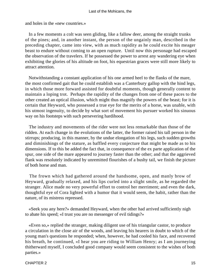#### Last of the Mohicans, the

and holes in the «new countries.»

 In a few moments a colt was seen gliding, like a fallow deer, among the straight trunks of the pines; and, in another instant, the person of the ungainly man, described in the preceding chapter, came into view, with as much rapidity as he could excite his meager beast to endure without coming to an open rupture. Until now this personage had escaped the observation of the travelers. If he possessed the power to arrest any wandering eye when exhibiting the glories of his altitude on foot, his equestrian graces were still more likely to attract attention.

 Notwithstanding a constant application of his one armed heel to the flanks of the mare, the most confirmed gait that he could establish was a Canterbury gallop with the hind legs, in which those more forward assisted for doubtful moments, though generally content to maintain a loping trot. Perhaps the rapidity of the changes from one of these paces to the other created an optical illusion, which might thus magnify the powers of the beast; for it is certain that Heyward, who possessed a true eye for the merits of a horse, was unable, with his utmost ingenuity, to decide by what sort of movement his pursuer worked his sinuous way on his footsteps with such persevering hardihood.

 The industry and movements of the rider were not less remarkable than those of the ridden. At each change in the evolutions of the latter, the former raised his tall person in the stirrups; producing, in this manner, by the undue elongation of his legs, such sudden growths and diminishings of the stature, as baffled every conjecture that might be made as to his dimensions. If to this be added the fact that, in consequence of the ex parte application of the spur, one side of the mare appeared to journey faster than the other; and that the aggrieved flank was resolutely indicated by unremitted flourishes of a bushy tail, we finish the picture of both horse and man.

 The frown which had gathered around the handsome, open, and manly brow of Heyward, gradually relaxed, and his lips curled into a slight smile, as he regarded the stranger. Alice made no very powerful effort to control her merriment; and even the dark, thoughtful eye of Cora lighted with a humor that it would seem, the habit, rather than the nature, of its mistress repressed.

 «Seek you any here?» demanded Heyward, when the other had arrived sufficiently nigh to abate his speed; «I trust you are no messenger of evil tidings?»

 «Even so,» replied the stranger, making diligent use of his triangular castor, to produce a circulation in the close air of the woods, and leaving his hearers in doubt to which of the young man's questions he responded; when, however, he had cooled his face, and recovered his breath, he continued, «I hear you are riding to William Henry; as I am journeying thitherward myself, I concluded good company would seem consistent to the wishes of both parties.»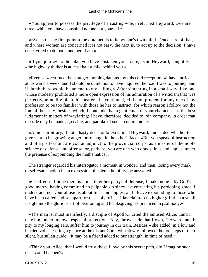«You appear to possess the privilege of a casting vote,» returned Heyward; «we are three, while you have consulted no one but yourself.»

 «Even so. The first point to be obtained is to know one's own mind. Once sure of that, and where women are concerned it is not easy, the next is, to act up to the decision. I have endeavored to do both, and here I am.»

 «If you journey to the lake, you have mistaken your route,» said Heyward, haughtily; «the highway thither is at least half a mile behind you.»

 «Even so,» returned the stranger, nothing daunted by this cold reception; «I have tarried at 'Edward' a week, and I should be dumb not to have inquired the road I was to journey; and if dumb there would be an end to my calling.» After simpering in a small way, like one whose modesty prohibited a more open expression of his admiration of a witticism that was perfectly unintelligible to his hearers, he continued, «It is not prudent for any one of my profession to be too familiar with those he has to instruct; for which reason I follow not the line of the army; besides which, I conclude that a gentleman of your character has the best judgment in matters of wayfaring; I have, therefore, decided to join company, in order that the ride may be made agreeable, and partake of social communion.»

 «A most arbitrary, if not a hasty decision!» exclaimed Heyward, undecided whether to give vent to his growing anger, or to laugh in the other's face. «But you speak of instruction, and of a profession; are you an adjunct to the provincial corps, as a master of the noble science of defense and offense; or, perhaps, you are one who draws lines and angles, under the pretense of expounding the mathematics?»

 The stranger regarded his interrogator a moment in wonder; and then, losing every mark of self−satisfaction in an expression of solemn humility, he answered:

 «Of offense, I hope there is none, to either party: of defense, I make none – by God's good mercy, having committed no palpable sin since last entreating his pardoning grace. I understand not your allusions about lines and angles; and I leave expounding to those who have been called and set apart for that holy office. I lay claim to no higher gift than a small insight into the glorious art of petitioning and thanksgiving, as practiced in psalmody.»

 «The man is, most manifestly, a disciple of Apollo,» cried the amused Alice, «and I take him under my own especial protection. Nay, throw aside that frown, Heyward, and in pity to my longing ears, suffer him to journey in our train. Besides,» she added, in a low and hurried voice, casting a glance at the distant Cora, who slowly followed the footsteps of their silent, but sullen guide, «it may be a friend added to our strength, in time of need.»

 «Think you, Alice, that I would trust those I love by this secret path, did I imagine such need could happen?»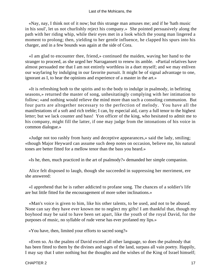«Nay, nay, I think not of it now; but this strange man amuses me; and if he 'hath music in his soul', let us not churlishly reject his company.» She pointed persuasively along the path with her riding whip, while their eyes met in a look which the young man lingered a moment to prolong; then, yielding to her gentle influence, he clapped his spurs into his charger, and in a few bounds was again at the side of Cora.

 «I am glad to encounter thee, friend,» continued the maiden, waving her hand to the stranger to proceed, as she urged her Narragansett to renew its amble. «Partial relatives have almost persuaded me that I am not entirely worthless in a duet myself; and we may enliven our wayfaring by indulging in our favorite pursuit. It might be of signal advantage to one, ignorant as I, to hear the opinions and experience of a master in the art.»

 «It is refreshing both to the spirits and to the body to indulge in psalmody, in befitting seasons,» returned the master of song, unhesitatingly complying with her intimation to follow; «and nothing would relieve the mind more than such a consoling communion. But four parts are altogether necessary to the perfection of melody. You have all the manifestations of a soft and rich treble; I can, by especial aid, carry a full tenor to the highest letter; but we lack counter and bass! Yon officer of the king, who hesitated to admit me to his company, might fill the latter, if one may judge from the intonations of his voice in common dialogue.»

 «Judge not too rashly from hasty and deceptive appearances,» said the lady, smiling; «though Major Heyward can assume such deep notes on occasion, believe me, his natural tones are better fitted for a mellow tenor than the bass you heard.»

«Is he, then, much practiced in the art of psalmody?» demanded her simple companion.

 Alice felt disposed to laugh, though she succeeded in suppressing her merriment, ere she answered:

 «I apprehend that he is rather addicted to profane song. The chances of a soldier's life are but little fitted for the encouragement of more sober inclinations.»

 «Man's voice is given to him, like his other talents, to be used, and not to be abused. None can say they have ever known me to neglect my gifts! I am thankful that, though my boyhood may be said to have been set apart, like the youth of the royal David, for the purposes of music, no syllable of rude verse has ever profaned my lips.»

«You have, then, limited your efforts to sacred song?»

 «Even so. As the psalms of David exceed all other language, so does the psalmody that has been fitted to them by the divines and sages of the land, surpass all vain poetry. Happily, I may say that I utter nothing but the thoughts and the wishes of the King of Israel himself;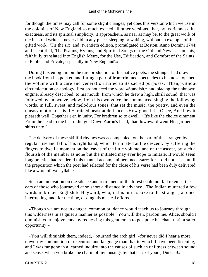for though the times may call for some slight changes, yet does this version which we use in the colonies of New England so much exceed all other versions, that, by its richness, its exactness, and its spiritual simplicity, it approacheth, as near as may be, to the great work of the inspired writer. I never abid in any place, sleeping or waking, without an example of this gifted work. 'Tis the six−and−twentieth edition, promulgated at Boston, Anno Domini 1744; and is entitled, 'The Psalms, Hymns, and Spiritual Songs of the Old and New Testaments; faithfully translated into English Metre, for the Use, Edification, and Comfort of the Saints, in Public and Private, especially in New England'.»

 During this eulogium on the rare production of his native poets, the stranger had drawn the book from his pocket, and fitting a pair of iron−rimmed spectacles to his nose, opened the volume with a care and veneration suited to its sacred purposes. Then, without circumlocution or apology, first pronounced the word «Standish,» and placing the unknown engine, already described, to his mouth, from which he drew a high, shrill sound, that was followed by an octave below, from his own voice, he commenced singing the following words, in full, sweet, and melodious tones, that set the music, the poetry, and even the uneasy motion of his ill− trained beast at defiance; «How good it is, O see, And how it pleaseth well, Together e'en in unity, For brethren so to dwell. »It's like the choice ointment, From the head to the beard did go; Down Aaron's head, that downward went His garment's skirts unto."

 The delivery of these skillful rhymes was accompanied, on the part of the stranger, by a regular rise and fall of his right hand, which terminated at the descent, by suffering the fingers to dwell a moment on the leaves of the little volume; and on the ascent, by such a flourish of the member as none but the initiated may ever hope to imitate. It would seem long practice had rendered this manual accompaniment necessary; for it did not cease until the preposition which the poet had selected for the close of his verse had been duly delivered like a word of two syllables.

 Such an innovation on the silence and retirement of the forest could not fail to enlist the ears of those who journeyed at so short a distance in advance. The Indian muttered a few words in broken English to Heyward, who, in his turn, spoke to the stranger; at once interrupting, and, for the time, closing his musical efforts.

 «Though we are not in danger, common prudence would teach us to journey through this wilderness in as quiet a manner as possible. You will then, pardon me, Alice, should I diminish your enjoyments, by requesting this gentleman to postpone his chant until a safer opportunity.»

 «You will diminish them, indeed,» returned the arch girl; «for never did I hear a more unworthy conjunction of execution and language than that to which I have been listening; and I was far gone in a learned inquiry into the causes of such an unfitness between sound and sense, when you broke the charm of my musings by that bass of yours, Duncan!»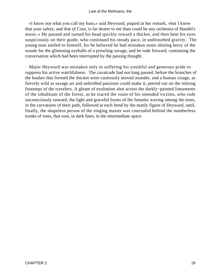«I know not what you call my bass,» said Heyward, piqued at her remark, «but I know that your safety, and that of Cora, is far dearer to me than could be any orchestra of Handel's music.» He paused and turned his head quickly toward a thicket, and then bent his eyes suspiciously on their guide, who continued his steady pace, in undisturbed gravity. The young man smiled to himself, for he believed he had mistaken some shining berry of the woods for the glistening eyeballs of a prowling savage, and he rode forward, continuing the conversation which had been interrupted by the passing thought.

 Major Heyward was mistaken only in suffering his youthful and generous pride to suppress his active watchfulness. The cavalcade had not long passed, before the branches of the bushes that formed the thicket were cautiously moved asunder, and a human visage, as fiercely wild as savage art and unbridled passions could make it, peered out on the retiring footsteps of the travelers. A gleam of exultation shot across the darkly−painted lineaments of the inhabitant of the forest, as he traced the route of his intended victims, who rode unconsciously onward, the light and graceful forms of the females waving among the trees, in the curvatures of their path, followed at each bend by the manly figure of Heyward, until, finally, the shapeless person of the singing master was concealed behind the numberless trunks of trees, that rose, in dark lines, in the intermediate space.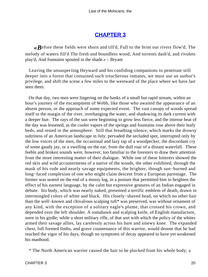## **[CHAPTER 3](#page-316-0)**

*«B*efore these fields were shorn and till'd, Full to the brim our rivers flow'd; The melody of waters fill'd The fresh and boundless wood; And torrents dash'd, and rivulets play'd, And fountains spouted in the shade.» – Bryant

 Leaving the unsuspecting Heyward and his confiding companions to penetrate still deeper into a forest that contained such treacherous inmates, we must use an author's privilege, and shift the scene a few miles to the westward of the place where we have last seen them.

 On that day, two men were lingering on the banks of a small but rapid stream, within an hour's journey of the encampment of Webb, like those who awaited the appearance of an absent person, or the approach of some expected event. The vast canopy of woods spread itself to the margin of the river, overhanging the water, and shadowing its dark current with a deeper hue. The rays of the sun were beginning to grow less fierce, and the intense heat of the day was lessened, as the cooler vapors of the springs and fountains rose above their leafy beds, and rested in the atmosphere. Still that breathing silence, which marks the drowsy sultriness of an American landscape in July, pervaded the secluded spot, interrupted only by the low voices of the men, the occasional and lazy tap of a woodpecker, the discordant cry of some gaudy jay, or a swelling on the ear, from the dull roar of a distant waterfall. These feeble and broken sounds were, however, too familiar to the foresters to draw their attention from the more interesting matter of their dialogue. While one of these loiterers showed the red skin and wild accouterments of a native of the woods, the other exhibited, through the mask of his rude and nearly savage equipments, the brighter, though sun−burned and long−faced complexion of one who might claim descent from a European parentage. The former was seated on the end of a mossy log, in a posture that permitted him to heighten the effect of his earnest language, by the calm but expressive gestures of an Indian engaged in debate. his body, which was nearly naked, presented a terrific emblem of death, drawn in intermingled colors of white and black. His closely−shaved head, on which no other hair than the well−known and chivalrous scalping tuft\* was preserved, was without ornament of any kind, with the exception of a solitary eagle's plume, that crossed his crown, and depended over the left shoulder. A tomahawk and scalping knife, of English manufacture, were in his girdle; while a short military rifle, of that sort with which the policy of the whites armed their savage allies, lay carelessly across his bare and sinewy knee. The expanded chest, full formed limbs, and grave countenance of this warrior, would denote that he had reached the vigor of his days, though no symptoms of decay appeared to have yet weakened his manhood.

\* The North American warrior caused the hair to be plucked from his whole body; a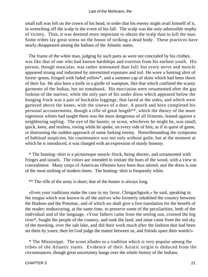small tuft was left on the crown of his head, in order that his enemy might avail himself of it, in wrenching off the scalp in the event of his fall. The scalp was the only admissible trophy of victory. Thus, it was deemed more important to obtain the scalp than to kill the man. Some tribes lay great stress on the honor of striking a dead body. These practices have nearly disappeared among the Indians of the Atlantic states.

 The frame of the white man, judging by such parts as were not concealed by his clothes, was like that of one who had known hardships and exertion from his earliest youth. His person, though muscular, was rather attenuated than full; but every nerve and muscle appeared strung and indurated by unremitted exposure and toil. He wore a hunting shirt of forest−green, fringed with faded yellow\*, and a summer cap of skins which had been shorn of their fur. He also bore a knife in a girdle of wampum, like that which confined the scanty garments of the Indian, but no tomahawk. His moccasins were ornamented after the gay fashion of the natives, while the only part of his under dress which appeared below the hunging frock was a pair of buckskin leggings, that laced at the sides, and which were gartered above the knees, with the sinews of a deer. A pouch and horn completed his personal accouterments, though a rifle of great length\*\*, which the theory of the more ingenious whites had taught them was the most dangerous of all firearms, leaned against a neighboring sapling. The eye of the hunter, or scout, whichever he might be, was small, quick, keen, and restless, roving while he spoke, on every side of him, as if in quest of game, or distrusting the sudden approach of some lurking enemy. Notwithstanding the symptoms of habitual suspicion, his countenance was not only without guile, but at the moment at which he is introduced, it was charged with an expression of sturdy honesty.

 \* The hunting−shirt is a picturesque smock−frock, being shorter, and ornamented with fringes and tassels. The colors are intended to imitate the hues of the wood, with a view to concealment. Many corps of American riflemen have been thus attired, and the dress is one of the most striking of modern times. The hunting−shirt is frequently white.

\*\* The rifle of the army is short; that of the hunter is always long.

 «Even your traditions make the case in my favor, Chingachgook,» he said, speaking in the tongue which was known to all the natives who formerly inhabited the country between the Hudson and the Potomac, and of which we shall give a free translation for the benefit of the reader; endeavoring, at the same time, to preserve some of the peculiarities, both of the individual and of the language. «Your fathers came from the setting sun, crossed the big river\*, fought the people of the country, and took the land; and mine came from the red sky of the morning, over the salt lake, and did their work much after the fashion that had been set them by yours; then let God judge the matter between us, and friends spare their words!»

 \* The Mississippi. The scout alludes to a tradition which is very popular among the tribes of the Atlantic states. Evidence of their Asiatic origin is deduced from the circumstances, though great uncertainty hangs over the whole history of the Indians.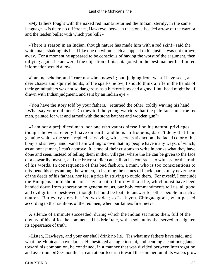«My fathers fought with the naked red man!» returned the Indian, sternly, in the same language. «Is there no difference, Hawkeye, between the stone−headed arrow of the warrior, and the leaden bullet with which you kill?»

 «There is reason in an Indian, though nature has made him with a red skin!» said the white man, shaking his head like one on whom such an appeal to his justice was not thrown away. For a moment he appeared to be conscious of having the worst of the argument, then, rallying again, he answered the objection of his antagonist in the best manner his limited information would allow:

 «I am no scholar, and I care not who knows it; but, judging from what I have seen, at deer chases and squirrel hunts, of the sparks below, I should think a rifle in the hands of their grandfathers was not so dangerous as a hickory bow and a good flint−head might be, if drawn with Indian judgment, and sent by an Indian eye.»

 «You have the story told by your fathers,» returned the other, coldly waving his hand. «What say your old men? Do they tell the young warriors that the pale faces met the red men, painted for war and armed with the stone hatchet and wooden gun?»

 «I am not a prejudiced man, nor one who vaunts himself on his natural privileges, though the worst enemy I have on earth, and he is an Iroquois, daren't deny that I am genuine white,» the scout replied, surveying, with secret satisfaction, the faded color of his bony and sinewy hand, «and I am willing to own that my people have many ways, of which, as an honest man, I can't approve. It is one of their customs to write in books what they have done and seen, instead of telling them in their villages, where the lie can be given to the face of a cowardly boaster, and the brave soldier can call on his comrades to witness for the truth of his words. In consequence of this bad fashion, a man, who is too conscientious to misspend his days among the women, in learning the names of black marks, may never hear of the deeds of his fathers, nor feel a pride in striving to outdo them. For myself, I conclude the Bumppos could shoot, for I have a natural turn with a rifle, which must have been handed down from generation to generation, as, our holy commandments tell us, all good and evil gifts are bestowed; though I should be loath to answer for other people in such a matter. But every story has its two sides; so I ask you, Chingachgook, what passed, according to the traditions of the red men, when our fathers first met?»

 A silence of a minute succeeded, during which the Indian sat mute; then, full of the dignity of his office, he commenced his brief tale, with a solemnity that served to heighten its appearance of truth.

 «Listen, Hawkeye, and your ear shall drink no lie. 'Tis what my fathers have said, and what the Mohicans have done.» He hesitated a single instant, and bending a cautious glance toward his companion, he continued, in a manner that was divided between interrogation and assertion. «Does not this stream at our feet run toward the summer, until its waters grow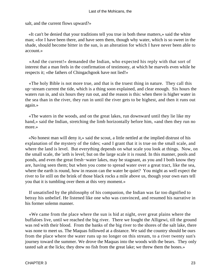salt, and the current flows upward?»

 «It can't be denied that your traditions tell you true in both these matters,» said the white man; «for I have been there, and have seen them, though why water, which is so sweet in the shade, should become bitter in the sun, is an alteration for which I have never been able to account.»

 «And the current!» demanded the Indian, who expected his reply with that sort of interest that a man feels in the confirmation of testimony, at which he marvels even while he respects it; «the fathers of Chingachgook have not lied!»

 «The holy Bible is not more true, and that is the truest thing in nature. They call this up−stream current the tide, which is a thing soon explained, and clear enough. Six hours the waters run in, and six hours they run out, and the reason is this: when there is higher water in the sea than in the river, they run in until the river gets to be highest, and then it runs out again.»

 «The waters in the woods, and on the great lakes, run downward until they lie like my hand,» said the Indian, stretching the limb horizontally before him, «and then they run no more.»

 «No honest man will deny it,» said the scout, a little nettled at the implied distrust of his explanation of the mystery of the tides; «and I grant that it is true on the small scale, and where the land is level. But everything depends on what scale you look at things. Now, on the small scale, the 'arth is level; but on the large scale it is round. In this manner, pools and ponds, and even the great fresh−water lakes, may be stagnant, as you and I both know they are, having seen them; but when you come to spread water over a great tract, like the sea, where the earth is round, how in reason can the water be quiet? You might as well expect the river to lie still on the brink of those black rocks a mile above us, though your own ears tell you that it is tumbling over them at this very moment.»

 If unsatisfied by the philosophy of his companion, the Indian was far too dignified to betray his unbelief. He listened like one who was convinced, and resumed his narrative in his former solemn manner.

 «We came from the place where the sun is hid at night, over great plains where the buffaloes live, until we reached the big river. There we fought the Alligewi, till the ground was red with their blood. From the banks of the big river to the shores of the salt lake, there was none to meet us. The Maquas followed at a distance. We said the country should be ours from the place where the water runs up no longer on this stream, to a river twenty sun's journey toward the summer. We drove the Maquas into the woods with the bears. They only tasted salt at the licks; they drew no fish from the great lake; we threw them the bones.»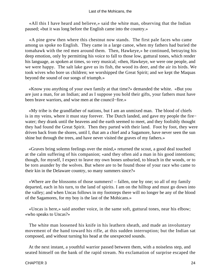#### Last of the Mohicans, the

 «All this I have heard and believe,» said the white man, observing that the Indian paused; «but it was long before the English came into the country.»

 «A pine grew then where this chestnut now stands. The first pale faces who came among us spoke no English. They came in a large canoe, when my fathers had buried the tomahawk with the red men around them. Then, Hawkeye,» he continued, betraying his deep emotion, only by permitting his voice to fall to those low, guttural tones, which render his language, as spoken at times, so very musical; «then, Hawkeye, we were one people, and we were happy. The salt lake gave us its fish, the wood its deer, and the air its birds. We took wives who bore us children; we worshipped the Great Spirit; and we kept the Maquas beyond the sound of our songs of triumph.»

 «Know you anything of your own family at that time?» demanded the white. «But you are just a man, for an Indian; and as I suppose you hold their gifts, your fathers must have been brave warriors, and wise men at the council−fire.»

 «My tribe is the grandfather of nations, but I am an unmixed man. The blood of chiefs is in my veins, where it must stay forever. The Dutch landed, and gave my people the fire− water; they drank until the heavens and the earth seemed to meet, and they foolishly thought they had found the Great Spirit. Then they parted with their land. Foot by foot, they were driven back from the shores, until I, that am a chief and a Sagamore, have never seen the sun shine but through the trees, and have never visited the graves of my fathers.»

 «Graves bring solemn feelings over the mind,» returned the scout, a good deal touched at the calm suffering of his companion; «and they often aid a man in his good intentions; though, for myself, I expect to leave my own bones unburied, to bleach in the woods, or to be torn asunder by the wolves. But where are to be found those of your race who came to their kin in the Delaware country, so many summers since?»

 «Where are the blossoms of those summers! – fallen, one by one; so all of my family departed, each in his turn, to the land of spirits. I am on the hilltop and must go down into the valley; and when Uncas follows in my footsteps there will no longer be any of the blood of the Sagamores, for my boy is the last of the Mohicans.»

 «Uncas is here,» said another voice, in the same soft, guttural tones, near his elbow; «who speaks to Uncas?»

 The white man loosened his knife in his leathern sheath, and made an involuntary movement of the hand toward his rifle, at this sudden interruption; but the Indian sat composed, and without turning his head at the unexpected sounds.

 At the next instant, a youthful warrior passed between them, with a noiseless step, and seated himself on the bank of the rapid stream. No exclamation of surprise escaped the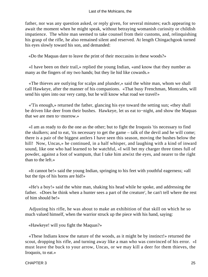father, nor was any question asked, or reply given, for several minutes; each appearing to await the moment when he might speak, without betraying womanish curiosity or childish impatience. The white man seemed to take counsel from their customs, and, relinquishing his grasp of the rifle, he also remained silent and reserved. At length Chingachgook turned his eyes slowly toward his son, and demanded:

«Do the Maquas dare to leave the print of their moccasins in these woods?»

 «I have been on their trail,» replied the young Indian, «and know that they number as many as the fingers of my two hands; but they lie hid like cowards.»

 «The thieves are outlying for scalps and plunder,» said the white man, whom we shall call Hawkeye, after the manner of his companions. «That busy Frenchman, Montcalm, will send his spies into our very camp, but he will know what road we travel!»

 «'Tis enough,» returned the father, glancing his eye toward the setting sun; «they shall be driven like deer from their bushes. Hawkeye, let us eat to−night, and show the Maquas that we are men to−morrow.»

 «I am as ready to do the one as the other; but to fight the Iroquois 'tis necessary to find the skulkers; and to eat, 'tis necessary to get the game – talk of the devil and he will come; there is a pair of the biggest antlers I have seen this season, moving the bushes below the hill! Now, Uncas,» he continued, in a half whisper, and laughing with a kind of inward sound, like one who had learned to be watchful, «I will bet my charger three times full of powder, against a foot of wampum, that I take him atwixt the eyes, and nearer to the right than to the left.»

 «It cannot be!» said the young Indian, springing to his feet with youthful eagerness; «all but the tips of his horns are hid!»

 «He's a boy!» said the white man, shaking his head while he spoke, and addressing the father. «Does he think when a hunter sees a part of the creature', he can't tell where the rest of him should be!»

 Adjusting his rifle, he was about to make an exhibition of that skill on which he so much valued himself, when the warrior struck up the piece with his hand, saying:

«Hawkeye! will you fight the Maquas?»

 «These Indians know the nature of the woods, as it might be by instinct!» returned the scout, dropping his rifle, and turning away like a man who was convinced of his error. «I must leave the buck to your arrow, Uncas, or we may kill a deer for them thieves, the Iroquois, to eat.»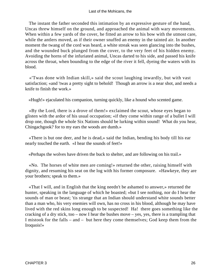The instant the father seconded this intimation by an expressive gesture of the hand, Uncas threw himself on the ground, and approached the animal with wary movements. When within a few yards of the cover, he fitted an arrow to his bow with the utmost care, while the antlers moved, as if their owner snuffed an enemy in the tainted air. In another moment the twang of the cord was heard, a white streak was seen glancing into the bushes, and the wounded buck plunged from the cover, to the very feet of his hidden enemy. Avoiding the horns of the infuriated animal, Uncas darted to his side, and passed his knife across the throat, when bounding to the edge of the river it fell, dyeing the waters with its blood.

 «'Twas done with Indian skill,» said the scout laughing inwardly, but with vast satisfaction; «and 'twas a pretty sight to behold! Though an arrow is a near shot, and needs a knife to finish the work.»

«Hugh!» ejaculated his companion, turning quickly, like a hound who scented game.

 «By the Lord, there is a drove of them!» exclaimed the scout, whose eyes began to glisten with the ardor of his usual occupation; «if they come within range of a bullet I will drop one, though the whole Six Nations should be lurking within sound! What do you hear, Chingachgook? for to my ears the woods are dumb.»

 «There is but one deer, and he is dead,» said the Indian, bending his body till his ear nearly touched the earth. «I hear the sounds of feet!»

«Perhaps the wolves have driven the buck to shelter, and are following on his trail.»

 «No. The horses of white men are coming!» returned the other, raising himself with dignity, and resuming his seat on the log with his former composure. «Hawkeye, they are your brothers; speak to them.»

 «That I will, and in English that the king needn't be ashamed to answer,» returned the hunter, speaking in the language of which he boasted; «but I see nothing, nor do I hear the sounds of man or beast; 'tis strange that an Indian should understand white sounds better than a man who, his very enemies will own, has no cross in his blood, although he may have lived with the red skins long enough to be suspected! Ha! there goes something like the cracking of a dry stick, too – now I hear the bushes move – yes, yes, there is a trampling that I mistook for the falls – and – but here they come themselves; God keep them from the Iroquois!»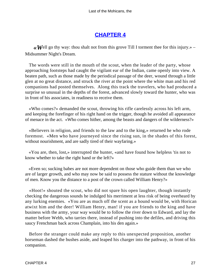## **[CHAPTER 4](#page-316-0)**

 $\ll$  **W**ell go thy way: thou shalt not from this grove Till I torment thee for this injury.» – Midsummer Night's Dream.

 The words were still in the mouth of the scout, when the leader of the party, whose approaching footsteps had caught the vigilant ear of the Indian, came openly into view. A beaten path, such as those made by the periodical passage of the deer, wound through a little glen at no great distance, and struck the river at the point where the white man and his red companions had posted themselves. Along this track the travelers, who had produced a surprise so unusual in the depths of the forest, advanced slowly toward the hunter, who was in front of his associates, in readiness to receive them.

 «Who comes?» demanded the scout, throwing his rifle carelessly across his left arm, and keeping the forefinger of his right hand on the trigger, though he avoided all appearance of menace in the act. «Who comes hither, among the beasts and dangers of the wilderness?»

 «Believers in religion, and friends to the law and to the king,» returned he who rode foremost. «Men who have journeyed since the rising sun, in the shades of this forest, without nourishment, and are sadly tired of their wayfaring.»

 «You are, then, lost,» interrupted the hunter, «and have found how helpless 'tis not to know whether to take the right hand or the left?»

 «Even so; sucking babes are not more dependent on those who guide them than we who are of larger growth, and who may now be said to possess the stature without the knowledge of men. Know you the distance to a post of the crown called William Henry?»

 «Hoot!» shouted the scout, who did not spare his open laughter, though instantly checking the dangerous sounds he indulged his merriment at less risk of being overheard by any lurking enemies. «You are as much off the scent as a hound would be, with Horican atwixt him and the deer! William Henry, man! if you are friends to the king and have business with the army, your way would be to follow the river down to Edward, and lay the matter before Webb, who tarries there, instead of pushing into the defiles, and driving this saucy Frenchman back across Champlain, into his den again.»

 Before the stranger could make any reply to this unexpected proposition, another horseman dashed the bushes aside, and leaped his charger into the pathway, in front of his companion.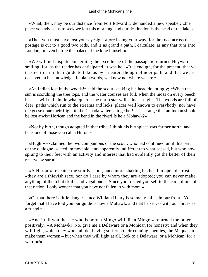#### Last of the Mohicans, the

 «What, then, may be our distance from Fort Edward?» demanded a new speaker; «the place you advise us to seek we left this morning, and our destination is the head of the lake.»

 «Then you must have lost your eyesight afore losing your way, for the road across the portage is cut to a good two rods, and is as grand a path, I calculate, as any that runs into London, or even before the palace of the king himself.»

 «We will not dispute concerning the excellence of the passage,» returned Heyward, smiling; for, as the reader has anticipated, it was he. «It is enough, for the present, that we trusted to an Indian guide to take us by a nearer, though blinder path, and that we are deceived in his knowledge. In plain words, we know not where we are.»

 «An Indian lost in the woods!» said the scout, shaking his head doubtingly; «When the sun is scorching the tree tops, and the water courses are full; when the moss on every beech he sees will tell him in what quarter the north star will shine at night. The woods are full of deer−paths which run to the streams and licks, places well known to everybody; nor have the geese done their flight to the Canada waters altogether! 'Tis strange that an Indian should be lost atwixt Horican and the bend in the river! Is he a Mohawk?»

 «Not by birth, though adopted in that tribe; I think his birthplace was farther north, and he is one of those you call a Huron.»

 «Hugh!» exclaimed the two companions of the scout, who had continued until this part of the dialogue, seated immovable, and apparently indifferent to what passed, but who now sprang to their feet with an activity and interest that had evidently got the better of their reserve by surprise.

 «A Huron!» repeated the sturdy scout, once more shaking his head in open distrust; «they are a thievish race, nor do I care by whom they are adopted; you can never make anything of them but skulls and vagabonds. Since you trusted yourself to the care of one of that nation, I only wonder that you have not fallen in with more.»

 «Of that there is little danger, since William Henry is so many miles in our front. You forget that I have told you our guide is now a Mohawk, and that he serves with our forces as a friend.»

 «And I tell you that he who is born a Mingo will die a Mingo,» returned the other positively. «A Mohawk! No, give me a Delaware or a Mohican for honesty; and when they will fight, which they won't all do, having suffered their cunning enemies, the Maquas, to make them women – but when they will fight at all, look to a Delaware, or a Mohican, for a warrior!»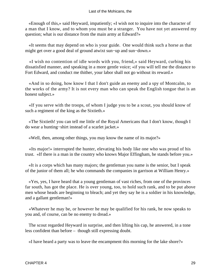«Enough of this,» said Heyward, impatiently; «I wish not to inquire into the character of a man that I know, and to whom you must be a stranger. You have not yet answered my question; what is our distance from the main army at Edward?»

 «It seems that may depend on who is your guide. One would think such a horse as that might get over a good deal of ground atwixt sun−up and sun−down.»

 «I wish no contention of idle words with you, friend,» said Heyward, curbing his dissatisfied manner, and speaking in a more gentle voice; «if you will tell me the distance to Fort Edward, and conduct me thither, your labor shall not go without its reward.»

 «And in so doing, how know I that I don't guide an enemy and a spy of Montcalm, to the works of the army? It is not every man who can speak the English tongue that is an honest subject.»

 «If you serve with the troops, of whom I judge you to be a scout, you should know of such a regiment of the king as the Sixtieth.»

 «The Sixtieth! you can tell me little of the Royal Americans that I don't know, though I do wear a hunting−shirt instead of a scarlet jacket.»

«Well, then, among other things, you may know the name of its major?»

 «Its major!» interrupted the hunter, elevating his body like one who was proud of his trust. «If there is a man in the country who knows Major Effingham, he stands before you.»

 «It is a corps which has many majors; the gentleman you name is the senior, but I speak of the junior of them all; he who commands the companies in garrison at William Henry.»

 «Yes, yes, I have heard that a young gentleman of vast riches, from one of the provinces far south, has got the place. He is over young, too, to hold such rank, and to be put above men whose heads are beginning to bleach; and yet they say he is a soldier in his knowledge, and a gallant gentleman!»

 «Whatever he may be, or however he may be qualified for his rank, he now speaks to you and, of course, can be no enemy to dread.»

 The scout regarded Heyward in surprise, and then lifting his cap, he answered, in a tone less confident than before – though still expressing doubt.

«I have heard a party was to leave the encampment this morning for the lake shore?»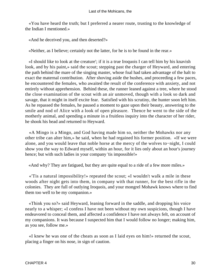«You have heard the truth; but I preferred a nearer route, trusting to the knowledge of the Indian I mentioned.»

«And he deceived you, and then deserted?»

«Neither, as I believe; certainly not the latter, for he is to be found in the rear.»

 «I should like to look at the creature'; if it is a true Iroquois I can tell him by his knavish look, and by his paint,» said the scout; stepping past the charger of Heyward, and entering the path behind the mare of the singing master, whose foal had taken advantage of the halt to exact the maternal contribution. After shoving aside the bushes, and proceeding a few paces, he encountered the females, who awaited the result of the conference with anxiety, and not entirely without apprehension. Behind these, the runner leaned against a tree, where he stood the close examination of the scout with an air unmoved, though with a look so dark and savage, that it might in itself excite fear. Satisfied with his scrutiny, the hunter soon left him. As he repassed the females, he paused a moment to gaze upon their beauty, answering to the smile and nod of Alice with a look of open pleasure. Thence he went to the side of the motherly animal, and spending a minute in a fruitless inquiry into the character of her rider, he shook his head and returned to Heyward.

 «A Mingo is a Mingo, and God having made him so, neither the Mohawks nor any other tribe can alter him,» he said, when he had regained his former position. «If we were alone, and you would leave that noble horse at the mercy of the wolves to−night, I could show you the way to Edward myself, within an hour, for it lies only about an hour's journey hence; but with such ladies in your company 'tis impossible!»

«And why? They are fatigued, but they are quite equal to a ride of a few more miles.»

 «'Tis a natural impossibility!» repeated the scout; «I wouldn't walk a mile in these woods after night gets into them, in company with that runner, for the best rifle in the colonies. They are full of outlying Iroquois, and your mongrel Mohawk knows where to find them too well to be my companion.»

 «Think you so?» said Heyward, leaning forward in the saddle, and dropping his voice nearly to a whisper; «I confess I have not been without my own suspicions, though I have endeavored to conceal them, and affected a confidence I have not always felt, on account of my companions. It was because I suspected him that I would follow no longer; making him, as you see, follow me.»

 «I knew he was one of the cheats as soon as I laid eyes on him!» returned the scout, placing a finger on his nose, in sign of caution.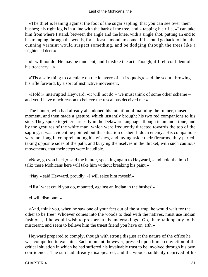«The thief is leaning against the foot of the sugar sapling, that you can see over them bushes; his right leg is in a line with the bark of the tree, and,» tapping his rifle, «I can take him from where I stand, between the angle and the knee, with a single shot, putting an end to his tramping through the woods, for at least a month to come. If I should go back to him, the cunning varmint would suspect something, and be dodging through the trees like a frightened deer.»

 «It will not do. He may be innocent, and I dislike the act. Though, if I felt confident of his treachery  $-\infty$ 

 «'Tis a safe thing to calculate on the knavery of an Iroquois,» said the scout, throwing his rifle forward, by a sort of instinctive movement.

 «Hold!» interrupted Heyward, «it will not do – we must think of some other scheme – and yet, I have much reason to believe the rascal has deceived me.»

 The hunter, who had already abandoned his intention of maiming the runner, mused a moment, and then made a gesture, which instantly brought his two red companions to his side. They spoke together earnestly in the Delaware language, though in an undertone; and by the gestures of the white man, which were frequently directed towards the top of the sapling, it was evident he pointed out the situation of their hidden enemy. His companions were not long in comprehending his wishes, and laying aside their firearms, they parted, taking opposite sides of the path, and burying themselves in the thicket, with such cautious movements, that their steps were inaudible.

 «Now, go you back,» said the hunter, speaking again to Heyward, «and hold the imp in talk; these Mohicans here will take him without breaking his paint.»

«Nay,» said Heyward, proudly, «I will seize him myself.»

«Hist! what could you do, mounted, against an Indian in the bushes!»

«I will dismount.»

 «And, think you, when he saw one of your feet out of the stirrup, he would wait for the other to be free? Whoever comes into the woods to deal with the natives, must use Indian fashions, if he would wish to prosper in his undertakings. Go, then; talk openly to the miscreant, and seem to believe him the truest friend you have on 'arth.»

 Heyward prepared to comply, though with strong disgust at the nature of the office he was compelled to execute. Each moment, however, pressed upon him a conviction of the critical situation in which he had suffered his invaluable trust to be involved through his own confidence. The sun had already disappeared, and the woods, suddenly deprived of his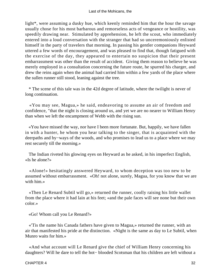light\*, were assuming a dusky hue, which keenly reminded him that the hour the savage usually chose for his most barbarous and remorseless acts of vengeance or hostility, was speedily drawing near. Stimulated by apprehension, he left the scout, who immediately entered into a loud conversation with the stranger that had so unceremoniously enlisted himself in the party of travelers that morning. In passing his gentler companions Heyward uttered a few words of encouragement, and was pleased to find that, though fatigued with the exercise of the day, they appeared to entertain no suspicion that their present embarrassment was other than the result of accident. Giving them reason to believe he was merely employed in a consultation concerning the future route, he spurred his charger, and drew the reins again when the animal had carried him within a few yards of the place where the sullen runner still stood, leaning against the tree.

 \* The scene of this tale was in the 42d degree of latitude, where the twilight is never of long continuation.

 «You may see, Magua,» he said, endeavoring to assume an air of freedom and confidence, "that the night is closing around us, and yet we are no nearer to William Henry than when we left the encampment of Webb with the rising sun.

 «You have missed the way, nor have I been more fortunate. But, happily, we have fallen in with a hunter, he whom you hear talking to the singer, that is acquainted with the deerpaths and by−ways of the woods, and who promises to lead us to a place where we may rest securely till the morning.»

 The Indian riveted his glowing eyes on Heyward as he asked, in his imperfect English, «Is he alone?»

 «Alone!» hesitatingly answered Heyward, to whom deception was too new to be assumed without embarrassment. «Oh! not alone, surely, Magua, for you know that we are with him.»

 «Then Le Renard Subtil will go,» returned the runner, coolly raising his little wallet from the place where it had lain at his feet; «and the pale faces will see none but their own color.»

«Go! Whom call you Le Renard?»

 «'Tis the name his Canada fathers have given to Magua,» returned the runner, with an air that manifested his pride at the distinction. «Night is the same as day to Le Subtil, when Munro waits for him.»

 «And what account will Le Renard give the chief of William Henry concerning his daughters? Will he dare to tell the hot− blooded Scotsman that his children are left without a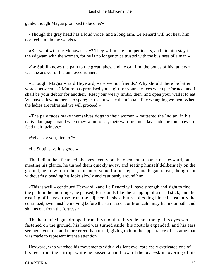guide, though Magua promised to be one?»

 «Though the gray head has a loud voice, and a long arm, Le Renard will not hear him, nor feel him, in the woods.»

 «But what will the Mohawks say? They will make him petticoats, and bid him stay in the wigwam with the women, for he is no longer to be trusted with the business of a man.»

 «Le Subtil knows the path to the great lakes, and he can find the bones of his fathers,» was the answer of the unmoved runner.

 «Enough, Magua,» said Heyward; «are we not friends? Why should there be bitter words between us? Munro has promised you a gift for your services when performed, and I shall be your debtor for another. Rest your weary limbs, then, and open your wallet to eat. We have a few moments to spare; let us not waste them in talk like wrangling women. When the ladies are refreshed we will proceed.»

 «The pale faces make themselves dogs to their women,» muttered the Indian, in his native language, «and when they want to eat, their warriors must lay aside the tomahawk to feed their laziness.»

«What say you, Renard?»

«Le Subtil says it is good.»

 The Indian then fastened his eyes keenly on the open countenance of Heyward, but meeting his glance, he turned them quickly away, and seating himself deliberately on the ground, he drew forth the remnant of some former repast, and began to eat, though not without first bending his looks slowly and cautiously around him.

 «This is well,» continued Heyward; «and Le Renard will have strength and sight to find the path in the morning»; he paused, for sounds like the snapping of a dried stick, and the rustling of leaves, rose from the adjacent bushes, but recollecting himself instantly, he continued, «we must be moving before the sun is seen, or Montcalm may lie in our path, and shut us out from the fortress.»

 The hand of Magua dropped from his mouth to his side, and though his eyes were fastened on the ground, his head was turned aside, his nostrils expanded, and his ears seemed even to stand more erect than usual, giving to him the appearance of a statue that was made to represent intense attention.

 Heyward, who watched his movements with a vigilant eye, carelessly extricated one of his feet from the stirrup, while he passed a hand toward the bear−skin covering of his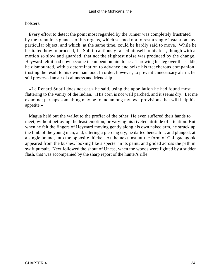holsters.

 Every effort to detect the point most regarded by the runner was completely frustrated by the tremulous glances of his organs, which seemed not to rest a single instant on any particular object, and which, at the same time, could be hardly said to move. While he hesitated how to proceed, Le Subtil cautiously raised himself to his feet, though with a motion so slow and guarded, that not the slightest noise was produced by the change. Heyward felt it had now become incumbent on him to act. Throwing his leg over the saddle, he dismounted, with a determination to advance and seize his treacherous companion, trusting the result to his own manhood. In order, however, to prevent unnecessary alarm, he still preserved an air of calmness and friendship.

 «Le Renard Subtil does not eat,» he said, using the appellation he had found most flattering to the vanity of the Indian. «His corn is not well parched, and it seems dry. Let me examine; perhaps something may be found among my own provisions that will help his appetite.»

 Magua held out the wallet to the proffer of the other. He even suffered their hands to meet, without betraying the least emotion, or varying his riveted attitude of attention. But when he felt the fingers of Heyward moving gently along his own naked arm, he struck up the limb of the young man, and, uttering a piercing cry, he darted beneath it, and plunged, at a single bound, into the opposite thicket. At the next instant the form of Chingachgook appeared from the bushes, looking like a specter in its paint, and glided across the path in swift pursuit. Next followed the shout of Uncas, when the woods were lighted by a sudden flash, that was accompanied by the sharp report of the hunter's rifle.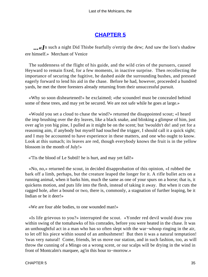## **[CHAPTER 5](#page-316-0)**

...**«I**n such a night Did Thisbe fearfully o'ertrip the dew; And saw the lion's shadow ere himself.» Merchant of Venice

 The suddenness of the flight of his guide, and the wild cries of the pursuers, caused Heyward to remain fixed, for a few moments, in inactive surprise. Then recollecting the importance of securing the fugitive, he dashed aside the surrounding bushes, and pressed eagerly forward to lend his aid in the chase. Before he had, however, proceeded a hundred yards, he met the three foresters already returning from their unsuccessful pursuit.

 «Why so soon disheartened!» he exclaimed; «the scoundrel must be concealed behind some of these trees, and may yet be secured. We are not safe while he goes at large.»

 «Would you set a cloud to chase the wind?» returned the disappointed scout; «I heard the imp brushing over the dry leaves, like a black snake, and blinking a glimpse of him, just over ag'in yon big pine, I pulled as it might be on the scent; but 'twouldn't do! and yet for a reasoning aim, if anybody but myself had touched the trigger, I should call it a quick sight; and I may be accounted to have experience in these matters, and one who ought to know. Look at this sumach; its leaves are red, though everybody knows the fruit is in the yellow blossom in the month of July!»

«'Tis the blood of Le Subtil! he is hurt, and may yet fall!»

 «No, no,» returned the scout, in decided disapprobation of this opinion, «I rubbed the bark off a limb, perhaps, but the creature leaped the longer for it. A rifle bullet acts on a running animal, when it barks him, much the same as one of your spurs on a horse; that is, it quickens motion, and puts life into the flesh, instead of taking it away. But when it cuts the ragged hole, after a bound or two, there is, commonly, a stagnation of further leaping, be it Indian or be it deer!»

«We are four able bodies, to one wounded man!»

 «Is life grievous to you?» interrupted the scout. «Yonder red devil would draw you within swing of the tomahawks of his comrades, before you were heated in the chase. It was an unthoughtful act in a man who has so often slept with the war−whoop ringing in the air, to let off his piece within sound of an ambushment! But then it was a natural temptation! 'twas very natural! Come, friends, let us move our station, and in such fashion, too, as will throw the cunning of a Mingo on a wrong scent, or our scalps will be drying in the wind in front of Montcalm's marquee, ag'in this hour to−morrow.»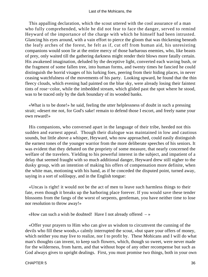This appalling declaration, which the scout uttered with the cool assurance of a man who fully comprehended, while he did not fear to face the danger, served to remind Heyward of the importance of the charge with which he himself had been intrusted. Glancing his eyes around, with a vain effort to pierce the gloom that was thickening beneath the leafy arches of the forest, he felt as if, cut off from human aid, his unresisting companions would soon lie at the entire mercy of those barbarous enemies, who, like beasts of prey, only waited till the gathering darkness might render their blows more fatally certain. His awakened imagination, deluded by the deceptive light, converted each waving bush, or the fragment of some fallen tree, into human forms, and twenty times he fancied he could distinguish the horrid visages of his lurking foes, peering from their hiding places, in never ceasing watchfulness of the movements of his party. Looking upward, he found that the thin fleecy clouds, which evening had painted on the blue sky, were already losing their faintest tints of rose−color, while the imbedded stream, which glided past the spot where he stood, was to be traced only by the dark boundary of its wooded banks.

 «What is to be done!» he said, feeling the utter helplessness of doubt in such a pressing strait; «desert me not, for God's sake! remain to defend those I escort, and freely name your own reward!»

 His companions, who conversed apart in the language of their tribe, heeded not this sudden and earnest appeal. Though their dialogue was maintained in low and cautious sounds, but little above a whisper, Heyward, who now approached, could easily distinguish the earnest tones of the younger warrior from the more deliberate speeches of his seniors. It was evident that they debated on the propriety of some measure, that nearly concerned the welfare of the travelers. Yielding to his powerful interest in the subject, and impatient of a delay that seemed fraught with so much additional danger, Heyward drew still nigher to the dusky group, with an intention of making his offers of compensation more definite, when the white man, motioning with his hand, as if he conceded the disputed point, turned away, saying in a sort of soliloquy, and in the English tongue:

 «Uncas is right! it would not be the act of men to leave such harmless things to their fate, even though it breaks up the harboring place forever. If you would save these tender blossoms from the fangs of the worst of serpents, gentleman, you have neither time to lose nor resolution to throw away!»

«How can such a wish be doubted! Have I not already offered  $-\infty$ 

 «Offer your prayers to Him who can give us wisdom to circumvent the cunning of the devils who fill these woods,» calmly interrupted the scout, «but spare your offers of money, which neither you may live to realize, nor I to profit by. These Mohicans and I will do what man's thoughts can invent, to keep such flowers, which, though so sweet, were never made for the wilderness, from harm, and that without hope of any other recompense but such as God always gives to upright dealings. First, you must promise two things, both in your own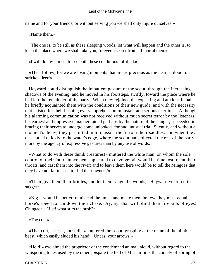name and for your friends, or without serving you we shall only injure ourselves!»

«Name them.»

 «The one is, to be still as these sleeping woods, let what will happen and the other is, to keep the place where we shall take you, forever a secret from all mortal men.»

«I will do my utmost to see both these conditions fulfilled.»

 «Then follow, for we are losing moments that are as precious as the heart's blood to a stricken deer!»

 Heyward could distinguish the impatient gesture of the scout, through the increasing shadows of the evening, and he moved in his footsteps, swiftly, toward the place where he had left the remainder of the party. When they rejoined the expecting and anxious females, he briefly acquainted them with the conditions of their new guide, and with the necessity that existed for their hushing every apprehension in instant and serious exertions. Although his alarming communication was not received without much secret terror by the listeners, his earnest and impressive manner, aided perhaps by the nature of the danger, succeeded in bracing their nerves to undergo some unlooked−for and unusual trial. Silently, and without a moment's delay, they permitted him to assist them from their saddles, and when they descended quickly to the water's edge, where the scout had collected the rest of the party, more by the agency of expressive gestures than by any use of words.

 «What to do with these dumb creatures!» muttered the white man, on whom the sole control of their future movements appeared to devolve; «it would be time lost to cut their throats, and cast them into the river; and to leave them here would be to tell the Mingoes that they have not far to seek to find their owners!»

 «Then give them their bridles, and let them range the woods,» Heyward ventured to suggest.

 «No; it would be better to mislead the imps, and make them believe they must equal a horse's speed to run down their chase. Ay, ay, that will blind their fireballs of eyes! Chingach – Hist! what stirs the bush?»

«The colt.»

 «That colt, at least, must die,» muttered the scout, grasping at the mane of the nimble beast, which easily eluded his hand; «Uncas, your arrows!»

 «Hold!» exclaimed the proprietor of the condemned animal, aloud, without regard to the whispering tones used by the others; «spare the foal of Miriam! it is the comely offspring of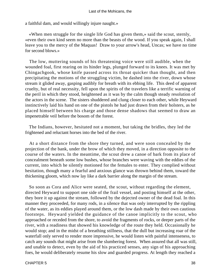a faithful dam, and would willingly injure naught.»

 «When men struggle for the single life God has given them,» said the scout, sternly, «even their own kind seem no more than the beasts of the wood. If you speak again, I shall leave you to the mercy of the Maquas! Draw to your arrow's head, Uncas; we have no time for second blows.»

 The low, muttering sounds of his threatening voice were still audible, when the wounded foal, first rearing on its hinder legs, plunged forward to its knees. It was met by Chingachgook, whose knife passed across its throat quicker than thought, and then precipitating the motions of the struggling victim, he dashed into the river, down whose stream it glided away, gasping audibly for breath with its ebbing life. This deed of apparent cruelty, but of real necessity, fell upon the spirits of the travelers like a terrific warning of the peril in which they stood, heightened as it was by the calm though steady resolution of the actors in the scene. The sisters shuddered and clung closer to each other, while Heyward instinctively laid his hand on one of the pistols he had just drawn from their holsters, as he placed himself between his charge and those dense shadows that seemed to draw an impenetrable veil before the bosom of the forest.

 The Indians, however, hesitated not a moment, but taking the bridles, they led the frightened and reluctant horses into the bed of the river.

 At a short distance from the shore they turned, and were soon concealed by the projection of the bank, under the brow of which they moved, in a direction opposite to the course of the waters. In the meantime, the scout drew a canoe of bark from its place of concealment beneath some low bushes, whose branches were waving with the eddies of the current, into which he silently motioned for the females to enter. They complied without hesitation, though many a fearful and anxious glance was thrown behind them, toward the thickening gloom, which now lay like a dark barrier along the margin of the stream.

 So soon as Cora and Alice were seated, the scout, without regarding the element, directed Heyward to support one side of the frail vessel, and posting himself at the other, they bore it up against the stream, followed by the dejected owner of the dead foal. In this manner they proceeded, for many rods, in a silence that was only interrupted by the rippling of the water, as its eddies played around them, or the low dash made by their own cautious footsteps. Heyward yielded the guidance of the canoe implicitly to the scout, who approached or receded from the shore, to avoid the fragments of rocks, or deeper parts of the river, with a readiness that showed his knowledge of the route they held. Occasionally he would stop; and in the midst of a breathing stillness, that the dull but increasing roar of the waterfall only served to render more impressive, he would listen with painful intenseness, to catch any sounds that might arise from the slumbering forest. When assured that all was still, and unable to detect, even by the aid of his practiced senses, any sign of his approaching foes, he would deliberately resume his slow and guarded progress. At length they reached a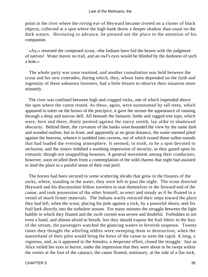point in the river where the roving eye of Heyward became riveted on a cluster of black objects, collected at a spot where the high bank threw a deeper shadow than usual on the dark waters. Hesitating to advance, he pointed out the place to the attention of his companion.

 «Ay,» returned the composed scout, «the Indians have hid the beasts with the judgment of natives! Water leaves no trail, and an owl's eyes would be blinded by the darkness of such a hole.»

 The whole party was soon reunited, and another consultation was held between the scout and his new comrades, during which, they, whose fates depended on the faith and ingenuity of these unknown foresters, had a little leisure to observe their situation more minutely.

 The river was confined between high and cragged rocks, one of which impended above the spot where the canoe rested. As these, again, were surmounted by tall trees, which appeared to totter on the brows of the precipice, it gave the stream the appearance of running through a deep and narrow dell. All beneath the fantastic limbs and ragged tree tops, which were, here and there, dimly painted against the starry zenith, lay alike in shadowed obscurity. Behind them, the curvature of the banks soon bounded the view by the same dark and wooded outline; but in front, and apparently at no great distance, the water seemed piled against the heavens, whence it tumbled into caverns, out of which issued those sullen sounds that had loaded the evening atmosphere. It seemed, in truth, to be a spot devoted to seclusion, and the sisters imbibed a soothing impression of security, as they gazed upon its romantic though not unappalling beauties. A general movement among their conductors, however, soon recalled them from a contemplation of the wild charms that night had assisted to lend the place to a painful sense of their real peril.

 The horses had been secured to some scattering shrubs that grew in the fissures of the rocks, where, standing in the water, they were left to pass the night. The scout directed Heyward and his disconsolate fellow travelers to seat themselves in the forward end of the canoe, and took possession of the other himself, as erect and steady as if he floated in a vessel of much firmer materials. The Indians warily retraced their steps toward the place they had left, when the scout, placing his pole against a rock, by a powerful shove, sent his frail bark directly into the turbulent stream. For many minutes the struggle between the light bubble in which they floated and the swift current was severe and doubtful. Forbidden to stir even a hand, and almost afraid to breath, lest they should expose the frail fabric to the fury of the stream, the passengers watched the glancing waters in feverish suspense. Twenty times they thought the whirling eddies were sweeping them to destruction, when the masterhand of their pilot would bring the bows of the canoe to stem the rapid. A long, a vigorous, and, as it appeared to the females, a desperate effort, closed the struggle. Just as Alice veiled her eyes in horror, under the impression that they were about to be swept within the vortex at the foot of the cataract, the canoe floated, stationary, at the side of a flat rock,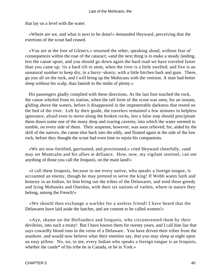that lay on a level with the water.

 «Where are we, and what is next to be done!» demanded Heyward, perceiving that the exertions of the scout had ceased.

 «You are at the foot of Glenn's,» returned the other, speaking aloud, without fear of consequences within the roar of the cataract; «and the next thing is to make a steady landing, lest the canoe upset, and you should go down again the hard road we have traveled faster than you came up; 'tis a hard rift to stem, when the river is a little swelled; and five is an unnatural number to keep dry, in a hurry−skurry, with a little birchen bark and gum. There, go you all on the rock, and I will bring up the Mohicans with the venison. A man had better sleep without his scalp, than famish in the midst of plenty.»

 His passengers gladly complied with these directions. As the last foot touched the rock, the canoe whirled from its station, when the tall form of the scout was seen, for an instant, gliding above the waters, before it disappeared in the impenetrable darkness that rested on the bed of the river. Left by their guide, the travelers remained a few minutes in helpless ignorance, afraid even to move along the broken rocks, lest a false step should precipitate them down some one of the many deep and roaring caverns, into which the water seemed to tumble, on every side of them. Their suspense, however, was soon relieved; for, aided by the skill of the natives, the canoe shot back into the eddy, and floated again at the side of the low rock, before they thought the scout had even time to rejoin his companions.

 «We are now fortified, garrisoned, and provisioned,» cried Heyward cheerfully, «and may set Montcalm and his allies at defiance. How, now, my vigilant sentinel, can see anything of those you call the Iroquois, on the main land!»

 «I call them Iroquois, because to me every native, who speaks a foreign tongue, is accounted an enemy, though he may pretend to serve the king! If Webb wants faith and honesty in an Indian, let him bring out the tribes of the Delawares, and send these greedy and lying Mohawks and Oneidas, with their six nations of varlets, where in nature they belong, among the French!»

 «We should then exchange a warlike for a useless friend! I have heard that the Delawares have laid aside the hatchet, and are content to be called women!»

 «Aye, shame on the Hollanders and Iroquois, who circumvented them by their deviltries, into such a treaty! But I have known them for twenty years, and I call him liar that says cowardly blood runs in the veins of a Delaware. You have driven their tribes from the seashore, and would now believe what their enemies say, that you may sleep at night upon an easy pillow. No, no; to me, every Indian who speaks a foreign tongue is an Iroquois, whether the castle\* of his tribe be in Canada, or be in York.»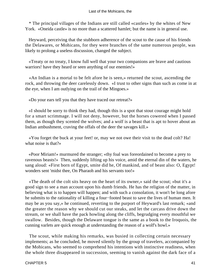\* The principal villages of the Indians are still called «castles» by the whites of New York. «Oneida castle» is no more than a scattered hamlet; but the name is in general use.

 Heyward, perceiving that the stubborn adherence of the scout to the cause of his friends the Delawares, or Mohicans, for they were branches of the same numerous people, was likely to prolong a useless discussion, changed the subject.

 «Treaty or no treaty, I know full well that your two companions are brave and cautious warriors! have they heard or seen anything of our enemies!»

 «An Indian is a mortal to be felt afore he is seen,» returned the scout, ascending the rock, and throwing the deer carelessly down. «I trust to other signs than such as come in at the eye, when I am outlying on the trail of the Mingoes.»

«Do your ears tell you that they have traced our retreat?»

 «I should be sorry to think they had, though this is a spot that stout courage might hold for a smart scrimmage. I will not deny, however, but the horses cowered when I passed them, as though they scented the wolves; and a wolf is a beast that is apt to hover about an Indian ambushment, craving the offals of the deer the savages kill.»

 «You forget the buck at your feet! or, may we not owe their visit to the dead colt? Ha! what noise is that?»

 «Poor Miriam!» murmured the stranger; «thy foal was foreordained to become a prey to ravenous beasts!» Then, suddenly lifting up his voice, amid the eternal din of the waters, he sang aloud: «First born of Egypt, smite did he, Of mankind, and of beast also: O, Egypt! wonders sent 'midst thee, On Pharaoh and his servants too!»

 «The death of the colt sits heavy on the heart of its owner,» said the scout; «but it's a good sign to see a man account upon his dumb friends. He has the religion of the matter, in believing what is to happen will happen; and with such a consolation, it won't be long afore he submits to the rationality of killing a four−footed beast to save the lives of human men. It may be as you say,» he continued, reverting to the purport of Heyward's last remark; «and the greater the reason why we should cut our steaks, and let the carcass drive down the stream, or we shall have the pack howling along the cliffs, begrudging every mouthful we swallow. Besides, though the Delaware tongue is the same as a book to the Iroquois, the cunning varlets are quick enough at understanding the reason of a wolf's howl.»

 The scout, while making his remarks, was busied in collecting certain necessary implements; as he concluded, he moved silently by the group of travelers, accompanied by the Mohicans, who seemed to comprehend his intentions with instinctive readiness, when the whole three disappeared in succession, seeming to vanish against the dark face of a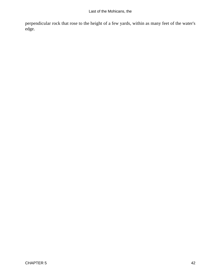Last of the Mohicans, the

perpendicular rock that rose to the height of a few yards, within as many feet of the water's edge.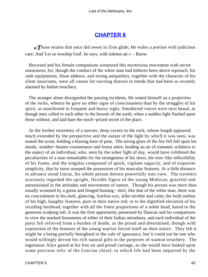### **[CHAPTER 6](#page-316-0)**

*«T*hose strains that once did sweet in Zion glide; He wales a portion with judicious care; And 'Let us worship God', he says, with solemn air.» – Burns

 Heyward and his female companions witnessed this mysterious movement with secret uneasiness; for, though the conduct of the white man had hitherto been above reproach, his rude equipments, blunt address, and strong antipathies, together with the character of his silent associates, were all causes for exciting distrust in minds that had been so recently alarmed by Indian treachery.

 The stranger alone disregarded the passing incidents. He seated himself on a projection of the rocks, whence he gave no other signs of consciousness than by the struggles of his spirit, as manifested in frequent and heavy sighs. Smothered voices were next heard, as though men called to each other in the bowels of the earth, when a sudden light flashed upon those without, and laid bare the much−prized secret of the place.

 At the further extremity of a narrow, deep cavern in the rock, whose length appeared much extended by the perspective and the nature of the light by which it was seen, was seated the scout, holding a blazing knot of pine. The strong glare of the fire fell full upon his sturdy, weather−beaten countenance and forest attire, lending an air of romantic wildness to the aspect of an individual, who, seen by the sober light of day, would have exhibited the peculiarities of a man remarkable for the strangeness of his dress, the iron−like inflexibility of his frame, and the singular compound of quick, vigilant sagacity, and of exquisite simplicity, that by turns usurped the possession of his muscular features. At a little distance in advance stood Uncas, his whole person thrown powerfully into view. The travelers anxiously regarded the upright, flexible figure of the young Mohican, graceful and unrestrained in the attitudes and movements of nature. Though his person was more than usually screened by a green and fringed hunting− shirt, like that of the white man, there was no concealment to his dark, glancing, fearless eye, alike terrible and calm; the bold outline of his high, haughty features, pure in their native red; or to the dignified elevation of his receding forehead, together with all the finest proportions of a noble head, bared to the generous scalping tuft. It was the first opportunity possessed by Duncan and his companions to view the marked lineaments of either of their Indian attendants, and each individual of the party felt relieved from a burden of doubt, as the proud and determined, though wild expression of the features of the young warrior forced itself on their notice. They felt it might be a being partially benighted in the vale of ignorance, but it could not be one who would willingly devote his rich natural gifts to the purposes of wanton treachery. The ingenuous Alice gazed at his free air and proud carriage, as she would have looked upon some precious relic of the Grecian chisel, to which life had been imparted by the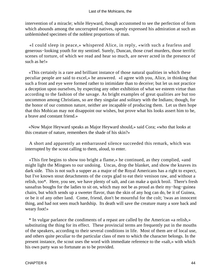intervention of a miracle; while Heyward, though accustomed to see the perfection of form which abounds among the uncorrupted natives, openly expressed his admiration at such an unblemished specimen of the noblest proportions of man.

 «I could sleep in peace,» whispered Alice, in reply, «with such a fearless and generous−looking youth for my sentinel. Surely, Duncan, those cruel murders, those terrific scenes of torture, of which we read and hear so much, are never acted in the presence of such as he!»

 «This certainly is a rare and brilliant instance of those natural qualities in which these peculiar people are said to excel,» he answered. «I agree with you, Alice, in thinking that such a front and eye were formed rather to intimidate than to deceive; but let us not practice a deception upon ourselves, by expecting any other exhibition of what we esteem virtue than according to the fashion of the savage. As bright examples of great qualities are but too uncommon among Christians, so are they singular and solitary with the Indians; though, for the honor of our common nature, neither are incapable of producing them. Let us then hope that this Mohican may not disappoint our wishes, but prove what his looks assert him to be, a brave and constant friend.»

 «Now Major Heyward speaks as Major Heyward should,» said Cora; «who that looks at this creature of nature, remembers the shade of his skin?»

 A short and apparently an embarrassed silence succeeded this remark, which was interrupted by the scout calling to them, aloud, to enter.

 «This fire begins to show too bright a flame,» he continued, as they complied, «and might light the Mingoes to our undoing. Uncas, drop the blanket, and show the knaves its dark side. This is not such a supper as a major of the Royal Americans has a right to expect, but I've known stout detachments of the corps glad to eat their venison raw, and without a relish, too\*. Here, you see, we have plenty of salt, and can make a quick broil. There's fresh sassafras boughs for the ladies to sit on, which may not be as proud as their my−hog−guinea chairs, but which sends up a sweeter flavor, than the skin of any hog can do, be it of Guinea, or be it of any other land. Come, friend, don't be mournful for the colt; 'twas an innocent thing, and had not seen much hardship. Its death will save the creature many a sore back and weary foot!»

 \* In vulgar parlance the condiments of a repast are called by the American «a relish,» substituting the thing for its effect. These provincial terms are frequently put in the mouths of the speakers, according to their several conditions in life. Most of them are of local use, and others quite peculiar to the particular class of men to which the character belongs. In the present instance, the scout uses the word with immediate reference to the «salt,» with which his own party was so fortunate as to be provided.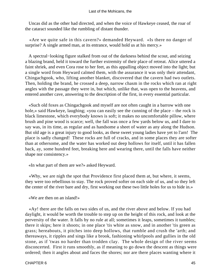Uncas did as the other had directed, and when the voice of Hawkeye ceased, the roar of the cataract sounded like the rumbling of distant thunder.

 «Are we quite safe in this cavern?» demanded Heyward. «Is there no danger of surprise? A single armed man, at its entrance, would hold us at his mercy.»

 A spectral−looking figure stalked from out of the darkness behind the scout, and seizing a blazing brand, held it toward the further extremity of their place of retreat. Alice uttered a faint shriek, and even Cora rose to her feet, as this appalling object moved into the light; but a single word from Heyward calmed them, with the assurance it was only their attendant, Chingachgook, who, lifting another blanket, discovered that the cavern had two outlets. Then, holding the brand, he crossed a deep, narrow chasm in the rocks which ran at right angles with the passage they were in, but which, unlike that, was open to the heavens, and entered another cave, answering to the description of the first, in every essential particular.

 «Such old foxes as Chingachgook and myself are not often caught in a barrow with one hole,» said Hawkeye, laughing; «you can easily see the cunning of the place – the rock is black limestone, which everybody knows is soft; it makes no uncomfortable pillow, where brush and pine wood is scarce; well, the fall was once a few yards below us, and I dare to say was, in its time, as regular and as handsome a sheet of water as any along the Hudson. But old age is a great injury to good looks, as these sweet young ladies have yet to l'arn! The place is sadly changed! These rocks are full of cracks, and in some places they are softer than at othersome, and the water has worked out deep hollows for itself, until it has fallen back, ay, some hundred feet, breaking here and wearing there, until the falls have neither shape nor consistency.»

«In what part of them are we?» asked Heyward.

 «Why, we are nigh the spot that Providence first placed them at, but where, it seems, they were too rebellious to stay. The rock proved softer on each side of us, and so they left the center of the river bare and dry, first working out these two little holes for us to hide in.»

«We are then on an island!»

 «Ay! there are the falls on two sides of us, and the river above and below. If you had daylight, it would be worth the trouble to step up on the height of this rock, and look at the perversity of the water. It falls by no rule at all; sometimes it leaps, sometimes it tumbles; there it skips; here it shoots; in one place 'tis white as snow, and in another 'tis green as grass; hereabouts, it pitches into deep hollows, that rumble and crush the 'arth; and thereaways, it ripples and sings like a brook, fashioning whirlpools and gullies in the old stone, as if 'twas no harder than trodden clay. The whole design of the river seems disconcerted. First it runs smoothly, as if meaning to go down the descent as things were ordered; then it angles about and faces the shores; nor are there places wanting where it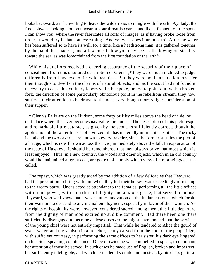looks backward, as if unwilling to leave the wilderness, to mingle with the salt. Ay, lady, the fine cobweb−looking cloth you wear at your throat is coarse, and like a fishnet, to little spots I can show you, where the river fabricates all sorts of images, as if having broke loose from order, it would try its hand at everything. And yet what does it amount to! After the water has been suffered so to have its will, for a time, like a headstrong man, it is gathered together by the hand that made it, and a few rods below you may see it all, flowing on steadily toward the sea, as was foreordained from the first foundation of the 'arth!»

 While his auditors received a cheering assurance of the security of their place of concealment from this untutored description of Glenn's,\* they were much inclined to judge differently from Hawkeye, of its wild beauties. But they were not in a situation to suffer their thoughts to dwell on the charms of natural objects; and, as the scout had not found it necessary to cease his culinary labors while he spoke, unless to point out, with a broken fork, the direction of some particularly obnoxious point in the rebellious stream, they now suffered their attention to be drawn to the necessary though more vulgar consideration of their supper.

 \* Glenn's Falls are on the Hudson, some forty or fifty miles above the head of tide, or that place where the river becomes navigable for sloops. The description of this picturesque and remarkable little cataract, as given by the scout, is sufficiently correct, though the application of the water to uses of civilized life has materially injured its beauties. The rocky island and the two caverns are known to every traveler, since the former sustains the pier of a bridge, which is now thrown across the river, immediately above the fall. In explanation of the taste of Hawkeye, it should be remembered that men always prize that most which is least enjoyed. Thus, in a new country, the woods and other objects, which in an old country would be maintained at great cost, are got rid of, simply with a view of «improving» as it is called.

 The repast, which was greatly aided by the addition of a few delicacies that Heyward had the precaution to bring with him when they left their horses, was exceedingly refreshing to the weary party. Uncas acted as attendant to the females, performing all the little offices within his power, with a mixture of dignity and anxious grace, that served to amuse Heyward, who well knew that it was an utter innovation on the Indian customs, which forbid their warriors to descend to any menial employment, especially in favor of their women. As the rights of hospitality were, however, considered sacred among them, this little departure from the dignity of manhood excited no audible comment. Had there been one there sufficiently disengaged to become a close observer, he might have fancied that the services of the young chief were not entirely impartial. That while he tendered to Alice the gourd of sweet water, and the venison in a trencher, neatly carved from the knot of the pepperidge, with sufficient courtesy, in performing the same offices to her sister, his dark eye lingered on her rich, speaking countenance. Once or twice he was compelled to speak, to command her attention of those he served. In such cases he made use of English, broken and imperfect, but sufficiently intelligible, and which he rendered so mild and musical, by his deep, guttural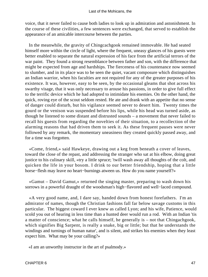voice, that it never failed to cause both ladies to look up in admiration and astonishment. In the course of these civilities, a few sentences were exchanged, that served to establish the appearance of an amicable intercourse between the parties.

 In the meanwhile, the gravity of Chingcachgook remained immovable. He had seated himself more within the circle of light, where the frequent, uneasy glances of his guests were better enabled to separate the natural expression of his face from the artificial terrors of the war paint. They found a strong resemblance between father and son, with the difference that might be expected from age and hardships. The fierceness of his countenance now seemed to slumber, and in its place was to be seen the quiet, vacant composure which distinguishes an Indian warrior, when his faculties are not required for any of the greater purposes of his existence. It was, however, easy to be seen, by the occasional gleams that shot across his swarthy visage, that it was only necessary to arouse his passions, in order to give full effect to the terrific device which he had adopted to intimidate his enemies. On the other hand, the quick, roving eye of the scout seldom rested. He ate and drank with an appetite that no sense of danger could disturb, but his vigilance seemed never to desert him. Twenty times the gourd or the venison was suspended before his lips, while his head was turned aside, as though he listened to some distant and distrusted sounds – a movement that never failed to recall his guests from regarding the novelties of their situation, to a recollection of the alarming reasons that had driven them to seek it. As these frequent pauses were never followed by any remark, the momentary uneasiness they created quickly passed away, and for a time was forgotten.

 «Come, friend,» said Hawkeye, drawing out a keg from beneath a cover of leaves, toward the close of the repast, and addressing the stranger who sat at his elbow, doing great justice to his culinary skill, «try a little spruce; 'twill wash away all thoughts of the colt, and quicken the life in your bosom. I drink to our better friendship, hoping that a little horse−flesh may leave no heart−burnings atween us. How do you name yourself?»

 «Gamut – David Gamut,» returned the singing master, preparing to wash down his sorrows in a powerful draught of the woodsman's high−flavored and well−laced compound.

 «A very good name, and, I dare say, handed down from honest forefathers. I'm an admirator of names, though the Christian fashions fall far below savage customs in this particular. The biggest coward I ever knew as called Lyon; and his wife, Patience, would scold you out of hearing in less time than a hunted deer would run a rod. With an Indian 'tis a matter of conscience; what he calls himself, he generally is – not that Chingachgook, which signifies Big Sarpent, is really a snake, big or little; but that he understands the windings and turnings of human natur', and is silent, and strikes his enemies when they least expect him. What may be your calling?»

«I am an unworthy instructor in the art of psalmody.»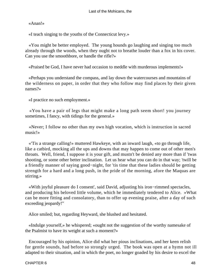«Anan!»

«I teach singing to the youths of the Connecticut levy.»

 «You might be better employed. The young hounds go laughing and singing too much already through the woods, when they ought not to breathe louder than a fox in his cover. Can you use the smoothbore, or handle the rifle?»

«Praised be God, I have never had occasion to meddle with murderous implements!»

 «Perhaps you understand the compass, and lay down the watercourses and mountains of the wilderness on paper, in order that they who follow may find places by their given names?»

«I practice no such employment.»

 «You have a pair of legs that might make a long path seem short! you journey sometimes, I fancy, with tidings for the general.»

 «Never; I follow no other than my own high vocation, which is instruction in sacred music!»

 «'Tis a strange calling!» muttered Hawkeye, with an inward laugh, «to go through life, like a catbird, mocking all the ups and downs that may happen to come out of other men's throats. Well, friend, I suppose it is your gift, and mustn't be denied any more than if 'twas shooting, or some other better inclination. Let us hear what you can do in that way; 'twill be a friendly manner of saying good−night, for 'tis time that these ladies should be getting strength for a hard and a long push, in the pride of the morning, afore the Maquas are stirring.»

 «With joyful pleasure do I consent', said David, adjusting his iron−rimmed spectacles, and producing his beloved little volume, which he immediately tendered to Alice. »What can be more fitting and consolatory, than to offer up evening praise, after a day of such exceeding jeopardy!"

Alice smiled; but, regarding Heyward, she blushed and hesitated.

 «Indulge yourself,» he whispered; «ought not the suggestion of the worthy namesake of the Psalmist to have its weight at such a moment?»

 Encouraged by his opinion, Alice did what her pious inclinations, and her keen relish for gentle sounds, had before so strongly urged. The book was open at a hymn not ill adapted to their situation, and in which the poet, no longer goaded by his desire to excel the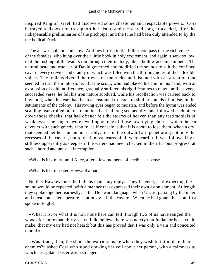inspired King of Israel, had discovered some chastened and respectable powers. Cora betrayed a disposition to support her sister, and the sacred song proceeded, after the indispensable preliminaries of the pitchpipe, and the tune had been duly attended to by the methodical David.

 The air was solemn and slow. At times it rose to the fullest compass of the rich voices of the females, who hung over their little book in holy excitement, and again it sank so low, that the rushing of the waters ran through their melody, like a hollow accompaniment. The natural taste and true ear of David governed and modified the sounds to suit the confined cavern, every crevice and cranny of which was filled with the thrilling notes of their flexible voices. The Indians riveted their eyes on the rocks, and listened with an attention that seemed to turn them into stone. But the scout, who had placed his chin in his hand, with an expression of cold indifference, gradually suffered his rigid features to relax, until, as verse succeeded verse, he felt his iron nature subdued, while his recollection was carried back to boyhood, when his ears had been accustomed to listen to similar sounds of praise, in the settlements of the colony. His roving eyes began to moisten, and before the hymn was ended scalding tears rolled out of fountains that had long seemed dry, and followed each other down those cheeks, that had oftener felt the storms of heaven than any testimonials of weakness. The singers were dwelling on one of those low, dying chords, which the ear devours with such greedy rapture, as if conscious that it is about to lose them, when a cry, that seemed neither human nor earthly, rose in the outward air, penetrating not only the recesses of the cavern, but to the inmost hearts of all who heard it. It was followed by a stillness apparently as deep as if the waters had been checked in their furious progress, at such a horrid and unusual interruption.

«What is it?» murmured Alice, after a few moments of terrible suspense.

«What is it?» repeated Hewyard aloud.

 Neither Hawkeye nor the Indians made any reply. They listened, as if expecting the sound would be repeated, with a manner that expressed their own astonishment. At length they spoke together, earnestly, in the Delaware language, when Uncas, passing by the inner and most concealed aperture, cautiously left the cavern. When he had gone, the scout first spoke in English.

 «What it is, or what it is not, none here can tell, though two of us have ranged the woods for more than thirty years. I did believe there was no cry that Indian or beast could make, that my ears had not heard; but this has proved that I was only a vain and conceited mortal.»

 «Was it not, then, the shout the warriors make when they wish to intimidate their enemies?» asked Cora who stood drawing her veil about her person, with a calmness to which her agitated sister was a stranger.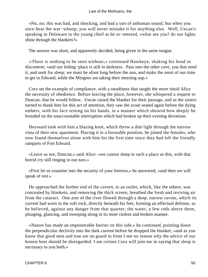«No, no; this was bad, and shocking, and had a sort of unhuman sound; but when you once hear the war−whoop, you will never mistake it for anything else. Well, Uncas!» speaking in Delaware to the young chief as he re−entered, «what see you? do our lights shine through the blankets?»

The answer was short, and apparently decided, being given in the same tongue.

 «There is nothing to be seen without,» continued Hawkeye, shaking his head in discontent; «and our hiding−place is still in darkness. Pass into the other cave, you that need it, and seek for sleep; we must be afoot long before the sun, and make the most of our time to get to Edward, while the Mingoes are taking their morning nap.»

 Cora set the example of compliance, with a steadiness that taught the more timid Alice the necessity of obedience. Before leaving the place, however, she whispered a request to Duncan, that he would follow. Uncas raised the blanket for their passage, and as the sisters turned to thank him for this act of attention, they saw the scout seated again before the dying embers, with his face resting on his hands, in a manner which showed how deeply he brooded on the unaccountable interruption which had broken up their evening devotions.

 Heyward took with him a blazing knot, which threw a dim light through the narrow vista of their new apartment. Placing it in a favorable position, he joined the females, who now found themselves alone with him for the first time since they had left the friendly ramparts of Fort Edward.

 «Leave us not, Duncan,» said Alice: «we cannot sleep in such a place as this, with that horrid cry still ringing in our ears.»

 «First let us examine into the security of your fortress,» he answered, «and then we will speak of rest.»

 He approached the further end of the cavern, to an outlet, which, like the others, was concealed by blankets; and removing the thick screen, breathed the fresh and reviving air from the cataract. One arm of the river flowed through a deep, narrow ravine, which its current had worn in the soft rock, directly beneath his feet, forming an effectual defense, as he believed, against any danger from that quarter; the water, a few rods above them, plunging, glancing, and sweeping along in its most violent and broken manner.

 «Nature has made an impenetrable barrier on this side,» he continued, pointing down the perpendicular declivity into the dark current before he dropped the blanket; «and as you know that good men and true are on guard in front I see no reason why the advice of our honest host should be disregarded. I am certain Cora will join me in saying that sleep is necessary to you both.»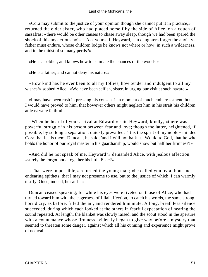«Cora may submit to the justice of your opinion though she cannot put it in practice,» returned the elder sister, who had placed herself by the side of Alice, on a couch of sassafras; «there would be other causes to chase away sleep, though we had been spared the shock of this mysterious noise. Ask yourself, Heyward, can daughters forget the anxiety a father must endure, whose children lodge he knows not where or how, in such a wilderness, and in the midst of so many perils?»

«He is a soldier, and knows how to estimate the chances of the woods.»

«He is a father, and cannot deny his nature.»

 «How kind has he ever been to all my follies, how tender and indulgent to all my wishes!» sobbed Alice. «We have been selfish, sister, in urging our visit at such hazard.»

 «I may have been rash in pressing his consent in a moment of much embarrassment, but I would have proved to him, that however others might neglect him in his strait his children at least were faithful.»

 «When he heard of your arrival at Edward,» said Heyward, kindly, «there was a powerful struggle in his bosom between fear and love; though the latter, heightened, if possible, by so long a separation, quickly prevailed. 'It is the spirit of my noble− minded Cora that leads them, Duncan', he said, 'and I will not balk it. Would to God, that he who holds the honor of our royal master in his guardianship, would show but half her firmness'!»

 «And did he not speak of me, Heyward?» demanded Alice, with jealous affection; «surely, he forgot not altogether his little Elsie?»

 «That were impossible,» returned the young man; «he called you by a thousand endearing epithets, that I may not presume to use, but to the justice of which, I can warmly testify. Once, indeed, he said  $-\infty$ 

 Duncan ceased speaking; for while his eyes were riveted on those of Alice, who had turned toward him with the eagerness of filial affection, to catch his words, the same strong, horrid cry, as before, filled the air, and rendered him mute. A long, breathless silence succeeded, during which each looked at the others in fearful expectation of hearing the sound repeated. At length, the blanket was slowly raised, and the scout stood in the aperture with a countenance whose firmness evidently began to give way before a mystery that seemed to threaten some danger, against which all his cunning and experience might prove of no avail.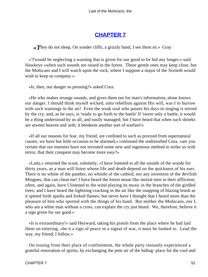## **[CHAPTER 7](#page-316-0)**

*«T*hey do not sleep, On yonder cliffs, a grizzly band, I see them sit.» Gray

 «'Twould be neglecting a warning that is given for our good to lie hid any longer,» said Hawkeye «when such sounds are raised in the forest. These gentle ones may keep close, but the Mohicans and I will watch upon the rock, where I suppose a major of the Sixtieth would wish to keep us company.»

«Is, then, our danger so pressing?» asked Cora.

 «He who makes strange sounds, and gives them out for man's information, alone knows our danger. I should think myself wicked, unto rebellion against His will, was I to burrow with such warnings in the air! Even the weak soul who passes his days in singing is stirred by the cry, and, as he says, is 'ready to go forth to the battle' If 'twere only a battle, it would be a thing understood by us all, and easily managed; but I have heard that when such shrieks are atween heaven and 'arth, it betokens another sort of warfare!»

 «If all our reasons for fear, my friend, are confined to such as proceed from supernatural causes, we have but little occasion to be alarmed,» continued the undisturbed Cora, «are you certain that our enemies have not invented some new and ingenious method to strike us with terror, that their conquest may become more easy?»

 «Lady,» returned the scout, solemnly, «I have listened to all the sounds of the woods for thirty years, as a man will listen whose life and death depend on the quickness of his ears. There is no whine of the panther, no whistle of the catbird, nor any invention of the devilish Mingoes, that can cheat me! I have heard the forest moan like mortal men in their affliction; often, and again, have I listened to the wind playing its music in the branches of the girdled trees; and I have heard the lightning cracking in the air like the snapping of blazing brush as it spitted forth sparks and forked flames; but never have I thought that I heard more than the pleasure of him who sported with the things of his hand. But neither the Mohicans, nor I, who am a white man without a cross, can explain the cry just heard. We, therefore, believe it a sign given for our good.»

 «It is extraordinary!» said Heyward, taking his pistols from the place where he had laid them on entering; «be it a sign of peace or a signal of war, it must be looked to. Lead the way, my friend; I follow.»

 On issuing from their place of confinement, the whole party instantly experienced a grateful renovation of spirits, by exchanging the pent air of the hiding−place for the cool and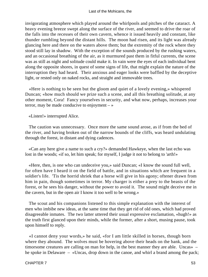invigorating atmosphere which played around the whirlpools and pitches of the cataract. A heavy evening breeze swept along the surface of the river, and seemed to drive the roar of the falls into the recesses of their own cavern, whence it issued heavily and constant, like thunder rumbling beyond the distant hills. The moon had risen, and its light was already glancing here and there on the waters above them; but the extremity of the rock where they stood still lay in shadow. With the exception of the sounds produced by the rushing waters, and an occasional breathing of the air, as it murmured past them in fitful currents, the scene was as still as night and solitude could make it. In vain were the eyes of each individual bent along the opposite shores, in quest of some signs of life, that might explain the nature of the interruption they had heard. Their anxious and eager looks were baffled by the deceptive light, or rested only on naked rocks, and straight and immovable trees.

 «Here is nothing to be seen but the gloom and quiet of a lovely evening,» whispered Duncan; «how much should we prize such a scene, and all this breathing solitude, at any other moment, Cora! Fancy yourselves in security, and what now, perhaps, increases your terror, may be made conducive to enjoyment  $-\infty$ 

«Listen!» interrupted Alice.

 The caution was unnecessary. Once more the same sound arose, as if from the bed of the river, and having broken out of the narrow bounds of the cliffs, was heard undulating through the forest, in distant and dying cadences.

 «Can any here give a name to such a cry?» demanded Hawkeye, when the last echo was lost in the woods; «if so, let him speak; for myself, I judge it not to belong to 'arth!»

 «Here, then, is one who can undeceive you,» said Duncan; «I know the sound full well, for often have I heard it on the field of battle, and in situations which are frequent in a soldier's life. 'Tis the horrid shriek that a horse will give in his agony; oftener drawn from him in pain, though sometimes in terror. My charger is either a prey to the beasts of the forest, or he sees his danger, without the power to avoid it. The sound might deceive me in the cavern, but in the open air I know it too well to be wrong.»

 The scout and his companions listened to this simple explanation with the interest of men who imbibe new ideas, at the same time that they get rid of old ones, which had proved disagreeable inmates. The two latter uttered their usual expressive exclamation, «hugh!» as the truth first glanced upon their minds, while the former, after a short, musing pause, took upon himself to reply.

 «I cannot deny your words,» he said, «for I am little skilled in horses, though born where they abound. The wolves must be hovering above their heads on the bank, and the timorsome creatures are calling on man for help, in the best manner they are able. Uncas» – he spoke in Delaware – «Uncas, drop down in the canoe, and whirl a brand among the pack;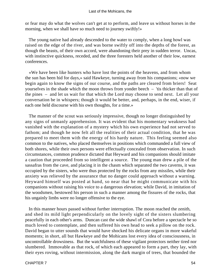or fear may do what the wolves can't get at to perform, and leave us without horses in the morning, when we shall have so much need to journey swiftly!»

 The young native had already descended to the water to comply, when a long howl was raised on the edge of the river, and was borne swiftly off into the depths of the forest, as though the beasts, of their own accord, were abandoning their prey in sudden terror. Uncas, with instinctive quickness, receded, and the three foresters held another of their low, earnest conferences.

 «We have been like hunters who have lost the points of the heavens, and from whom the sun has been hid for days,» said Hawkeye, turning away from his companions; «now we begin again to know the signs of our course, and the paths are cleared from briers! Seat yourselves in the shade which the moon throws from yonder beech – 'tis thicker than that of the pines – and let us wait for that which the Lord may choose to send next. Let all your conversation be in whispers; though it would be better, and, perhaps, in the end, wiser, if each one held discourse with his own thoughts, for a time.»

 The manner of the scout was seriously impressive, though no longer distinguished by any signs of unmanly apprehension. It was evident that his momentary weakness had vanished with the explanation of a mystery which his own experience had not served to fathom; and though he now felt all the realities of their actual condition, that he was prepared to meet them with the energy of his hardy nature. This feeling seemed also common to the natives, who placed themselves in positions which commanded a full view of both shores, while their own persons were effectually concealed from observation. In such circumstances, common prudence dictated that Heyward and his companions should imitate a caution that proceeded from so intelligent a source. The young man drew a pile of the sassafras from the cave, and placing it in the chasm which separated the two caverns, it was occupied by the sisters, who were thus protected by the rocks from any missiles, while their anxiety was relieved by the assurance that no danger could approach without a warning. Heyward himself was posted at hand, so near that he might communicate with his companions without raising his voice to a dangerous elevation; while David, in imitation of the woodsmen, bestowed his person in such a manner among the fissures of the rocks, that his ungainly limbs were no longer offensive to the eye.

 In this manner hours passed without further interruption. The moon reached the zenith, and shed its mild light perpendicularly on the lovely sight of the sisters slumbering peacefully in each other's arms. Duncan cast the wide shawl of Cora before a spectacle he so much loved to contemplate, and then suffered his own head to seek a pillow on the rock. David began to utter sounds that would have shocked his delicate organs in more wakeful moments; in short, all but Hawkeye and the Mohicans lost every idea of consciousness, in uncontrollable drowsiness. But the watchfulness of these vigilant protectors neither tired nor slumbered. Immovable as that rock, of which each appeared to form a part, they lay, with their eyes roving, without intermission, along the dark margin of trees, that bounded the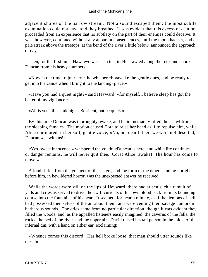adjacent shores of the narrow stream. Not a sound escaped them; the most subtle examination could not have told they breathed. It was evident that this excess of caution proceeded from an experience that no subtlety on the part of their enemies could deceive. It was, however, continued without any apparent consequences, until the moon had set, and a pale streak above the treetops, at the bend of the river a little below, announced the approach of day.

 Then, for the first time, Hawkeye was seen to stir. He crawled along the rock and shook Duncan from his heavy slumbers.

 «Now is the time to journey,» he whispered; «awake the gentle ones, and be ready to get into the canoe when I bring it to the landing−place.»

 «Have you had a quiet night?» said Heyward; «for myself, I believe sleep has got the better of my vigilance.»

«All is yet still as midnight. Be silent, but be quick.»

 By this time Duncan was thoroughly awake, and he immediately lifted the shawl from the sleeping females. The motion caused Cora to raise her hand as if to repulse him, while Alice murmured, in her soft, gentle voice, «No, no, dear father, we were not deserted; Duncan was with us!»

 «Yes, sweet innocence,» whispered the youth; «Duncan is here, and while life continues or danger remains, he will never quit thee. Cora! Alice! awake! The hour has come to move!»

 A loud shriek from the younger of the sisters, and the form of the other standing upright before him, in bewildered horror, was the unexpected answer he received.

 While the words were still on the lips of Heyward, there had arisen such a tumult of yells and cries as served to drive the swift currents of his own blood back from its bounding course into the fountains of his heart. It seemed, for near a minute, as if the demons of hell had possessed themselves of the air about them, and were venting their savage humors in barbarous sounds. The cries came from no particular direction, though it was evident they filled the woods, and, as the appalled listeners easily imagined, the caverns of the falls, the rocks, the bed of the river, and the upper air. David raised his tall person in the midst of the infernal din, with a hand on either ear, exclaiming:

 «Whence comes this discord! Has hell broke loose, that man should utter sounds like these!»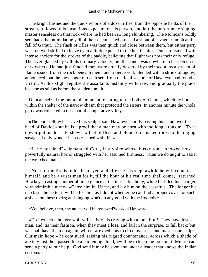The bright flashes and the quick reports of a dozen rifles, from the opposite banks of the stream, followed this incautious exposure of his person, and left the unfortunate singing master senseless on that rock where he had been so long slumbering. The Mohicans boldly sent back the intimidating yell of their enemies, who raised a shout of savage triumph at the fall of Gamut. The flash of rifles was then quick and close between them, but either party was too well skilled to leave even a limb exposed to the hostile aim. Duncan listened with intense anxiety for the strokes of the paddle, believing that flight was now their only refuge. The river glanced by with its ordinary velocity, but the canoe was nowhere to be seen on its dark waters. He had just fancied they were cruelly deserted by their scout, as a stream of flame issued from the rock beneath them, and a fierce yell, blended with a shriek of agony, announced that the messenger of death sent from the fatal weapon of Hawkeye, had found a victim. At this slight repulse the assailants instantly withdrew, and gradually the place became as still as before the sudden tumult.

 Duncan seized the favorable moment to spring to the body of Gamut, which he bore within the shelter of the narrow chasm that protected the sisters. In another minute the whole party was collected in this spot of comparative safety.

 «The poor fellow has saved his scalp,» said Hawkeye, coolly passing his hand over the head of David; «but he is a proof that a man may be born with too long a tongue! 'Twas downright madness to show six feet of flesh and blood, on a naked rock, to the raging savages. I only wonder he has escaped with life.»

 «Is he not dead?» demanded Cora, in a voice whose husky tones showed how powerfully natural horror struggled with her assumed firmness. «Can we do aught to assist the wretched man?»

 «No, no! the life is in his heart yet, and after he has slept awhile he will come to himself, and be a wiser man for it, till the hour of his real time shall come,» returned Hawkeye, casting another oblique glance at the insensible body, while he filled his charger with admirable nicety. «Carry him in, Uncas, and lay him on the sassafras. The longer his nap lasts the better it will be for him, as I doubt whether he can find a proper cover for such a shape on these rocks; and singing won't do any good with the Iroquois.»

«You believe, then, the attack will be renewed?» asked Heyward.

 «Do I expect a hungry wolf will satisfy his craving with a mouthful! They have lost a man, and 'tis their fashion, when they meet a loss, and fail in the surprise, to fall back; but we shall have them on again, with new expedients to circumvent us, and master our scalps. Our main hope,» he continued, raising his rugged countenance, across which a shade of anxiety just then passed like a darkening cloud, «will be to keep the rock until Munro can send a party to our help! God send it may be soon and under a leader that knows the Indian customs!»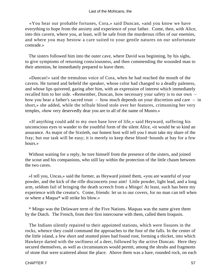«You hear our probable fortunes, Cora,» said Duncan, «and you know we have everything to hope from the anxiety and experience of your father. Come, then, with Alice, into this cavern, where you, at least, will be safe from the murderous rifles of our enemies, and where you may bestow a care suited to your gentle natures on our unfortunate comrade.»

 The sisters followed him into the outer cave, where David was beginning, by his sighs, to give symptoms of returning consciousness, and then commending the wounded man to their attention, he immediately prepared to leave them.

 «Duncan!» said the tremulous voice of Cora, when he had reached the mouth of the cavern. He turned and beheld the speaker, whose color had changed to a deadly paleness, and whose lips quivered, gazing after him, with an expression of interest which immediately recalled him to her side. «Remember, Duncan, how necessary your safety is to our own – how you bear a father's sacred trust – how much depends on your discretion and care – in short,» she added, while the telltale blood stole over her features, crimsoning her very temples, «how very deservedly dear you are to all of the name of Munro.»

 «If anything could add to my own base love of life,» said Heyward, suffering his unconscious eyes to wander to the youthful form of the silent Alice, «it would be so kind an assurance. As major of the Sixtieth, our honest host will tell you I must take my share of the fray; but our task will be easy; it is merely to keep these blood−hounds at bay for a few hours.»

 Without waiting for a reply, he tore himself from the presence of the sisters, and joined the scout and his companions, who still lay within the protection of the little chasm between the two caves.

 «I tell you, Uncas,» said the former, as Heyward joined them, «you are wasteful of your powder, and the kick of the rifle disconcerts your aim! Little powder, light lead, and a long arm, seldom fail of bringing the death screech from a Mingo! At least, such has been my experience with the creatur's. Come, friends: let us to our covers, for no man can tell when or where a Maqua\* will strike his blow.»

 \* Mingo was the Delaware term of the Five Nations. Maquas was the name given them by the Dutch. The French, from their first intercourse with them, called them Iroquois.

 The Indians silently repaired to their appointed stations, which were fissures in the rocks, whence they could command the approaches to the foot of the falls. In the center of the little island, a few short and stunted pines had found root, forming a thicket, into which Hawkeye darted with the swiftness of a deer, followed by the active Duncan. Here they secured themselves, as well as circumstances would permit, among the shrubs and fragments of stone that were scattered about the place. Above them was a bare, rounded rock, on each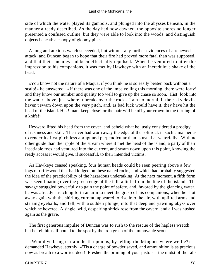side of which the water played its gambols, and plunged into the abysses beneath, in the manner already described. As the day had now dawned, the opposite shores no longer presented a confused outline, but they were able to look into the woods, and distinguish objects beneath a canopy of gloomy pines.

 A long and anxious watch succeeded, but without any further evidences of a renewed attack; and Duncan began to hope that their fire had proved more fatal than was supposed, and that their enemies had been effectually repulsed. When he ventured to utter this impression to his companions, it was met by Hawkeye with an incredulous shake of the head.

 «You know not the nature of a Maqua, if you think he is so easily beaten back without a scalp!» he answered. «If there was one of the imps yelling this morning, there were forty! and they know our number and quality too well to give up the chase so soon. Hist! look into the water above, just where it breaks over the rocks. I am no mortal, if the risky devils haven't swam down upon the very pitch, and, as bad luck would have it, they have hit the head of the island. Hist! man, keep close! or the hair will be off your crown in the turning of a knife!»

 Heyward lifted his head from the cover, and beheld what he justly considered a prodigy of rashness and skill. The river had worn away the edge of the soft rock in such a manner as to render its first pitch less abrupt and perpendicular than is usual at waterfalls. With no other guide than the ripple of the stream where it met the head of the island, a party of their insatiable foes had ventured into the current, and swam down upon this point, knowing the ready access it would give, if successful, to their intended victims.

 As Hawkeye ceased speaking, four human heads could be seen peering above a few logs of drift−wood that had lodged on these naked rocks, and which had probably suggested the idea of the practicability of the hazardous undertaking. At the next moment, a fifth form was seen floating over the green edge of the fall, a little from the line of the island. The savage struggled powerfully to gain the point of safety, and, favored by the glancing water, he was already stretching forth an arm to meet the grasp of his companions, when he shot away again with the shirling current, appeared to rise into the air, with uplifted arms and starting eyeballs, and fell, with a sudden plunge, into that deep and yawning abyss over which he hovered. A single, wild, despairing shriek rose from the cavern, and all was hushed again as the grave.

 The first generous impulse of Duncan was to rush to the rescue of the hapless wretch; but he felt himself bound to the spot by the iron grasp of the immovable scout.

 «Would ye bring certain death upon us, by telling the Mingoes where we lie?» demanded Hawkeye, sternly; «'Tis a charge of powder saved, and ammunition is as precious now as breath to a worried deer! Freshen the priming of your pistols – the midst of the falls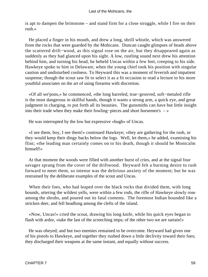is apt to dampen the brimstone – and stand firm for a close struggle, while I fire on their rush.»

 He placed a finger in his mouth, and drew a long, shrill whistle, which was answered from the rocks that were guarded by the Mohicans. Duncan caught glimpses of heads above the scattered drift−wood, as this signal rose on the air, but they disappeared again as suddenly as they had glanced upon his sight. A low, rustling sound next drew his attention behind him, and turning his head, he beheld Uncas within a few feet, creeping to his side. Hawkeye spoke to him in Delaware, when the young chief took his position with singular caution and undisturbed coolness. To Heyward this was a moment of feverish and impatient suspense; though the scout saw fit to select it as a fit occasion to read a lecture to his more youthful associates on the art of using firearms with discretion.

 «Of all we'pons,» he commenced, «the long barreled, true−grooved, soft−metaled rifle is the most dangerous in skillful hands, though it wants a strong arm, a quick eye, and great judgment in charging, to put forth all its beauties. The gunsmiths can have but little insight into their trade when they make their fowling−pieces and short horsemen's – »

He was interrupted by the low but expressive «hugh» of Uncas.

 «I see them, boy, I see them!» continued Hawkeye; «they are gathering for the rush, or they would keep their dingy backs below the logs. Well, let them,» he added, examining his flint; «the leading man certainly comes on to his death, though it should be Montcalm himself!»

 At that moment the woods were filled with another burst of cries, and at the signal four savages sprang from the cover of the driftwood. Heyward felt a burning desire to rush forward to meet them, so intense was the delirious anxiety of the moment; but he was restrained by the deliberate examples of the scout and Uncas.

When their foes, who had leaped over the black rocks that divided them, with long bounds, uttering the wildest yells, were within a few rods, the rifle of Hawkeye slowly rose among the shrubs, and poured out its fatal contents. The foremost Indian bounded like a stricken deer, and fell headlong among the clefts of the island.

 «Now, Uncas!» cried the scout, drawing his long knife, while his quick eyes began to flash with ardor, «take the last of the screeching imps; of the other two we are sartain!»

 He was obeyed; and but two enemies remained to be overcome. Heyward had given one of his pistols to Hawkeye, and together they rushed down a little declivity toward their foes; they discharged their weapons at the same instant, and equally without success.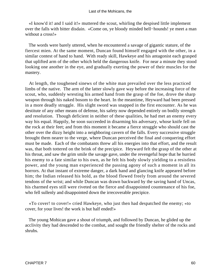«I know'd it! and I said it!» muttered the scout, whirling the despised little implement over the falls with bitter disdain. «Come on, ye bloody minded hell−hounds! ye meet a man without a cross!»

 The words were barely uttered, when he encountered a savage of gigantic stature, of the fiercest mien. At the same moment, Duncan found himself engaged with the other, in a similar contest of hand to hand. With ready skill, Hawkeye and his antagonist each grasped that uplifted arm of the other which held the dangerous knife. For near a minute they stood looking one another in the eye, and gradually exerting the power of their muscles for the mastery.

 At length, the toughened sinews of the white man prevailed over the less practiced limbs of the native. The arm of the latter slowly gave way before the increasing force of the scout, who, suddenly wresting his armed hand from the grasp of the foe, drove the sharp weapon through his naked bosom to the heart. In the meantime, Heyward had been pressed in a more deadly struggle. His slight sword was snapped in the first encounter. As he was destitute of any other means of defense, his safety now depended entirely on bodily strength and resolution. Though deficient in neither of these qualities, he had met an enemy every way his equal. Happily, he soon succeeded in disarming his adversary, whose knife fell on the rock at their feet; and from this moment it became a fierce struggle who should cast the other over the dizzy height into a neighboring cavern of the falls. Every successive struggle brought them nearer to the verge, where Duncan perceived the final and conquering effort must be made. Each of the combatants threw all his energies into that effort, and the result was, that both tottered on the brink of the precipice. Heyward felt the grasp of the other at his throat, and saw the grim smile the savage gave, under the revengeful hope that he hurried his enemy to a fate similar to his own, as he felt his body slowly yielding to a resistless power, and the young man experienced the passing agony of such a moment in all its horrors. At that instant of extreme danger, a dark hand and glancing knife appeared before him; the Indian released his hold, as the blood flowed freely from around the severed tendons of the wrist; and while Duncan was drawn backward by the saving hand of Uncas, his charmed eyes still were riveted on the fierce and disappointed countenance of his foe, who fell sullenly and disappointed down the irrecoverable precipice.

 «To cover! to cover!» cried Hawkeye, who just then had despatched the enemy; «to cover, for your lives! the work is but half ended!»

 The young Mohican gave a shout of triumph, and followed by Duncan, he glided up the acclivity they had descended to the combat, and sought the friendly shelter of the rocks and shrubs.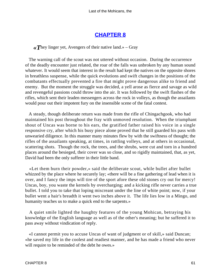## **[CHAPTER 8](#page-316-0)**

*«T*hey linger yet, Avengers of their native land.» – Gray

 The warning call of the scout was not uttered without occasion. During the occurrence of the deadly encounter just related, the roar of the falls was unbroken by any human sound whatever. It would seem that interest in the result had kept the natives on the opposite shores in breathless suspense, while the quick evolutions and swift changes in the positions of the combatants effectually prevented a fire that might prove dangerous alike to friend and enemy. But the moment the struggle was decided, a yell arose as fierce and savage as wild and revengeful passions could throw into the air. It was followed by the swift flashes of the rifles, which sent their leaden messengers across the rock in volleys, as though the assailants would pour out their impotent fury on the insensible scene of the fatal contest.

 A steady, though deliberate return was made from the rifle of Chingachgook, who had maintained his post throughout the fray with unmoved resolution. When the triumphant shout of Uncas was borne to his ears, the gratified father raised his voice in a single responsive cry, after which his busy piece alone proved that he still guarded his pass with unwearied diligence. In this manner many minutes flew by with the swiftness of thought; the rifles of the assailants speaking, at times, in rattling volleys, and at others in occasional, scattering shots. Though the rock, the trees, and the shrubs, were cut and torn in a hundred places around the besieged, their cover was so close, and so rigidly maintained, that, as yet, David had been the only sufferer in their little band.

 «Let them burn their powder,» said the deliberate scout, while bullet after bullet whizzed by the place where he securely lay; «there will be a fine gathering of lead when it is over, and I fancy the imps will tire of the sport afore these old stones cry out for mercy! Uncas, boy, you waste the kernels by overcharging; and a kicking rifle never carries a true bullet. I told you to take that loping miscreant under the line of white point; now, if your bullet went a hair's breadth it went two inches above it. The life lies low in a Mingo, and humanity teaches us to make a quick end to the sarpents.»

 A quiet smile lighted the haughty features of the young Mohican, betraying his knowledge of the English language as well as of the other's meaning; but he suffered it to pass away without vindication of reply.

 «I cannot permit you to accuse Uncas of want of judgment or of skill,» said Duncan; «he saved my life in the coolest and readiest manner, and he has made a friend who never will require to be reminded of the debt he owes.»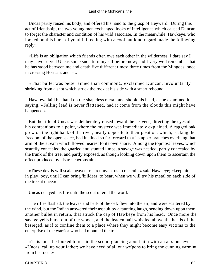Uncas partly raised his body, and offered his hand to the grasp of Heyward. During this act of friendship, the two young men exchanged looks of intelligence which caused Duncan to forget the character and condition of his wild associate. In the meanwhile, Hawkeye, who looked on this burst of youthful feeling with a cool but kind regard made the following reply:

 «Life is an obligation which friends often owe each other in the wilderness. I dare say I may have served Uncas some such turn myself before now; and I very well remember that he has stood between me and death five different times; three times from the Mingoes, once in crossing Horican, and  $-\infty$ 

 «That bullet was better aimed than common!» exclaimed Duncan, involuntarily shrinking from a shot which struck the rock at his side with a smart rebound.

 Hawkeye laid his hand on the shapeless metal, and shook his head, as he examined it, saying, «Falling lead is never flattened, had it come from the clouds this might have happened.»

 But the rifle of Uncas was deliberately raised toward the heavens, directing the eyes of his companions to a point, where the mystery was immediately explained. A ragged oak grew on the right bank of the river, nearly opposite to their position, which, seeking the freedom of the open space, had inclined so far forward that its upper branches overhung that arm of the stream which flowed nearest to its own shore. Among the topmost leaves, which scantily concealed the gnarled and stunted limbs, a savage was nestled, partly concealed by the trunk of the tree, and partly exposed, as though looking down upon them to ascertain the effect produced by his treacherous aim.

 «These devils will scale heaven to circumvent us to our ruin,» said Hawkeye; «keep him in play, boy, until I can bring 'killdeer' to bear, when we will try his metal on each side of the tree at once.»

Uncas delayed his fire until the scout uttered the word.

 The rifles flashed, the leaves and bark of the oak flew into the air, and were scattered by the wind, but the Indian answered their assault by a taunting laugh, sending down upon them another bullet in return, that struck the cap of Hawkeye from his head. Once more the savage yells burst out of the woods, and the leaden hail whistled above the heads of the besieged, as if to confine them to a place where they might become easy victims to the enterprise of the warrior who had mounted the tree.

 «This must be looked to,» said the scout, glancing about him with an anxious eye. «Uncas, call up your father; we have need of all our we'pons to bring the cunning varmint from his roost.»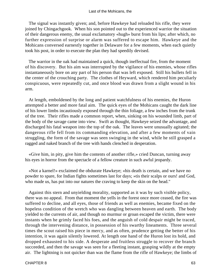The signal was instantly given; and, before Hawkeye had reloaded his rifle, they were joined by Chingachgook. When his son pointed out to the experienced warrior the situation of their dangerous enemy, the usual exclamatory «hugh» burst from his lips; after which, no further expression of surprise or alarm was suffered to escape him. Hawkeye and the Mohicans conversed earnestly together in Delaware for a few moments, when each quietly took his post, in order to execute the plan they had speedily devised.

 The warrior in the oak had maintained a quick, though ineffectual fire, from the moment of his discovery. But his aim was interrupted by the vigilance of his enemies, whose rifles instantaneously bore on any part of his person that was left exposed. Still his bullets fell in the center of the crouching party. The clothes of Heyward, which rendered him peculiarly conspicuous, were repeatedly cut, and once blood was drawn from a slight wound in his arm.

 At length, emboldened by the long and patient watchfulness of his enemies, the Huron attempted a better and more fatal aim. The quick eyes of the Mohicans caught the dark line of his lower limbs incautiously exposed through the thin foliage, a few inches from the trunk of the tree. Their rifles made a common report, when, sinking on his wounded limb, part of the body of the savage came into view. Swift as thought, Hawkeye seized the advantage, and discharged his fatal weapon into the top of the oak. The leaves were unusually agitated; the dangerous rifle fell from its commanding elevation, and after a few moments of vain struggling, the form of the savage was seen swinging in the wind, while he still grasped a ragged and naked branch of the tree with hands clenched in desperation.

 «Give him, in pity, give him the contents of another rifle,» cried Duncan, turning away his eyes in horror from the spectacle of a fellow creature in such awful jeopardy.

 «Not a karnel!» exclaimed the obdurate Hawkeye; «his death is certain, and we have no powder to spare, for Indian fights sometimes last for days; »tis their scalps or ours! and God, who made us, has put into our natures the craving to keep the skin on the head."

 Against this stern and unyielding morality, supported as it was by such visible policy, there was no appeal. From that moment the yells in the forest once more ceased, the fire was suffered to decline, and all eyes, those of friends as well as enemies, became fixed on the hopeless condition of the wretch who was dangling between heaven and earth. The body yielded to the currents of air, and though no murmur or groan escaped the victim, there were instants when he grimly faced his foes, and the anguish of cold despair might be traced, through the intervening distance, in possession of his swarthy lineaments. Three several times the scout raised his piece in mercy, and as often, prudence getting the better of his intention, it was again silently lowered. At length one hand of the Huron lost its hold, and dropped exhausted to his side. A desperate and fruitless struggle to recover the branch succeeded, and then the savage was seen for a fleeting instant, grasping wildly at the empty air. The lightning is not quicker than was the flame from the rifle of Hawkeye; the limbs of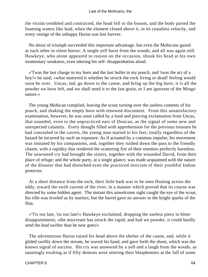the victim trembled and contracted, the head fell to the bosom, and the body parted the foaming waters like lead, when the element closed above it, in its ceaseless velocity, and every vestige of the unhappy Huron was lost forever.

 No shout of triumph succeeded this important advantage, but even the Mohicans gazed at each other in silent horror. A single yell burst from the woods, and all was again still. Hawkeye, who alone appeared to reason on the occasion, shook his head at his own momentary weakness, even uttering his self−disapprobation aloud.

 «'Twas the last charge in my horn and the last bullet in my pouch, and 'twas the act of a boy!» he said; «what mattered it whether he struck the rock living or dead! feeling would soon be over. Uncas, lad, go down to the canoe, and bring up the big horn; it is all the powder we have left, and we shall need it to the last grain, or I am ignorant of the Mingo nature.»

 The young Mohican complied, leaving the scout turning over the useless contents of his pouch, and shaking the empty horn with renewed discontent. From this unsatisfactory examination, however, he was soon called by a loud and piercing exclamation from Uncas, that sounded, even to the unpracticed ears of Duncan, as the signal of some new and unexpected calamity. Every thought filled with apprehension for the previous treasure he had concealed in the cavern, the young man started to his feet, totally regardless of the hazard he incurred by such an exposure. As if actuated by a common impulse, his movement was imitated by his companions, and, together they rushed down the pass to the friendly chasm, with a rapidity that rendered the scattering fire of their enemies perfectly harmless. The unwonted cry had brought the sisters, together with the wounded David, from their place of refuge; and the whole party, at a single glance, was made acquainted with the nature of the disaster that had disturbed even the practiced stoicism of their youthful Indian protector.

 At a short distance from the rock, their little bark was to be seen floating across the eddy, toward the swift current of the river, in a manner which proved that its course was directed by some hidden agent. The instant this unwelcome sight caught the eye of the scout, his rifle was leveled as by instinct, but the barrel gave no answer to the bright sparks of the flint.

 «'Tis too late, 'tis too late!» Hawkeye exclaimed, dropping the useless piece in bitter disappointment; «the miscreant has struck the rapid; and had we powder, it could hardly send the lead swifter than he now goes!»

 The adventurous Huron raised his head above the shelter of the canoe, and, while it glided swiftly down the stream, he waved his hand, and gave forth the shout, which was the known signal of success. His cry was answered by a yell and a laugh from the woods, as tauntingly exulting as if fifty demons were uttering their blasphemies at the fall of some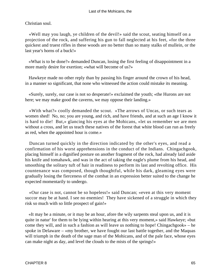### Christian soul.

 «Well may you laugh, ye children of the devil!» said the scout, seating himself on a projection of the rock, and suffering his gun to fall neglected at his feet, «for the three quickest and truest rifles in these woods are no better than so many stalks of mullein, or the last year's horns of a buck!»

 «What is to be done?» demanded Duncan, losing the first feeling of disappointment in a more manly desire for exertion; «what will become of us?»

 Hawkeye made no other reply than by passing his finger around the crown of his head, in a manner so significant, that none who witnessed the action could mistake its meaning.

 «Surely, surely, our case is not so desperate!» exclaimed the youth; «the Hurons are not here; we may make good the caverns, we may oppose their landing.»

 «With what?» coolly demanded the scout. «The arrows of Uncas, or such tears as women shed! No, no; you are young, and rich, and have friends, and at such an age I know it is hard to die! But,» glancing his eyes at the Mohicans, «let us remember we are men without a cross, and let us teach these natives of the forest that white blood can run as freely as red, when the appointed hour is come.»

 Duncan turned quickly in the direction indicated by the other's eyes, and read a confirmation of his worst apprehensions in the conduct of the Indians. Chingachgook, placing himself in a dignified posture on another fragment of the rock, had already laid aside his knife and tomahawk, and was in the act of taking the eagle's plume from his head, and smoothing the solitary tuft of hair in readiness to perform its last and revolting office. His countenance was composed, though thoughtful, while his dark, gleaming eyes were gradually losing the fierceness of the combat in an expression better suited to the change he expected momentarily to undergo.

 «Our case is not, cannot be so hopeless!» said Duncan; «even at this very moment succor may be at hand. I see no enemies! They have sickened of a struggle in which they risk so much with so little prospect of gain!»

 «It may be a minute, or it may be an hour, afore the wily sarpents steal upon us, and it is quite in natur' for them to be lying within hearing at this very moment,» said Hawkeye; «but come they will, and in such a fashion as will leave us nothing to hope! Chingachgook» – he spoke in Delaware – «my brother, we have fought our last battle together, and the Maquas will triumph in the death of the sage man of the Mohicans, and of the pale face, whose eyes can make night as day, and level the clouds to the mists of the springs!»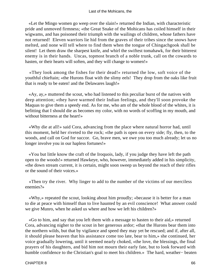«Let the Mingo women go weep over the slain!» returned the Indian, with characteristic pride and unmoved firmness; «the Great Snake of the Mohicans has coiled himself in their wigwams, and has poisoned their triumph with the wailings of children, whose fathers have not returned! Eleven warriors lie hid from the graves of their tribes since the snows have melted, and none will tell where to find them when the tongue of Chingachgook shall be silent! Let them draw the sharpest knife, and whirl the swiftest tomahawk, for their bitterest enemy is in their hands. Uncas, topmost branch of a noble trunk, call on the cowards to hasten, or their hearts will soften, and they will change to women!»

 «They look among the fishes for their dead!» returned the low, soft voice of the youthful chieftain; «the Hurons float with the slimy eels! They drop from the oaks like fruit that is ready to be eaten! and the Delawares laugh!»

 «Ay, ay,» muttered the scout, who had listened to this peculiar burst of the natives with deep attention; «they have warmed their Indian feelings, and they'll soon provoke the Maquas to give them a speedy end. As for me, who am of the whole blood of the whites, it is befitting that I should die as becomes my color, with no words of scoffing in my mouth, and without bitterness at the heart!»

 «Why die at all!» said Cora, advancing from the place where natural horror had, until this moment, held her riveted to the rock; «the path is open on every side; fly, then, to the woods, and call on God for succor. Go, brave men, we owe you too much already; let us no longer involve you in our hapless fortunes!»

 «You but little know the craft of the Iroquois, lady, if you judge they have left the path open to the woods!» returned Hawkeye, who, however, immediately added in his simplicity, «the down stream current, it is certain, might soon sweep us beyond the reach of their rifles or the sound of their voices.»

 «Then try the river. Why linger to add to the number of the victims of our merciless enemies?»

 «Why,» repeated the scout, looking about him proudly; «because it is better for a man to die at peace with himself than to live haunted by an evil conscience! What answer could we give Munro, when he asked us where and how we left his children?»

 «Go to him, and say that you left them with a message to hasten to their aid,» returned Cora, advancing nigher to the scout in her generous ardor; «that the Hurons bear them into the northern wilds, but that by vigilance and speed they may yet be rescued; and if, after all, it should please heaven that his assistance come too late, bear to him,» she continued, her voice gradually lowering, until it seemed nearly choked, «the love, the blessings, the final prayers of his daughters, and bid him not mourn their early fate, but to look forward with humble confidence to the Christian's goal to meet his children.» The hard, weather− beaten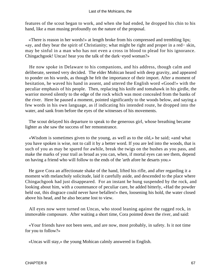features of the scout began to work, and when she had ended, he dropped his chin to his hand, like a man musing profoundly on the nature of the proposal.

 «There is reason in her words!» at length broke from his compressed and trembling lips; «ay, and they bear the spirit of Christianity; what might be right and proper in a red− skin, may be sinful in a man who has not even a cross in blood to plead for his ignorance. Chingachgook! Uncas! hear you the talk of the dark−eyed woman?»

 He now spoke in Delaware to his companions, and his address, though calm and deliberate, seemed very decided. The elder Mohican heard with deep gravity, and appeared to ponder on his words, as though he felt the importance of their import. After a moment of hesitation, he waved his hand in assent, and uttered the English word «Good!» with the peculiar emphasis of his people. Then, replacing his knife and tomahawk in his girdle, the warrior moved silently to the edge of the rock which was most concealed from the banks of the river. Here he paused a moment, pointed significantly to the woods below, and saying a few words in his own language, as if indicating his intended route, he dropped into the water, and sank from before the eyes of the witnesses of his movements.

 The scout delayed his departure to speak to the generous girl, whose breathing became lighter as she saw the success of her remonstrance.

 «Wisdom is sometimes given to the young, as well as to the old,» he said; «and what you have spoken is wise, not to call it by a better word. If you are led into the woods, that is such of you as may be spared for awhile, break the twigs on the bushes as you pass, and make the marks of your trail as broad as you can, when, if mortal eyes can see them, depend on having a friend who will follow to the ends of the 'arth afore he desarts you.»

 He gave Cora an affectionate shake of the hand, lifted his rifle, and after regarding it a moment with melancholy solicitude, laid it carefully aside, and descended to the place where Chingachgook had just disappeared. For an instant he hung suspended by the rock, and looking about him, with a countenance of peculiar care, he added bitterly, «Had the powder held out, this disgrace could never have befallen!» then, loosening his hold, the water closed above his head, and he also became lost to view.

 All eyes now were turned on Uncas, who stood leaning against the ragged rock, in immovable composure. After waiting a short time, Cora pointed down the river, and said:

 «Your friends have not been seen, and are now, most probably, in safety. Is it not time for you to follow?»

«Uncas will stay,» the young Mohican calmly answered in English.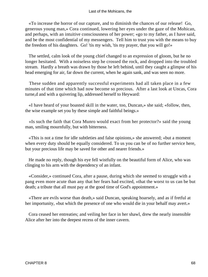«To increase the horror of our capture, and to diminish the chances of our release! Go, generous young man,» Cora continued, lowering her eyes under the gaze of the Mohican, and perhaps, with an intuitive consciousness of her power; «go to my father, as I have said, and be the most confidential of my messengers. Tell him to trust you with the means to buy the freedom of his daughters. Go! 'tis my wish, 'tis my prayer, that you will go!»

 The settled, calm look of the young chief changed to an expression of gloom, but he no longer hesitated. With a noiseless step he crossed the rock, and dropped into the troubled stream. Hardly a breath was drawn by those he left behind, until they caught a glimpse of his head emerging for air, far down the current, when he again sank, and was seen no more.

 These sudden and apparently successful experiments had all taken place in a few minutes of that time which had now become so precious. After a last look at Uncas, Cora turne,d and with a quivering lip, addressed herself to Heyward:

 «I have heard of your boasted skill in the water, too, Duncan,» she said; «follow, then, the wise example set you by these simple and faithful beings.»

 «Is such the faith that Cora Munro would exact from her protector?» said the young man, smiling mournfully, but with bitterness.

 «This is not a time for idle subtleties and false opinions,» she answered; «but a moment when every duty should be equally considered. To us you can be of no further service here, but your precious life may be saved for other and nearer friends.»

 He made no reply, though his eye fell wistfully on the beautiful form of Alice, who was clinging to his arm with the dependency of an infant.

 «Consider,» continued Cora, after a pause, during which she seemed to struggle with a pang even more acute than any that her fears had excited, «that the worst to us can be but death; a tribute that all must pay at the good time of God's appointment.»

 «There are evils worse than death,» said Duncan, speaking hoarsely, and as if fretful at her importunity, «but which the presence of one who would die in your behalf may avert.»

 Cora ceased her entreaties; and veiling her face in her shawl, drew the nearly insensible Alice after her into the deepest recess of the inner cavern.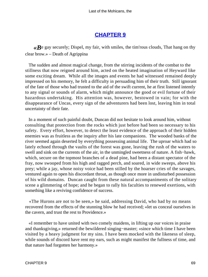# **[CHAPTER 9](#page-316-0)**

 $\ll$ **B**e gay securely; Dispel, my fair, with smiles, the tim'rous clouds, That hang on thy clear brow.» – Death of Agrippina

 The sudden and almost magical change, from the stirring incidents of the combat to the stillness that now reigned around him, acted on the heated imagination of Heyward like some exciting dream. While all the images and events he had witnessed remained deeply impressed on his memory, he felt a difficulty in persuading him of their truth. Still ignorant of the fate of those who had trusted to the aid of the swift current, he at first listened intently to any signal or sounds of alarm, which might announce the good or evil fortune of their hazardous undertaking. His attention was, however, bestowed in vain; for with the disappearance of Uncas, every sign of the adventurers had been lost, leaving him in total uncertainty of their fate.

 In a moment of such painful doubt, Duncan did not hesitate to look around him, without consulting that protection from the rocks which just before had been so necessary to his safety. Every effort, however, to detect the least evidence of the approach of their hidden enemies was as fruitless as the inquiry after his late companions. The wooded banks of the river seemed again deserted by everything possessing animal life. The uproar which had so lately echoed through the vaults of the forest was gone, leaving the rush of the waters to swell and sink on the currents of the air, in the unmingled sweetness of nature. A fish−hawk, which, secure on the topmost branches of a dead pine, had been a distant spectator of the fray, now swooped from his high and ragged perch, and soared, in wide sweeps, above his prey; while a jay, whose noisy voice had been stilled by the hoarser cries of the savages, ventured again to open his discordant throat, as though once more in undisturbed possession of his wild domains. Duncan caught from these natural accompaniments of the solitary scene a glimmering of hope; and he began to rally his faculties to renewed exertions, with something like a reviving confidence of success.

 «The Hurons are not to be seen,» he said, addressing David, who had by no means recovered from the effects of the stunning blow he had received; «let us conceal ourselves in the cavern, and trust the rest to Providence.»

 «I remember to have united with two comely maidens, in lifting up our voices in praise and thanksgiving,» returned the bewildered singing−master; «since which time I have been visited by a heavy judgment for my sins. I have been mocked with the likeness of sleep, while sounds of discord have rent my ears, such as might manifest the fullness of time, and that nature had forgotten her harmony.»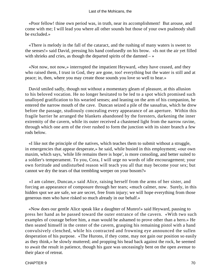#### Last of the Mohicans, the

 «Poor fellow! thine own period was, in truth, near its accomplishment! But arouse, and come with me; I will lead you where all other sounds but those of your own psalmody shall be excluded.»

 «There is melody in the fall of the cataract, and the rushing of many waters is sweet to the senses!» said David, pressing his hand confusedly on his brow. «Is not the air yet filled with shrieks and cries, as though the departed spirits of the damned  $-\infty$ 

 «Not now, not now,» interrupted the impatient Heyward, «they have ceased, and they who raised them, I trust in God, they are gone, too! everything but the water is still and at peace; in, then, where you may create those sounds you love so well to hear.»

 David smiled sadly, though not without a momentary gleam of pleasure, at this allusion to his beloved vocation. He no longer hesitated to be led to a spot which promised such unalloyed gratification to his wearied senses; and leaning on the arm of his companion, he entered the narrow mouth of the cave. Duncan seized a pile of the sassafras, which he drew before the passage, studiously concealing every appearance of an aperture. Within this fragile barrier he arranged the blankets abandoned by the foresters, darkening the inner extremity of the cavern, while its outer received a chastened light from the narrow ravine, through which one arm of the river rushed to form the junction with its sister branch a few rods below.

 «I like not the principle of the natives, which teaches them to submit without a struggle, in emergencies that appear desperate,» he said, while busied in this employment; «our own maxim, which says, 'while life remains there is hope', is more consoling, and better suited to a soldier's temperament. To you, Cora, I will urge no words of idle encouragement; your own fortitude and undisturbed reason will teach you all that may become your sex; but cannot we dry the tears of that trembling weeper on your bosom?»

 «I am calmer, Duncan,» said Alice, raising herself from the arms of her sister, and forcing an appearance of composure through her tears; «much calmer, now. Surely, in this hidden spot we are safe, we are secret, free from injury; we will hope everything from those generous men who have risked so much already in our behalf.»

 «Now does our gentle Alice speak like a daughter of Munro!» said Heyward, pausing to press her hand as he passed toward the outer entrance of the cavern. «With two such examples of courage before him, a man would be ashamed to prove other than a hero.» He then seated himself in the center of the cavern, grasping his remaining pistol with a hand convulsively clenched, while his contracted and frowning eye announced the sullen desperation of his purpose. «The Hurons, if they come, may not gain our position so easily as they think,» he slowly muttered; and propping his head back against the rock, he seemed to await the result in patience, though his gaze was unceasingly bent on the open avenue to their place of retreat.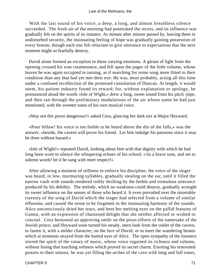With the last sound of his voice, a deep, a long, and almost breathless silence succeeded. The fresh air of the morning had penetrated the recess, and its influence was gradually felt on the spirits of its inmates. As minute after minute passed by, leaving them in undisturbed security, the insinuating feeling of hope was gradually gaining possession of every bosom, though each one felt reluctant to give utterance to expectations that the next moment might so fearfully destroy.

 David alone formed an exception to these varying emotions. A gleam of light from the opening crossed his wan countenance, and fell upon the pages of the little volume, whose leaves he was again occupied in turning, as if searching for some song more fitted to their condition than any that had yet met their eye. He was, most probably, acting all this time under a confused recollection of the promised consolation of Duncan. At length, it would seem, his patient industry found its reward; for, without explanation or apology, he pronounced aloud the words «Isle of Wight,» drew a long, sweet sound from his pitch−pipe, and then ran through the preliminary modulations of the air whose name he had just mentioned, with the sweeter tones of his own musical voice.

«May not this prove dangerous?» asked Cora, glancing her dark eye at Major Heyward.

 «Poor fellow! his voice is too feeble to be heard above the din of the falls,» was the answer; «beside, the cavern will prove his friend. Let him indulge his passions since it may be done without hazard.»

 «Isle of Wight!» repeated David, looking about him with that dignity with which he had long been wont to silence the whispering echoes of his school; «'tis a brave tune, and set to solemn words! let it be sung with meet respect!»

 After allowing a moment of stillness to enforce his discipline, the voice of the singer was heard, in low, murmuring syllables, gradually stealing on the ear, until it filled the narrow vault with sounds rendered trebly thrilling by the feeble and tremulous utterance produced by his debility. The melody, which no weakness could destroy, gradually wrought its sweet influence on the senses of those who heard it. It even prevailed over the miserable travesty of the song of David which the singer had selected from a volume of similar effusions, and caused the sense to be forgotten in the insinuating harmony of the sounds. Alice unconsciously dried her tears, and bent her melting eyes on the pallid features of Gamut, with an expression of chastened delight that she neither affected or wished to conceal. Cora bestowed an approving smile on the pious efforts of the namesake of the Jewish prince, and Heyward soon turned his steady, stern look from the outlet of the cavern, to fasten it, with a milder character, on the face of David, or to meet the wandering beams which at moments strayed from the humid eyes of Alice. The open sympathy of the listeners stirred the spirit of the votary of music, whose voice regained its richness and volume, without losing that touching softness which proved its secret charm. Exerting his renovated powers to their utmost, he was yet filling the arches of the cave with long and full tones,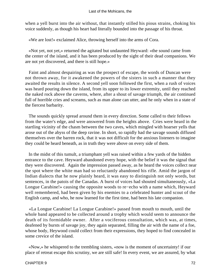when a yell burst into the air without, that instantly stilled his pious strains, choking his voice suddenly, as though his heart had literally bounded into the passage of his throat.

«We are lost!» exclaimed Alice, throwing herself into the arms of Cora.

 «Not yet, not yet,» returned the agitated but undaunted Heyward: «the sound came from the center of the island, and it has been produced by the sight of their dead companions. We are not yet discovered, and there is still hope.»

 Faint and almost despairing as was the prospect of escape, the words of Duncan were not thrown away, for it awakened the powers of the sisters in such a manner that they awaited the results in silence. A second yell soon followed the first, when a rush of voices was heard pouring down the island, from its upper to its lower extremity, until they reached the naked rock above the caverns, where, after a shout of savage triumph, the air continued full of horrible cries and screams, such as man alone can utter, and he only when in a state of the fiercest barbarity.

 The sounds quickly spread around them in every direction. Some called to their fellows from the water's edge, and were answered from the heights above. Cries were heard in the startling vicinity of the chasm between the two caves, which mingled with hoarser yells that arose out of the abyss of the deep ravine. In short, so rapidly had the savage sounds diffused themselves over the barren rock, that it was not difficult for the anxious listeners to imagine they could be heard beneath, as in truth they were above on every side of them.

 In the midst of this tumult, a triumphant yell was raised within a few yards of the hidden entrance to the cave. Heyward abandoned every hope, with the belief it was the signal that they were discovered. Again the impression passed away, as he heard the voices collect near the spot where the white man had so reluctantly abandoned his rifle. Amid the jargon of Indian dialects that he now plainly heard, it was easy to distinguish not only words, but sentences, in the patois of the Canadas. A burst of voices had shouted simultaneously, «La Longue Carabine!» causing the opposite woods to re−echo with a name which, Heyward well remembered, had been given by his enemies to a celebrated hunter and scout of the English camp, and who, he now learned for the first time, had been his late companion.

 «La Longue Carabine! La Longue Carabine!» passed from mouth to mouth, until the whole band appeared to be collected around a trophy which would seem to announce the death of its formidable owner. After a vociferous consultation, which was, at times, deafened by bursts of savage joy, they again separated, filling the air with the name of a foe, whose body, Heywood could collect from their expressions, they hoped to find concealed in some crevice of the island.

 «Now,» he whispered to the trembling sisters, «now is the moment of uncertainty! if our place of retreat escape this scrutiny, we are still safe! In every event, we are assured, by what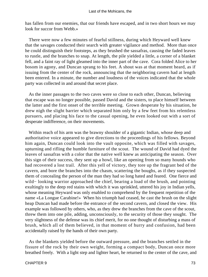has fallen from our enemies, that our friends have escaped, and in two short hours we may look for succor from Webb.»

 There were now a few minutes of fearful stillness, during which Heyward well knew that the savages conducted their search with greater vigilance and method. More than once he could distinguish their footsteps, as they brushed the sassafras, causing the faded leaves to rustle, and the branches to snap. At length, the pile yielded a little, a corner of a blanket fell, and a faint ray of light gleamed into the inner part of the cave. Cora folded Alice to her bosom in agony, and Duncan sprang to his feet. A shout was at that moment heard, as if issuing from the center of the rock, announcing that the neighboring cavern had at length been entered. In a minute, the number and loudness of the voices indicated that the whole party was collected in and around that secret place.

 As the inner passages to the two caves were so close to each other, Duncan, believing that escape was no longer possible, passed David and the sisters, to place himself between the latter and the first onset of the terrible meeting. Grown desperate by his situation, he drew nigh the slight barrier which separated him only by a few feet from his relentless pursuers, and placing his face to the casual opening, he even looked out with a sort of desperate indifference, on their movements.

 Within reach of his arm was the brawny shoulder of a gigantic Indian, whose deep and authoritative voice appeared to give directions to the proceedings of his fellows. Beyond him again, Duncan could look into the vault opposite, which was filled with savages, upturning and rifling the humble furniture of the scout. The wound of David had dyed the leaves of sassafras with a color that the native well knew as anticipating the season. Over this sign of their success, they sent up a howl, like an opening from so many hounds who had recovered a lost trail. After this yell of victory, they tore up the fragrant bed of the cavern, and bore the branches into the chasm, scattering the boughs, as if they suspected them of concealing the person of the man they had so long hated and feared. One fierce and wild− looking warrior approached the chief, bearing a load of the brush, and pointing exultingly to the deep red stains with which it was sprinkled, uttered his joy in Indian yells, whose meaning Heyward was only enabled to comprehend by the frequent repetition of the name «La Longue Carabine!» When his triumph had ceased, he cast the brush on the slight heap Duncan had made before the entrance of the second cavern, and closed the view. His example was followed by others, who, as they drew the branches from the cave of the scout, threw them into one pile, adding, unconsciously, to the security of those they sought. The very slightness of the defense was its chief merit, for no one thought of disturbing a mass of brush, which all of them believed, in that moment of hurry and confusion, had been accidentally raised by the hands of their own party.

 As the blankets yielded before the outward pressure, and the branches settled in the fissure of the rock by their own weight, forming a compact body, Duncan once more breathed freely. With a light step and lighter heart, he returned to the center of the cave, and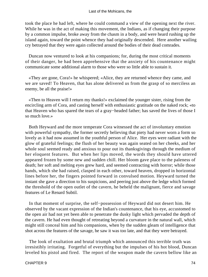took the place he had left, where he could command a view of the opening next the river. While he was in the act of making this movement, the Indians, as if changing their purpose by a common impulse, broke away from the chasm in a body, and were heard rushing up the island again, toward the point whence they had originally descended. Here another wailing cry betrayed that they were again collected around the bodies of their dead comrades.

 Duncan now ventured to look at his companions; for, during the most critical moments of their danger, he had been apprehensive that the anxiety of his countenance might communicate some additional alarm to those who were so little able to sustain it.

 «They are gone, Cora!» he whispered; «Alice, they are returned whence they came, and we are saved! To Heaven, that has alone delivered us from the grasp of so merciless an enemy, be all the praise!»

 «Then to Heaven will I return my thanks!» exclaimed the younger sister, rising from the encircling arm of Cora, and casting herself with enthusiastic gratitude on the naked rock; «to that Heaven who has spared the tears of a gray−headed father; has saved the lives of those I so much love.»

 Both Heyward and the more temperate Cora witnessed the act of involuntary emotion with powerful sympathy, the former secretly believing that piety had never worn a form so lovely as it had now assumed in the youthful person of Alice. Her eyes were radiant with the glow of grateful feelings; the flush of her beauty was again seated on her cheeks, and her whole soul seemed ready and anxious to pour out its thanksgivings through the medium of her eloquent features. But when her lips moved, the words they should have uttered appeared frozen by some new and sudden chill. Her bloom gave place to the paleness of death; her soft and melting eyes grew hard, and seemed contracting with horror; while those hands, which she had raised, clasped in each other, toward heaven, dropped in horizontal lines before her, the fingers pointed forward in convulsed motion. Heyward turned the instant she gave a direction to his suspicions, and peering just above the ledge which formed the threshold of the open outlet of the cavern, he beheld the malignant, fierce and savage features of Le Renard Subtil.

 In that moment of surprise, the self−possession of Heyward did not desert him. He observed by the vacant expression of the Indian's countenance, that his eye, accustomed to the open air had not yet been able to penetrate the dusky light which pervaded the depth of the cavern. He had even thought of retreating beyond a curvature in the natural wall, which might still conceal him and his companions, when by the sudden gleam of intelligence that shot across the features of the savage, he saw it was too late, and that they were betrayed.

 The look of exultation and brutal triumph which announced this terrible truth was irresistibly irritating. Forgetful of everything but the impulses of his hot blood, Duncan leveled his pistol and fired. The report of the weapon made the cavern bellow like an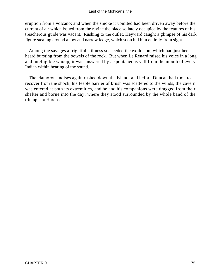#### Last of the Mohicans, the

eruption from a volcano; and when the smoke it vomited had been driven away before the current of air which issued from the ravine the place so lately occupied by the features of his treacherous guide was vacant. Rushing to the outlet, Heyward caught a glimpse of his dark figure stealing around a low and narrow ledge, which soon hid him entirely from sight.

 Among the savages a frightful stillness succeeded the explosion, which had just been heard bursting from the bowels of the rock. But when Le Renard raised his voice in a long and intelligible whoop, it was answered by a spontaneous yell from the mouth of every Indian within hearing of the sound.

 The clamorous noises again rushed down the island; and before Duncan had time to recover from the shock, his feeble barrier of brush was scattered to the winds, the cavern was entered at both its extremities, and he and his companions were dragged from their shelter and borne into the day, where they stood surrounded by the whole band of the triumphant Hurons.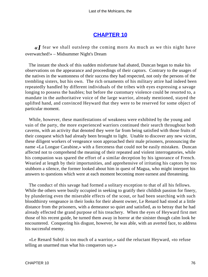# **[CHAPTER 10](#page-316-0)**

*«I* fear we shall outsleep the coming morn As much as we this night have overwatched!» – Midsummer Night's Dream

 The instant the shock of this sudden misfortune had abated, Duncan began to make his observations on the appearance and proceedings of their captors. Contrary to the usages of the natives in the wantonness of their success they had respected, not only the persons of the trembling sisters, but his own. The rich ornaments of his military attire had indeed been repeatedly handled by different individuals of the tribes with eyes expressing a savage longing to possess the baubles; but before the customary violence could be resorted to, a mandate in the authoritative voice of the large warrior, already mentioned, stayed the uplifted hand, and convinced Heyward that they were to be reserved for some object of particular moment.

 While, however, these manifestations of weakness were exhibited by the young and vain of the party, the more experienced warriors continued their search throughout both caverns, with an activity that denoted they were far from being satisfied with those fruits of their conquest which had already been brought to light. Unable to discover any new victim, these diligent workers of vengeance soon approached their male prisoners, pronouncing the name «La Longue Carabine,» with a fierceness that could not be easily mistaken. Duncan affected not to comprehend the meaning of their repeated and violent interrogatories, while his companion was spared the effort of a similar deception by his ignorance of French. Wearied at length by their importunities, and apprehensive of irritating his captors by too stubborn a silence, the former looked about him in quest of Magua, who might interpret his answers to questions which were at each moment becoming more earnest and threatening.

 The conduct of this savage had formed a solitary exception to that of all his fellows. While the others were busily occupied in seeking to gratify their childish passion for finery, by plundering even the miserable effects of the scout, or had been searching with such bloodthirsty vengeance in their looks for their absent owner, Le Renard had stood at a little distance from the prisoners, with a demeanor so quiet and satisfied, as to betray that he had already effected the grand purpose of his treachery. When the eyes of Heyward first met those of his recent guide, he turned them away in horror at the sinister though calm look he encountered. Conquering his disgust, however, he was able, with an averted face, to address his successful enemy.

 «Le Renard Subtil is too much of a warrior,» said the reluctant Heyward, «to refuse telling an unarmed man what his conquerors say.»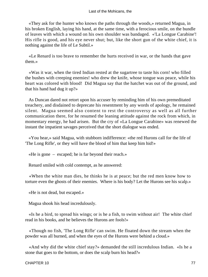«They ask for the hunter who knows the paths through the woods,» returned Magua, in his broken English, laying his hand, at the same time, with a ferocious smile, on the bundle of leaves with which a wound on his own shoulder was bandaged. «'La Longue Carabine'! His rifle is good, and his eye never shut; but, like the short gun of the white chief, it is nothing against the life of Le Subtil.»

 «Le Renard is too brave to remember the hurts received in war, or the hands that gave them.»

 «Was it war, when the tired Indian rested at the sugartree to taste his corn! who filled the bushes with creeping enemies! who drew the knife, whose tongue was peace, while his heart was colored with blood! Did Magua say that the hatchet was out of the ground, and that his hand had dug it up?»

 As Duncan dared not retort upon his accuser by reminding him of his own premeditated treachery, and disdained to deprecate his resentment by any words of apology, he remained silent. Magua seemed also content to rest the controversy as well as all further communication there, for he resumed the leaning attitude against the rock from which, in momentary energy, he had arisen. But the cry of «La Longue Carabine» was renewed the instant the impatient savages perceived that the short dialogue was ended.

 «You hear,» said Magua, with stubborn indifference: «the red Hurons call for the life of 'The Long Rifle', or they will have the blood of him that keep him hid!»

«He is gone – escaped; he is far beyond their reach.»

Renard smiled with cold contempt, as he answered:

 «When the white man dies, he thinks he is at peace; but the red men know how to torture even the ghosts of their enemies. Where is his body? Let the Hurons see his scalp.»

«He is not dead, but escaped.»

Magua shook his head incredulously.

 «Is he a bird, to spread his wings; or is he a fish, to swim without air! The white chief read in his books, and he believes the Hurons are fools!»

 «Though no fish, 'The Long Rifle' can swim. He floated down the stream when the powder was all burned, and when the eyes of the Hurons were behind a cloud.»

 «And why did the white chief stay?» demanded the still incredulous Indian. «Is he a stone that goes to the bottom, or does the scalp burn his head?»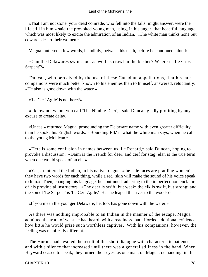#### Last of the Mohicans, the

 «That I am not stone, your dead comrade, who fell into the falls, might answer, were the life still in him,» said the provoked young man, using, in his anger, that boastful language which was most likely to excite the admiration of an Indian. «The white man thinks none but cowards desert their women.»

Magua muttered a few words, inaudibly, between his teeth, before he continued, aloud:

 «Can the Delawares swim, too, as well as crawl in the bushes? Where is 'Le Gros Serpent'?»

 Duncan, who perceived by the use of these Canadian appellations, that his late companions were much better known to his enemies than to himself, answered, reluctantly: «He also is gone down with the water.»

«'Le Cerf Agile' is not here?»

 «I know not whom you call 'The Nimble Deer',» said Duncan gladly profiting by any excuse to create delay.

 «Uncas,» returned Magua, pronouncing the Delaware name with even greater difficulty than he spoke his English words. «'Bounding Elk' is what the white man says, when he calls to the young Mohican.»

 «Here is some confusion in names between us, Le Renard,» said Duncan, hoping to provoke a discussion. «Daim is the French for deer, and cerf for stag; elan is the true term, when one would speak of an elk.»

 «Yes,» muttered the Indian, in his native tongue; «the pale faces are prattling women! they have two words for each thing, while a red−skin will make the sound of his voice speak to him.» Then, changing his language, he continued, adhering to the imperfect nomenclature of his provincial instructors. «The deer is swift, but weak; the elk is swift, but strong; and the son of 'Le Serpent' is 'Le Cerf Agile.' Has he leaped the river to the woods?»

«If you mean the younger Delaware, he, too, has gone down with the water.»

 As there was nothing improbable to an Indian in the manner of the escape, Magua admitted the truth of what he had heard, with a readiness that afforded additional evidence how little he would prize such worthless captives. With his companions, however, the feeling was manifestly different.

 The Hurons had awaited the result of this short dialogue with characteristic patience, and with a silence that increased until there was a general stillness in the band. When Heyward ceased to speak, they turned their eyes, as one man, on Magua, demanding, in this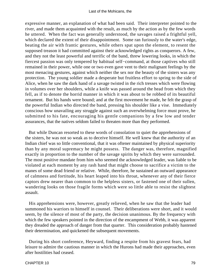expressive manner, an explanation of what had been said. Their interpreter pointed to the river, and made them acquainted with the result, as much by the action as by the few words he uttered. When the fact was generally understood, the savages raised a frightful yell, which declared the extent of their disappointment. Some ran furiously to the water's edge, beating the air with frantic gestures, while others spat upon the element, to resent the supposed treason it had committed against their acknowledged rights as conquerors. A few, and they not the least powerful and terrific of the band, threw lowering looks, in which the fiercest passion was only tempered by habitual self−command, at those captives who still remained in their power, while one or two even gave vent to their malignant feelings by the most menacing gestures, against which neither the sex nor the beauty of the sisters was any protection. The young soldier made a desperate but fruitless effort to spring to the side of Alice, when he saw the dark hand of a savage twisted in the rich tresses which were flowing in volumes over her shoulders, while a knife was passed around the head from which they fell, as if to denote the horrid manner in which it was about to be robbed of its beautiful ornament. But his hands were bound; and at the first movement he made, he felt the grasp of the powerful Indian who directed the band, pressing his shoulder like a vise. Immediately conscious how unavailing any struggle against such an overwhelming force must prove, he submitted to his fate, encouraging his gentle companions by a few low and tender assurances, that the natives seldom failed to threaten more than they performed.

 But while Duncan resorted to these words of consolation to quiet the apprehensions of the sisters, he was not so weak as to deceive himself. He well knew that the authority of an Indian chief was so little conventional, that it was oftener maintained by physical superiority than by any moral supremacy he might possess. The danger was, therefore, magnified exactly in proportion to the number of the savage spirits by which they were surrounded. The most positive mandate from him who seemed the acknowledged leader, was liable to be violated at each moment by any rash hand that might choose to sacrifice a victim to the manes of some dead friend or relative. While, therefore, he sustained an outward appearance of calmness and fortitude, his heart leaped into his throat, whenever any of their fierce captors drew nearer than common to the helpless sisters, or fastened one of their sullen, wandering looks on those fragile forms which were so little able to resist the slightest assault.

 His apprehensions were, however, greatly relieved, when he saw that the leader had summoned his warriors to himself in counsel. Their deliberations were short, and it would seem, by the silence of most of the party, the decision unanimous. By the frequency with which the few speakers pointed in the direction of the encampment of Webb, it was apparent they dreaded the approach of danger from that quarter. This consideration probably hastened their determination, and quickened the subsequent movements.

 During his short conference, Heyward, finding a respite from his gravest fears, had leisure to admire the cautious manner in which the Hurons had made their approaches, even after hostilities had ceased.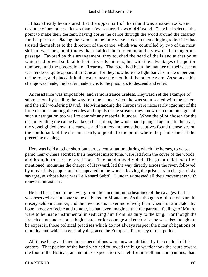It has already been stated that the upper half of the island was a naked rock, and destitute of any other defenses than a few scattered logs of driftwood. They had selected this point to make their descent, having borne the canoe through the wood around the cataract for that purpose. Placing their arms in the little vessel a dozen men clinging to its sides had trusted themselves to the direction of the canoe, which was controlled by two of the most skillful warriors, in attitudes that enabled them to command a view of the dangerous passage. Favored by this arrangement, they touched the head of the island at that point which had proved so fatal to their first adventurers, but with the advantages of superior numbers, and the possession of firearms. That such had been the manner of their descent was rendered quite apparent to Duncan; for they now bore the light bark from the upper end of the rock, and placed it in the water, near the mouth of the outer cavern. As soon as this change was made, the leader made signs to the prisoners to descend and enter.

 As resistance was impossible, and remonstrance useless, Heyward set the example of submission, by leading the way into the canoe, where he was soon seated with the sisters and the still wondering David. Notwithstanding the Hurons were necessarily ignorant of the little channels among the eddies and rapids of the stream, they knew the common signs of such a navigation too well to commit any material blunder. When the pilot chosen for the task of guiding the canoe had taken his station, the whole band plunged again into the river, the vessel glided down the current, and in a few moments the captives found themselves on the south bank of the stream, nearly opposite to the point where they had struck it the preceding evening.

 Here was held another short but earnest consultation, during which the horses, to whose panic their owners ascribed their heaviest misfortune, were led from the cover of the woods, and brought to the sheltered spot. The band now divided. The great chief, so often mentioned, mounting the charger of Heyward, led the way directly across the river, followed by most of his people, and disappeared in the woods, leaving the prisoners in charge of six savages, at whose head was Le Renard Subtil. Duncan witnessed all their movements with renewed uneasiness.

 He had been fond of believing, from the uncommon forbearance of the savages, that he was reserved as a prisoner to be delivered to Montcalm. As the thoughts of those who are in misery seldom slumber, and the invention is never more lively than when it is stimulated by hope, however feeble and remote, he had even imagined that the parental feelings of Munro were to be made instrumental in seducing him from his duty to the king. For though the French commander bore a high character for courage and enterprise, he was also thought to be expert in those political practises which do not always respect the nicer obligations of morality, and which so generally disgraced the European diplomacy of that period.

 All those busy and ingenious speculations were now annihilated by the conduct of his captors. That portion of the band who had followed the huge warrior took the route toward the foot of the Horican, and no other expectation was left for himself and companions, than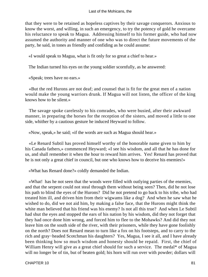that they were to be retained as hopeless captives by their savage conquerors. Anxious to know the worst, and willing, in such an emergency, to try the potency of gold he overcame his reluctance to speak to Magua. Addressing himself to his former guide, who had now assumed the authority and manner of one who was to direct the future movements of the party, he said, in tones as friendly and confiding as he could assume:

«I would speak to Magua, what is fit only for so great a chief to hear.»

The Indian turned his eyes on the young soldier scornfully, as he answered:

«Speak; trees have no ears.»

 «But the red Hurons are not deaf; and counsel that is fit for the great men of a nation would make the young warriors drunk. If Magua will not listen, the officer of the king knows how to be silent.»

 The savage spoke carelessly to his comrades, who were busied, after their awkward manner, in preparing the horses for the reception of the sisters, and moved a little to one side, whither by a cautious gesture he induced Heyward to follow.

«Now, speak,» he said; «if the words are such as Magua should hear.»

 «Le Renard Subtil has proved himself worthy of the honorable name given to him by his Canada fathers,» commenced Heyward; «I see his wisdom, and all that he has done for us, and shall remember it when the hour to reward him arrives. Yes! Renard has proved that he is not only a great chief in council, but one who knows how to deceive his enemies!»

«What has Renard done?» coldly demanded the Indian.

 «What! has he not seen that the woods were filled with outlying parties of the enemies, and that the serpent could not steal through them without being seen? Then, did he not lose his path to blind the eyes of the Hurons? Did he not pretend to go back to his tribe, who had treated him ill, and driven him from their wigwams like a dog? And when he saw what he wished to do, did we not aid him, by making a false face, that the Hurons might think the white man believed that his friend was his enemy? Is not all this true? And when Le Subtil had shut the eyes and stopped the ears of his nation by his wisdom, did they not forget that they had once done him wrong, and forced him to flee to the Mohawks? And did they not leave him on the south side of the river, with their prisoners, while they have gone foolishly on the north? Does not Renard mean to turn like a fox on his footsteps, and to carry to the rich and gray−headed Scotchman his daughters? Yes, Magua, I see it all, and I have already been thinking how so much wisdom and honesty should be repaid. First, the chief of William Henry will give as a great chief should for such a service. The medal\* of Magua will no longer be of tin, but of beaten gold; his horn will run over with powder; dollars will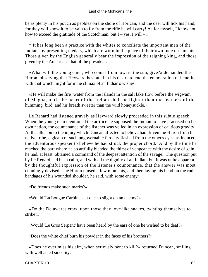be as plenty in his pouch as pebbles on the shore of Horican; and the deer will lick his hand, for they will know it to be vain to fly from the rifle he will carry! As for myself, I know not how to exceed the gratitude of the Scotchman, but  $I - yes$ , I will  $-$ 

 \* It has long been a practice with the whites to conciliate the important men of the Indians by presenting medals, which are worn in the place of their own rude ornaments. Those given by the English generally bear the impression of the reigning king, and those given by the Americans that of the president.

 «What will the young chief, who comes from toward the sun, give?» demanded the Huron, observing that Heyward hesitated in his desire to end the enumeration of benefits with that which might form the climax of an Indian's wishes.

 «He will make the fire−water from the islands in the salt lake flow before the wigwam of Magua, until the heart of the Indian shall be lighter than the feathers of the humming−bird, and his breath sweeter than the wild honeysuckle.»

 Le Renard had listened gravely as Heyward slowly proceeded in this subtle speech. When the young man mentioned the artifice he supposed the Indian to have practised on his own nation, the countenance of the listener was veiled in an expression of cautious gravity. At the allusion to the injury which Duncan affected to believe had driven the Huron from his native tribe, a gleam of such ungovernable ferocity flashed from the other's eyes, as induced the adventurous speaker to believe he had struck the proper chord. And by the time he reached the part where he so artfully blended the thirst of vengeance with the desire of gain, he had, at least, obtained a command of the deepest attention of the savage. The question put by Le Renard had been calm, and with all the dignity of an Indian; but it was quite apparent, by the thoughtful expression of the listener's countenance, that the answer was most cunningly devised. The Huron mused a few moments, and then laying his hand on the rude bandages of his wounded shoulder, he said, with some energy:

«Do friends make such marks?»

«Would 'La Longue Carbine' cut one so slight on an enemy?»

 «Do the Delawares crawl upon those they love like snakes, twisting themselves to strike?»

«Would 'Le Gros Serpent' have been heard by the ears of one he wished to be deaf?»

«Does the white chief burn his powder in the faces of his brothers?»

 «Does he ever miss his aim, when seriously bent to kill?» returned Duncan, smiling with well acted sincerity.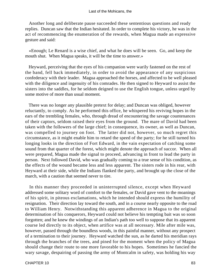Another long and deliberate pause succeeded these sententious questions and ready replies. Duncan saw that the Indian hesitated. In order to complete his victory, he was in the act of recommencing the enumeration of the rewards, when Magua made an expressive gesture and said:

 «Enough; Le Renard is a wise chief, and what he does will be seen. Go, and keep the mouth shut. When Magua speaks, it will be the time to answer.»

 Heyward, perceiving that the eyes of his companion were warily fastened on the rest of the band, fell back immediately, in order to avoid the appearance of any suspicious confederacy with their leader. Magua approached the horses, and affected to be well pleased with the diligence and ingenuity of his comrades. He then signed to Heyward to assist the sisters into the saddles, for he seldom deigned to use the English tongue, unless urged by some motive of more than usual moment.

 There was no longer any plausible pretext for delay; and Duncan was obliged, however reluctantly, to comply. As he performed this office, he whispered his reviving hopes in the ears of the trembling females, who, through dread of encountering the savage countenances of their captors, seldom raised their eyes from the ground. The mare of David had been taken with the followers of the large chief; in consequence, its owner, as well as Duncan, was compelled to journey on foot. The latter did not, however, so much regret this circumstance, as it might enable him to retard the speed of the party; for he still turned his longing looks in the direction of Fort Edward, in the vain expectation of catching some sound from that quarter of the forest, which might denote the approach of succor. When all were prepared, Magua made the signal to proceed, advancing in front to lead the party in person. Next followed David, who was gradually coming to a true sense of his condition, as the effects of the wound became less and less apparent. The sisters rode in his rear, with Heyward at their side, while the Indians flanked the party, and brought up the close of the march, with a caution that seemed never to tire.

 In this manner they proceeded in uninterrupted silence, except when Heyward addressed some solitary word of comfort to the females, or David gave vent to the moanings of his spirit, in piteous exclamations, which he intended should express the humility of resignation. Their direction lay toward the south, and in a course nearly opposite to the road to William Henry. Notwithstanding this apparent adherence in Magua to the original determination of his conquerors, Heyward could not believe his tempting bait was so soon forgotten; and he knew the windings of an Indian's path too well to suppose that its apparent course led directly to its object, when artifice was at all necessary. Mile after mile was, however, passed through the boundless woods, in this painful manner, without any prospect of a termination to their journey. Heyward watched the sun, as he darted his meridian rays through the branches of the trees, and pined for the moment when the policy of Magua should change their route to one more favorable to his hopes. Sometimes he fancied the wary savage, despairing of passing the army of Montcalm in safety, was holding his way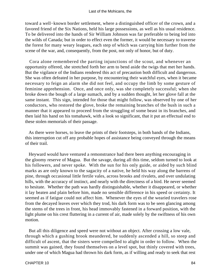toward a well−known border settlement, where a distinguished officer of the crown, and a favored friend of the Six Nations, held his large possessions, as well as his usual residence. To be delivered into the hands of Sir William Johnson was far preferable to being led into the wilds of Canada; but in order to effect even the former, it would be necessary to traverse the forest for many weary leagues, each step of which was carrying him further from the scene of the war, and, consequently, from the post, not only of honor, but of duty.

 Cora alone remembered the parting injunctions of the scout, and whenever an opportunity offered, she stretched forth her arm to bend aside the twigs that met her hands. But the vigilance of the Indians rendered this act of precaution both difficult and dangerous. She was often defeated in her purpose, by encountering their watchful eyes, when it became necessary to feign an alarm she did not feel, and occupy the limb by some gesture of feminine apprehension. Once, and once only, was she completely successful; when she broke down the bough of a large sumach, and by a sudden thought, let her glove fall at the same instant. This sign, intended for those that might follow, was observed by one of her conductors, who restored the glove, broke the remaining branches of the bush in such a manner that it appeared to proceed from the struggling of some beast in its branches, and then laid his hand on his tomahawk, with a look so significant, that it put an effectual end to these stolen memorials of their passage.

 As there were horses, to leave the prints of their footsteps, in both bands of the Indians, this interruption cut off any probable hopes of assistance being conveyed through the means of their trail.

 Heyward would have ventured a remonstrance had there been anything encouraging in the gloomy reserve of Magua. But the savage, during all this time, seldom turned to look at his followers, and never spoke. With the sun for his only guide, or aided by such blind marks as are only known to the sagacity of a native, he held his way along the barrens of pine, through occasional little fertile vales, across brooks and rivulets, and over undulating hills, with the accuracy of instinct, and nearly with the directness of a bird. He never seemed to hesitate. Whether the path was hardly distinguishable, whether it disappeared, or whether it lay beaten and plain before him, made no sensible difference in his speed or certainty. It seemed as if fatigue could not affect him. Whenever the eyes of the wearied travelers rose from the decayed leaves over which they trod, his dark form was to be seen glancing among the stems of the trees in front, his head immovably fastened in a forward position, with the light plume on his crest fluttering in a current of air, made solely by the swiftness of his own motion.

 But all this diligence and speed were not without an object. After crossing a low vale, through which a gushing brook meandered, he suddenly ascended a hill, so steep and difficult of ascent, that the sisters were compelled to alight in order to follow. When the summit was gained, they found themselves on a level spot, but thinly covered with trees, under one of which Magua had thrown his dark form, as if willing and ready to seek that rest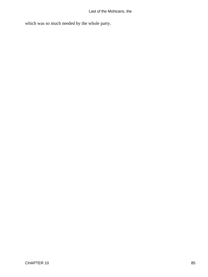which was so much needed by the whole party.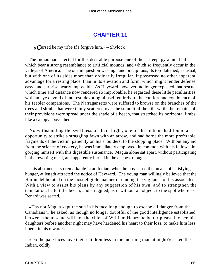# **[CHAPTER 11](#page-316-0)**

*«C*ursed be my tribe If I forgive him.» – Shylock

 The Indian had selected for this desirable purpose one of those steep, pyramidal hills, which bear a strong resemblance to artificial mounds, and which so frequently occur in the valleys of America. The one in question was high and precipitous; its top flattened, as usual; but with one of its sides more than ordinarily irregular. It possessed no other apparent advantage for a resting place, than in its elevation and form, which might render defense easy, and surprise nearly impossible. As Heyward, however, no longer expected that rescue which time and distance now rendered so improbable, he regarded these little peculiarities with an eye devoid of interest, devoting himself entirely to the comfort and condolence of his feebler companions. The Narragansetts were suffered to browse on the branches of the trees and shrubs that were thinly scattered over the summit of the hill, while the remains of their provisions were spread under the shade of a beech, that stretched its horizontal limbs like a canopy above them.

 Notwithstanding the swiftness of their flight, one of the Indians had found an opportunity to strike a straggling fawn with an arrow, and had borne the more preferable fragments of the victim, patiently on his shoulders, to the stopping place. Without any aid from the science of cookery, he was immediately employed, in common with his fellows, in gorging himself with this digestible sustenance. Magua alone sat apart, without participating in the revolting meal, and apparently buried in the deepest thought.

 This abstinence, so remarkable in an Indian, when he possessed the means of satisfying hunger, at length attracted the notice of Heyward. The young man willingly believed that the Huron deliberated on the most eligible manner of eluding the vigilance of his associates. With a view to assist his plans by any suggestion of his own, and to strengthen the temptation, he left the beech, and straggled, as if without an object, to the spot where Le Renard was seated.

 «Has not Magua kept the sun in his face long enough to escape all danger from the Canadians?» he asked, as though no longer doubtful of the good intelligence established between them; «and will not the chief of William Henry be better pleased to see his daughters before another night may have hardened his heart to their loss, to make him less liberal in his reward?»

 «Do the pale faces love their children less in the morning than at night?» asked the Indian, coldly.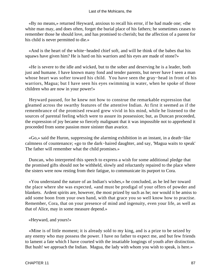«By no means,» returned Heyward, anxious to recall his error, if he had made one; «the white man may, and does often, forget the burial place of his fathers; he sometimes ceases to remember those he should love, and has promised to cherish; but the affection of a parent for his child is never permitted to die.»

 «And is the heart of the white−headed chief soft, and will he think of the babes that his squaws have given him? He is hard on his warriors and his eyes are made of stone?»

 «He is severe to the idle and wicked, but to the sober and deserving he is a leader, both just and humane. I have known many fond and tender parents, but never have I seen a man whose heart was softer toward his child. You have seen the gray−head in front of his warriors, Magua; but I have seen his eyes swimming in water, when he spoke of those children who are now in your power!»

 Heyward paused, for he knew not how to construe the remarkable expression that gleamed across the swarthy features of the attentive Indian. At first it seemed as if the remembrance of the promised reward grew vivid in his mind, while he listened to the sources of parental feeling which were to assure its possession; but, as Duncan proceeded, the expression of joy became so fiercely malignant that it was impossible not to apprehend it proceeded from some passion more sinister than avarice.

 «Go,» said the Huron, suppressing the alarming exhibition in an instant, in a death−like calmness of countenance; «go to the dark−haired daughter, and say, 'Magua waits to speak' The father will remember what the child promises.»

 Duncan, who interpreted this speech to express a wish for some additional pledge that the promised gifts should not be withheld, slowly and reluctantly repaired to the place where the sisters were now resting from their fatigue, to communicate its purport to Cora.

 «You understand the nature of an Indian's wishes,» he concluded, as he led her toward the place where she was expected, «and must be prodigal of your offers of powder and blankets. Ardent spirits are, however, the most prized by such as he; nor would it be amiss to add some boon from your own hand, with that grace you so well know how to practise. Remember, Cora, that on your presence of mind and ingenuity, even your life, as well as that of Alice, may in some measure depend.»

«Heyward, and yours!»

 «Mine is of little moment; it is already sold to my king, and is a prize to be seized by any enemy who may possess the power. I have no father to expect me, and but few friends to lament a fate which I have courted with the insatiable longings of youth after distinction. But hush! we approach the Indian. Magua, the lady with whom you wish to speak, is here.»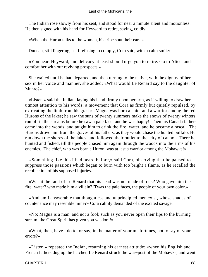The Indian rose slowly from his seat, and stood for near a minute silent and motionless. He then signed with his hand for Heyward to retire, saying, coldly:

«When the Huron talks to the women, his tribe shut their ears.»

Duncan, still lingering, as if refusing to comply, Cora said, with a calm smile:

 «You hear, Heyward, and delicacy at least should urge you to retire. Go to Alice, and comfort her with our reviving prospects.»

 She waited until he had departed, and then turning to the native, with the dignity of her sex in her voice and manner, she added: «What would Le Renard say to the daughter of Munro?»

 «Listen,» said the Indian, laying his hand firmly upon her arm, as if willing to draw her utmost attention to his words; a movement that Cora as firmly but quietly repulsed, by extricating the limb from his grasp: «Magua was born a chief and a warrior among the red Hurons of the lakes; he saw the suns of twenty summers make the snows of twenty winters run off in the streams before he saw a pale face; and he was happy! Then his Canada fathers came into the woods, and taught him to drink the fire−water, and he became a rascal. The Hurons drove him from the graves of his fathers, as they would chase the hunted buffalo. He ran down the shores of the lakes, and followed their outlet to the 'city of cannon' There he hunted and fished, till the people chased him again through the woods into the arms of his enemies. The chief, who was born a Huron, was at last a warrior among the Mohawks!»

 «Something like this I had heard before,» said Cora, observing that he paused to suppress those passions which began to burn with too bright a flame, as he recalled the recollection of his supposed injuries.

 «Was it the fault of Le Renard that his head was not made of rock? Who gave him the fire−water? who made him a villain? 'Twas the pale faces, the people of your own color.»

 «And am I answerable that thoughtless and unprincipled men exist, whose shades of countenance may resemble mine?» Cora calmly demanded of the excited savage.

 «No; Magua is a man, and not a fool; such as you never open their lips to the burning stream: the Great Spirit has given you wisdom!»

 «What, then, have I do to, or say, in the matter of your misfortunes, not to say of your errors?»

 «Listen,» repeated the Indian, resuming his earnest attitude; «when his English and French fathers dug up the hatchet, Le Renard struck the war−post of the Mohawks, and went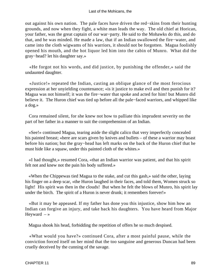out against his own nation. The pale faces have driven the red−skins from their hunting grounds, and now when they fight, a white man leads the way. The old chief at Horican, your father, was the great captain of our war−party. He said to the Mohawks do this, and do that, and he was minded. He made a law, that if an Indian swallowed the fire−water, and came into the cloth wigwams of his warriors, it should not be forgotten. Magua foolishly opened his mouth, and the hot liquor led him into the cabin of Munro. What did the gray−head? let his daughter say.»

 «He forgot not his words, and did justice, by punishing the offender,» said the undaunted daughter.

 «Justice!» repeated the Indian, casting an oblique glance of the most ferocious expression at her unyielding countenance; «is it justice to make evil and then punish for it? Magua was not himself; it was the fire−water that spoke and acted for him! but Munro did believe it. The Huron chief was tied up before all the pale−faced warriors, and whipped like a dog.»

 Cora remained silent, for she knew not how to palliate this imprudent severity on the part of her father in a manner to suit the comprehension of an Indian.

 «See!» continued Magua, tearing aside the slight calico that very imperfectly concealed his painted breast; «here are scars given by knives and bullets – of these a warrior may boast before his nation; but the gray−head has left marks on the back of the Huron chief that he must hide like a squaw, under this painted cloth of the whites.»

 «I had thought,» resumed Cora, «that an Indian warrior was patient, and that his spirit felt not and knew not the pain his body suffered.»

 «When the Chippewas tied Magua to the stake, and cut this gash,» said the other, laying his finger on a deep scar, «the Huron laughed in their faces, and told them, Women struck so light! His spirit was then in the clouds! But when he felt the blows of Munro, his spirit lay under the birch. The spirit of a Huron is never drunk; it remembers forever!»

 «But it may be appeased. If my father has done you this injustice, show him how an Indian can forgive an injury, and take back his daughters. You have heard from Major Heyward  $-\infty$ 

Magua shook his head, forbidding the repetition of offers he so much despised.

 «What would you have?» continued Cora, after a most painful pause, while the conviction forced itself on her mind that the too sanguine and generous Duncan had been cruelly deceived by the cunning of the savage.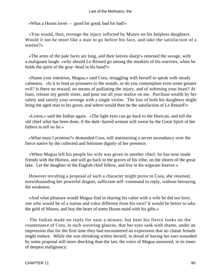#### Last of the Mohicans, the

«What a Huron loves – good for good; bad for bad!»

 «You would, then, revenge the injury inflicted by Munro on his helpless daughters. Would it not be more like a man to go before his face, and take the satisfaction of a warrior?»

 «The arms of the pale faces are long, and their knives sharp!» returned the savage, with a malignant laugh: «why should Le Renard go among the muskets of his warriors, when he holds the spirit of the gray−head in his hand?»

 «Name your intention, Magua,» said Cora, struggling with herself to speak with steady calmness. «Is it to lead us prisoners to the woods, or do you contemplate even some greater evil? Is there no reward, no means of palliating the injury, and of softening your heart? At least, release my gentle sister, and pour out all your malice on me. Purchase wealth by her safety and satisfy your revenge with a single victim. The loss of both his daughters might bring the aged man to his grave, and where would then be the satisfaction of Le Renard?»

 «Listen,» said the Indian again. «The light eyes can go back to the Horican, and tell the old chief what has been done, if the dark−haired woman will swear by the Great Spirit of her fathers to tell no lie.»

 «What must I promise?» demanded Cora, still maintaining a secret ascendancy over the fierce native by the collected and feminine dignity of her presence.

 «When Magua left his people his wife was given to another chief; he has now made friends with the Hurons, and will go back to the graves of his tribe, on the shores of the great lake. Let the daughter of the English chief follow, and live in his wigwam forever.»

 However revolting a proposal of such a character might prove to Cora, she retained, notwithstanding her powerful disgust, sufficient self−command to reply, without betraying the weakness.

 «And what pleasure would Magua find in sharing his cabin with a wife he did not love; one who would be of a nation and color different from his own? It would be better to take the gold of Munro, and buy the heart of some Huron maid with his gifts.»

 The Indian made no reply for near a minute, but bent his fierce looks on the countenance of Cora, in such wavering glances, that her eyes sank with shame, under an impression that for the first time they had encountered an expression that no chaste female might endure. While she was shrinking within herself, in dread of having her ears wounded by some proposal still more shocking than the last, the voice of Magua answered, in its tones of deepest malignancy: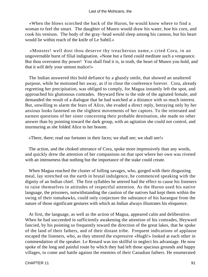«When the blows scorched the back of the Huron, he would know where to find a woman to feel the smart. The daughter of Munro would draw his water, hoe his corn, and cook his venison. The body of the gray−head would sleep among his cannon, but his heart would lie within reach of the knife of Le Subtil.»

 «Monster! well dost thou deserve thy treacherous name,» cried Cora, in an ungovernable burst of filial indignation. «None but a fiend could meditate such a vengeance. But thou overratest thy power! You shall find it is, in truth, the heart of Munro you hold, and that it will defy your utmost malice!»

 The Indian answered this bold defiance by a ghastly smile, that showed an unaltered purpose, while he motioned her away, as if to close the conference forever. Cora, already regretting her precipitation, was obliged to comply, for Magua instantly left the spot, and approached his gluttonous comrades. Heyward flew to the side of the agitated female, and demanded the result of a dialogue that he had watched at a distance with so much interest. But, unwilling to alarm the fears of Alice, she evaded a direct reply, betraying only by her anxious looks fastened on the slightest movements of her captors. To the reiterated and earnest questions of her sister concerning their probable destination, she made no other answer than by pointing toward the dark group, with an agitation she could not control, and murmuring as she folded Alice to her bosom.

«There, there; read our fortunes in their faces; we shall see; we shall see!»

 The action, and the choked utterance of Cora, spoke more impressively than any words, and quickly drew the attention of her companions on that spot where her own was riveted with an intenseness that nothing but the importance of the stake could create.

 When Magua reached the cluster of lolling savages, who, gorged with their disgusting meal, lay stretched on the earth in brutal indulgence, he commenced speaking with the dignity of an Indian chief. The first syllables he uttered had the effect to cause his listeners to raise themselves in attitudes of respectful attention. As the Huron used his native language, the prisoners, notwithstanding the caution of the natives had kept them within the swing of their tomahawks, could only conjecture the substance of his harangue from the nature of those significant gestures with which an Indian always illustrates his eloquence.

 At first, the language, as well as the action of Magua, appeared calm and deliberative. When he had succeeded in sufficiently awakening the attention of his comrades, Heyward fancied, by his pointing so frequently toward the direction of the great lakes, that he spoke of the land of their fathers, and of their distant tribe. Frequent indications of applause escaped the listeners, who, as they uttered the expressive «Hugh!» looked at each other in commendation of the speaker. Le Renard was too skillful to neglect his advantage. He now spoke of the long and painful route by which they had left those spacious grounds and happy villages, to come and battle against the enemies of their Canadian fathers. He enumerated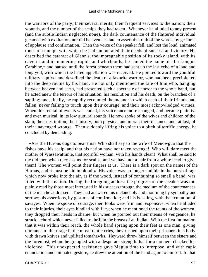the warriors of the party; their several merits; their frequent services to the nation; their wounds, and the number of the scalps they had taken. Whenever he alluded to any present (and the subtle Indian neglected none), the dark countenance of the flattered individual gleamed with exultation, nor did he even hesitate to assert the truth of the words, by gestures of applause and confirmation. Then the voice of the speaker fell, and lost the loud, animated tones of triumph with which he had enumerated their deeds of success and victory. He described the cataract of Glenn's; the impregnable position of its rocky island, with its caverns and its numerous rapids and whirlpools; he named the name of «La Longue Carabine,» and paused until the forest beneath them had sent up the last echo of a loud and long yell, with which the hated appellation was received. He pointed toward the youthful military captive, and described the death of a favorite warrior, who had been precipitated into the deep ravine by his hand. He not only mentioned the fate of him who, hanging between heaven and earth, had presented such a spectacle of horror to the whole band, but he acted anew the terrors of his situation, his resolution and his death, on the branches of a sapling; and, finally, he rapidly recounted the manner in which each of their friends had fallen, never failing to touch upon their courage, and their most acknowledged virtues. When this recital of events was ended, his voice once more changed, and became plaintive and even musical, in its low guttural sounds. He now spoke of the wives and children of the slain; their destitution; their misery, both physical and moral; their distance; and, at last, of their unavenged wrongs. Then suddenly lifting his voice to a pitch of terrific energy, he concluded by demanding:

 «Are the Hurons dogs to bear this? Who shall say to the wife of Menowgua that the fishes have his scalp, and that his nation have not taken revenge! Who will dare meet the mother of Wassawattimie, that scornful woman, with his hands clean! What shall be said to the old men when they ask us for scalps, and we have not a hair from a white head to give them! The women will point their fingers at us. There is a dark spot on the names of the Hurons, and it must be hid in blood!» His voice was no longer audible in the burst of rage which now broke into the air, as if the wood, instead of containing so small a band, was filled with the nation. During the foregoing address the progress of the speaker was too plainly read by those most interested in his success through the medium of the countenances of the men he addressed. They had answered his melancholy and mourning by sympathy and sorrow; his assertions, by gestures of confirmation; and his boasting, with the exultation of savages. When he spoke of courage, their looks were firm and responsive; when he alluded to their injuries, their eyes kindled with fury; when he mentioned the taunts of the women, they dropped their heads in shame; but when he pointed out their means of vengeance, he struck a chord which never failed to thrill in the breast of an Indian. With the first intimation that it was within their reach, the whole band sprang upon their feet as one man; giving utterance to their rage in the most frantic cries, they rushed upon their prisoners in a body with drawn knives and uplifted tomahawks. Heyward threw himself between the sisters and the foremost, whom he grappled with a desperate strength that for a moment checked his violence. This unexpected resistance gave Magua time to interpose, and with rapid enunciation and animated gesture, he drew the attention of the band again to himself. In that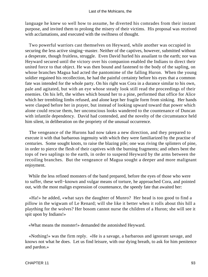language he knew so well how to assume, he diverted his comrades from their instant purpose, and invited them to prolong the misery of their victims. His proposal was received with acclamations, and executed with the swiftness of thought.

 Two powerful warriors cast themselves on Heyward, while another was occupied in securing the less active singing−master. Neither of the captives, however, submitted without a desperate, though fruitless, struggle. Even David hurled his assailant to the earth; nor was Heyward secured until the victory over his companion enabled the Indians to direct their united force to that object. He was then bound and fastened to the body of the sapling, on whose branches Magua had acted the pantomime of the falling Huron. When the young soldier regained his recollection, he had the painful certainty before his eyes that a common fate was intended for the whole party. On his right was Cora in a durance similar to his own, pale and agitated, but with an eye whose steady look still read the proceedings of their enemies. On his left, the withes which bound her to a pine, performed that office for Alice which her trembling limbs refused, and alone kept her fragile form from sinking. Her hands were clasped before her in prayer, but instead of looking upward toward that power which alone could rescue them, her unconscious looks wandered to the countenance of Duncan with infantile dependency. David had contended, and the novelty of the circumstance held him silent, in deliberation on the propriety of the unusual occurrence.

 The vengeance of the Hurons had now taken a new direction, and they prepared to execute it with that barbarous ingenuity with which they were familiarized by the practise of centuries. Some sought knots, to raise the blazing pile; one was riving the splinters of pine, in order to pierce the flesh of their captives with the burning fragments; and others bent the tops of two saplings to the earth, in order to suspend Heyward by the arms between the recoiling branches. But the vengeance of Magua sought a deeper and more malignant enjoyment.

 While the less refined monsters of the band prepared, before the eyes of those who were to suffer, these well−known and vulgar means of torture, he approached Cora, and pointed out, with the most malign expression of countenance, the speedy fate that awaited her:

 «Ha!» he added, «what says the daughter of Munro? Her head is too good to find a pillow in the wigwam of Le Renard; will she like it better when it rolls about this hill a plaything for the wolves? Her bosom cannot nurse the children of a Huron; she will see it spit upon by Indians!»

«What means the monster!» demanded the astonished Heyward.

 «Nothing!» was the firm reply. «He is a savage, a barbarous and ignorant savage, and knows not what he does. Let us find leisure, with our dying breath, to ask for him penitence and pardon.»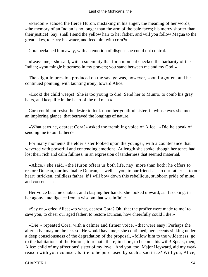«Pardon!» echoed the fierce Huron, mistaking in his anger, the meaning of her words; «the memory of an Indian is no longer than the arm of the pale faces; his mercy shorter than their justice! Say; shall I send the yellow hair to her father, and will you follow Magua to the great lakes, to carry his water, and feed him with corn?»

Cora beckoned him away, with an emotion of disgust she could not control.

 «Leave me,» she said, with a solemnity that for a moment checked the barbarity of the Indian; «you mingle bitterness in my prayers; you stand between me and my God!»

 The slight impression produced on the savage was, however, soon forgotten, and he continued pointing, with taunting irony, toward Alice.

 «Look! the child weeps! She is too young to die! Send her to Munro, to comb his gray hairs, and keep life in the heart of the old man.»

 Cora could not resist the desire to look upon her youthful sister, in whose eyes she met an imploring glance, that betrayed the longings of nature.

 «What says he, dearest Cora?» asked the trembling voice of Alice. «Did he speak of sending me to our father?»

 For many moments the elder sister looked upon the younger, with a countenance that wavered with powerful and contending emotions. At length she spoke, though her tones had lost their rich and calm fullness, in an expression of tenderness that seemed maternal.

 «Alice,» she said, «the Huron offers us both life, nay, more than both; he offers to restore Duncan, our invaluable Duncan, as well as you, to our friends – to our father – to our heart−stricken, childless father, if I will bow down this rebellious, stubborn pride of mine, and consent  $-$  »

 Her voice became choked, and clasping her hands, she looked upward, as if seeking, in her agony, intelligence from a wisdom that was infinite.

 «Say on,» cried Alice; «to what, dearest Cora? Oh! that the proffer were made to me! to save you, to cheer our aged father, to restore Duncan, how cheerfully could I die!»

 «Die!» repeated Cora, with a calmer and firmer voice, «that were easy! Perhaps the alternative may not be less so. He would have me,» she continued, her accents sinking under a deep consciousness of the degradation of the proposal, «follow him to the wilderness; go to the habitations of the Hurons; to remain there; in short, to become his wife! Speak, then, Alice; child of my affections! sister of my love! And you, too, Major Heyward, aid my weak reason with your counsel. Is life to be purchased by such a sacrifice? Will you, Alice,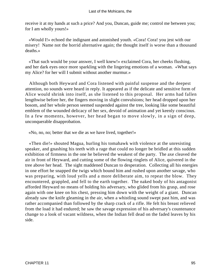receive it at my hands at such a price? And you, Duncan, guide me; control me between you; for I am wholly yours!»

 «Would I!» echoed the indignant and astonished youth. «Cora! Cora! you jest with our misery! Name not the horrid alternative again; the thought itself is worse than a thousand deaths.»

 «That such would be your answer, I well knew!» exclaimed Cora, her cheeks flushing, and her dark eyes once more sparkling with the lingering emotions of a woman. «What says my Alice? for her will I submit without another murmur.»

 Although both Heyward and Cora listened with painful suspense and the deepest attention, no sounds were heard in reply. It appeared as if the delicate and sensitive form of Alice would shrink into itself, as she listened to this proposal. Her arms had fallen lengthwise before her, the fingers moving in slight convulsions; her head dropped upon her bosom, and her whole person seemed suspended against the tree, looking like some beautiful emblem of the wounded delicacy of her sex, devoid of animation and yet keenly conscious. In a few moments, however, her head began to move slowly, in a sign of deep, unconquerable disapprobation.

«No, no, no; better that we die as we have lived, together!»

 «Then die!» shouted Magua, hurling his tomahawk with violence at the unresisting speaker, and gnashing his teeth with a rage that could no longer be bridled at this sudden exhibition of firmness in the one he believed the weakest of the party. The axe cleaved the air in front of Heyward, and cutting some of the flowing ringlets of Alice, quivered in the tree above her head. The sight maddened Duncan to desperation. Collecting all his energies in one effort he snapped the twigs which bound him and rushed upon another savage, who was preparing, with loud yells and a more deliberate aim, to repeat the blow. They encountered, grappled, and fell to the earth together. The naked body of his antagonist afforded Heyward no means of holding his adversary, who glided from his grasp, and rose again with one knee on his chest, pressing him down with the weight of a giant. Duncan already saw the knife gleaming in the air, when a whistling sound swept past him, and was rather accompanied than followed by the sharp crack of a rifle. He felt his breast relieved from the load it had endured; he saw the savage expression of his adversary's countenance change to a look of vacant wildness, when the Indian fell dead on the faded leaves by his side.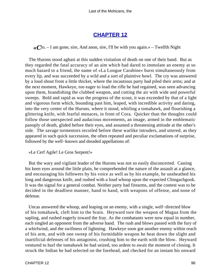## **[CHAPTER 12](#page-316-0)**

 $\ll C$ lo. – I am gone, sire, And anon, sire, I'll be with you again.» – Twelfth Night

 The Hurons stood aghast at this sudden visitation of death on one of their band. But as they regarded the fatal accuracy of an aim which had dared to immolate an enemy at so much hazard to a friend, the name of «La Longue Carabine» burst simultaneously from every lip, and was succeeded by a wild and a sort of plaintive howl. The cry was answered by a loud shout from a little thicket, where the incautious party had piled their arms; and at the next moment, Hawkeye, too eager to load the rifle he had regained, was seen advancing upon them, brandishing the clubbed weapon, and cutting the air with wide and powerful sweeps. Bold and rapid as was the progress of the scout, it was exceeded by that of a light and vigorous form which, bounding past him, leaped, with incredible activity and daring, into the very center of the Hurons, where it stood, whirling a tomahawk, and flourishing a glittering knife, with fearful menaces, in front of Cora. Quicker than the thoughts could follow those unexpected and audacious movements, an image, armed in the emblematic panoply of death, glided before their eyes, and assumed a threatening attitude at the other's side. The savage tormentors recoiled before these warlike intruders, and uttered, as they appeared in such quick succession, the often repeated and peculiar exclamations of surprise, followed by the well−known and dreaded appellations of:

«Le Cerf Agile! Le Gros Serpent!»

 But the wary and vigilant leader of the Hurons was not so easily disconcerted. Casting his keen eyes around the little plain, he comprehended the nature of the assault at a glance, and encouraging his followers by his voice as well as by his example, he unsheathed his long and dangerous knife, and rushed with a loud whoop upon the expected Chingachgook. It was the signal for a general combat. Neither party had firearms, and the contest was to be decided in the deadliest manner, hand to hand, with weapons of offense, and none of defense.

 Uncas answered the whoop, and leaping on an enemy, with a single, well−directed blow of his tomahawk, cleft him to the brain. Heyward tore the weapon of Magua from the sapling, and rushed eagerly toward the fray. As the combatants were now equal in number, each singled an opponent from the adverse band. The rush and blows passed with the fury of a whirlwind, and the swiftness of lightning. Hawkeye soon got another enemy within reach of his arm, and with one sweep of his formidable weapon he beat down the slight and inartificial defenses of his antagonist, crushing him to the earth with the blow. Heyward ventured to hurl the tomahawk he had seized, too ardent to await the moment of closing. It struck the Indian he had selected on the forehead, and checked for an instant his onward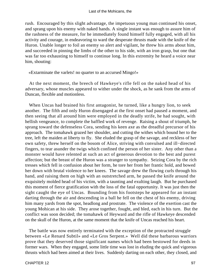rush. Encouraged by this slight advantage, the impetuous young man continued his onset, and sprang upon his enemy with naked hands. A single instant was enough to assure him of the rashness of the measure, for he immediately found himself fully engaged, with all his activity and courage, in endeavoring to ward the desperate thrusts made with the knife of the Huron. Unable longer to foil an enemy so alert and vigilant, he threw his arms about him, and succeeded in pinning the limbs of the other to his side, with an iron grasp, but one that was far too exhausting to himself to continue long. In this extremity he heard a voice near him, shouting:

«Extarminate the varlets! no quarter to an accursed Mingo!»

 At the next moment, the breech of Hawkeye's rifle fell on the naked head of his adversary, whose muscles appeared to wither under the shock, as he sank from the arms of Duncan, flexible and motionless.

 When Uncas had brained his first antagonist, he turned, like a hungry lion, to seek another. The fifth and only Huron disengaged at the first onset had paused a moment, and then seeing that all around him were employed in the deadly strife, he had sought, with hellish vengeance, to complete the baffled work of revenge. Raising a shout of triumph, he sprang toward the defenseless Cora, sending his keen axe as the dreadful precursor of his approach. The tomahawk grazed her shoulder, and cutting the withes which bound her to the tree, left the maiden at liberty to fly. She eluded the grasp of the savage, and reckless of her own safety, threw herself on the bosom of Alice, striving with convulsed and ill−directed fingers, to tear asunder the twigs which confined the person of her sister. Any other than a monster would have relented at such an act of generous devotion to the best and purest affection; but the breast of the Huron was a stranger to sympathy. Seizing Cora by the rich tresses which fell in confusion about her form, he tore her from her frantic hold, and bowed her down with brutal violence to her knees. The savage drew the flowing curls through his hand, and raising them on high with an outstretched arm, he passed the knife around the exquisitely molded head of his victim, with a taunting and exulting laugh. But he purchased this moment of fierce gratification with the loss of the fatal opportunity. It was just then the sight caught the eye of Uncas. Bounding from his footsteps he appeared for an instant darting through the air and descending in a ball he fell on the chest of his enemy, driving him many yards from the spot, headlong and prostrate. The violence of the exertion cast the young Mohican at his side. They arose together, fought, and bled, each in his turn. But the conflict was soon decided; the tomahawk of Heyward and the rifle of Hawkeye descended on the skull of the Huron, at the same moment that the knife of Uncas reached his heart.

 The battle was now entirely terminated with the exception of the protracted struggle between «Le Renard Subtil» and «Le Gros Serpent.» Well did these barbarous warriors prove that they deserved those significant names which had been bestowed for deeds in former wars. When they engaged, some little time was lost in eluding the quick and vigorous thrusts which had been aimed at their lives. Suddenly darting on each other, they closed, and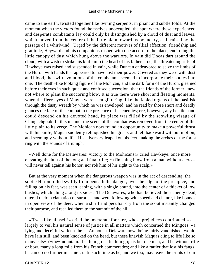came to the earth, twisted together like twining serpents, in pliant and subtle folds. At the moment when the victors found themselves unoccupied, the spot where these experienced and desperate combatants lay could only be distinguished by a cloud of dust and leaves, which moved from the center of the little plain toward its boundary, as if raised by the passage of a whirlwind. Urged by the different motives of filial affection, friendship and gratitude, Heyward and his companions rushed with one accord to the place, encircling the little canopy of dust which hung above the warriors. In vain did Uncas dart around the cloud, with a wish to strike his knife into the heart of his father's foe; the threatening rifle of Hawkeye was raised and suspended in vain, while Duncan endeavored to seize the limbs of the Huron with hands that appeared to have lost their power. Covered as they were with dust and blood, the swift evolutions of the combatants seemed to incorporate their bodies into one. The death−like looking figure of the Mohican, and the dark form of the Huron, gleamed before their eyes in such quick and confused succession, that the friends of the former knew not where to plant the succoring blow. It is true there were short and fleeting moments, when the fiery eyes of Magua were seen glittering, like the fabled organs of the basilisk through the dusty wreath by which he was enveloped, and he read by those short and deadly glances the fate of the combat in the presence of his enemies; ere, however, any hostile hand could descend on his devoted head, its place was filled by the scowling visage of Chingachgook. In this manner the scene of the combat was removed from the center of the little plain to its verge. The Mohican now found an opportunity to make a powerful thrust with his knife; Magua suddenly relinquished his grasp, and fell backward without motion, and seemingly without life. His adversary leaped on his feet, making the arches of the forest ring with the sounds of triumph.

 «Well done for the Delawares! victory to the Mohicans!» cried Hawkeye, once more elevating the butt of the long and fatal rifle; «a finishing blow from a man without a cross will never tell against his honor, nor rob him of his right to the scalp.»

 But at the very moment when the dangerous weapon was in the act of descending, the subtle Huron rolled swiftly from beneath the danger, over the edge of the precipice, and falling on his feet, was seen leaping, with a single bound, into the center of a thicket of low bushes, which clung along its sides. The Delawares, who had believed their enemy dead, uttered their exclamation of surprise, and were following with speed and clamor, like hounds in open view of the deer, when a shrill and peculiar cry from the scout instantly changed their purpose, and recalled them to the summit of the hill.

 «'Twas like himself!» cried the inveterate forester, whose prejudices contributed so largely to veil his natural sense of justice in all matters which concerned the Mingoes; «a lying and deceitful varlet as he is. An honest Delaware now, being fairly vanquished, would have lain still, and been knocked on the head, but these knavish Maquas cling to life like so many cats−o'−the−mountain. Let him go – let him go; 'tis but one man, and he without rifle or bow, many a long mile from his French commerades; and like a rattler that lost his fangs, he can do no further mischief, until such time as he, and we too, may leave the prints of our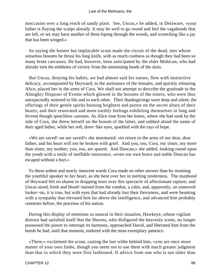moccasins over a long reach of sandy plain. See, Uncas,» he added, in Delaware, «your father is flaying the scalps already. It may be well to go round and feel the vagabonds that are left, or we may have another of them loping through the woods, and screeching like a jay that has been winged.»

 So saying the honest but implacable scout made the circuit of the dead, into whose senseless bosoms he thrust his long knife, with as much coolness as though they had been so many brute carcasses. He had, however, been anticipated by the elder Mohican, who had already torn the emblems of victory from the unresisting heads of the slain.

 But Uncas, denying his habits, we had almost said his nature, flew with instinctive delicacy, accompanied by Heyward, to the assistance of the females, and quickly releasing Alice, placed her in the arms of Cora. We shall not attempt to describe the gratitude to the Almighty Disposer of Events which glowed in the bosoms of the sisters, who were thus unexpectedly restored to life and to each other. Their thanksgivings were deep and silent; the offerings of their gentle spirits burning brightest and purest on the secret altars of their hearts; and their renovated and more earthly feelings exhibiting themselves in long and fervent though speechless caresses. As Alice rose from her knees, where she had sunk by the side of Cora, she threw herself on the bosom of the latter, and sobbed aloud the name of their aged father, while her soft, dove−like eyes, sparkled with the rays of hope.

 «We are saved! we are saved!» she murmured; «to return to the arms of our dear, dear father, and his heart will not be broken with grief. And you, too, Cora, my sister, my more than sister, my mother; you, too, are spared. And Duncan,» she added, looking round upon the youth with a smile of ineffable innocence, «even our own brave and noble Duncan has escaped without a hurt.»

 To these ardent and nearly innocent words Cora made no other answer than by straining the youthful speaker to her heart, as she bent over her in melting tenderness. The manhood of Heyward felt no shame in dropping tears over this spectacle of affectionate rapture; and Uncas stood, fresh and blood−stained from the combat, a calm, and, apparently, an unmoved looker−on, it is true, but with eyes that had already lost their fierceness, and were beaming with a sympathy that elevated him far above the intelligence, and advanced him probably centuries before, the practises of his nation.

 During this display of emotions so natural in their situation, Hawkeye, whose vigilant distrust had satisfied itself that the Hurons, who disfigured the heavenly scene, no longer possessed the power to interrupt its harmony, approached David, and liberated him from the bonds he had, until that moment, endured with the most exemplary patience.

 «There,» exclaimed the scout, casting the last withe behind him, «you are once more master of your own limbs, though you seem not to use them with much greater judgment than that in which they were first fashioned. If advice from one who is not older than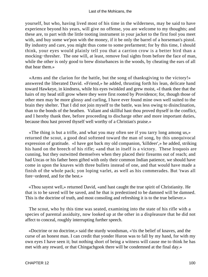yourself, but who, having lived most of his time in the wilderness, may be said to have experience beyond his years, will give no offense, you are welcome to my thoughts; and these are, to part with the little tooting instrument in your jacket to the first fool you meet with, and buy some we'pon with the money, if it be only the barrel of a horseman's pistol. By industry and care, you might thus come to some prefarment; for by this time, I should think, your eyes would plainly tell you that a carrion crow is a better bird than a mocking−thresher. The one will, at least, remove foul sights from before the face of man, while the other is only good to brew disturbances in the woods, by cheating the ears of all that hear them.»

 «Arms and the clarion for the battle, but the song of thanksgiving to the victory!» answered the liberated David. «Friend,» he added, thrusting forth his lean, delicate hand toward Hawkeye, in kindness, while his eyes twinkled and grew moist, «I thank thee that the hairs of my head still grow where they were first rooted by Providence; for, though those of other men may be more glossy and curling, I have ever found mine own well suited to the brain they shelter. That I did not join myself to the battle, was less owing to disinclination, than to the bonds of the heathen. Valiant and skillful hast thou proved thyself in the conflict, and I hereby thank thee, before proceeding to discharge other and more important duties, because thou hast proved thyself well worthy of a Christian's praise.»

 «The thing is but a trifle, and what you may often see if you tarry long among us,» returned the scout, a good deal softened toward the man of song, by this unequivocal expression of gratitude. «I have got back my old companion, 'killdeer',» he added, striking his hand on the breech of his rifle; «and that in itself is a victory. These Iroquois are cunning, but they outwitted themselves when they placed their firearms out of reach; and had Uncas or his father been gifted with only their common Indian patience, we should have come in upon the knaves with three bullets instead of one, and that would have made a finish of the whole pack; yon loping varlet, as well as his commerades. But 'twas all fore−ordered, and for the best.»

 «Thou sayest well,» returned David, «and hast caught the true spirit of Christianity. He that is to be saved will be saved, and he that is predestined to be damned will be damned. This is the doctrine of truth, and most consoling and refreshing it is to the true believer.»

 The scout, who by this time was seated, examining into the state of his rifle with a species of parental assiduity, now looked up at the other in a displeasure that he did not affect to conceal, roughly interrupting further speech.

 «Doctrine or no doctrine,» said the sturdy woodsman, «'tis the belief of knaves, and the curse of an honest man. I can credit that yonder Huron was to fall by my hand, for with my own eyes I have seen it; but nothing short of being a witness will cause me to think he has met with any reward, or that Chingachgook there will be condemned at the final day.»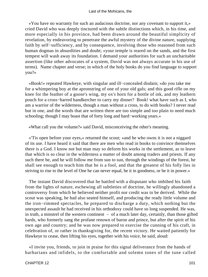#### Last of the Mohicans, the

 «You have no warranty for such an audacious doctrine, nor any covenant to support it,» cried David who was deeply tinctured with the subtle distinctions which, in his time, and more especially in his province, had been drawn around the beautiful simplicity of revelation, by endeavoring to penetrate the awful mystery of the divine nature, supplying faith by self−sufficiency, and by consequence, involving those who reasoned from such human dogmas in absurdities and doubt; «your temple is reared on the sands, and the first tempest will wash away its foundation. I demand your authorities for such an uncharitable assertion (like other advocates of a system, David was not always accurate in his use of terms). Name chapter and verse; in which of the holy books do you find language to support you?»

 «Book!» repeated Hawkeye, with singular and ill−concealed disdain; «do you take me for a whimpering boy at the apronstring of one of your old gals; and this good rifle on my knee for the feather of a goose's wing, my ox's horn for a bottle of ink, and my leathern pouch for a cross−barred handkercher to carry my dinner? Book! what have such as I, who am a warrior of the wilderness, though a man without a cross, to do with books? I never read but in one, and the words that are written there are too simple and too plain to need much schooling; though I may boast that of forty long and hard−working years.»

«What call you the volume?» said David, misconceiving the other's meaning.

 «'Tis open before your eyes,» returned the scout; «and he who owns it is not a niggard of its use. I have heard it said that there are men who read in books to convince themselves there is a God. I know not but man may so deform his works in the settlement, as to leave that which is so clear in the wilderness a matter of doubt among traders and priests. If any such there be, and he will follow me from sun to sun, through the windings of the forest, he shall see enough to teach him that he is a fool, and that the greatest of his folly lies in striving to rise to the level of One he can never equal, be it in goodness, or be it in power.»

 The instant David discovered that he battled with a disputant who imbibed his faith from the lights of nature, eschewing all subtleties of doctrine, he willingly abandoned a controversy from which he believed neither profit nor credit was to be derived. While the scout was speaking, he had also seated himself, and producing the ready little volume and the iron−rimmed spectacles, he prepared to discharge a duty, which nothing but the unexpected assault he had received in his orthodoxy could have so long suspended. He was, in truth, a minstrel of the western continent – of a much later day, certainly, than those gifted bards, who formerly sang the profane renown of baron and prince, but after the spirit of his own age and country; and he was now prepared to exercise the cunning of his craft, in celebration of, or rather in thanksgiving for, the recent victory. He waited patiently for Hawkeye to cease, then lifting his eyes, together with his voice, he said, aloud:

 «I invite you, friends, to join in praise for this signal deliverance from the hands of barbarians and infidels, to the comfortable and solemn tones of the tune called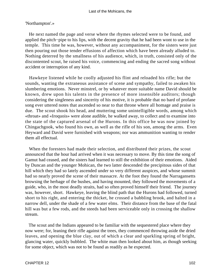#### Last of the Mohicans, the

### 'Northampton'.»

 He next named the page and verse where the rhymes selected were to be found, and applied the pitch−pipe to his lips, with the decent gravity that he had been wont to use in the temple. This time he was, however, without any accompaniment, for the sisters were just then pouring out those tender effusions of affection which have been already alluded to. Nothing deterred by the smallness of his audience, which, in truth, consisted only of the discontented scout, he raised his voice, commencing and ending the sacred song without accident or interruption of any kind.

 Hawkeye listened while he coolly adjusted his flint and reloaded his rifle; but the sounds, wanting the extraneous assistance of scene and sympathy, failed to awaken his slumbering emotions. Never minstrel, or by whatever more suitable name David should be known, drew upon his talents in the presence of more insensible auditors; though considering the singleness and sincerity of his motive, it is probable that no bard of profane song ever uttered notes that ascended so near to that throne where all homage and praise is due. The scout shook his head, and muttering some unintelligible words, among which «throat» and «Iroquois» were alone audible, he walked away, to collect and to examine into the state of the captured arsenal of the Hurons. In this office he was now joined by Chingachgook, who found his own, as well as the rifle of his son, among the arms. Even Heyward and David were furnished with weapons; nor was ammunition wanting to render them all effectual.

 When the foresters had made their selection, and distributed their prizes, the scout announced that the hour had arrived when it was necessary to move. By this time the song of Gamut had ceased, and the sisters had learned to still the exhibition of their emotions. Aided by Duncan and the younger Mohican, the two latter descended the precipitous sides of that hill which they had so lately ascended under so very different auspices, and whose summit had so nearly proved the scene of their massacre. At the foot they found the Narragansetts browsing the herbage of the bushes, and having mounted, they followed the movements of a guide, who, in the most deadly straits, had so often proved himself their friend. The journey was, however, short. Hawkeye, leaving the blind path that the Hurons had followed, turned short to his right, and entering the thicket, he crossed a babbling brook, and halted in a narrow dell, under the shade of a few water elms. Their distance from the base of the fatal hill was but a few rods, and the steeds had been serviceable only in crossing the shallow stream.

 The scout and the Indians appeared to be familiar with the sequestered place where they now were; for, leaning their rifle against the trees, they commenced throwing aside the dried leaves, and opening the blue clay, out of which a clear and sparkling spring of bright, glancing water, quickly bubbled. The white man then looked about him, as though seeking for some object, which was not to be found as readily as he expected.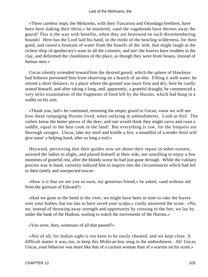«Them careless imps, the Mohawks, with their Tuscarora and Onondaga brethren, have been here slaking their thirst,» he muttered, «and the vagabonds have thrown away the gourd! This is the way with benefits, when they are bestowed on such disremembering hounds! Here has the Lord laid his hand, in the midst of the howling wilderness, for their good, and raised a fountain of water from the bowels of the 'arth, that might laugh at the richest shop of apothecary's ware in all the colonies; and see! the knaves have trodden in the clay, and deformed the cleanliness of the place, as though they were brute beasts, instead of human men.»

 Uncas silently extended toward him the desired gourd, which the spleen of Hawkeye had hitherto prevented him from observing on a branch of an elm. Filling it with water, he retired a short distance, to a place where the ground was more firm and dry; here he coolly seated himself, and after taking a long, and, apparently, a grateful draught, he commenced a very strict examination of the fragments of food left by the Hurons, which had hung in a wallet on his arm.

 «Thank you, lad!» he continued, returning the empty gourd to Uncas; «now we will see how these rampaging Hurons lived, when outlying in ambushments. Look at this! The varlets know the better pieces of the deer; and one would think they might carve and roast a saddle, equal to the best cook in the land! But everything is raw, for the Iroquois are thorough savages. Uncas, take my steel and kindle a fire; a mouthful of a tender broil will give natur' a helping hand, after so long a trail.»

 Heyward, perceiving that their guides now set about their repast in sober earnest, assisted the ladies to alight, and placed himself at their side, not unwilling to enjoy a few moments of grateful rest, after the bloody scene he had just gone through. While the culinary process was in hand, curiosity induced him to inquire into the circumstances which had led to their timely and unexpected rescue:

 «How is it that we see you so soon, my generous friend,» he asked, «and without aid from the garrison of Edward?»

 «Had we gone to the bend in the river, we might have been in time to rake the leaves over your bodies, but too late to have saved your scalps,» coolly answered the scout. «No, no; instead of throwing away strength and opportunity by crossing to the fort, we lay by, under the bank of the Hudson, waiting to watch the movements of the Hurons.»

«You were, then, witnesses of all that passed?»

 «Not of all; for Indian sight is too keen to be easily cheated, and we kept close. A difficult matter it was, too, to keep this Mohican boy snug in the ambushment. Ah! Uncas, Uncas, your behavior was more like that of a curious woman than of a warrior on his scent.»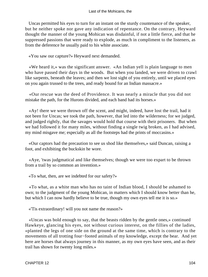Uncas permitted his eyes to turn for an instant on the sturdy countenance of the speaker, but he neither spoke nor gave any indication of repentance. On the contrary, Heyward thought the manner of the young Mohican was disdainful, if not a little fierce, and that he suppressed passions that were ready to explode, as much in compliment to the listeners, as from the deference he usually paid to his white associate.

«You saw our capture?» Heyward next demanded.

 «We heard it,» was the significant answer. «An Indian yell is plain language to men who have passed their days in the woods. But when you landed, we were driven to crawl like sarpents, beneath the leaves; and then we lost sight of you entirely, until we placed eyes on you again trussed to the trees, and ready bound for an Indian massacre.»

 «Our rescue was the deed of Providence. It was nearly a miracle that you did not mistake the path, for the Hurons divided, and each band had its horses.»

 «Ay! there we were thrown off the scent, and might, indeed, have lost the trail, had it not been for Uncas; we took the path, however, that led into the wilderness; for we judged, and judged rightly, that the savages would hold that course with their prisoners. But when we had followed it for many miles, without finding a single twig broken, as I had advised, my mind misgave me; especially as all the footsteps had the prints of moccasins.»

 «Our captors had the precaution to see us shod like themselves,» said Duncan, raising a foot, and exhibiting the buckskin he wore.

 «Aye, 'twas judgmatical and like themselves; though we were too expart to be thrown from a trail by so common an invention.»

«To what, then, are we indebted for our safety?»

 «To what, as a white man who has no taint of Indian blood, I should be ashamed to own; to the judgment of the young Mohican, in matters which I should know better than he, but which I can now hardly believe to be true, though my own eyes tell me it is so.»

«'Tis extraordinary! will you not name the reason?»

 «Uncas was bold enough to say, that the beasts ridden by the gentle ones,» continued Hawkeye, glancing his eyes, not without curious interest, on the fillies of the ladies, «planted the legs of one side on the ground at the same time, which is contrary to the movements of all trotting four−footed animals of my knowledge, except the bear. And yet here are horses that always journey in this manner, as my own eyes have seen, and as their trail has shown for twenty long miles.»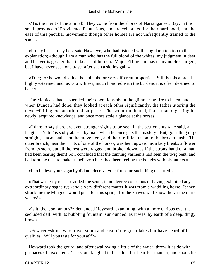#### Last of the Mohicans, the

 «'Tis the merit of the animal! They come from the shores of Narrangansett Bay, in the small province of Providence Plantations, and are celebrated for their hardihood, and the ease of this peculiar movement; though other horses are not unfrequently trained to the same.»

 «It may be – it may be,» said Hawkeye, who had listened with singular attention to this explanation; «though I am a man who has the full blood of the whites, my judgment in deer and beaver is greater than in beasts of burden. Major Effingham has many noble chargers, but I have never seen one travel after such a sidling gait.»

 «True; for he would value the animals for very different properties. Still is this a breed highly esteemed and, as you witness, much honored with the burdens it is often destined to bear.»

 The Mohicans had suspended their operations about the glimmering fire to listen; and, when Duncan had done, they looked at each other significantly, the father uttering the never−failing exclamation of surprise. The scout ruminated, like a man digesting his newly−acquired knowledge, and once more stole a glance at the horses.

 «I dare to say there are even stranger sights to be seen in the settlements!» he said, at length. «Natur' is sadly abused by man, when he once gets the mastery. But, go sidling or go straight, Uncas had seen the movement, and their trail led us on to the broken bush. The outer branch, near the prints of one of the horses, was bent upward, as a lady breaks a flower from its stem, but all the rest were ragged and broken down, as if the strong hand of a man had been tearing them! So I concluded that the cunning varments had seen the twig bent, and had torn the rest, to make us believe a buck had been feeling the boughs with his antlers.»

«I do believe your sagacity did not deceive you; for some such thing occurred!»

 «That was easy to see,» added the scout, in no degree conscious of having exhibited any extraordinary sagacity; «and a very different matter it was from a waddling horse! It then struck me the Mingoes would push for this spring, for the knaves well know the vartue of its waters!»

 «Is it, then, so famous?» demanded Heyward, examining, with a more curious eye, the secluded dell, with its bubbling fountain, surrounded, as it was, by earth of a deep, dingy brown.

 «Few red−skins, who travel south and east of the great lakes but have heard of its qualities. Will you taste for yourself?»

 Heyward took the gourd, and after swallowing a little of the water, threw it aside with grimaces of discontent. The scout laughed in his silent but heartfelt manner, and shook his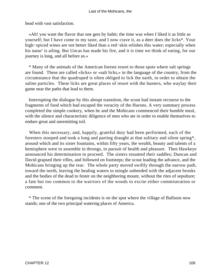head with vast satisfaction.

 «Ah! you want the flavor that one gets by habit; the time was when I liked it as little as yourself; but I have come to my taste, and I now crave it, as a deer does the licks\*. Your high−spiced wines are not better liked than a red−skin relishes this water; especially when his natur' is ailing. But Uncas has made his fire, and it is time we think of eating, for our journey is long, and all before us.»

 \* Many of the animals of the American forests resort to those spots where salt springs are found. These are called «licks» or «salt licks,» in the language of the country, from the circumstance that the quadruped is often obliged to lick the earth, in order to obtain the saline particles. These licks are great places of resort with the hunters, who waylay their game near the paths that lead to them.

 Interrupting the dialogue by this abrupt transition, the scout had instant recourse to the fragments of food which had escaped the voracity of the Hurons. A very summary process completed the simple cookery, when he and the Mohicans commenced their humble meal, with the silence and characteristic diligence of men who ate in order to enable themselves to endure great and unremitting toil.

 When this necessary, and, happily, grateful duty had been performed, each of the foresters stooped and took a long and parting draught at that solitary and silent spring\*, around which and its sister fountains, within fifty years, the wealth, beauty and talents of a hemisphere were to assemble in throngs, in pursuit of health and pleasure. Then Hawkeye announced his determination to proceed. The sisters resumed their saddles; Duncan and David grapsed their rifles, and followed on footsteps; the scout leading the advance, and the Mohicans bringing up the rear. The whole party moved swiftly through the narrow path, toward the north, leaving the healing waters to mingle unheeded with the adjacent brooks and the bodies of the dead to fester on the neighboring mount, without the rites of sepulture; a fate but too common to the warriors of the woods to excite either commiseration or comment.

 \* The scene of the foregoing incidents is on the spot where the village of Ballston now stands; one of the two principal watering places of America.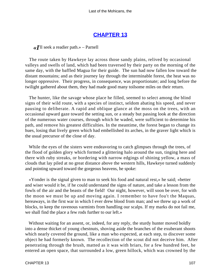### **[CHAPTER 13](#page-316-0)**

*«I*'ll seek a readier path.» – Parnell

 The route taken by Hawkeye lay across those sandy plains, relived by occasional valleys and swells of land, which had been traversed by their party on the morning of the same day, with the baffled Magua for their guide. The sun had now fallen low toward the distant mountains; and as their journey lay through the interminable forest, the heat was no longer oppressive. Their progress, in consequence, was proportionate; and long before the twilight gathered about them, they had made good many toilsome miles on their return.

 The hunter, like the savage whose place he filled, seemed to select among the blind signs of their wild route, with a species of instinct, seldom abating his speed, and never pausing to deliberate. A rapid and oblique glance at the moss on the trees, with an occasional upward gaze toward the setting sun, or a steady but passing look at the direction of the numerous water courses, through which he waded, were sufficient to determine his path, and remove his greatest difficulties. In the meantime, the forest began to change its hues, losing that lively green which had embellished its arches, in the graver light which is the usual precursor of the close of day.

While the eyes of the sisters were endeavoring to catch glimpses through the trees, of the flood of golden glory which formed a glittering halo around the sun, tinging here and there with ruby streaks, or bordering with narrow edgings of shining yellow, a mass of clouds that lay piled at no great distance above the western hills, Hawkeye turned suddenly and pointing upward toward the gorgeous heavens, he spoke:

 «Yonder is the signal given to man to seek his food and natural rest,» he said; «better and wiser would it be, if he could understand the signs of nature, and take a lesson from the fowls of the air and the beasts of the field! Our night, however, will soon be over, for with the moon we must be up and moving again. I remember to have fou't the Maquas, hereaways, in the first war in which I ever drew blood from man; and we threw up a work of blocks, to keep the ravenous varmints from handling our scalps. If my marks do not fail me, we shall find the place a few rods further to our left.»

 Without waiting for an assent, or, indeed, for any reply, the sturdy hunter moved boldly into a dense thicket of young chestnuts, shoving aside the branches of the exuberant shoots which nearly covered the ground, like a man who expected, at each step, to discover some object he had formerly known. The recollection of the scout did not deceive him. After penetrating through the brush, matted as it was with briars, for a few hundred feet, he entered an open space, that surrounded a low, green hillock, which was crowned by the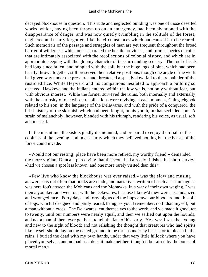decayed blockhouse in question. This rude and neglected building was one of those deserted works, which, having been thrown up on an emergency, had been abandoned with the disappearance of danger, and was now quietly crumbling in the solitude of the forest, neglected and nearly forgotten, like the circumstances which had caused it to be reared. Such memorials of the passage and struggles of man are yet frequent throughout the broad barrier of wilderness which once separated the hostile provinces, and form a species of ruins that are intimately associated with the recollections of colonial history, and which are in appropriate keeping with the gloomy character of the surrounding scenery. The roof of bark had long since fallen, and mingled with the soil, but the huge logs of pine, which had been hastily thrown together, still preserved their relative positions, though one angle of the work had given way under the pressure, and threatened a speedy downfall to the remainder of the rustic edifice. While Heyward and his companions hesitated to approach a building so decayed, Hawkeye and the Indians entered within the low walls, not only without fear, but with obvious interest. While the former surveyed the ruins, both internally and externally, with the curiosity of one whose recollections were reviving at each moment, Chingachgook related to his son, in the language of the Delawares, and with the pride of a conqueror, the brief history of the skirmish which had been fought, in his youth, in that secluded spot. A strain of melancholy, however, blended with his triumph, rendering his voice, as usual, soft and musical.

 In the meantime, the sisters gladly dismounted, and prepared to enjoy their halt in the coolness of the evening, and in a security which they believed nothing but the beasts of the forest could invade.

 «Would not our resting−place have been more retired, my worthy friend,» demanded the more vigilant Duncan, perceiving that the scout had already finished his short survey, «had we chosen a spot less known, and one more rarely visited than this?»

 «Few live who know the blockhouse was ever raised,» was the slow and musing answer; «'tis not often that books are made, and narratives written of such a scrimmage as was here fou't atween the Mohicans and the Mohawks, in a war of their own waging. I was then a younker, and went out with the Delawares, because I know'd they were a scandalized and wronged race. Forty days and forty nights did the imps crave our blood around this pile of logs, which I designed and partly reared, being, as you'll remember, no Indian myself, but a man without a cross. The Delawares lent themselves to the work, and we made it good, ten to twenty, until our numbers were nearly equal, and then we sallied out upon the hounds, and not a man of them ever got back to tell the fate of his party. Yes, yes; I was then young, and new to the sight of blood; and not relishing the thought that creatures who had spirits like myself should lay on the naked ground, to be torn asunder by beasts, or to bleach in the rains, I buried the dead with my own hands, under that very little hillock where you have placed yourselves; and no bad seat does it make neither, though it be raised by the bones of mortal men.»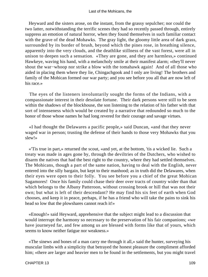Heyward and the sisters arose, on the instant, from the grassy sepulcher; nor could the two latter, notwithstanding the terrific scenes they had so recently passed through, entirely suppress an emotion of natural horror, when they found themselves in such familiar contact with the grave of the dead Mohawks. The gray light, the gloomy little area of dark grass, surrounded by its border of brush, beyond which the pines rose, in breathing silence, apparently into the very clouds, and the deathlike stillness of the vast forest, were all in unison to deepen such a sensation. «They are gone, and they are harmless,» continued Hawkeye, waving his hand, with a melancholy smile at their manifest alarm; «they'll never shout the war−whoop nor strike a blow with the tomahawk again! And of all those who aided in placing them where they lie, Chingachgook and I only are living! The brothers and family of the Mohican formed our war party; and you see before you all that are now left of his race.»

 The eyes of the listeners involuntarily sought the forms of the Indians, with a compassionate interest in their desolate fortune. Their dark persons were still to be seen within the shadows of the blockhouse, the son listening to the relation of his father with that sort of intenseness which would be created by a narrative that redounded so much to the honor of those whose names he had long revered for their courage and savage virtues.

 «I had thought the Delawares a pacific people,» said Duncan, «and that they never waged war in person; trusting the defense of their hands to those very Mohawks that you slew!»

 «'Tis true in part,» returned the scout, «and yet, at the bottom, 'tis a wicked lie. Such a treaty was made in ages gone by, through the deviltries of the Dutchers, who wished to disarm the natives that had the best right to the country, where they had settled themselves. The Mohicans, though a part of the same nation, having to deal with the English, never entered into the silly bargain, but kept to their manhood; as in truth did the Delawares, when their eyes were open to their folly. You see before you a chief of the great Mohican Sagamores! Once his family could chase their deer over tracts of country wider than that which belongs to the Albany Patteroon, without crossing brook or hill that was not their own; but what is left of their descendant? He may find his six feet of earth when God chooses, and keep it in peace, perhaps, if he has a friend who will take the pains to sink his head so low that the plowshares cannot reach it!»

 «Enough!» said Heyward, apprehensive that the subject might lead to a discussion that would interrupt the harmony so necessary to the preservation of his fair companions; «we have journeyed far, and few among us are blessed with forms like that of yours, which seems to know neither fatigue nor weakness.»

 «The sinews and bones of a man carry me through it all,» said the hunter, surveying his muscular limbs with a simplicity that betrayed the honest pleasure the compliment afforded him; «there are larger and heavier men to be found in the settlements, but you might travel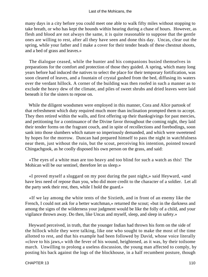many days in a city before you could meet one able to walk fifty miles without stopping to take breath, or who has kept the hounds within hearing during a chase of hours. However, as flesh and blood are not always the same, it is quite reasonable to suppose that the gentle ones are willing to rest, after all they have seen and done this day. Uncas, clear out the spring, while your father and I make a cover for their tender heads of these chestnut shoots, and a bed of grass and leaves.»

 The dialogue ceased, while the hunter and his companions busied themselves in preparations for the comfort and protection of those they guided. A spring, which many long years before had induced the natives to select the place for their temporary fortification, was soon cleared of leaves, and a fountain of crystal gushed from the bed, diffusing its waters over the verdant hillock. A corner of the building was then roofed in such a manner as to exclude the heavy dew of the climate, and piles of sweet shrubs and dried leaves were laid beneath it for the sisters to repose on.

 While the diligent woodsmen were employed in this manner, Cora and Alice partook of that refreshment which duty required much more than inclination prompted them to accept. They then retired within the walls, and first offering up their thanksgivings for past mercies, and petitioning for a continuance of the Divine favor throughout the coming night, they laid their tender forms on the fragrant couch, and in spite of recollections and forebodings, soon sank into those slumbers which nature so imperiously demanded, and which were sweetened by hopes for the morrow. Duncan had prepared himself to pass the night in watchfulness near them, just without the ruin, but the scout, perceiving his intention, pointed toward Chingachgook, as he coolly disposed his own person on the grass, and said:

 «The eyes of a white man are too heavy and too blind for such a watch as this! The Mohican will be our sentinel, therefore let us sleep.»

 «I proved myself a sluggard on my post during the past night,» said Heyward, «and have less need of repose than you, who did more credit to the character of a soldier. Let all the party seek their rest, then, while I hold the guard.»

 «If we lay among the white tents of the Sixtieth, and in front of an enemy like the French, I could not ask for a better watchman,» returned the scout; «but in the darkness and among the signs of the wilderness your judgment would be like the folly of a child, and your vigilance thrown away. Do then, like Uncas and myself, sleep, and sleep in safety.»

 Heyward perceived, in truth, that the younger Indian had thrown his form on the side of the hillock while they were talking, like one who sought to make the most of the time allotted to rest, and that his example had been followed by David, whose voice literally «clove to his jaws,» with the fever of his wound, heightened, as it was, by their toilsome march. Unwilling to prolong a useless discussion, the young man affected to comply, by posting his back against the logs of the blockhouse, in a half recumbent posture, though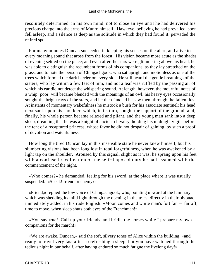resolutely determined, in his own mind, not to close an eye until he had delivered his precious charge into the arms of Munro himself. Hawkeye, believing he had prevailed, soon fell asleep, and a silence as deep as the solitude in which they had found it, pervaded the retired spot.

 For many minutes Duncan succeeded in keeping his senses on the alert, and alive to every moaning sound that arose from the forest. His vision became more acute as the shades of evening settled on the place; and even after the stars were glimmering above his head, he was able to distinguish the recumbent forms of his companions, as they lay stretched on the grass, and to note the person of Chingachgook, who sat upright and motionless as one of the trees which formed the dark barrier on every side. He still heard the gentle breathings of the sisters, who lay within a few feet of him, and not a leaf was ruffled by the passing air of which his ear did not detect the whispering sound. At length, however, the mournful notes of a whip−poor−will became blended with the moanings of an owl; his heavy eyes occasionally sought the bright rays of the stars, and he then fancied he saw them through the fallen lids. At instants of momentary wakefulness he mistook a bush for his associate sentinel; his head next sank upon his shoulder, which, in its turn, sought the support of the ground; and, finally, his whole person became relaxed and pliant, and the young man sank into a deep sleep, dreaming that he was a knight of ancient chivalry, holding his midnight vigils before the tent of a recaptured princess, whose favor he did not despair of gaining, by such a proof of devotion and watchfulness.

 How long the tired Duncan lay in this insensible state he never knew himself, but his slumbering visions had been long lost in total forgetfulness, when he was awakened by a light tap on the shoulder. Aroused by this signal, slight as it was, he sprang upon his feet with a confused recollection of the self−imposed duty he had assumed with the commencement of the night.

 «Who comes?» he demanded, feeling for his sword, at the place where it was usually suspended. «Speak! friend or enemy?»

 «Friend,» replied the low voice of Chingachgook; who, pointing upward at the luminary which was shedding its mild light through the opening in the trees, directly in their bivouac, immediately added, in his rude English: «Moon comes and white man's fort far – far off; time to move, when sleep shuts both eyes of the Frenchman!»

 «You say true! Call up your friends, and bridle the horses while I prepare my own companions for the march!»

 «We are awake, Duncan,» said the soft, silvery tones of Alice within the building, «and ready to travel very fast after so refreshing a sleep; but you have watched through the tedious night in our behalf, after having endured so much fatigue the livelong day!»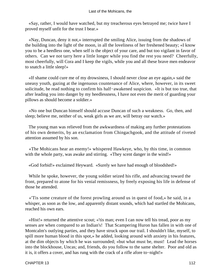«Say, rather, I would have watched, but my treacherous eyes betrayed me; twice have I proved myself unfit for the trust I bear.»

 «Nay, Duncan, deny it not,» interrupted the smiling Alice, issuing from the shadows of the building into the light of the moon, in all the loveliness of her freshened beauty; «I know you to be a heedless one, when self is the object of your care, and but too vigilant in favor of others. Can we not tarry here a little longer while you find the rest you need? Cheerfully, most cheerfully, will Cora and I keep the vigils, while you and all these brave men endeavor to snatch a little sleep!»

 «If shame could cure me of my drowsiness, I should never close an eye again,» said the uneasy youth, gazing at the ingenuous countenance of Alice, where, however, in its sweet solicitude, he read nothing to confirm his half−awakened suspicion. «It is but too true, that after leading you into danger by my heedlessness, I have not even the merit of guarding your pillows as should become a soldier.»

 «No one but Duncan himself should accuse Duncan of such a weakness. Go, then, and sleep; believe me, neither of us, weak girls as we are, will betray our watch.»

 The young man was relieved from the awkwardness of making any further protestations of his own demerits, by an exclamation from Chingachgook, and the attitude of riveted attention assumed by his son.

 «The Mohicans hear an enemy!» whispered Hawkeye, who, by this time, in common with the whole party, was awake and stirring. «They scent danger in the wind!»

«God forbid!» exclaimed Heyward. «Surely we have had enough of bloodshed!»

 While he spoke, however, the young soldier seized his rifle, and advancing toward the front, prepared to atone for his venial remissness, by freely exposing his life in defense of those he attended.

 «'Tis some creature of the forest prowling around us in quest of food,» he said, in a whisper, as soon as the low, and apparently distant sounds, which had startled the Mohicans, reached his own ears.

 «Hist!» returned the attentive scout; «'tis man; even I can now tell his tread, poor as my senses are when compared to an Indian's! That Scampering Huron has fallen in with one of Montcalm's outlying parties, and they have struck upon our trail. I shouldn't like, myself, to spill more human blood in this spot,» he added, looking around with anxiety in his features, at the dim objects by which he was surrounded; «but what must be, must! Lead the horses into the blockhouse, Uncas; and, friends, do you follow to the same shelter. Poor and old as it is, it offers a cover, and has rung with the crack of a rifle afore to−night!»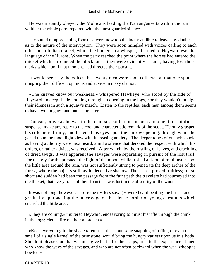He was instantly obeyed, the Mohicans leading the Narrangansetts within the ruin, whither the whole party repaired with the most guarded silence.

 The sound of approaching footsteps were now too distinctly audible to leave any doubts as to the nature of the interruption. They were soon mingled with voices calling to each other in an Indian dialect, which the hunter, in a whisper, affirmed to Heyward was the language of the Hurons. When the party reached the point where the horses had entered the thicket which surrounded the blockhouse, they were evidently at fault, having lost those marks which, until that moment, had directed their pursuit.

 It would seem by the voices that twenty men were soon collected at that one spot, mingling their different opinions and advice in noisy clamor.

 «The knaves know our weakness,» whispered Hawkeye, who stood by the side of Heyward, in deep shade, looking through an opening in the logs, «or they wouldn't indulge their idleness in such a squaw's march. Listen to the reptiles! each man among them seems to have two tongues, and but a single leg.»

 Duncan, brave as he was in the combat, could not, in such a moment of painful suspense, make any reply to the cool and characteristic remark of the scout. He only grasped his rifle more firmly, and fastened his eyes upon the narrow opening, through which he gazed upon the moonlight view with increasing anxiety. The deeper tones of one who spoke as having authority were next heard, amid a silence that denoted the respect with which his orders, or rather advice, was received. After which, by the rustling of leaves, and crackling of dried twigs, it was apparent the savages were separating in pursuit of the lost trail. Fortunately for the pursued, the light of the moon, while it shed a flood of mild luster upon the little area around the ruin, was not sufficiently strong to penetrate the deep arches of the forest, where the objects still lay in deceptive shadow. The search proved fruitless; for so short and sudden had been the passage from the faint path the travelers had journeyed into the thicket, that every trace of their footsteps was lost in the obscurity of the woods.

 It was not long, however, before the restless savages were heard beating the brush, and gradually approaching the inner edge of that dense border of young chestnuts which encircled the little area.

 «They are coming,» muttered Heyward, endeavoring to thrust his rifle through the chink in the logs; «let us fire on their approach.»

 «Keep everything in the shade,» returned the scout; «the snapping of a flint, or even the smell of a single karnel of the brimstone, would bring the hungry varlets upon us in a body. Should it please God that we must give battle for the scalps, trust to the experience of men who know the ways of the savages, and who are not often backward when the war−whoop is howled.»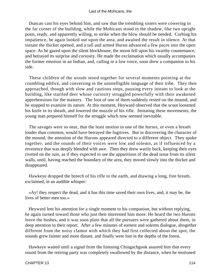Duncan cast his eyes behind him, and saw that the trembling sisters were cowering in the far corner of the building, while the Mohicans stood in the shadow, like two upright posts, ready, and apparently willing, to strike when the blow should be needed. Curbing his impatience, he again looked out upon the area, and awaited the result in silence. At that instant the thicket opened, and a tall and armed Huron advanced a few paces into the open space. As he gazed upon the silent blockhouse, the moon fell upon his swarthy countenance, and betrayed its surprise and curiosity. He made the exclamation which usually accompanies the former emotion in an Indian, and, calling in a low voice, soon drew a companion to his side.

 These children of the woods stood together for several moments pointing at the crumbling edifice, and conversing in the unintelligible language of their tribe. They then approached, though with slow and cautious steps, pausing every instant to look at the building, like startled deer whose curiosity struggled powerfully with their awakened apprehensions for the mastery. The foot of one of them suddenly rested on the mound, and he stopped to examine its nature. At this moment, Heyward observed that the scout loosened his knife in its sheath, and lowered the muzzle of his rifle. Imitating these movements, the young man prepared himself for the struggle which now seemed inevitable.

 The savages were so near, that the least motion in one of the horses, or even a breath louder than common, would have betrayed the fugitives. But in discovering the character of the mound, the attention of the Hurons appeared directed to a different object. They spoke together, and the sounds of their voices were low and solemn, as if influenced by a reverence that was deeply blended with awe. Then they drew warily back, keeping their eyes riveted on the ruin, as if they expected to see the apparitions of the dead issue from its silent walls, until, having reached the boundary of the area, they moved slowly into the thicket and disappeared.

 Hawkeye dropped the breech of his rifle to the earth, and drawing a long, free breath, exclaimed, in an audible whisper:

 «Ay! they respect the dead, and it has this time saved their own lives, and, it may be, the lives of better men too.»

 Heyward lent his attention for a single moment to his companion, but without replying, he again turned toward those who just then interested him more. He heard the two Hurons leave the bushes, and it was soon plain that all the pursuers were gathered about them, in deep attention to their report. After a few minutes of earnest and solemn dialogue, altogether different from the noisy clamor with which they had first collected about the spot, the sounds grew fainter and more distant, and finally were lost in the depths of the forest.

 Hawkeye waited until a signal from the listening Chingachgook assured him that every sound from the retiring party was completely swallowed by the distance, when he motioned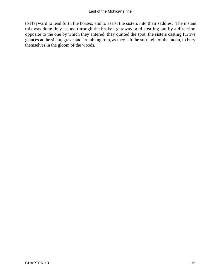to Heyward to lead forth the horses, and to assist the sisters into their saddles. The instant this was done they issued through the broken gateway, and stealing out by a direction opposite to the one by which they entered, they quitted the spot, the sisters casting furtive glances at the silent, grave and crumbling ruin, as they left the soft light of the moon, to bury themselves in the gloom of the woods.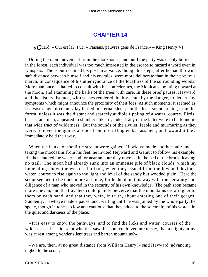## **[CHAPTER 14](#page-316-0)**

*«G*uard. – Qui est la? Puc. – Paisans, pauvres gens de France.» – King Henry VI

 During the rapid movement from the blockhouse, and until the party was deeply buried in the forest, each individual was too much interested in the escape to hazard a word even in whispers. The scout resumed his post in advance, though his steps, after he had thrown a safe distance between himself and his enemies, were more deliberate than in their previous march, in consequence of his utter ignorance of the localities of the surrounding woods. More than once he halted to consult with his confederates, the Mohicans, pointing upward at the moon, and examining the barks of the trees with care. In these brief pauses, Heyward and the sisters listened, with senses rendered doubly acute by the danger, to detect any symptoms which might announce the proximity of their foes. At such moments, it seemed as if a vast range of country lay buried in eternal sleep; not the least sound arising from the forest, unless it was the distant and scarcely audible rippling of a water−course. Birds, beasts, and man, appeared to slumber alike, if, indeed, any of the latter were to be found in that wide tract of wilderness. But the sounds of the rivulet, feeble and murmuring as they were, relieved the guides at once from no trifling embarrassment, and toward it they immediately held their way.

 When the banks of the little stream were gained, Hawkeye made another halt; and taking the moccasins from his feet, he invited Heyward and Gamut to follow his example. He then entered the water, and for near an hour they traveled in the bed of the brook, leaving no trail. The moon had already sunk into an immense pile of black clouds, which lay impending above the western horizon, when they issued from the low and devious water−course to rise again to the light and level of the sandy but wooded plain. Here the scout seemed to be once more at home, for he held on this way with the certainty and diligence of a man who moved in the security of his own knowledge. The path soon became more uneven, and the travelers could plainly perceive that the mountains drew nigher to them on each hand, and that they were, in truth, about entering one of their gorges. Suddenly, Hawkeye made a pause, and, waiting until he was joined by the whole party, he spoke, though in tones so low and cautious, that they added to the solemnity of his words, in the quiet and darkness of the place.

 «It is easy to know the pathways, and to find the licks and water−courses of the wilderness,» he said; «but who that saw this spot could venture to say, that a mighty army was at rest among yonder silent trees and barren mountains?»

 «We are, then, at no great distance from William Henry?» said Heyward, advancing nigher to the scout.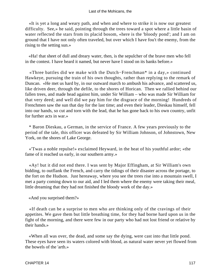«It is yet a long and weary path, and when and where to strike it is now our greatest difficulty. See,» he said, pointing through the trees toward a spot where a little basin of water reflected the stars from its placid bosom, «here is the 'bloody pond'; and I am on ground that I have not only often traveled, but over which I have fou't the enemy, from the rising to the setting sun.»

 «Ha! that sheet of dull and dreary water, then, is the sepulcher of the brave men who fell in the contest. I have heard it named, but never have I stood on its banks before.»

 «Three battles did we make with the Dutch−Frenchman\* in a day,» continued Hawkeye, pursuing the train of his own thoughts, rather than replying to the remark of Duncan. «He met us hard by, in our outward march to ambush his advance, and scattered us, like driven deer, through the defile, to the shores of Horican. Then we rallied behind our fallen trees, and made head against him, under Sir William – who was made Sir William for that very deed; and well did we pay him for the disgrace of the morning! Hundreds of Frenchmen saw the sun that day for the last time; and even their leader, Dieskau himself, fell into our hands, so cut and torn with the lead, that he has gone back to his own country, unfit for further acts in war.»

 \* Baron Dieskau, a German, in the service of France. A few years previously to the period of the tale, this officer was defeated by Sir William Johnson, of Johnstown, New York, on the shores of Lake George.

 «'Twas a noble repulse!» exclaimed Heyward, in the heat of his youthful ardor; «the fame of it reached us early, in our southern army.»

 «Ay! but it did not end there. I was sent by Major Effingham, at Sir William's own bidding, to outflank the French, and carry the tidings of their disaster across the portage, to the fort on the Hudson. Just hereaway, where you see the trees rise into a mountain swell, I met a party coming down to our aid, and I led them where the enemy were taking their meal, little dreaming that they had not finished the bloody work of the day.»

«And you surprised them?»

 «If death can be a surprise to men who are thinking only of the cravings of their appetites. We gave them but little breathing time, for they had borne hard upon us in the fight of the morning, and there were few in our party who had not lost friend or relative by their hands.»

 «When all was over, the dead, and some say the dying, were cast into that little pond. These eyes have seen its waters colored with blood, as natural water never yet flowed from the bowels of the 'arth.»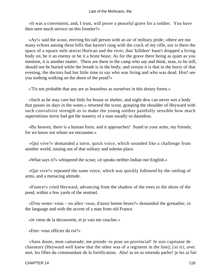«It was a convenient, and, I trust, will prove a peaceful grave for a soldier. You have then seen much service on this frontier?»

 «Ay!» said the scout, erecting his tall person with an air of military pride; «there are not many echoes among these hills that haven't rung with the crack of my rifle, nor is there the space of a square mile atwixt Horican and the river, that 'killdeer' hasn't dropped a living body on, be it an enemy or be it a brute beast. As for the grave there being as quiet as you mention, it is another matter. There are them in the camp who say and think, man, to lie still, should not be buried while the breath is in the body; and certain it is that in the hurry of that evening, the doctors had but little time to say who was living and who was dead. Hist! see you nothing walking on the shore of the pond?»

«'Tis not probable that any are as houseless as ourselves in this dreary forest.»

 «Such as he may care but little for house or shelter, and night dew can never wet a body that passes its days in the water,» returned the scout, grasping the shoulder of Heyward with such convulsive strength as to make the young soldier painfully sensible how much superstitious terror had got the mastery of a man usually so dauntless.

 «By heaven, there is a human form, and it approaches! Stand to your arms, my friends; for we know not whom we encounter.»

 «Qui vive?» demanded a stern, quick voice, which sounded like a challenge from another world, issuing out of that solitary and solemn place.

«What says it?» whispered the scout; «it speaks neither Indian nor English.»

 «Qui vive?» repeated the same voice, which was quickly followed by the rattling of arms, and a menacing attitude.

 «France!» cried Heyward, advancing from the shadow of the trees to the shore of the pond, within a few yards of the sentinel.

 «D'ou venez−vous – ou allez−vous, d'aussi bonne heure?» demanded the grenadier, in the language and with the accent of a man from old France.

«Je viens de la decouverte, et je vais me coucher.»

«Etes−vous officier du roi?»

 «Sans doute, mon camarade; me prends−tu pour un provincial! Je suis capitaine de chasseurs (Heyward well knew that the other was of a regiment in the line); j'ai ici, avec moi, les filles du commandant de la fortification. Aha! tu en as entendu parler! je les ai fait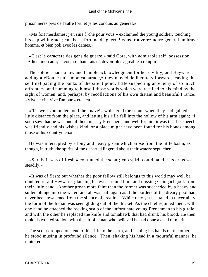prisonnieres pres de l'autre fort, et je les conduis au general.»

«Ma foi! mesdames; j'en suis ffche pour vous,» exclaimed the young soldier, touching his cap with grace; «mais – fortune de guerre! vous trouverez notre general un brave homme, et bien poli avec les dames.»

 «C'est le caractere des gens de guerre,» said Cora, with admirable self−possession. «Adieu, mon ami; je vous souhaiterais un devoir plus agreable a remplir.»

 The soldier made a low and humble acknowledgment for her civility; and Heyward adding a «Bonne nuit, mon camarade,» they moved deliberately forward, leaving the sentinel pacing the banks of the silent pond, little suspecting an enemy of so much effrontery, and humming to himself those words which were recalled to his mind by the sight of women, and, perhaps, by recollections of his own distant and beautiful France: «Vive le vin, vive l'amour,» etc., etc.

 «'Tis well you understood the knave!» whispered the scout, when they had gained a little distance from the place, and letting his rifle fall into the hollow of his arm again; «I soon saw that he was one of them uneasy Frenchers; and well for him it was that his speech was friendly and his wishes kind, or a place might have been found for his bones among those of his countrymen.»

 He was interrupted by a long and heavy groan which arose from the little basin, as though, in truth, the spirits of the departed lingered about their watery sepulcher.

 «Surely it was of flesh,» continued the scout; «no spirit could handle its arms so steadily.»

 «It was of flesh; but whether the poor fellow still belongs to this world may well be doubted,» said Heyward, glancing his eyes around him, and missing Chingachgook from their little band. Another groan more faint than the former was succeeded by a heavy and sullen plunge into the water, and all was still again as if the borders of the dreary pool had never been awakened from the silence of creation. While they yet hesitated in uncertainty, the form of the Indian was seen gliding out of the thicket. As the chief rejoined them, with one hand he attached the reeking scalp of the unfortunate young Frenchman to his girdle, and with the other he replaced the knife and tomahawk that had drunk his blood. He then took his wonted station, with the air of a man who believed he had done a deed of merit.

 The scout dropped one end of his rifle to the earth, and leaning his hands on the other, he stood musing in profound silence. Then, shaking his head in a mournful manner, he muttered: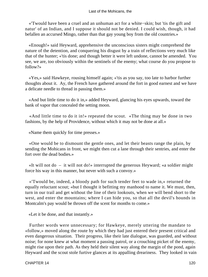«'Twould have been a cruel and an unhuman act for a white−skin; but 'tis the gift and natur' of an Indian, and I suppose it should not be denied. I could wish, though, it had befallen an accursed Mingo, rather than that gay young boy from the old countries.»

 «Enough!» said Heyward, apprehensive the unconscious sisters might comprehend the nature of the detention, and conquering his disgust by a train of reflections very much like that of the hunter; «'tis done; and though better it were left undone, cannot be amended. You see, we are, too obviously within the sentinels of the enemy; what course do you propose to follow?»

 «Yes,» said Hawkeye, rousing himself again; «'tis as you say, too late to harbor further thoughts about it. Ay, the French have gathered around the fort in good earnest and we have a delicate needle to thread in passing them.»

 «And but little time to do it in,» added Heyward, glancing his eyes upwards, toward the bank of vapor that concealed the setting moon.

 «And little time to do it in!» repeated the scout. «The thing may be done in two fashions, by the help of Providence, without which it may not be done at all.»

«Name them quickly for time presses.»

 «One would be to dismount the gentle ones, and let their beasts range the plain, by sending the Mohicans in front, we might then cut a lane through their sentries, and enter the fort over the dead bodies.»

 «It will not do – it will not do!» interrupted the generous Heyward; «a soldier might force his way in this manner, but never with such a convoy.»

 «'Twould be, indeed, a bloody path for such tender feet to wade in,» returned the equally reluctant scout; «but I thought it befitting my manhood to name it. We must, then, turn in our trail and get without the line of their lookouts, when we will bend short to the west, and enter the mountains; where I can hide you, so that all the devil's hounds in Montcalm's pay would be thrown off the scent for months to come.»

«Let it be done, and that instantly.»

 Further words were unnecessary; for Hawkeye, merely uttering the mandate to «follow,» moved along the route by which they had just entered their present critical and even dangerous situation. Their progress, like their late dialogue, was guarded, and without noise; for none knew at what moment a passing patrol, or a crouching picket of the enemy, might rise upon their path. As they held their silent way along the margin of the pond, again Heyward and the scout stole furtive glances at its appalling dreariness. They looked in vain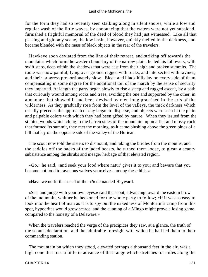for the form they had so recently seen stalking along in silent shores, while a low and regular wash of the little waves, by announcing that the waters were not yet subsided, furnished a frightful memorial of the deed of blood they had just witnessed. Like all that passing and gloomy scene, the low basin, however, quickly melted in the darkness, and became blended with the mass of black objects in the rear of the travelers.

 Hawkeye soon deviated from the line of their retreat, and striking off towards the mountains which form the western boundary of the narrow plain, he led his followers, with swift steps, deep within the shadows that were cast from their high and broken summits. The route was now painful; lying over ground ragged with rocks, and intersected with ravines, and their progress proportionately slow. Bleak and black hills lay on every side of them, compensating in some degree for the additional toil of the march by the sense of security they imparted. At length the party began slowly to rise a steep and rugged ascent, by a path that curiously wound among rocks and trees, avoiding the one and supported by the other, in a manner that showed it had been devised by men long practised in the arts of the wilderness. As they gradually rose from the level of the valleys, the thick darkness which usually precedes the approach of day began to disperse, and objects were seen in the plain and palpable colors with which they had been gifted by nature. When they issued from the stunted woods which clung to the barren sides of the mountain, upon a flat and mossy rock that formed its summit, they met the morning, as it came blushing above the green pines of a hill that lay on the opposite side of the valley of the Horican.

 The scout now told the sisters to dismount; and taking the bridles from the mouths, and the saddles off the backs of the jaded beasts, he turned them loose, to glean a scanty subsistence among the shrubs and meager herbage of that elevated region.

 «Go,» he said, «and seek your food where natur' gives it to you; and beware that you become not food to ravenous wolves yourselves, among these hills.»

«Have we no further need of them?» demanded Heyward.

 «See, and judge with your own eyes,» said the scout, advancing toward the eastern brow of the mountain, whither he beckoned for the whole party to follow; «if it was as easy to look into the heart of man as it is to spy out the nakedness of Montcalm's camp from this spot, hypocrites would grow scarce, and the cunning of a Mingo might prove a losing game, compared to the honesty of a Delaware.»

 When the travelers reached the verge of the precipices they saw, at a glance, the truth of the scout's declaration, and the admirable foresight with which he had led them to their commanding station.

 The mountain on which they stood, elevated perhaps a thousand feet in the air, was a high cone that rose a little in advance of that range which stretches for miles along the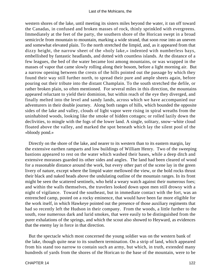western shores of the lake, until meeting its sisters miles beyond the water, it ran off toward the Canadas, in confused and broken masses of rock, thinly sprinkled with evergreens. Immediately at the feet of the party, the southern shore of the Horican swept in a broad semicircle from mountain to mountain, marking a wide strand, that soon rose into an uneven and somewhat elevated plain. To the north stretched the limpid, and, as it appeared from that dizzy height, the narrow sheet of the «holy lake,» indented with numberless bays, embellished by fantastic headlands, and dotted with countless islands. At the distance of a few leagues, the bed of the water became lost among mountains, or was wrapped in the masses of vapor that came slowly rolling along their bosom, before a light morning air. But a narrow opening between the crests of the hills pointed out the passage by which they found their way still further north, to spread their pure and ample sheets again, before pouring out their tribute into the distant Champlain. To the south stretched the defile, or rather broken plain, so often mentioned. For several miles in this direction, the mountains appeared reluctant to yield their dominion, but within reach of the eye they diverged, and finally melted into the level and sandy lands, across which we have accompanied our adventurers in their double journey. Along both ranges of hills, which bounded the opposite sides of the lake and valley, clouds of light vapor were rising in spiral wreaths from the uninhabited woods, looking like the smoke of hidden cottages; or rolled lazily down the declivities, to mingle with the fogs of the lower land. A single, solitary, snow−white cloud floated above the valley, and marked the spot beneath which lay the silent pool of the «bloody pond.»

Directly on the shore of the lake, and nearer to its western than to its eastern margin, lay the extensive earthen ramparts and low buildings of William Henry. Two of the sweeping bastions appeared to rest on the water which washed their bases, while a deep ditch and extensive morasses guarded its other sides and angles. The land had been cleared of wood for a reasonable distance around the work, but every other part of the scene lay in the green livery of nature, except where the limpid water mellowed the view, or the bold rocks thrust their black and naked heads above the undulating outline of the mountain ranges. In its front might be seen the scattered sentinels, who held a weary watch against their numerous foes; and within the walls themselves, the travelers looked down upon men still drowsy with a night of vigilance. Toward the southeast, but in immediate contact with the fort, was an entrenched camp, posted on a rocky eminence, that would have been far more eligible for the work itself, in which Hawkeye pointed out the presence of those auxiliary regiments that had so recently left the Hudson in their company. From the woods, a little further to the south, rose numerous dark and lurid smokes, that were easily to be distinguished from the purer exhalations of the springs, and which the scout also showed to Heyward, as evidences that the enemy lay in force in that direction.

 But the spectacle which most concerned the young soldier was on the western bank of the lake, though quite near to its southern termination. On a strip of land, which appeared from his stand too narrow to contain such an army, but which, in truth, extended many hundreds of yards from the shores of the Horican to the base of the mountain, were to be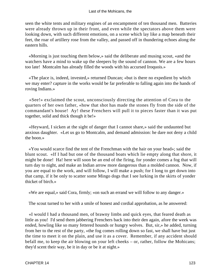seen the white tents and military engines of an encampment of ten thousand men. Batteries were already thrown up in their front, and even while the spectators above them were looking down, with such different emotions, on a scene which lay like a map beneath their feet, the roar of artillery rose from the valley, and passed off in thundering echoes along the eastern hills.

 «Morning is just touching them below,» said the deliberate and musing scout, «and the watchers have a mind to wake up the sleepers by the sound of cannon. We are a few hours too late! Montcalm has already filled the woods with his accursed Iroquois.»

 «The place is, indeed, invested,» returned Duncan; «but is there no expedient by which we may enter? capture in the works would be far preferable to falling again into the hands of roving Indians.»

 «See!» exclaimed the scout, unconsciously directing the attention of Cora to the quarters of her own father, «how that shot has made the stones fly from the side of the commandant's house! Ay! these Frenchers will pull it to pieces faster than it was put together, solid and thick though it be!»

 «Heyward, I sicken at the sight of danger that I cannot share,» said the undaunted but anxious daughter. «Let us go to Montcalm, and demand admission: he dare not deny a child the boon.»

 «You would scarce find the tent of the Frenchman with the hair on your head»; said the blunt scout. «If I had but one of the thousand boats which lie empty along that shore, it might be done! Ha! here will soon be an end of the firing, for yonder comes a fog that will turn day to night, and make an Indian arrow more dangerous than a molded cannon. Now, if you are equal to the work, and will follow, I will make a push; for I long to get down into that camp, if it be only to scatter some Mingo dogs that I see lurking in the skirts of yonder thicket of birch.»

«We are equal,» said Cora, firmly; «on such an errand we will follow to any danger.»

The scout turned to her with a smile of honest and cordial approbation, as he answered:

 «I would I had a thousand men, of brawny limbs and quick eyes, that feared death as little as you! I'd send them jabbering Frenchers back into their den again, afore the week was ended, howling like so many fettered hounds or hungry wolves. But, sir,» he added, turning from her to the rest of the party, «the fog comes rolling down so fast, we shall have but just the time to meet it on the plain, and use it as a cover. Remember, if any accident should befall me, to keep the air blowing on your left cheeks – or, rather, follow the Mohicans; they'd scent their way, be it in day or be it at night.»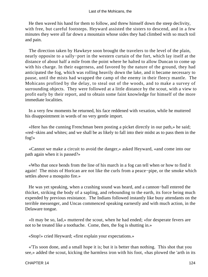He then waved his hand for them to follow, and threw himself down the steep declivity, with free, but careful footsteps. Heyward assisted the sisters to descend, and in a few minutes they were all far down a mountain whose sides they had climbed with so much toil and pain.

 The direction taken by Hawkeye soon brought the travelers to the level of the plain, nearly opposite to a sally−port in the western curtain of the fort, which lay itself at the distance of about half a mile from the point where he halted to allow Duncan to come up with his charge. In their eagerness, and favored by the nature of the ground, they had anticipated the fog, which was rolling heavily down the lake, and it became necessary to pause, until the mists had wrapped the camp of the enemy in their fleecy mantle. The Mohicans profited by the delay, to steal out of the woods, and to make a survey of surrounding objects. They were followed at a little distance by the scout, with a view to profit early by their report, and to obtain some faint knowledge for himself of the more immediate localities.

 In a very few moments he returned, his face reddened with vexation, while he muttered his disappointment in words of no very gentle import.

 «Here has the cunning Frenchman been posting a picket directly in our path,» he said; «red−skins and whites; and we shall be as likely to fall into their midst as to pass them in the fog!»

 «Cannot we make a circuit to avoid the danger,» asked Heyward, «and come into our path again when it is passed?»

 «Who that once bends from the line of his march in a fog can tell when or how to find it again! The mists of Horican are not like the curls from a peace−pipe, or the smoke which settles above a mosquito fire.»

 He was yet speaking, when a crashing sound was heard, and a cannon−ball entered the thicket, striking the body of a sapling, and rebounding to the earth, its force being much expended by previous resistance. The Indians followed instantly like busy attendants on the terrible messenger, and Uncas commenced speaking earnestly and with much action, in the Delaware tongue.

 «It may be so, lad,» muttered the scout, when he had ended; «for desperate fevers are not to be treated like a toothache. Come, then, the fog is shutting in.»

«Stop!» cried Heyward; «first explain your expectations.»

 «'Tis soon done, and a small hope it is; but it is better than nothing. This shot that you see,» added the scout, kicking the harmless iron with his foot, «has plowed the 'arth in its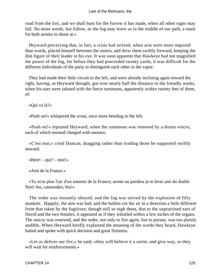road from the fort, and we shall hunt for the furrow it has made, when all other signs may fail. No more words, but follow, or the fog may leave us in the middle of our path, a mark for both armies to shoot at.»

 Heyward perceiving that, in fact, a crisis had arrived, when acts were more required than words, placed himself between the sisters, and drew them swiftly forward, keeping the dim figure of their leader in his eye. It was soon apparent that Hawkeye had not magnified the power of the fog, for before they had proceeded twenty yards, it was difficult for the different individuals of the party to distinguish each other in the vapor.

 They had made their little circuit to the left, and were already inclining again toward the right, having, as Heyward thought, got over nearly half the distance to the friendly works, when his ears were saluted with the fierce summons, apparently within twenty feet of them, of:

«Qui va la?»

«Push on!» whispered the scout, once more bending to the left.

 «Push on!» repeated Heyward; when the summons was renewed by a dozen voices, each of which seemed charged with menace.

 «C'est moi,» cried Duncan, dragging rather than leading those he supported swiftly onward.

 $\kappa$ Bete! – qui? – moi!»

«Ami de la France.»

 «Tu m'as plus l'air d'un ennemi de la France; arrete ou pardieu je te ferai ami du diable. Non! feu, camarades, feu!»

 The order was instantly obeyed, and the fog was stirred by the explosion of fifty muskets. Happily, the aim was bad, and the bullets cut the air in a direction a little different from that taken by the fugitives; though still so nigh them, that to the unpractised ears of David and the two females, it appeared as if they whistled within a few inches of the organs. The outcry was renewed, and the order, not only to fire again, but to pursue, was too plainly audible. When Heyward briefly explained the meaning of the words they heard, Hawkeye halted and spoke with quick decision and great firmness.

 «Let us deliver our fire,» he said; «they will believe it a sortie, and give way, or they will wait for reinforcements.»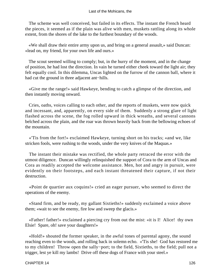The scheme was well conceived, but failed in its effects. The instant the French heard the pieces, it seemed as if the plain was alive with men, muskets rattling along its whole extent, from the shores of the lake to the furthest boundary of the woods.

 «We shall draw their entire army upon us, and bring on a general assault,» said Duncan: «lead on, my friend, for your own life and ours.»

 The scout seemed willing to comply; but, in the hurry of the moment, and in the change of position, he had lost the direction. In vain he turned either cheek toward the light air; they felt equally cool. In this dilemma, Uncas lighted on the furrow of the cannon ball, where it had cut the ground in three adjacent ant−hills.

 «Give me the range!» said Hawkeye, bending to catch a glimpse of the direction, and then instantly moving onward.

 Cries, oaths, voices calling to each other, and the reports of muskets, were now quick and incessant, and, apparently, on every side of them. Suddenly a strong glare of light flashed across the scene, the fog rolled upward in thick wreaths, and several cannons belched across the plain, and the roar was thrown heavily back from the bellowing echoes of the mountain.

 «'Tis from the fort!» exclaimed Hawkeye, turning short on his tracks; «and we, like stricken fools, were rushing to the woods, under the very knives of the Maquas.»

 The instant their mistake was rectified, the whole party retraced the error with the utmost diligence. Duncan willingly relinquished the support of Cora to the arm of Uncas and Cora as readily accepted the welcome assistance. Men, hot and angry in pursuit, were evidently on their footsteps, and each instant threatened their capture, if not their destruction.

 «Point de quartier aux coquins!» cried an eager pursuer, who seemed to direct the operations of the enemy.

 «Stand firm, and be ready, my gallant Sixtieths!» suddenly exclaimed a voice above them; «wait to see the enemy, fire low and sweep the glacis.»

 «Father! father!» exclaimed a piercing cry from out the mist: «it is I! Alice! thy own Elsie! Spare, oh! save your daughters!»

 «Hold!» shouted the former speaker, in the awful tones of parental agony, the sound reaching even to the woods, and rolling back in solemn echo. «'Tis she! God has restored me to my children! Throw open the sally−port; to the field, Sixtieths, to the field; pull not a trigger, lest ye kill my lambs! Drive off these dogs of France with your steel.»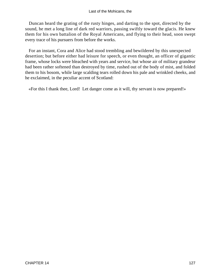Duncan heard the grating of the rusty hinges, and darting to the spot, directed by the sound, he met a long line of dark red warriors, passing swiftly toward the glacis. He knew them for his own battalion of the Royal Americans, and flying to their head, soon swept every trace of his pursuers from before the works.

 For an instant, Cora and Alice had stood trembling and bewildered by this unexpected desertion; but before either had leisure for speech, or even thought, an officer of gigantic frame, whose locks were bleached with years and service, but whose air of military grandeur had been rather softened than destroyed by time, rushed out of the body of mist, and folded them to his bosom, while large scalding tears rolled down his pale and wrinkled cheeks, and he exclaimed, in the peculiar accent of Scotland:

«For this I thank thee, Lord! Let danger come as it will, thy servant is now prepared!»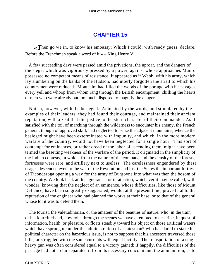# **[CHAPTER 15](#page-316-0)**

*«T*hen go we in, to know his embassy; Which I could, with ready guess, declare, Before the Frenchmen speak a word of it,» – King Henry V

 A few succeeding days were passed amid the privations, the uproar, and the dangers of the siege, which was vigorously pressed by a power, against whose approaches Munro possessed no competent means of resistance. It appeared as if Webb, with his army, which lay slumbering on the banks of the Hudson, had utterly forgotten the strait to which his countrymen were reduced. Montcalm had filled the woods of the portage with his savages, every yell and whoop from whom rang through the British encampment, chilling the hearts of men who were already but too much disposed to magnify the danger.

 Not so, however, with the besieged. Animated by the words, and stimulated by the examples of their leaders, they had found their courage, and maintained their ancient reputation, with a zeal that did justice to the stern character of their commander. As if satisfied with the toil of marching through the wilderness to encounter his enemy, the French general, though of approved skill, had neglected to seize the adjacent mountains; whence the besieged might have been exterminated with impunity, and which, in the more modern warfare of the country, would not have been neglected for a single hour. This sort of contempt for eminences, or rather dread of the labor of ascending them, might have been termed the besetting weakness of the warfare of the period. It originated in the simplicity of the Indian contests, in which, from the nature of the combats, and the density of the forests, fortresses were rare, and artillery next to useless. The carelessness engendered by these usages descended even to the war of the Revolution and lost the States the important fortress of Ticonderoga opening a way for the army of Burgoyne into what was then the bosom of the country. We look back at this ignorance, or infatuation, whichever it may be called, with wonder, knowing that the neglect of an eminence, whose difficulties, like those of Mount Defiance, have been so greatly exaggerated, would, at the present time, prove fatal to the reputation of the engineer who had planned the works at their base, or to that of the general whose lot it was to defend them.

 The tourist, the valetudinarian, or the amateur of the beauties of nature, who, in the train of his four−in−hand, now rolls through the scenes we have attempted to describe, in quest of information, health, or pleasure, or floats steadily toward his object on those artificial waters which have sprung up under the administration of a statesman\* who has dared to stake his political character on the hazardous issue, is not to suppose that his ancestors traversed those hills, or struggled with the same currents with equal facility. The transportation of a single heavy gun was often considered equal to a victory gained; if happily, the difficulties of the passage had not so far separated it from its necessary concomitant, the ammunition, as to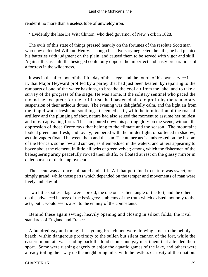render it no more than a useless tube of unwieldy iron.

\* Evidently the late De Witt Clinton, who died governor of New York in 1828.

 The evils of this state of things pressed heavily on the fortunes of the resolute Scotsman who now defended William Henry. Though his adversary neglected the hills, he had planted his batteries with judgment on the plain, and caused them to be served with vigor and skill. Against this assault, the besieged could only oppose the imperfect and hasty preparations of a fortress in the wilderness.

 It was in the afternoon of the fifth day of the siege, and the fourth of his own service in it, that Major Heyward profited by a parley that had just been beaten, by repairing to the ramparts of one of the water bastions, to breathe the cool air from the lake, and to take a survey of the progress of the siege. He was alone, if the solitary sentinel who paced the mound be excepted; for the artillerists had hastened also to profit by the temporary suspension of their arduous duties. The evening was delightfully calm, and the light air from the limpid water fresh and soothing. It seemed as if, with the termination of the roar of artillery and the plunging of shot, nature had also seized the moment to assume her mildest and most captivating form. The sun poured down his parting glory on the scene, without the oppression of those fierce rays that belong to the climate and the season. The mountains looked green, and fresh, and lovely, tempered with the milder light, or softened in shadow, as thin vapors floated between them and the sun. The numerous islands rested on the bosom of the Horican, some low and sunken, as if embedded in the waters, and others appearing to hover about the element, in little hillocks of green velvet; among which the fishermen of the beleaguering army peacefully rowed their skiffs, or floated at rest on the glassy mirror in quiet pursuit of their employment.

 The scene was at once animated and still. All that pertained to nature was sweet, or simply grand; while those parts which depended on the temper and movements of man were lively and playful.

 Two little spotless flags were abroad, the one on a salient angle of the fort, and the other on the advanced battery of the besiegers; emblems of the truth which existed, not only to the acts, but it would seem, also, to the enmity of the combatants.

 Behind these again swung, heavily opening and closing in silken folds, the rival standards of England and France.

 A hundred gay and thoughtless young Frenchmen were drawing a net to the pebbly beach, within dangerous proximity to the sullen but silent cannon of the fort, while the eastern mountain was sending back the loud shouts and gay merriment that attended their sport. Some were rushing eagerly to enjoy the aquatic games of the lake, and others were already toiling their way up the neighboring hills, with the restless curiosity of their nation.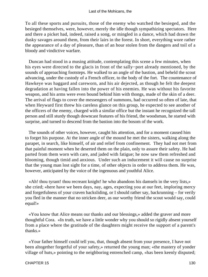To all these sports and pursuits, those of the enemy who watched the besieged, and the besieged themselves, were, however, merely the idle though sympathizing spectators. Here and there a picket had, indeed, raised a song, or mingled in a dance, which had drawn the dusky savages around them, from their lairs in the forest. In short, everything wore rather the appearance of a day of pleasure, than of an hour stolen from the dangers and toil of a bloody and vindictive warfare.

 Duncan had stood in a musing attitude, contemplating this scene a few minutes, when his eyes were directed to the glacis in front of the sally−port already mentioned, by the sounds of approaching footsteps. He walked to an angle of the bastion, and beheld the scout advancing, under the custody of a French officer, to the body of the fort. The countenance of Hawkeye was haggard and careworn, and his air dejected, as though he felt the deepest degradation at having fallen into the power of his enemies. He was without his favorite weapon, and his arms were even bound behind him with thongs, made of the skin of a deer. The arrival of flags to cover the messengers of summons, had occurred so often of late, that when Heyward first threw his careless glance on this group, he expected to see another of the officers of the enemy, charged with a similar office but the instant he recognized the tall person and still sturdy though downcast features of his friend, the woodsman, he started with surprise, and turned to descend from the bastion into the bosom of the work.

 The sounds of other voices, however, caught his attention, and for a moment caused him to forget his purpose. At the inner angle of the mound he met the sisters, walking along the parapet, in search, like himself, of air and relief from confinement. They had not met from that painful moment when he deserted them on the plain, only to assure their safety. He had parted from them worn with care, and jaded with fatigue; he now saw them refreshed and blooming, though timid and anxious. Under such an inducement it will cause no surprise that the young man lost sight for a time, of other objects in order to address them. He was, however, anticipated by the voice of the ingenuous and youthful Alice.

 «Ah! thou tyrant! thou recreant knight! he who abandons his damsels in the very lists,» she cried; «here have we been days, nay, ages, expecting you at our feet, imploring mercy and forgetfulness of your craven backsliding, or I should rather say, backrunning – for verily you fled in the manner that no stricken deer, as our worthy friend the scout would say, could equal!»

 «You know that Alice means our thanks and our blessings,» added the graver and more thoughtful Cora. «In truth, we have a little wonder why you should so rigidly absent yourself from a place where the gratitude of the daughters might receive the support of a parent's thanks.»

 «Your father himself could tell you, that, though absent from your presence, I have not been altogether forgetful of your safety,» returned the young man; «the mastery of yonder village of huts,» pointing to the neighboring entrenched camp, «has been keenly disputed;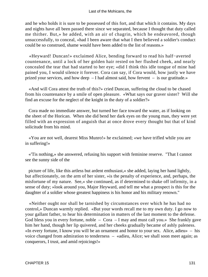and he who holds it is sure to be possessed of this fort, and that which it contains. My days and nights have all been passed there since we separated, because I thought that duty called me thither. But,» he added, with an air of chagrin, which he endeavored, though unsuccessfully, to conceal, «had I been aware that what I then believed a soldier's conduct could be so construed, shame would have been added to the list of reasons.»

 «Heyward! Duncan!» exclaimed Alice, bending forward to read his half−averted countenance, until a lock of her golden hair rested on her flushed cheek, and nearly concealed the tear that had started to her eye; «did I think this idle tongue of mine had pained you, I would silence it forever. Cora can say, if Cora would, how justly we have prized your services, and how deep – I had almost said, how fervent – is our gratitude.»

 «And will Cora attest the truth of this?» cried Duncan, suffering the cloud to be chased from his countenance by a smile of open pleasure. «What says our graver sister? Will she find an excuse for the neglect of the knight in the duty of a soldier?»

 Cora made no immediate answer, but turned her face toward the water, as if looking on the sheet of the Horican. When she did bend her dark eyes on the young man, they were yet filled with an expression of anguish that at once drove every thought but that of kind solicitude from his mind.

 «You are not well, dearest Miss Munro!» he exclaimed; «we have trifled while you are in suffering!»

 «'Tis nothing,» she answered, refusing his support with feminine reserve. "That I cannot see the sunny side of the

 picture of life, like this artless but ardent enthusiast,« she added, laying her hand lightly, but affectionately, on the arm of her sister, »is the penalty of experience, and, perhaps, the misfortune of my nature. See,« she continued, as if determined to shake off infirmity, in a sense of duty; »look around you, Major Heyward, and tell me what a prospect is this for the daughter of a soldier whose greatest happiness is his honor and his military renown."

 «Neither ought nor shall be tarnished by circumstances over which he has had no control,» Duncan warmly replied. «But your words recall me to my own duty. I go now to your gallant father, to hear his determination in matters of the last moment to the defense. God bless you in every fortune, noble  $-$  Cora  $-$  I may and must call you.» She frankly gave him her hand, though her lip quivered, and her cheeks gradually became of ashly paleness. «In every fortune, I know you will be an ornament and honor to your sex. Alice, adieu» – his voice changed from admiration to tenderness – «adieu, Alice; we shall soon meet again; as conquerors, I trust, and amid rejoicings!»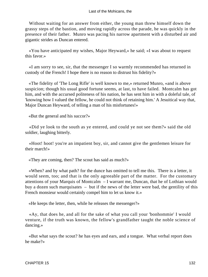Without waiting for an answer from either, the young man threw himself down the grassy steps of the bastion, and moving rapidly across the parade, he was quickly in the presence of their father. Munro was pacing his narrow apartment with a disturbed air and gigantic strides as Duncan entered.

 «You have anticipated my wishes, Major Heyward,» he said; «I was about to request this favor.»

 «I am sorry to see, sir, that the messenger I so warmly recommended has returned in custody of the French! I hope there is no reason to distrust his fidelity?»

 «The fidelity of 'The Long Rifle' is well known to me,» returned Munro, «and is above suspicion; though his usual good fortune seems, at last, to have failed. Montcalm has got him, and with the accursed politeness of his nation, he has sent him in with a doleful tale, of 'knowing how I valued the fellow, he could not think of retaining him.' A Jesuitical way that, Major Duncan Heyward, of telling a man of his misfortunes!»

«But the general and his succor?»

 «Did ye look to the south as ye entered, and could ye not see them?» said the old soldier, laughing bitterly.

 «Hoot! hoot! you're an impatient boy, sir, and cannot give the gentlemen leisure for their march!»

«They are coming, then? The scout has said as much?»

 «When? and by what path? for the dunce has omitted to tell me this. There is a letter, it would seem, too; and that is the only agreeable part of the matter. For the customary attentions of your Marquis of Montcalm – I warrant me, Duncan, that he of Lothian would buy a dozen such marquisates – but if the news of the letter were bad, the gentility of this French monsieur would certainly compel him to let us know it.»

«He keeps the letter, then, while he releases the messenger?»

 «Ay, that does he, and all for the sake of what you call your 'bonhommie' I would venture, if the truth was known, the fellow's grandfather taught the noble science of dancing.»

 «But what says the scout? he has eyes and ears, and a tongue. What verbal report does he make?»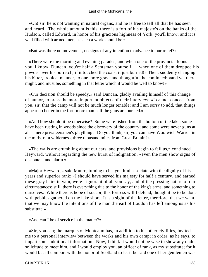«Oh! sir, he is not wanting in natural organs, and he is free to tell all that he has seen and heard. The whole amount is this; there is a fort of his majesty's on the banks of the Hudson, called Edward, in honor of his gracious highness of York, you'll know; and it is well filled with armed men, as such a work should be.»

«But was there no movement, no signs of any intention to advance to our relief?»

 «There were the morning and evening parades; and when one of the provincial loons – you'll know, Duncan, you're half a Scotsman yourself – when one of them dropped his powder over his porretch, if it touched the coals, it just burned!» Then, suddenly changing his bitter, ironical manner, to one more grave and thoughtful, he continued: «and yet there might, and must be, something in that letter which it would be well to know!»

 «Our decision should be speedy,» said Duncan, gladly availing himself of this change of humor, to press the more important objects of their interview; «I cannot conceal from you, sir, that the camp will not be much longer tenable; and I am sorry to add, that things appear no better in the fort; more than half the guns are bursted.»

 «And how should it be otherwise? Some were fished from the bottom of the lake; some have been rusting in woods since the discovery of the country; and some were never guns at all – mere privateersmen's playthings! Do you think, sir, you can have Woolwich Warren in the midst of a wilderness, three thousand miles from Great Britain?»

 «The walls are crumbling about our ears, and provisions begin to fail us,» continued Heyward, without regarding the new burst of indignation; «even the men show signs of discontent and alarm.»

 «Major Heyward,» said Munro, turning to his youthful associate with the dignity of his years and superior rank; «I should have served his majesty for half a century, and earned these gray hairs in vain, were I ignorant of all you say, and of the pressing nature of our circumstances; still, there is everything due to the honor of the king's arms, and something to ourselves. While there is hope of succor, this fortress will I defend, though it be to be done with pebbles gathered on the lake shore. It is a sight of the letter, therefore, that we want, that we may know the intentions of the man the earl of Loudon has left among us as his substitute »

«And can I be of service in the matter?»

 «Sir, you can; the marquis of Montcalm has, in addition to his other civilities, invited me to a personal interview between the works and his own camp; in order, as he says, to impart some additional information. Now, I think it would not be wise to show any undue solicitude to meet him, and I would employ you, an officer of rank, as my substitute; for it would but ill comport with the honor of Scotland to let it be said one of her gentlemen was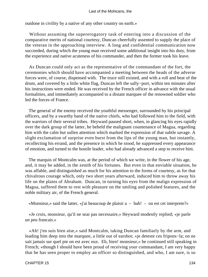outdone in civility by a native of any other country on earth.»

 Without assuming the supererogatory task of entering into a discussion of the comparative merits of national courtesy, Duncan cheerfully assented to supply the place of the veteran in the approaching interview. A long and confidential communication now succeeded, during which the young man received some additional insight into his duty, from the experience and native acuteness of his commander, and then the former took his leave.

 As Duncan could only act as the representative of the commandant of the fort, the ceremonies which should have accompanied a meeting between the heads of the adverse forces were, of course, dispensed with. The truce still existed, and with a roll and beat of the drum, and covered by a little white flag, Duncan left the sally−port, within ten minutes after his instructions were ended. He was received by the French officer in advance with the usual formalities, and immediately accompanied to a distant marquee of the renowned soldier who led the forces of France.

 The general of the enemy received the youthful messenger, surrounded by his principal officers, and by a swarthy band of the native chiefs, who had followed him to the field, with the warriors of their several tribes. Heyward paused short, when, in glancing his eyes rapidly over the dark group of the latter, he beheld the malignant countenance of Magua, regarding him with the calm but sullen attention which marked the expression of that subtle savage. A slight exclamation of surprise even burst from the lips of the young man, but instantly, recollecting his errand, and the presence in which he stood, he suppressed every appearance of emotion, and turned to the hostile leader, who had already advanced a step to receive him.

 The marquis of Montcalm was, at the period of which we write, in the flower of his age, and, it may be added, in the zenith of his fortunes. But even in that enviable situation, he was affable, and distinguished as much for his attention to the forms of courtesy, as for that chivalrous courage which, only two short years afterward, induced him to throw away his life on the plains of Abraham. Duncan, in turning his eyes from the malign expression of Magua, suffered them to rest with pleasure on the smiling and polished features, and the noble military air, of the French general.

«Monsieur,» said the latter, «j'ai beaucoup de plaisir a – bah! – ou est cet interprete?»

 «Je crois, monsieur, qu'il ne sear pas necessaire,» Heyward modestly replied; «je parle un peu francais.»

 «Ah! j'en suis bien aise,» said Montcalm, taking Duncan familiarly by the arm, and leading him deep into the marquee, a little out of earshot; «je deteste ces fripons−la; on ne sait jamais sur quel pie on est avec eux. Eh, bien! monsieur,» he continued still speaking in French; «though I should have been proud of receiving your commandant, I am very happy that he has seen proper to employ an officer so distinguished, and who, I am sure, is so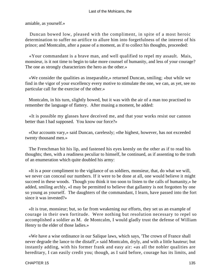amiable, as yourself.»

 Duncan bowed low, pleased with the compliment, in spite of a most heroic determination to suffer no artifice to allure him into forgetfulness of the interest of his prince; and Montcalm, after a pause of a moment, as if to collect his thoughts, proceeded:

 «Your commandant is a brave man, and well qualified to repel my assault. Mais, monsieur, is it not time to begin to take more counsel of humanity, and less of your courage? The one as strongly characterizes the hero as the other.»

 «We consider the qualities as inseparable,» returned Duncan, smiling; «but while we find in the vigor of your excellency every motive to stimulate the one, we can, as yet, see no particular call for the exercise of the other.»

 Montcalm, in his turn, slightly bowed, but it was with the air of a man too practised to remember the language of flattery. After musing a moment, he added:

 «It is possible my glasses have deceived me, and that your works resist our cannon better than I had supposed. You know our force?»

 «Our accounts vary,» said Duncan, carelessly; «the highest, however, has not exceeded twenty thousand men.»

 The Frenchman bit his lip, and fastened his eyes keenly on the other as if to read his thoughts; then, with a readiness peculiar to himself, he continued, as if assenting to the truth of an enumeration which quite doubled his army:

 «It is a poor compliment to the vigilance of us soldiers, monsieur, that, do what we will, we never can conceal our numbers. If it were to be done at all, one would believe it might succeed in these woods. Though you think it too soon to listen to the calls of humanity,» he added, smiling archly, «I may be permitted to believe that gallantry is not forgotten by one so young as yourself. The daughters of the commandant, I learn, have passed into the fort since it was invested?»

 «It is true, monsieur; but, so far from weakening our efforts, they set us an example of courage in their own fortitude. Were nothing but resolution necessary to repel so accomplished a soldier as M. de Montcalm, I would gladly trust the defense of William Henry to the elder of those ladies.»

 «We have a wise ordinance in our Salique laws, which says, 'The crown of France shall never degrade the lance to the distaff',» said Montcalm, dryly, and with a little hauteur; but instantly adding, with his former frank and easy air: «as all the nobler qualities are hereditary, I can easily credit you; though, as I said before, courage has its limits, and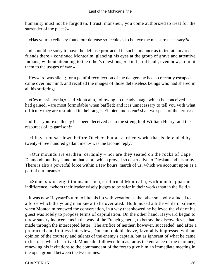humanity must not be forgotten. I trust, monsieur, you come authorized to treat for the surrender of the place?»

«Has your excellency found our defense so feeble as to believe the measure necessary?»

 «I should be sorry to have the defense protracted in such a manner as to irritate my red friends there,» continued Montcalm, glancing his eyes at the group of grave and attentive Indians, without attending to the other's questions; «I find it difficult, even now, to limit them to the usages of war.»

 Heyward was silent; for a painful recollection of the dangers he had so recently escaped came over his mind, and recalled the images of those defenseless beings who had shared in all his sufferings.

 «Ces messieurs−la,» said Montcalm, following up the advantage which he conceived he had gained, «are most formidable when baffled; and it is unnecessary to tell you with what difficulty they are restrained in their anger. Eh bien, monsieur! shall we speak of the terms?»

 «I fear your excellency has been deceived as to the strength of William Henry, and the resources of its garrison!»

 «I have not sat down before Quebec, but an earthen work, that is defended by twenty−three hundred gallant men,» was the laconic reply.

 «Our mounds are earthen, certainly – nor are they seated on the rocks of Cape Diamond; but they stand on that shore which proved so destructive to Dieskau and his army. There is also a powerful force within a few hours' march of us, which we account upon as a part of our means.»

 «Some six or eight thousand men,» returned Montcalm, with much apparent indifference, «whom their leader wisely judges to be safer in their works than in the field.»

 It was now Heyward's turn to bite his lip with vexation as the other so coolly alluded to a force which the young man knew to be overrated. Both mused a little while in silence, when Montcalm renewed the conversation, in a way that showed he believed the visit of his guest was solely to propose terms of capitulation. On the other hand, Heyward began to throw sundry inducements in the way of the French general, to betray the discoveries he had made through the intercepted letter. The artifice of neither, however, succeeded; and after a protracted and fruitless interview, Duncan took his leave, favorably impressed with an opinion of the courtesy and talents of the enemy's captain, but as ignorant of what he came to learn as when he arrived. Montcalm followed him as far as the entrance of the marquee, renewing his invitations to the commandant of the fort to give him an immediate meeting in the open ground between the two armies.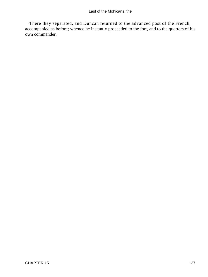There they separated, and Duncan returned to the advanced post of the French, accompanied as before; whence he instantly proceeded to the fort, and to the quarters of his own commander.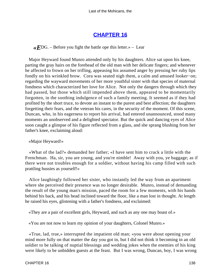## **[CHAPTER 16](#page-316-0)**

 $\langle \mathbf{F}$ DG. – Before you fight the battle ope this letter.» – Lear

 Major Heyward found Munro attended only by his daughters. Alice sat upon his knee, parting the gray hairs on the forehead of the old man with her delicate fingers; and whenever he affected to frown on her trifling, appeasing his assumed anger by pressing her ruby lips fondly on his wrinkled brow. Cora was seated nigh them, a calm and amused looker−on; regarding the wayward movements of her more youthful sister with that species of maternal fondness which characterized her love for Alice. Not only the dangers through which they had passed, but those which still impended above them, appeared to be momentarily forgotten, in the soothing indulgence of such a family meeting. It seemed as if they had profited by the short truce, to devote an instant to the purest and best affection; the daughters forgetting their fears, and the veteran his cares, in the security of the moment. Of this scene, Duncan, who, in his eagerness to report his arrival, had entered unannounced, stood many moments an unobserved and a delighted spectator. But the quick and dancing eyes of Alice soon caught a glimpse of his figure reflected from a glass, and she sprang blushing from her father's knee, exclaiming aloud:

### «Major Heyward!»

 «What of the lad?» demanded her father; «I have sent him to crack a little with the Frenchman. Ha, sir, you are young, and you're nimble! Away with you, ye baggage; as if there were not troubles enough for a soldier, without having his camp filled with such prattling hussies as yourself!»

 Alice laughingly followed her sister, who instantly led the way from an apartment where she perceived their presence was no longer desirable. Munro, instead of demanding the result of the young man's mission, paced the room for a few moments, with his hands behind his back, and his head inclined toward the floor, like a man lost in thought. At length he raised his eyes, glistening with a father's fondness, and exclaimed:

«They are a pair of excellent girls, Heyward, and such as any one may boast of.»

«You are not now to learn my opinion of your daughters, Colonel Munro.»

 «True, lad, true,» interrupted the impatient old man; «you were about opening your mind more fully on that matter the day you got in, but I did not think it becoming in an old soldier to be talking of nuptial blessings and wedding jokes when the enemies of his king were likely to be unbidden guests at the feast. But I was wrong, Duncan, boy, I was wrong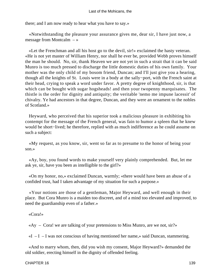there; and I am now ready to hear what you have to say.»

 «Notwithstanding the pleasure your assurance gives me, dear sir, I have just now, a message from Montcalm  $-$  »

 «Let the Frenchman and all his host go to the devil, sir!» exclaimed the hasty veteran. «He is not yet master of William Henry, nor shall he ever be, provided Webb proves himself the man he should. No, sir, thank Heaven we are not yet in such a strait that it can be said Munro is too much pressed to discharge the little domestic duties of his own family. Your mother was the only child of my bosom friend, Duncan; and I'll just give you a hearing, though all the knights of St. Louis were in a body at the sally−port, with the French saint at their head, crying to speak a word under favor. A pretty degree of knighthood, sir, is that which can be bought with sugar hogsheads! and then your twopenny marquisates. The thistle is the order for dignity and antiquity; the veritable 'nemo me impune lacessit' of chivalry. Ye had ancestors in that degree, Duncan, and they were an ornament to the nobles of Scotland.»

 Heyward, who perceived that his superior took a malicious pleasure in exhibiting his contempt for the message of the French general, was fain to humor a spleen that he knew would be short−lived; he therefore, replied with as much indifference as he could assume on such a subject:

 «My request, as you know, sir, went so far as to presume to the honor of being your son.»

 «Ay, boy, you found words to make yourself very plainly comprehended. But, let me ask ye, sir, have you been as intelligible to the girl?»

 «On my honor, no,» exclaimed Duncan, warmly; «there would have been an abuse of a confided trust, had I taken advantage of my situation for such a purpose.»

 «Your notions are those of a gentleman, Major Heyward, and well enough in their place. But Cora Munro is a maiden too discreet, and of a mind too elevated and improved, to need the guardianship even of a father.»

«Cora!»

«Ay – Cora! we are talking of your pretensions to Miss Munro, are we not,  $\sin^2$ 

 $\ll I - I - I$  was not conscious of having mentioned her name,» said Duncan, stammering.

 «And to marry whom, then, did you wish my consent, Major Heyward?» demanded the old soldier, erecting himself in the dignity of offended feeling.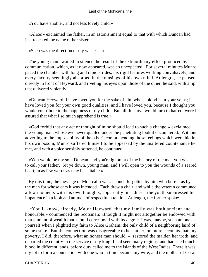«You have another, and not less lovely child.»

 «Alice!» exclaimed the father, in an astonishment equal to that with which Duncan had just repeated the name of her sister.

«Such was the direction of my wishes, sir.»

 The young man awaited in silence the result of the extraordinary effect produced by a communication, which, as it now appeared, was so unexpected. For several minutes Munro paced the chamber with long and rapid strides, his rigid features working convulsively, and every faculty seemingly absorbed in the musings of his own mind. At length, he paused directly in front of Heyward, and riveting his eyes upon those of the other, he said, with a lip that quivered violently:

 «Duncan Heyward, I have loved you for the sake of him whose blood is in your veins; I have loved you for your own good qualities; and I have loved you, because I thought you would contribute to the happiness of my child. But all this love would turn to hatred, were I assured that what I so much apprehend is true.»

 «God forbid that any act or thought of mine should lead to such a change!» exclaimed the young man, whose eye never quailed under the penetrating look it encountered. Without adverting to the impossibility of the other's comprehending those feelings which were hid in his own bosom, Munro suffered himself to be appeased by the unaltered countenance he met, and with a voice sensibly softened, he continued:

 «You would be my son, Duncan, and you're ignorant of the history of the man you wish to call your father. Sit ye down, young man, and I will open to you the wounds of a seared heart, in as few words as may be suitable.»

 By this time, the message of Montcalm was as much forgotten by him who bore it as by the man for whose ears it was intended. Each drew a chair, and while the veteran communed a few moments with his own thoughts, apparently in sadness, the youth suppressed his impatience in a look and attitude of respectful attention. At length, the former spoke:

 «You'll know, already, Major Heyward, that my family was both ancient and honorable,» commenced the Scotsman; «though it might not altogether be endowed with that amount of wealth that should correspond with its degree. I was, maybe, such an one as yourself when I plighted my faith to Alice Graham, the only child of a neighboring laird of some estate. But the connection was disagreeable to her father, on more accounts than my poverty. I did, therefore, what an honest man should – restored the maiden her troth, and departed the country in the service of my king. I had seen many regions, and had shed much blood in different lands, before duty called me to the islands of the West Indies. There it was my lot to form a connection with one who in time became my wife, and the mother of Cora.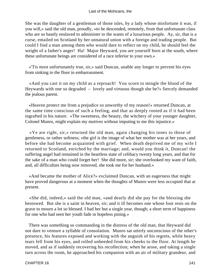She was the daughter of a gentleman of those isles, by a lady whose misfortune it was, if you will,» said the old man, proudly, «to be descended, remotely, from that unfortunate class who are so basely enslaved to administer to the wants of a luxurious people. Ay, sir, that is a curse, entailed on Scotland by her unnatural union with a foreign and trading people. But could I find a man among them who would dare to reflect on my child, he should feel the weight of a father's anger! Ha! Major Heyward, you are yourself born at the south, where these unfortunate beings are considered of a race inferior to your own.»

 «'Tis most unfortunately true, sir,» said Duncan, unable any longer to prevent his eyes from sinking to the floor in embarrassment.

 «And you cast it on my child as a reproach! You scorn to mingle the blood of the Heywards with one so degraded – lovely and virtuous though she be?» fiercely demanded the jealous parent.

 «Heaven protect me from a prejudice so unworthy of my reason!» returned Duncan, at the same time conscious of such a feeling, and that as deeply rooted as if it had been ingrafted in his nature. «The sweetness, the beauty, the witchery of your younger daughter, Colonel Munro, might explain my motives without imputing to me this injustice.»

 «Ye are right, sir,» returned the old man, again changing his tones to those of gentleness, or rather softness; «the girl is the image of what her mother was at her years, and before she had become acquainted with grief. When death deprived me of my wife I returned to Scotland, enriched by the marriage; and, would you think it, Duncan! the suffering angel had remained in the heartless state of celibacy twenty long years, and that for the sake of a man who could forget her! She did more, sir; she overlooked my want of faith, and, all difficulties being now removed, she took me for her husband.»

 «And became the mother of Alice?» exclaimed Duncan, with an eagerness that might have proved dangerous at a moment when the thoughts of Munro were less occupied that at present.

 «She did, indeed,» said the old man, «and dearly did she pay for the blessing she bestowed. But she is a saint in heaven, sir; and it ill becomes one whose foot rests on the grave to mourn a lot so blessed. I had her but a single year, though; a short term of happiness for one who had seen her youth fade in hopeless pining.»

 There was something so commanding in the distress of the old man, that Heyward did not dare to venture a syllable of consolation. Munro sat utterly unconscious of the other's presence, his features exposed and working with the anguish of his regrets, while heavy tears fell from his eyes, and rolled unheeded from his cheeks to the floor. At length he moved, and as if suddenly recovering his recollection; when he arose, and taking a single turn across the room, he approached his companion with an air of military grandeur, and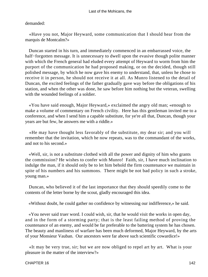### demanded:

 «Have you not, Major Heyward, some communication that I should hear from the marquis de Montcalm?»

 Duncan started in his turn, and immediately commenced in an embarrassed voice, the half−forgotten message. It is unnecessary to dwell upon the evasive though polite manner with which the French general had eluded every attempt of Heyward to worm from him the purport of the communication he had proposed making, or on the decided, though still polished message, by which he now gave his enemy to understand, that, unless he chose to receive it in person, he should not receive it at all. As Munro listened to the detail of Duncan, the excited feelings of the father gradually gave way before the obligations of his station, and when the other was done, he saw before him nothing but the veteran, swelling with the wounded feelings of a soldier.

 «You have said enough, Major Heyward,» exclaimed the angry old man; «enough to make a volume of commentary on French civility. Here has this gentleman invited me to a conference, and when I send him a capable substitute, for ye're all that, Duncan, though your years are but few, he answers me with a riddle.»

 «He may have thought less favorably of the substitute, my dear sir; and you will remember that the invitation, which he now repeats, was to the commandant of the works, and not to his second.»

 «Well, sir, is not a substitute clothed with all the power and dignity of him who grants the commission? He wishes to confer with Munro! Faith, sir, I have much inclination to indulge the man, if it should only be to let him behold the firm countenance we maintain in spite of his numbers and his summons. There might be not bad policy in such a stroke, young man.»

 Duncan, who believed it of the last importance that they should speedily come to the contents of the letter borne by the scout, gladly encouraged this idea.

«Without doubt, he could gather no confidence by witnessing our indifference,» he said.

 «You never said truer word. I could wish, sir, that he would visit the works in open day, and in the form of a storming party; that is the least failing method of proving the countenance of an enemy, and would be far preferable to the battering system he has chosen. The beauty and manliness of warfare has been much deformed, Major Heyward, by the arts of your Monsieur Vauban. Our ancestors were far above such scientific cowardice!»

 «It may be very true, sir; but we are now obliged to repel art by art. What is your pleasure in the matter of the interview?»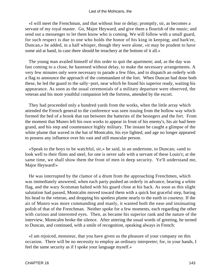«I will meet the Frenchman, and that without fear or delay; promptly, sir, as becomes a servant of my royal master. Go, Major Heyward, and give them a flourish of the music; and send out a messenger to let them know who is coming. We will follow with a small guard, for such respect is due to one who holds the honor of his king in keeping; and hark'ee, Duncan,» he added, in a half whisper, though they were alone, «it may be prudent to have some aid at hand, in case there should be treachery at the bottom of it all.»

 The young man availed himself of this order to quit the apartment; and, as the day was fast coming to a close, he hastened without delay, to make the necessary arrangements. A very few minutes only were necessary to parade a few files, and to dispatch an orderly with a flag to announce the approach of the commandant of the fort. When Duncan had done both these, he led the guard to the sally−port, near which he found his superior ready, waiting his appearance. As soon as the usual ceremonials of a military departure were observed, the veteran and his more youthful companion left the fortress, attended by the escort.

 They had proceeded only a hundred yards from the works, when the little array which attended the French general to the conference was seen issuing from the hollow way which formed the bed of a brook that ran between the batteries of the besiegers and the fort. From the moment that Munro left his own works to appear in front of his enemy's, his air had been grand, and his step and countenance highly military. The instant he caught a glimpse of the white plume that waved in the hat of Montcalm, his eye lighted, and age no longer appeared to possess any influence over his vast and still muscular person.

 «Speak to the boys to be watchful, sir,» he said, in an undertone, to Duncan; «and to look well to their flints and steel, for one is never safe with a servant of these Louis's; at the same time, we shall show them the front of men in deep security. Ye'll understand me, Major Heyward!»

 He was interrupted by the clamor of a drum from the approaching Frenchmen, which was immediately answered, when each party pushed an orderly in advance, bearing a white flag, and the wary Scotsman halted with his guard close at his back. As soon as this slight salutation had passed, Montcalm moved toward them with a quick but graceful step, baring his head to the veteran, and dropping his spotless plume nearly to the earth in courtesy. If the air of Munro was more commanding and manly, it wanted both the ease and insinuating polish of that of the Frenchman. Neither spoke for a few moments, each regarding the other with curious and interested eyes. Then, as became his superior rank and the nature of the interview, Montcalm broke the silence. After uttering the usual words of greeting, he turned to Duncan, and continued, with a smile of recognition, speaking always in French:

 «I am rejoiced, monsieur, that you have given us the pleasure of your company on this occasion. There will be no necessity to employ an ordinary interpreter; for, in your hands, I feel the same security as if I spoke your language myself.»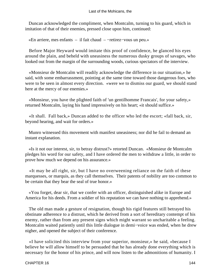Duncan acknowledged the compliment, when Montcalm, turning to his guard, which in imitation of that of their enemies, pressed close upon him, continued:

«En arriere, mes enfants – il fait chaud – −retirez−vous un peu.»

 Before Major Heyward would imitate this proof of confidence, he glanced his eyes around the plain, and beheld with uneasiness the numerous dusky groups of savages, who looked out from the margin of the surrounding woods, curious spectators of the interview.

 «Monsieur de Montcalm will readily acknowledge the difference in our situation,» he said, with some embarrassment, pointing at the same time toward those dangerous foes, who were to be seen in almost every direction. «were we to dismiss our guard, we should stand here at the mercy of our enemies.»

 «Monsieur, you have the plighted faith of 'un gentilhomme Francais', for your safety,» returned Montcalm, laying his hand impressively on his heart; «it should suffice.»

 «It shall. Fall back,» Duncan added to the officer who led the escort; «fall back, sir, beyond hearing, and wait for orders.»

 Munro witnessed this movement with manifest uneasiness; nor did he fail to demand an instant explanation.

 «Is it not our interest, sir, to betray distrust?» retorted Duncan. «Monsieur de Montcalm pledges his word for our safety, and I have ordered the men to withdraw a little, in order to prove how much we depend on his assurance.»

 «It may be all right, sir, but I have no overweening reliance on the faith of these marquesses, or marquis, as they call themselves. Their patents of nobility are too common to be certain that they bear the seal of true honor.»

 «You forget, dear sir, that we confer with an officer, distinguished alike in Europe and America for his deeds. From a soldier of his reputation we can have nothing to apprehend.»

 The old man made a gesture of resignation, though his rigid features still betrayed his obstinate adherence to a distrust, which he derived from a sort of hereditary contempt of his enemy, rather than from any present signs which might warrant so uncharitable a feeling. Montcalm waited patiently until this little dialogue in demi−voice was ended, when he drew nigher, and opened the subject of their conference.

 «I have solicited this interview from your superior, monsieur,» he said, «because I believe he will allow himself to be persuaded that he has already done everything which is necessary for the honor of his prince, and will now listen to the admonitions of humanity. I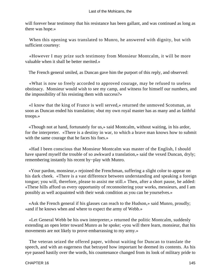will forever bear testimony that his resistance has been gallant, and was continued as long as there was hope.»

 When this opening was translated to Munro, he answered with dignity, but with sufficient courtesy:

 «However I may prize such testimony from Monsieur Montcalm, it will be more valuable when it shall be better merited.»

The French general smiled, as Duncan gave him the purport of this reply, and observed:

 «What is now so freely accorded to approved courage, may be refused to useless obstinacy. Monsieur would wish to see my camp, and witness for himself our numbers, and the impossibility of his resisting them with success?»

 «I know that the king of France is well served,» returned the unmoved Scotsman, as soon as Duncan ended his translation; «but my own royal master has as many and as faithful troops.»

 «Though not at hand, fortunately for us,» said Montcalm, without waiting, in his ardor, for the interpreter. «There is a destiny in war, to which a brave man knows how to submit with the same courage that he faces his foes.»

 «Had I been conscious that Monsieur Montcalm was master of the English, I should have spared myself the trouble of so awkward a translation,» said the vexed Duncan, dryly; remembering instantly his recent by−play with Munro.

 «Your pardon, monsieur,» rejoined the Frenchman, suffering a slight color to appear on his dark cheek. «There is a vast difference between understanding and speaking a foreign tongue; you will, therefore, please to assist me still.» Then, after a short pause, he added: «These hills afford us every opportunity of reconnoitering your works, messieurs, and I am possibly as well acquainted with their weak condition as you can be yourselves.»

 «Ask the French general if his glasses can reach to the Hudson,» said Munro, proudly; «and if he knows when and where to expect the army of Webb.»

 «Let General Webb be his own interpreter,» returned the politic Montcalm, suddenly extending an open letter toward Munro as he spoke; «you will there learn, monsieur, that his movements are not likely to prove embarrassing to my army.»

 The veteran seized the offered paper, without waiting for Duncan to translate the speech, and with an eagerness that betrayed how important he deemed its contents. As his eye passed hastily over the words, his countenance changed from its look of military pride to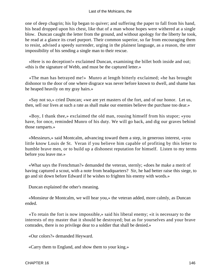one of deep chagrin; his lip began to quiver; and suffering the paper to fall from his hand, his head dropped upon his chest, like that of a man whose hopes were withered at a single blow. Duncan caught the letter from the ground, and without apology for the liberty he took, he read at a glance its cruel purport. Their common superior, so far from encouraging them to resist, advised a speedy surrender, urging in the plainest language, as a reason, the utter impossibility of his sending a single man to their rescue.

 «Here is no deception!» exclaimed Duncan, examining the billet both inside and out; «this is the signature of Webb, and must be the captured letter.»

 «The man has betrayed me!» Munro at length bitterly exclaimed; «he has brought dishonor to the door of one where disgrace was never before known to dwell, and shame has he heaped heavily on my gray hairs.»

 «Say not so,» cried Duncan; «we are yet masters of the fort, and of our honor. Let us, then, sell our lives at such a rate as shall make our enemies believe the purchase too dear.»

 «Boy, I thank thee,» exclaimed the old man, rousing himself from his stupor; «you have, for once, reminded Munro of his duty. We will go back, and dig our graves behind those ramparts.»

 «Messieurs,» said Montcalm, advancing toward them a step, in generous interest, «you little know Louis de St. Veran if you believe him capable of profiting by this letter to humble brave men, or to build up a dishonest reputation for himself. Listen to my terms before you leave me.»

 «What says the Frenchman?» demanded the veteran, sternly; «does he make a merit of having captured a scout, with a note from headquarters? Sir, he had better raise this siege, to go and sit down before Edward if he wishes to frighten his enemy with words.»

Duncan explained the other's meaning.

 «Monsieur de Montcalm, we will hear you,» the veteran added, more calmly, as Duncan ended.

 «To retain the fort is now impossible,» said his liberal enemy; «it is necessary to the interests of my master that it should be destroyed; but as for yourselves and your brave comrades, there is no privilege dear to a soldier that shall be denied.»

«Our colors?» demanded Heyward.

«Carry them to England, and show them to your king.»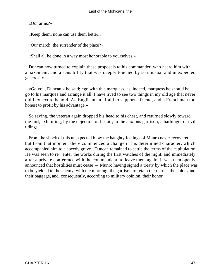«Our arms?»

«Keep them; none can use them better.»

«Our march; the surrender of the place?»

«Shall all be done in a way most honorable to yourselves.»

 Duncan now turned to explain these proposals to his commander, who heard him with amazement, and a sensibility that was deeply touched by so unusual and unexpected generosity.

 «Go you, Duncan,» he said; «go with this marquess, as, indeed, marquess he should be; go to his marquee and arrange it all. I have lived to see two things in my old age that never did I expect to behold. An Englishman afraid to support a friend, and a Frenchman too honest to profit by his advantage.»

 So saying, the veteran again dropped his head to his chest, and returned slowly toward the fort, exhibiting, by the dejection of his air, to the anxious garrison, a harbinger of evil tidings.

 From the shock of this unexpected blow the haughty feelings of Munro never recovered; but from that moment there commenced a change in his determined character, which accompanied him to a speedy grave. Duncan remained to settle the terms of the capitulation. He was seen to re− enter the works during the first watches of the night, and immediately after a private conference with the commandant, to leave them again. It was then openly announced that hostilities must cease – Munro having signed a treaty by which the place was to be yielded to the enemy, with the morning; the garrison to retain their arms, the colors and their baggage, and, consequently, according to military opinion, their honor.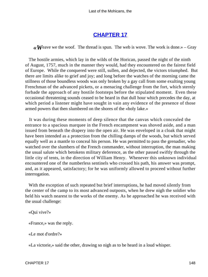# **[CHAPTER 17](#page-316-0)**

 $\mathcal{R}$  Weave we the woof. The thread is spun. The web is wove. The work is done.» – Gray

 The hostile armies, which lay in the wilds of the Horican, passed the night of the ninth of August, 1757, much in the manner they would, had they encountered on the fairest field of Europe. While the conquered were still, sullen, and dejected, the victors triumphed. But there are limits alike to grief and joy; and long before the watches of the morning came the stillness of those boundless woods was only broken by a gay call from some exulting young Frenchman of the advanced pickets, or a menacing challenge from the fort, which sternly forbade the approach of any hostile footsteps before the stipulated moment. Even these occasional threatening sounds ceased to be heard in that dull hour which precedes the day, at which period a listener might have sought in vain any evidence of the presence of those armed powers that then slumbered on the shores of the «holy lake.»

 It was during these moments of deep silence that the canvas which concealed the entrance to a spacious marquee in the French encampment was shoved aside, and a man issued from beneath the drapery into the open air. He was enveloped in a cloak that might have been intended as a protection from the chilling damps of the woods, but which served equally well as a mantle to conceal his person. He was permitted to pass the grenadier, who watched over the slumbers of the French commander, without interruption, the man making the usual salute which betokens military deference, as the other passed swiftly through the little city of tents, in the direction of William Henry. Whenever this unknown individual encountered one of the numberless sentinels who crossed his path, his answer was prompt, and, as it appeared, satisfactory; for he was uniformly allowed to proceed without further interrogation.

 With the exception of such repeated but brief interruptions, he had moved silently from the center of the camp to its most advanced outposts, when he drew nigh the soldier who held his watch nearest to the works of the enemy. As he approached he was received with the usual challenge:

«Qui vive?»

«France,» was the reply.

«Le mot d'ordre?»

«La victorie,» said the other, drawing so nigh as to be heard in a loud whisper.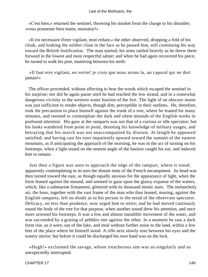«C'est bien,» returned the sentinel, throwing his musket from the charge to his shoulder; «vous promenez bien matin, monsieur!»

 «Il est necessaire d'etre vigilant, mon enfant,» the other observed, dropping a fold of his cloak, and looking the soldier close in the face as he passed him, still continuing his way toward the British fortification. The man started; his arms rattled heavily as he threw them forward in the lowest and most respectful salute; and when he had again recovered his piece, he turned to walk his post, muttering between his teeth:

 «Il faut etre vigilant, en verite! je crois que nous avons la, un caporal qui ne dort jamais!»

 The officer proceeded, without affecting to hear the words which escaped the sentinel in his surprise; nor did he again pause until he had reached the low strand, and in a somewhat dangerous vicinity to the western water bastion of the fort. The light of an obscure moon was just sufficient to render objects, though dim, perceptible in their outlines. He, therefore, took the precaution to place himself against the trunk of a tree, where he leaned for many minutes, and seemed to contemplate the dark and silent mounds of the English works in profound attention. His gaze at the ramparts was not that of a curious or idle spectator; but his looks wandered from point to point, denoting his knowledge of military usages, and betraying that his search was not unaccompanied by distrust. At length he appeared satisfied; and having cast his eyes impatiently upward toward the summit of the eastern mountain, as if anticipating the approach of the morning, he was in the act of turning on his footsteps, when a light sound on the nearest angle of the bastion caught his ear, and induced him to remain.

 Just then a figure was seen to approach the edge of the rampart, where it stood, apparently contemplating in its turn the distant tents of the French encampment. Its head was then turned toward the east, as though equally anxious for the appearance of light, when the form leaned against the mound, and seemed to gaze upon the glassy expanse of the waters, which, like a submarine firmament, glittered with its thousand mimic stars. The melancholy air, the hour, together with the vast frame of the man who thus leaned, musing, against the English ramparts, left no doubt as to his person in the mind of the observant spectator. Delicacy, no less than prudence, now urged him to retire; and he had moved cautiously round the body of the tree for that purpose, when another sound drew his attention, and once more arrested his footsteps. It was a low and almost inaudible movement of the water, and was succeeded by a grating of pebbles one against the other. In a moment he saw a dark form rise, as it were, out of the lake, and steal without further noise to the land, within a few feet of the place where he himself stood. A rifle next slowly rose between his eyes and the watery mirror; but before it could be discharged his own hand was on the lock.

 «Hugh!» exclaimed the savage, whose treacherous aim was so singularly and so unexpectedly interrupted.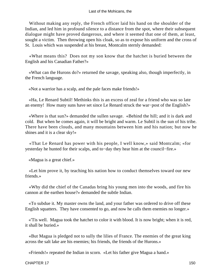Without making any reply, the French officer laid his hand on the shoulder of the Indian, and led him in profound silence to a distance from the spot, where their subsequent dialogue might have proved dangerous, and where it seemed that one of them, at least, sought a victim. Then throwing open his cloak, so as to expose his uniform and the cross of St. Louis which was suspended at his breast, Montcalm sternly demanded:

 «What means this? Does not my son know that the hatchet is buried between the English and his Canadian Father?»

 «What can the Hurons do?» returned the savage, speaking also, though imperfectly, in the French language.

«Not a warrior has a scalp, and the pale faces make friends!»

 «Ha, Le Renard Subtil! Methinks this is an excess of zeal for a friend who was so late an enemy! How many suns have set since Le Renard struck the war−post of the English?»

 «Where is that sun?» demanded the sullen savage. «Behind the hill; and it is dark and cold. But when he comes again, it will be bright and warm. Le Subtil is the sun of his tribe. There have been clouds, and many mountains between him and his nation; but now he shines and it is a clear sky!»

 «That Le Renard has power with his people, I well know,» said Montcalm; «for yesterday he hunted for their scalps, and to−day they hear him at the council−fire.»

«Magua is a great chief.»

 «Let him prove it, by teaching his nation how to conduct themselves toward our new friends.»

 «Why did the chief of the Canadas bring his young men into the woods, and fire his cannon at the earthen house?» demanded the subtle Indian.

 «To subdue it. My master owns the land, and your father was ordered to drive off these English squatters. They have consented to go, and now he calls them enemies no longer.»

 «'Tis well. Magua took the hatchet to color it with blood. It is now bright; when it is red, it shall be buried.»

 «But Magua is pledged not to sully the lilies of France. The enemies of the great king across the salt lake are his enemies; his friends, the friends of the Hurons.»

«Friends!» repeated the Indian in scorn. «Let his father give Magua a hand.»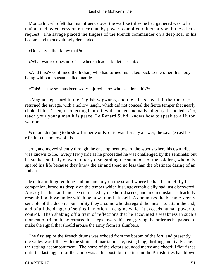Montcalm, who felt that his influence over the warlike tribes he had gathered was to be maintained by concession rather than by power, complied reluctantly with the other's request. The savage placed the fingers of the French commander on a deep scar in his bosom, and then exultingly demanded:

«Does my father know that?»

«What warrior does not? 'Tis where a leaden bullet has cut.»

 «And this?» continued the Indian, who had turned his naked back to the other, his body being without its usual calico mantle.

«This! – my son has been sadly injured here; who has done this?»

 «Magua slept hard in the English wigwams, and the sticks have left their mark,» returned the savage, with a hollow laugh, which did not conceal the fierce temper that nearly choked him. Then, recollecting himself, with sudden and native dignity, he added: «Go; teach your young men it is peace. Le Renard Subtil knows how to speak to a Huron warrior.»

 Without deigning to bestow further words, or to wait for any answer, the savage cast his rifle into the hollow of his

 arm, and moved silently through the encampment toward the woods where his own tribe was known to lie. Every few yards as he proceeded he was challenged by the sentinels; but he stalked sullenly onward, utterly disregarding the summons of the soldiers, who only spared his life because they knew the air and tread no less than the obstinate daring of an Indian.

 Montcalm lingered long and melancholy on the strand where he had been left by his companion, brooding deeply on the temper which his ungovernable ally had just discovered. Already had his fair fame been tarnished by one horrid scene, and in circumstances fearfully resembling those under which he now found himself. As he mused he became keenly sensible of the deep responsibility they assume who disregard the means to attain the end, and of all the danger of setting in motion an engine which it exceeds human power to control. Then shaking off a train of reflections that he accounted a weakness in such a moment of triumph, he retraced his steps toward his tent, giving the order as he passed to make the signal that should arouse the army from its slumbers.

 The first tap of the French drums was echoed from the bosom of the fort, and presently the valley was filled with the strains of martial music, rising long, thrilling and lively above the rattling accompaniment. The horns of the victors sounded merry and cheerful flourishes, until the last laggard of the camp was at his post; but the instant the British fifes had blown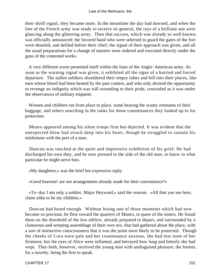their shrill signal, they became mute. In the meantime the day had dawned, and when the line of the French army was ready to receive its general, the rays of a brilliant sun were glancing along the glittering array. Then that success, which was already so well known, was officially announced; the favored band who were selected to guard the gates of the fort were detailed, and defiled before their chief; the signal of their approach was given, and all the usual preparations for a change of masters were ordered and executed directly under the guns of the contested works.

 A very different scene presented itself within the lines of the Anglo−American army. As soon as the warning signal was given, it exhibited all the signs of a hurried and forced departure. The sullen soldiers shouldered their empty tubes and fell into their places, like men whose blood had been heated by the past contest, and who only desired the opportunity to revenge an indignity which was still wounding to their pride, concealed as it was under the observances of military etiquette.

 Women and children ran from place to place, some bearing the scanty remnants of their baggage, and others searching in the ranks for those countenances they looked up to for protection.

 Munro appeared among his silent troops firm but dejected. It was evident that the unexpected blow had struck deep into his heart, though he struggled to sustain his misfortune with the port of a man.

 Duncan was touched at the quiet and impressive exhibition of his grief. He had discharged his own duty, and he now pressed to the side of the old man, to know in what particular he might serve him.

«My daughters,» was the brief but expressive reply.

«Good heavens! are not arrangements already made for their convenience?»

 «To−day I am only a soldier, Major Heyward,» said the veteran. «All that you see here, claim alike to be my children.»

 Duncan had heard enough. Without losing one of those moments which had now become so precious, he flew toward the quarters of Munro, in quest of the sisters. He found them on the threshold of the low edifice, already prepared to depart, and surrounded by a clamorous and weeping assemblage of their own sex, that had gathered about the place, with a sort of instinctive consciousness that it was the point most likely to be protected. Though the cheeks of Cora were pale and her countenance anxious, she had lost none of her firmness; but the eyes of Alice were inflamed, and betrayed how long and bitterly she had wept. They both, however, received the young man with undisguised pleasure; the former, for a novelty, being the first to speak.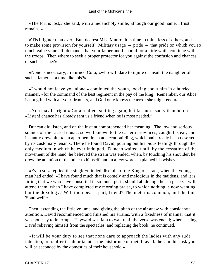«The fort is lost,» she said, with a melancholy smile; «though our good name, I trust, remains.»

 «'Tis brighter than ever. But, dearest Miss Munro, it is time to think less of others, and to make some provision for yourself. Military usage – pride – that pride on which you so much value yourself, demands that your father and I should for a little while continue with the troops. Then where to seek a proper protector for you against the confusion and chances of such a scene?»

 «None is necessary,» returned Cora; «who will dare to injure or insult the daughter of such a father, at a time like this?»

 «I would not leave you alone,» continued the youth, looking about him in a hurried manner, «for the command of the best regiment in the pay of the king. Remember, our Alice is not gifted with all your firmness, and God only knows the terror she might endure.»

 «You may be right,» Cora replied, smiling again, but far more sadly than before. «Listen! chance has already sent us a friend when he is most needed.»

 Duncan did listen, and on the instant comprehended her meaning. The low and serious sounds of the sacred music, so well known to the eastern provinces, caught his ear, and instantly drew him to an apartment in an adjacent building, which had already been deserted by its customary tenants. There he found David, pouring out his pious feelings through the only medium in which he ever indulged. Duncan waited, until, by the cessation of the movement of the hand, he believed the strain was ended, when, by touching his shoulder, he drew the attention of the other to himself, and in a few words explained his wishes.

 «Even so,» replied the single−minded disciple of the King of Israel, when the young man had ended; «I have found much that is comely and melodious in the maidens, and it is fitting that we who have consorted in so much peril, should abide together in peace. I will attend them, when I have completed my morning praise, to which nothing is now wanting but the doxology. Wilt thou bear a part, friend? The meter is common, and the tune 'Southwell'.»

 Then, extending the little volume, and giving the pitch of the air anew with considerate attention, David recommenced and finished his strains, with a fixedness of manner that it was not easy to interrupt. Heyward was fain to wait until the verse was ended; when, seeing David relieving himself from the spectacles, and replacing the book, he continued.

 «It will be your duty to see that none dare to approach the ladies with any rude intention, or to offer insult or taunt at the misfortune of their brave father. In this task you will be seconded by the domestics of their household.»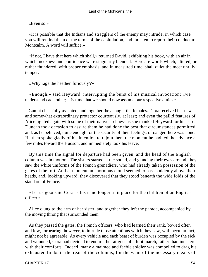## «Even so.»

 «It is possible that the Indians and stragglers of the enemy may intrude, in which case you will remind them of the terms of the capitulation, and threaten to report their conduct to Montcalm. A word will suffice.»

 «If not, I have that here which shall,» returned David, exhibiting his book, with an air in which meekness and confidence were singularly blended. Here are words which, uttered, or rather thundered, with proper emphasis, and in measured time, shall quiet the most unruly temper:

«'Why rage the heathen furiously'?»

 «Enough,» said Heyward, interrupting the burst of his musical invocation; «we understand each other; it is time that we should now assume our respective duties.»

 Gamut cheerfully assented, and together they sought the females. Cora received her new and somewhat extraordinary protector courteously, at least; and even the pallid features of Alice lighted again with some of their native archness as she thanked Heyward for his care. Duncan took occasion to assure them he had done the best that circumstances permitted, and, as he believed, quite enough for the security of their feelings; of danger there was none. He then spoke gladly of his intention to rejoin them the moment he had led the advance a few miles toward the Hudson, and immediately took his leave.

 By this time the signal for departure had been given, and the head of the English column was in motion. The sisters started at the sound, and glancing their eyes around, they saw the white uniforms of the French grenadiers, who had already taken possession of the gates of the fort. At that moment an enormous cloud seemed to pass suddenly above their heads, and, looking upward, they discovered that they stood beneath the wide folds of the standard of France.

 «Let us go,» said Cora; «this is no longer a fit place for the children of an English officer.»

 Alice clung to the arm of her sister, and together they left the parade, accompanied by the moving throng that surrounded them.

 As they passed the gates, the French officers, who had learned their rank, bowed often and low, forbearing, however, to intrude those attentions which they saw, with peculiar tact, might not be agreeable. As every vehicle and each beast of burden was occupied by the sick and wounded, Cora had decided to endure the fatigues of a foot march, rather than interfere with their comforts. Indeed, many a maimed and feeble soldier was compelled to drag his exhausted limbs in the rear of the columns, for the want of the necessary means of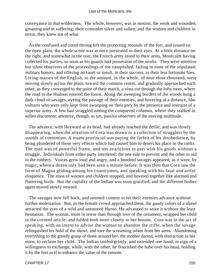conveyance in that wilderness. The whole, however, was in motion; the weak and wounded, groaning and in suffering; their comrades silent and sullen; and the women and children in terror, they knew not of what.

 As the confused and timid throng left the protecting mounds of the fort, and issued on the open plain, the whole scene was at once presented to their eyes. At a little distance on the right, and somewhat in the rear, the French army stood to their arms, Montcalm having collected his parties, so soon as his guards had possession of the works. They were attentive but silent observers of the proceedings of the vanquished, failing in none of the stipulated military honors, and offering no taunt or insult, in their success, to their less fortunate foes. Living masses of the English, to the amount, in the whole, of near three thousand, were moving slowly across the plain, toward the common center, and gradually approached each other, as they converged to the point of their march, a vista cut through the lofty trees, where the road to the Hudson entered the forest. Along the sweeping borders of the woods hung a dark cloud of savages, eyeing the passage of their enemies, and hovering at a distance, like vultures who were only kept from swooping on their prey by the presence and restraint of a superior army. A few had straggled among the conquered columns, where they stalked in sullen discontent; attentive, though, as yet, passive observers of the moving multitude.

 The advance, with Heyward at its head, had already reached the defile, and was slowly disappearing, when the attention of Cora was drawn to a collection of stragglers by the sounds of contention. A truant provincial was paying the forfeit of his disobedience, by being plundered of those very effects which had caused him to desert his place in the ranks. The man was of powerful frame, and too avaricious to part with his goods without a struggle. Individuals from either party interfered; the one side to prevent and the other to aid in the robbery. Voices grew loud and angry, and a hundred savages appeared, as it were, by magic, where a dozen only had been seen a minute before. It was then that Cora saw the form of Magua gliding among his countrymen, and speaking with his fatal and artful eloquence. The mass of women and children stopped, and hovered together like alarmed and fluttering birds. But the cupidity of the Indian was soon gratified, and the different bodies again moved slowly onward.

 The savages now fell back, and seemed content to let their enemies advance without further molestation. But, as the female crowd approached them, the gaudy colors of a shawl attracted the eyes of a wild and untutored Huron. He advanced to seize it without the least hesitation. The woman, more in terror than through love of the ornament, wrapped her child in the coveted article, and folded both more closely to her bosom. Cora was in the act of speaking, with an intent to advise the woman to abandon the trifle, when the savage relinquished his hold of the shawl, and tore the screaming infant from her arms. Abandoning everything to the greedy grasp of those around her, the mother darted, with distraction in her mien, to reclaim her child. The Indian smiled grimly, and extended one hand, in sign of a willingness to exchange, while, with the other, he flourished the babe over his head, holding it by the feet as if to enhance the value of the ransom.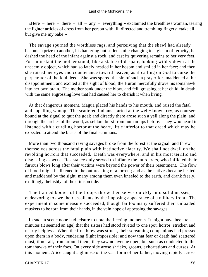«Here – here – there – all – any – everything!» exclaimed the breathless woman, tearing the lighter articles of dress from her person with ill−directed and trembling fingers; «take all, but give me my babe!»

 The savage spurned the worthless rags, and perceiving that the shawl had already become a prize to another, his bantering but sullen smile changing to a gleam of ferocity, he dashed the head of the infant against a rock, and cast its quivering remains to her very feet. For an instant the mother stood, like a statue of despair, looking wildly down at the unseemly object, which had so lately nestled in her bosom and smiled in her face; and then she raised her eyes and countenance toward heaven, as if calling on God to curse the perpetrator of the foul deed. She was spared the sin of such a prayer for, maddened at his disappointment, and excited at the sight of blood, the Huron mercifully drove his tomahawk into her own brain. The mother sank under the blow, and fell, grasping at her child, in death, with the same engrossing love that had caused her to cherish it when living.

 At that dangerous moment, Magua placed his hands to his mouth, and raised the fatal and appalling whoop. The scattered Indians started at the well−known cry, as coursers bound at the signal to quit the goal; and directly there arose such a yell along the plain, and through the arches of the wood, as seldom burst from human lips before. They who heard it listened with a curdling horror at the heart, little inferior to that dread which may be expected to attend the blasts of the final summons.

 More than two thousand raving savages broke from the forest at the signal, and threw themselves across the fatal plain with instinctive alacrity. We shall not dwell on the revolting horrors that succeeded. Death was everywhere, and in his most terrific and disgusting aspects. Resistance only served to inflame the murderers, who inflicted their furious blows long after their victims were beyond the power of their resentment. The flow of blood might be likened to the outbreaking of a torrent; and as the natives became heated and maddened by the sight, many among them even kneeled to the earth, and drank freely, exultingly, hellishly, of the crimson tide.

 The trained bodies of the troops threw themselves quickly into solid masses, endeavoring to awe their assailants by the imposing appearance of a military front. The experiment in some measure succeeded, though far too many suffered their unloaded muskets to be torn from their hands, in the vain hope of appeasing the savages.

 In such a scene none had leisure to note the fleeting moments. It might have been ten minutes (it seemed an age) that the sisters had stood riveted to one spot, horror−stricken and nearly helpless. When the first blow was struck, their screaming companions had pressed upon them in a body, rendering flight impossible; and now that fear or death had scattered most, if not all, from around them, they saw no avenue open, but such as conducted to the tomahawks of their foes. On every side arose shrieks, groans, exhortations and curses. At this moment, Alice caught a glimpse of the vast form of her father, moving rapidly across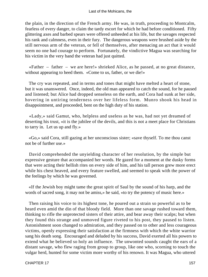the plain, in the direction of the French army. He was, in truth, proceeding to Montcalm, fearless of every danger, to claim the tardy escort for which he had before conditioned. Fifty glittering axes and barbed spears were offered unheeded at his life, but the savages respected his rank and calmness, even in their fury. The dangerous weapons were brushed aside by the still nervous arm of the veteran, or fell of themselves, after menacing an act that it would seem no one had courage to perform. Fortunately, the vindictive Magua was searching for his victim in the very band the veteran had just quitted.

 «Father – father – we are here!» shrieked Alice, as he passed, at no great distance, without appearing to heed them. «Come to us, father, or we die!»

 The cry was repeated, and in terms and tones that might have melted a heart of stone, but it was unanswered. Once, indeed, the old man appeared to catch the sound, for he paused and listened; but Alice had dropped senseless on the earth, and Cora had sunk at her side, hovering in untiring tenderness over her lifeless form. Munro shook his head in disappointment, and proceeded, bent on the high duty of his station.

 «Lady,» said Gamut, who, helpless and useless as he was, had not yet dreamed of deserting his trust, «it is the jubilee of the devils, and this is not a meet place for Christians to tarry in. Let us up and fly.»

 «Go,» said Cora, still gazing at her unconscious sister; «save thyself. To me thou canst not be of further use.»

 David comprehended the unyielding character of her resolution, by the simple but expressive gesture that accompanied her words. He gazed for a moment at the dusky forms that were acting their hellish rites on every side of him, and his tall person grew more erect while his chest heaved, and every feature swelled, and seemed to speak with the power of the feelings by which he was governed.

 «If the Jewish boy might tame the great spirit of Saul by the sound of his harp, and the words of sacred song, it may not be amiss,» he said, «to try the potency of music here.»

 Then raising his voice to its highest tone, he poured out a strain so powerful as to be heard even amid the din of that bloody field. More than one savage rushed toward them, thinking to rifle the unprotected sisters of their attire, and bear away their scalps; but when they found this strange and unmoved figure riveted to his post, they paused to listen. Astonishment soon changed to admiration, and they passed on to other and less courageous victims, openly expressing their satisfaction at the firmness with which the white warrior sang his death song. Encouraged and deluded by his success, David exerted all his powers to extend what he believed so holy an influence. The unwonted sounds caught the ears of a distant savage, who flew raging from group to group, like one who, scorning to touch the vulgar herd, hunted for some victim more worthy of his renown. It was Magua, who uttered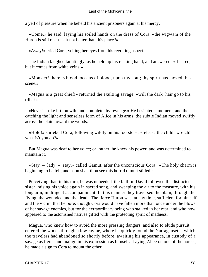a yell of pleasure when he beheld his ancient prisoners again at his mercy.

 «Come,» he said, laying his soiled hands on the dress of Cora, «the wigwam of the Huron is still open. Is it not better than this place?»

«Away!» cried Cora, veiling her eyes from his revolting aspect.

 The Indian laughed tauntingly, as he held up his reeking hand, and answered: «It is red, but it comes from white veins!»

 «Monster! there is blood, oceans of blood, upon thy soul; thy spirit has moved this scene.»

 «Magua is a great chief!» returned the exulting savage, «will the dark−hair go to his tribe?»

 «Never! strike if thou wilt, and complete thy revenge.» He hesitated a moment, and then catching the light and senseless form of Alice in his arms, the subtle Indian moved swiftly across the plain toward the woods.

 «Hold!» shrieked Cora, following wildly on his footsteps; «release the child! wretch! what is't you do?»

 But Magua was deaf to her voice; or, rather, he knew his power, and was determined to maintain it.

 $\ll$ Stay – lady – stay,» called Gamut, after the unconscious Cora.  $\ll$ The holy charm is beginning to be felt, and soon shalt thou see this horrid tumult stilled.»

 Perceiving that, in his turn, he was unheeded, the faithful David followed the distracted sister, raising his voice again in sacred song, and sweeping the air to the measure, with his long arm, in diligent accompaniment. In this manner they traversed the plain, through the flying, the wounded and the dead. The fierce Huron was, at any time, sufficient for himself and the victim that he bore; though Cora would have fallen more than once under the blows of her savage enemies, but for the extraordinary being who stalked in her rear, and who now appeared to the astonished natives gifted with the protecting spirit of madness.

 Magua, who knew how to avoid the more pressing dangers, and also to elude pursuit, entered the woods through a low ravine, where he quickly found the Narragansetts, which the travelers had abandoned so shortly before, awaiting his appearance, in custody of a savage as fierce and malign in his expression as himself. Laying Alice on one of the horses, he made a sign to Cora to mount the other.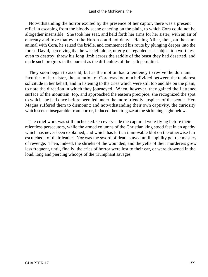### Last of the Mohicans, the

 Notwithstanding the horror excited by the presence of her captor, there was a present relief in escaping from the bloody scene enacting on the plain, to which Cora could not be altogether insensible. She took her seat, and held forth her arms for her sister, with an air of entreaty and love that even the Huron could not deny. Placing Alice, then, on the same animal with Cora, he seized the bridle, and commenced his route by plunging deeper into the forest. David, perceiving that he was left alone, utterly disregarded as a subject too worthless even to destroy, threw his long limb across the saddle of the beast they had deserted, and made such progress in the pursuit as the difficulties of the path permitted.

 They soon began to ascend; but as the motion had a tendency to revive the dormant faculties of her sister, the attention of Cora was too much divided between the tenderest solicitude in her behalf, and in listening to the cries which were still too audible on the plain, to note the direction in which they journeyed. When, however, they gained the flattened surface of the mountain−top, and approached the eastern precipice, she recognized the spot to which she had once before been led under the more friendly auspices of the scout. Here Magua suffered them to dismount; and notwithstanding their own captivity, the curiosity which seems inseparable from horror, induced them to gaze at the sickening sight below.

 The cruel work was still unchecked. On every side the captured were flying before their relentless persecutors, while the armed columns of the Christian king stood fast in an apathy which has never been explained, and which has left an immovable blot on the otherwise fair escutcheon of their leader. Nor was the sword of death stayed until cupidity got the mastery of revenge. Then, indeed, the shrieks of the wounded, and the yells of their murderers grew less frequent, until, finally, the cries of horror were lost to their ear, or were drowned in the loud, long and piercing whoops of the triumphant savages.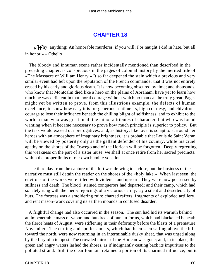# **[CHAPTER 18](#page-316-0)**

*«W*hy, anything; An honorable murderer, if you will; For naught I did in hate, but all in honor.» – Othello

 The bloody and inhuman scene rather incidentally mentioned than described in the preceding chapter, is conspicuous in the pages of colonial history by the merited title of «The Massacre of William Henry.» It so far deepened the stain which a previous and very similar event had left upon the reputation of the French commander that it was not entirely erased by his early and glorious death. It is now becoming obscured by time; and thousands, who know that Montcalm died like a hero on the plains of Abraham, have yet to learn how much he was deficient in that moral courage without which no man can be truly great. Pages might yet be written to prove, from this illustrious example, the defects of human excellence; to show how easy it is for generous sentiments, high courtesy, and chivalrous courage to lose their influence beneath the chilling blight of selfishness, and to exhibit to the world a man who was great in all the minor attributes of character, but who was found wanting when it became necessary to prove how much principle is superior to policy. But the task would exceed our prerogatives; and, as history, like love, is so apt to surround her heroes with an atmosphere of imaginary brightness, it is probable that Louis de Saint Veran will be viewed by posterity only as the gallant defender of his country, while his cruel apathy on the shores of the Oswego and of the Horican will be forgotten. Deeply regretting this weakness on the part of a sister muse, we shall at once retire from her sacred precincts, within the proper limits of our own humble vocation.

 The third day from the capture of the fort was drawing to a close, but the business of the narrative must still detain the reader on the shores of the «holy lake.» When last seen, the environs of the works were filled with violence and uproar. They were now possessed by stillness and death. The blood−stained conquerors had departed; and their camp, which had so lately rung with the merry rejoicings of a victorious army, lay a silent and deserted city of huts. The fortress was a smoldering ruin; charred rafters, fragments of exploded artillery, and rent mason−work covering its earthen mounds in confused disorder.

 A frightful change had also occurred in the season. The sun had hid its warmth behind an impenetrable mass of vapor, and hundreds of human forms, which had blackened beneath the fierce heats of August, were stiffening in their deformity before the blasts of a premature November. The curling and spotless mists, which had been seen sailing above the hills toward the north, were now returning in an interminable dusky sheet, that was urged along by the fury of a tempest. The crowded mirror of the Horican was gone; and, in its place, the green and angry waters lashed the shores, as if indignantly casting back its impurities to the polluted strand. Still the clear fountain retained a portion of its charmed influence, but it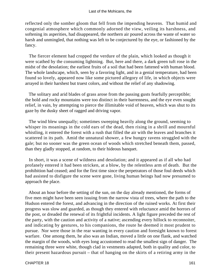reflected only the somber gloom that fell from the impending heavens. That humid and congenial atmosphere which commonly adorned the view, veiling its harshness, and softening its asperities, had disappeared, the northern air poured across the waste of water so harsh and unmingled, that nothing was left to be conjectured by the eye, or fashioned by the fancy.

 The fiercer element had cropped the verdure of the plain, which looked as though it were scathed by the consuming lightning. But, here and there, a dark green tuft rose in the midst of the desolation; the earliest fruits of a soil that had been fattened with human blood. The whole landscape, which, seen by a favoring light, and in a genial temperature, had been found so lovely, appeared now like some pictured allegory of life, in which objects were arrayed in their harshest but truest colors, and without the relief of any shadowing.

 The solitary and arid blades of grass arose from the passing gusts fearfully perceptible; the bold and rocky mountains were too distinct in their barrenness, and the eye even sought relief, in vain, by attempting to pierce the illimitable void of heaven, which was shut to its gaze by the dusky sheet of ragged and driving vapor.

 The wind blew unequally; sometimes sweeping heavily along the ground, seeming to whisper its moanings in the cold ears of the dead, then rising in a shrill and mournful whistling, it entered the forest with a rush that filled the air with the leaves and branches it scattered in its path. Amid the unnatural shower, a few hungry ravens struggled with the gale; but no sooner was the green ocean of woods which stretched beneath them, passed, than they gladly stopped, at random, to their hideous banquet.

 In short, it was a scene of wildness and desolation; and it appeared as if all who had profanely entered it had been stricken, at a blow, by the relentless arm of death. But the prohibition had ceased; and for the first time since the perpetrators of those foul deeds which had assisted to disfigure the scene were gone, living human beings had now presumed to approach the place.

 About an hour before the setting of the sun, on the day already mentioned, the forms of five men might have been seen issuing from the narrow vista of trees, where the path to the Hudson entered the forest, and advancing in the direction of the ruined works. At first their progress was slow and guarded, as though they entered with reluctance amid the horrors of the post, or dreaded the renewal of its frightful incidents. A light figure preceded the rest of the party, with the caution and activity of a native; ascending every hillock to reconnoiter, and indicating by gestures, to his companions, the route he deemed it most prudent to pursue. Nor were those in the rear wanting in every caution and foresight known to forest warfare. One among them, he also was an Indian, moved a little on one flank, and watched the margin of the woods, with eyes long accustomed to read the smallest sign of danger. The remaining three were white, though clad in vestments adapted, both in quality and color, to their present hazardous pursuit – that of hanging on the skirts of a retiring army in the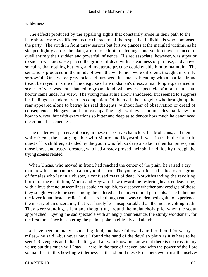## wilderness.

 The effects produced by the appalling sights that constantly arose in their path to the lake shore, were as different as the characters of the respective individuals who composed the party. The youth in front threw serious but furtive glances at the mangled victims, as he stepped lightly across the plain, afraid to exhibit his feelings, and yet too inexperienced to quell entirely their sudden and powerful influence. His red associate, however, was superior to such a weakness. He passed the groups of dead with a steadiness of purpose, and an eye so calm, that nothing but long and inveterate practise could enable him to maintain. The sensations produced in the minds of even the white men were different, though uniformly sorrowful. One, whose gray locks and furrowed lineaments, blending with a martial air and tread, betrayed, in spite of the disguise of a woodsman's dress, a man long experienced in scenes of war, was not ashamed to groan aloud, whenever a spectacle of more than usual horror came under his view. The young man at his elbow shuddered, but seemed to suppress his feelings in tenderness to his companion. Of them all, the straggler who brought up the rear appeared alone to betray his real thoughts, without fear of observation or dread of consequences. He gazed at the most appalling sight with eyes and muscles that knew not how to waver, but with execrations so bitter and deep as to denote how much he denounced the crime of his enemies.

 The reader will perceive at once, in these respective characters, the Mohicans, and their white friend, the scout; together with Munro and Heyward. It was, in truth, the father in quest of his children, attended by the youth who felt so deep a stake in their happiness, and those brave and trusty foresters, who had already proved their skill and fidelity through the trying scenes related.

 When Uncas, who moved in front, had reached the center of the plain, he raised a cry that drew his companions in a body to the spot. The young warrior had halted over a group of females who lay in a cluster, a confused mass of dead. Notwithstanding the revolting horror of the exhibition, Munro and Heyward flew toward the festering heap, endeavoring, with a love that no unseemliness could extinguish, to discover whether any vestiges of those they sought were to be seen among the tattered and many−colored garments. The father and the lover found instant relief in the search; though each was condemned again to experience the misery of an uncertainty that was hardly less insupportable than the most revolting truth. They were standing, silent and thoughtful, around the melancholy pile, when the scout approached. Eyeing the sad spectacle with an angry countenance, the sturdy woodsman, for the first time since his entering the plain, spoke intelligibly and aloud:

 «I have been on many a shocking field, and have followed a trail of blood for weary miles,» he said, «but never have I found the hand of the devil so plain as it is here to be seen! Revenge is an Indian feeling, and all who know me know that there is no cross in my veins; but this much will I say – here, in the face of heaven, and with the power of the Lord so manifest in this howling wilderness – that should these Frenchers ever trust themselves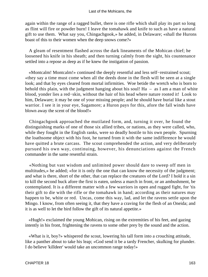again within the range of a ragged bullet, there is one rifle which shall play its part so long as flint will fire or powder burn! I leave the tomahawk and knife to such as have a natural gift to use them. What say you, Chingachgook,» he added, in Delaware; «shall the Hurons boast of this to their women when the deep snows come?»

 A gleam of resentment flashed across the dark lineaments of the Mohican chief; he loosened his knife in his sheath; and then turning calmly from the sight, his countenance settled into a repose as deep as if he knew the instigation of passion.

 «Montcalm! Montcalm!» continued the deeply resentful and less self−restrained scout; «they say a time must come when all the deeds done in the flesh will be seen at a single look; and that by eyes cleared from mortal infirmities. Woe betide the wretch who is born to behold this plain, with the judgment hanging about his soul! Ha  $-$  as I am a man of white blood, yonder lies a red−skin, without the hair of his head where nature rooted it! Look to him, Delaware; it may be one of your missing people; and he should have burial like a stout warrior. I see it in your eye, Sagamore; a Huron pays for this, afore the fall winds have blown away the scent of the blood!»

 Chingachgook approached the mutilated form, and, turning it over, he found the distinguishing marks of one of those six allied tribes, or nations, as they were called, who, while they fought in the English ranks, were so deadly hostile to his own people. Spurning the loathsome object with his foot, he turned from it with the same indifference he would have quitted a brute carcass. The scout comprehended the action, and very deliberately pursued his own way, continuing, however, his denunciations against the French commander in the same resentful strain.

 «Nothing but vast wisdom and unlimited power should dare to sweep off men in multitudes,» he added; «for it is only the one that can know the necessity of the judgment; and what is there, short of the other, that can replace the creatures of the Lord? I hold it a sin to kill the second buck afore the first is eaten, unless a march in front, or an ambushment, be contemplated. It is a different matter with a few warriors in open and rugged fight, for 'tis their gift to die with the rifle or the tomahawk in hand; according as their natures may happen to be, white or red. Uncas, come this way, lad, and let the ravens settle upon the Mingo. I know, from often seeing it, that they have a craving for the flesh of an Oneida; and it is as well to let the bird follow the gift of its natural appetite.»

 «Hugh!» exclaimed the young Mohican, rising on the extremities of his feet, and gazing intently in his front, frightening the ravens to some other prey by the sound and the action.

 «What is it, boy?» whispered the scout, lowering his tall form into a crouching attitude, like a panther about to take his leap; «God send it be a tardy Frencher, skulking for plunder. I do believe 'killdeer' would take an uncommon range today!»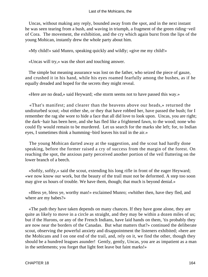Uncas, without making any reply, bounded away from the spot, and in the next instant he was seen tearing from a bush, and waving in triumph, a fragment of the green riding−veil of Cora. The movement, the exhibition, and the cry which again burst from the lips of the young Mohican, instantly drew the whole party about him.

«My child!» said Munro, speaking quickly and wildly; «give me my child!»

«Uncas will try,» was the short and touching answer.

 The simple but meaning assurance was lost on the father, who seized the piece of gauze, and crushed it in his hand, while his eyes roamed fearfully among the bushes, as if he equally dreaded and hoped for the secrets they might reveal.

«Here are no dead,» said Heyward; «the storm seems not to have passed this way.»

 «That's manifest; and clearer than the heavens above our heads,» returned the undisturbed scout; «but either she, or they that have robbed her, have passed the bush; for I remember the rag she wore to hide a face that all did love to look upon. Uncas, you are right; the dark−hair has been here, and she has fled like a frightened fawn, to the wood; none who could fly would remain to be murdered. Let us search for the marks she left; for, to Indian eyes, I sometimes think a humming−bird leaves his trail in the air.»

 The young Mohican darted away at the suggestion, and the scout had hardly done speaking, before the former raised a cry of success from the margin of the forest. On reaching the spot, the anxious party perceived another portion of the veil fluttering on the lower branch of a beech.

 «Softly, softly,» said the scout, extending his long rifle in front of the eager Heyward; «we now know our work, but the beauty of the trail must not be deformed. A step too soon may give us hours of trouble. We have them, though; that much is beyond denial.»

 «Bless ye, bless ye, worthy man!» exclaimed Munro; «whither then, have they fled, and where are my babes?»

 «The path they have taken depends on many chances. If they have gone alone, they are quite as likely to move in a circle as straight, and they may be within a dozen miles of us; but if the Hurons, or any of the French Indians, have laid hands on them, 'tis probably they are now near the borders of the Canadas. But what matters that?» continued the deliberate scout, observing the powerful anxiety and disappointment the listeners exhibited; «here are the Mohicans and I on one end of the trail, and, rely on it, we find the other, though they should be a hundred leagues asunder! Gently, gently, Uncas, you are as impatient as a man in the settlements; you forget that light feet leave but faint marks!»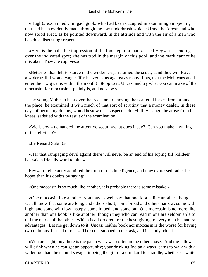«Hugh!» exclaimed Chingachgook, who had been occupied in examining an opening that had been evidently made through the low underbrush which skirted the forest; and who now stood erect, as he pointed downward, in the attitude and with the air of a man who beheld a disgusting serpent.

 «Here is the palpable impression of the footstep of a man,» cried Heyward, bending over the indicated spot; «he has trod in the margin of this pool, and the mark cannot be mistaken. They are captives.»

 «Better so than left to starve in the wilderness,» returned the scout; «and they will leave a wider trail. I would wager fifty beaver skins against as many flints, that the Mohicans and I enter their wigwams within the month! Stoop to it, Uncas, and try what you can make of the moccasin; for moccasin it plainly is, and no shoe.»

 The young Mohican bent over the track, and removing the scattered leaves from around the place, he examined it with much of that sort of scrutiny that a money dealer, in these days of pecuniary doubts, would bestow on a suspected due−bill. At length he arose from his knees, satisfied with the result of the examination.

 «Well, boy,» demanded the attentive scout; «what does it say? Can you make anything of the tell−tale?»

«Le Renard Subtil!»

 «Ha! that rampaging devil again! there will never be an end of his loping till 'killdeer' has said a friendly word to him.»

 Heyward reluctantly admitted the truth of this intelligence, and now expressed rather his hopes than his doubts by saying:

«One moccasin is so much like another, it is probable there is some mistake.»

 «One moccasin like another! you may as well say that one foot is like another; though we all know that some are long, and others short; some broad and others narrow; some with high, and some with low insteps; some intoed, and some out. One moccasin is no more like another than one book is like another: though they who can read in one are seldom able to tell the marks of the other. Which is all ordered for the best, giving to every man his natural advantages. Let me get down to it, Uncas; neither book nor moccasin is the worse for having two opinions, instead of one.» The scout stooped to the task, and instantly added:

 «You are right, boy; here is the patch we saw so often in the other chase. And the fellow will drink when he can get an opportunity; your drinking Indian always learns to walk with a wider toe than the natural savage, it being the gift of a drunkard to straddle, whether of white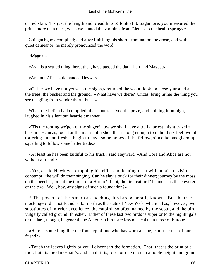or red skin. 'Tis just the length and breadth, too! look at it, Sagamore; you measured the prints more than once, when we hunted the varmints from Glenn's to the health springs.»

 Chingachgook complied; and after finishing his short examination, he arose, and with a quiet demeanor, he merely pronounced the word:

«Magua!»

«Ay, 'tis a settled thing; here, then, have passed the dark−hair and Magua.»

«And not Alice?» demanded Heyward.

 «Of her we have not yet seen the signs,» returned the scout, looking closely around at the trees, the bushes and the ground. «What have we there? Uncas, bring hither the thing you see dangling from yonder thorn−bush.»

 When the Indian had complied, the scout received the prize, and holding it on high, he laughed in his silent but heartfelt manner.

 «'Tis the tooting we'pon of the singer! now we shall have a trail a priest might travel,» he said. «Uncas, look for the marks of a shoe that is long enough to uphold six feet two of tottering human flesh. I begin to have some hopes of the fellow, since he has given up squalling to follow some better trade.»

 «At least he has been faithful to his trust,» said Heyward. «And Cora and Alice are not without a friend.»

 «Yes,» said Hawkeye, dropping his rifle, and leaning on it with an air of visible contempt, «he will do their singing. Can he slay a buck for their dinner; journey by the moss on the beeches, or cut the throat of a Huron? If not, the first catbird\* he meets is the cleverer of the two. Well, boy, any signs of such a foundation?»

 \* The powers of the American mocking−bird are generally known. But the true mocking−bird is not found so far north as the state of New York, where it has, however, two substitutes of inferior excellence, the catbird, so often named by the scout, and the bird vulgarly called ground−thresher. Either of these last two birds is superior to the nightingale or the lark, though, in general, the American birds are less musical than those of Europe.

 «Here is something like the footstep of one who has worn a shoe; can it be that of our friend?»

 «Touch the leaves lightly or you'll disconsart the formation. That! that is the print of a foot, but 'tis the dark−hair's; and small it is, too, for one of such a noble height and grand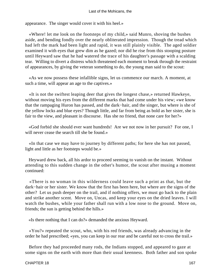appearance. The singer would cover it with his heel.»

 «Where! let me look on the footsteps of my child,» said Munro, shoving the bushes aside, and bending fondly over the nearly obliterated impression. Though the tread which had left the mark had been light and rapid, it was still plainly visible. The aged soldier examined it with eyes that grew dim as he gazed; nor did he rise from this stooping posture until Heyward saw that he had watered the trace of his daughter's passage with a scalding tear. Willing to divert a distress which threatened each moment to break through the restraint of appearances, by giving the veteran something to do, the young man said to the scout:

 «As we now possess these infallible signs, let us commence our march. A moment, at such a time, will appear an age to the captives.»

 «It is not the swiftest leaping deer that gives the longest chase,» returned Hawkeye, without moving his eyes from the different marks that had come under his view; «we know that the rampaging Huron has passed, and the dark−hair, and the singer, but where is she of the yellow locks and blue eyes? Though little, and far from being as bold as her sister, she is fair to the view, and pleasant in discourse. Has she no friend, that none care for her?»

 «God forbid she should ever want hundreds! Are we not now in her pursuit? For one, I will never cease the search till she be found.»

 «In that case we may have to journey by different paths; for here she has not passed, light and little as her footsteps would be.»

 Heyward drew back, all his ardor to proceed seeming to vanish on the instant. Without attending to this sudden change in the other's humor, the scout after musing a moment continued:

 «There is no woman in this wilderness could leave such a print as that, but the dark−hair or her sister. We know that the first has been here, but where are the signs of the other? Let us push deeper on the trail, and if nothing offers, we must go back to the plain and strike another scent. Move on, Uncas, and keep your eyes on the dried leaves. I will watch the bushes, while your father shall run with a low nose to the ground. Move on, friends; the sun is getting behind the hills.»

«Is there nothing that I can do?» demanded the anxious Heyward.

 «You?» repeated the scout, who, with his red friends, was already advancing in the order he had prescribed; «yes, you can keep in our rear and be careful not to cross the trail.»

 Before they had proceeded many rods, the Indians stopped, and appeared to gaze at some signs on the earth with more than their usual keenness. Both father and son spoke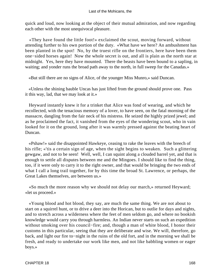quick and loud, now looking at the object of their mutual admiration, and now regarding each other with the most unequivocal pleasure.

 «They have found the little foot!» exclaimed the scout, moving forward, without attending further to his own portion of the duty. «What have we here? An ambushment has been planted in the spot! No, by the truest rifle on the frontiers, here have been them one−sided horses again! Now the whole secret is out, and all is plain as the north star at midnight. Yes, here they have mounted. There the beasts have been bound to a sapling, in waiting; and yonder runs the broad path away to the north, in full sweep for the Canadas.»

«But still there are no signs of Alice, of the younger Miss Munro,» said Duncan.

 «Unless the shining bauble Uncas has just lifted from the ground should prove one. Pass it this way, lad, that we may look at it.»

 Heyward instantly knew it for a trinket that Alice was fond of wearing, and which he recollected, with the tenacious memory of a lover, to have seen, on the fatal morning of the massacre, dangling from the fair neck of his mistress. He seized the highly prized jewel; and as he proclaimed the fact, it vanished from the eyes of the wondering scout, who in vain looked for it on the ground, long after it was warmly pressed against the beating heart of Duncan.

 «Pshaw!» said the disappointed Hawkeye, ceasing to rake the leaves with the breech of his rifle; «'tis a certain sign of age, when the sight begins to weaken. Such a glittering gewgaw, and not to be seen! Well, well, I can squint along a clouded barrel yet, and that is enough to settle all disputes between me and the Mingoes. I should like to find the thing, too, if it were only to carry it to the right owner, and that would be bringing the two ends of what I call a long trail together, for by this time the broad St. Lawrence, or perhaps, the Great Lakes themselves, are between us.»

 «So much the more reason why we should not delay our march,» returned Heyward; «let us proceed.»

 «Young blood and hot blood, they say, are much the same thing. We are not about to start on a squirrel hunt, or to drive a deer into the Horican, but to outlie for days and nights, and to stretch across a wilderness where the feet of men seldom go, and where no bookish knowledge would carry you through harmless. An Indian never starts on such an expedition without smoking over his council−fire; and, though a man of white blood, I honor their customs in this particular, seeing that they are deliberate and wise. We will, therefore, go back, and light our fire to−night in the ruins of the old fort, and in the morning we shall be fresh, and ready to undertake our work like men, and not like babbling women or eager boys.»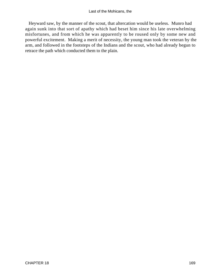Heyward saw, by the manner of the scout, that altercation would be useless. Munro had again sunk into that sort of apathy which had beset him since his late overwhelming misfortunes, and from which he was apparently to be roused only by some new and powerful excitement. Making a merit of necessity, the young man took the veteran by the arm, and followed in the footsteps of the Indians and the scout, who had already begun to retrace the path which conducted them to the plain.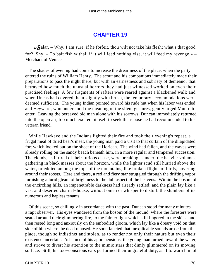# **[CHAPTER 19](#page-316-0)**

*«S*alar. – Why, I am sure, if he forfeit, thou wilt not take his flesh; what's that good for? Shy. – To bait fish withal; if it will feed nothing else, it will feed my revenge.» – Merchant of Venice

 The shades of evening had come to increase the dreariness of the place, when the party entered the ruins of William Henry. The scout and his companions immediately made their preparations to pass the night there; but with an earnestness and sobriety of demeanor that betrayed how much the unusual horrors they had just witnessed worked on even their practised feelings. A few fragments of rafters were reared against a blackened wall; and when Uncas had covered them slightly with brush, the temporary accommodations were deemed sufficient. The young Indian pointed toward his rude hut when his labor was ended; and Heyward, who understood the meaning of the silent gestures, gently urged Munro to enter. Leaving the bereaved old man alone with his sorrows, Duncan immediately returned into the open air, too much excited himself to seek the repose he had recommended to his veteran friend.

 While Hawkeye and the Indians lighted their fire and took their evening's repast, a frugal meal of dried bear's meat, the young man paid a visit to that curtain of the dilapidated fort which looked out on the sheet of the Horican. The wind had fallen, and the waves were already rolling on the sandy beach beneath him, in a more regular and tempered succession. The clouds, as if tired of their furious chase, were breaking asunder; the heavier volumes, gathering in black masses about the horizon, while the lighter scud still hurried above the water, or eddied among the tops of the mountains, like broken flights of birds, hovering around their roosts. Here and there, a red and fiery star struggled through the drifting vapor, furnishing a lurid gleam of brightness to the dull aspect of the heavens. Within the bosom of the encircling hills, an impenetrable darkness had already settled; and the plain lay like a vast and deserted charnel−house, without omen or whisper to disturb the slumbers of its numerous and hapless tenants.

 Of this scene, so chillingly in accordance with the past, Duncan stood for many minutes a rapt observer. His eyes wandered from the bosom of the mound, where the foresters were seated around their glimmering fire, to the fainter light which still lingered in the skies, and then rested long and anxiously on the embodied gloom, which lay like a dreary void on that side of him where the dead reposed. He soon fancied that inexplicable sounds arose from the place, though so indistinct and stolen, as to render not only their nature but even their existence uncertain. Ashamed of his apprehensions, the young man turned toward the water, and strove to divert his attention to the mimic stars that dimly glimmered on its moving surface. Still, his too−conscious ears performed their ungrateful duty, as if to warn him of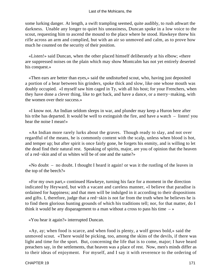some lurking danger. At length, a swift trampling seemed, quite audibly, to rush athwart the darkness. Unable any longer to quiet his uneasiness, Duncan spoke in a low voice to the scout, requesting him to ascend the mound to the place where he stood. Hawkeye threw his rifle across an arm and complied, but with an air so unmoved and calm, as to prove how much he counted on the security of their position.

 «Listen!» said Duncan, when the other placed himself deliberately at his elbow; «there are suppressed noises on the plain which may show Montcalm has not yet entirely deserted his conquest.»

 «Then ears are better than eyes,» said the undisturbed scout, who, having just deposited a portion of a bear between his grinders, spoke thick and slow, like one whose mouth was doubly occupied. «I myself saw him caged in Ty, with all his host; for your Frenchers, when they have done a clever thing, like to get back, and have a dance, or a merry−making, with the women over their success.»

 «I know not. An Indian seldom sleeps in war, and plunder may keep a Huron here after his tribe has departed. It would be well to extinguish the fire, and have a watch – listen! you hear the noise I mean!»

 «An Indian more rarely lurks about the graves. Though ready to slay, and not over regardful of the means, he is commonly content with the scalp, unless when blood is hot, and temper up; but after spirit is once fairly gone, he forgets his enmity, and is willing to let the dead find their natural rest. Speaking of spirits, major, are you of opinion that the heaven of a red−skin and of us whites will be of one and the same?»

 «No doubt – no doubt. I thought I heard it again! or was it the rustling of the leaves in the top of the beech?»

 «For my own part,» continued Hawkeye, turning his face for a moment in the direction indicated by Heyward, but with a vacant and careless manner, «I believe that paradise is ordained for happiness; and that men will be indulged in it according to their dispositions and gifts. I, therefore, judge that a red−skin is not far from the truth when he believes he is to find them glorious hunting grounds of which his traditions tell; nor, for that matter, do I think it would be any disparagement to a man without a cross to pass his time  $-\infty$ 

«You hear it again?» interrupted Duncan.

 «Ay, ay; when food is scarce, and when food is plenty, a wolf grows bold,» said the unmoved scout. «There would be picking, too, among the skins of the devils, if there was light and time for the sport. But, concerning the life that is to come, major; I have heard preachers say, in the settlements, that heaven was a place of rest. Now, men's minds differ as to their ideas of enjoyment. For myself, and I say it with reverence to the ordering of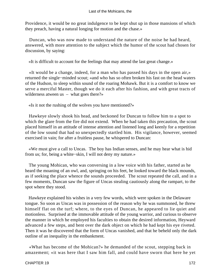Providence, it would be no great indulgence to be kept shut up in those mansions of which they preach, having a natural longing for motion and the chase.»

 Duncan, who was now made to understand the nature of the noise he had heard, answered, with more attention to the subject which the humor of the scout had chosen for discussion, by saying:

«It is difficult to account for the feelings that may attend the last great change.»

 «It would be a change, indeed, for a man who has passed his days in the open air,» returned the single−minded scout; «and who has so often broken his fast on the head waters of the Hudson, to sleep within sound of the roaring Mohawk. But it is a comfort to know we serve a merciful Master, though we do it each after his fashion, and with great tracts of wilderness atween us – what goes there?»

«Is it not the rushing of the wolves you have mentioned?»

 Hawkeye slowly shook his head, and beckoned for Duncan to follow him to a spot to which the glare from the fire did not extend. When he had taken this precaution, the scout placed himself in an attitude of intense attention and listened long and keenly for a repetition of the low sound that had so unexpectedly startled him. His vigilance, however, seemed exercised in vain; for after a fruitless pause, he whispered to Duncan:

 «We must give a call to Uncas. The boy has Indian senses, and he may hear what is hid from us; for, being a white−skin, I will not deny my nature.»

 The young Mohican, who was conversing in a low voice with his father, started as he heard the moaning of an owl, and, springing on his feet, he looked toward the black mounds, as if seeking the place whence the sounds proceeded. The scout repeated the call, and in a few moments, Duncan saw the figure of Uncas stealing cautiously along the rampart, to the spot where they stood.

 Hawkeye explained his wishes in a very few words, which were spoken in the Delaware tongue. So soon as Uncas was in possession of the reason why he was summoned, he threw himself flat on the turf; where, to the eyes of Duncan, he appeared to lie quiet and motionless. Surprised at the immovable attitude of the young warrior, and curious to observe the manner in which he employed his faculties to obtain the desired information, Heyward advanced a few steps, and bent over the dark object on which he had kept his eye riveted. Then it was he discovered that the form of Uncas vanished, and that he beheld only the dark outline of an inequality in the embankment.

 «What has become of the Mohican?» he demanded of the scout, stepping back in amazement; «it was here that I saw him fall, and could have sworn that here he yet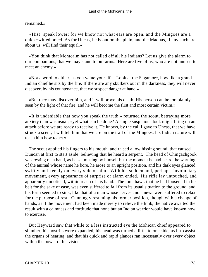### remained.»

 «Hist! speak lower; for we know not what ears are open, and the Mingoes are a quick−witted breed. As for Uncas, he is out on the plain, and the Maquas, if any such are about us, will find their equal.»

 «You think that Montcalm has not called off all his Indians? Let us give the alarm to our companions, that we may stand to our arms. Here are five of us, who are not unused to meet an enemy.»

 «Not a word to either, as you value your life. Look at the Sagamore, how like a grand Indian chief he sits by the fire. If there are any skulkers out in the darkness, they will never discover, by his countenance, that we suspect danger at hand.»

 «But they may discover him, and it will prove his death. His person can be too plainly seen by the light of that fire, and he will become the first and most certain victim.»

 «It is undeniable that now you speak the truth,» returned the scout, betraying more anxiety than was usual; «yet what can be done? A single suspicious look might bring on an attack before we are ready to receive it. He knows, by the call I gave to Uncas, that we have struck a scent; I will tell him that we are on the trail of the Mingoes; his Indian nature will teach him how to act.»

 The scout applied his fingers to his mouth, and raised a low hissing sound, that caused Duncan at first to start aside, believing that he heard a serpent. The head of Chingachgook was resting on a hand, as he sat musing by himself but the moment he had heard the warning of the animal whose name he bore, he arose to an upright position, and his dark eyes glanced swiftly and keenly on every side of him. With his sudden and, perhaps, involuntary movement, every appearance of surprise or alarm ended. His rifle lay untouched, and apparently unnoticed, within reach of his hand. The tomahawk that he had loosened in his belt for the sake of ease, was even suffered to fall from its usual situation to the ground, and his form seemed to sink, like that of a man whose nerves and sinews were suffered to relax for the purpose of rest. Cunningly resuming his former position, though with a change of hands, as if the movement had been made merely to relieve the limb, the native awaited the result with a calmness and fortitude that none but an Indian warrior would have known how to exercise.

 But Heyward saw that while to a less instructed eye the Mohican chief appeared to slumber, his nostrils were expanded, his head was turned a little to one side, as if to assist the organs of hearing, and that his quick and rapid glances ran incessantly over every object within the power of his vision.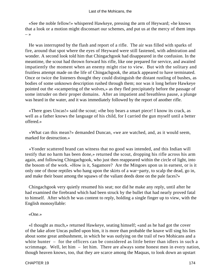«See the noble fellow!» whispered Hawkeye, pressing the arm of Heyward; «he knows that a look or a motion might disconsart our schemes, and put us at the mercy of them imps – »

 He was interrupted by the flash and report of a rifle. The air was filled with sparks of fire, around that spot where the eyes of Heyward were still fastened, with admiration and wonder. A second look told him that Chingachgook had disappeared in the confusion. In the meantime, the scout had thrown forward his rifle, like one prepared for service, and awaited impatiently the moment when an enemy might rise to view. But with the solitary and fruitless attempt made on the life of Chingachgook, the attack appeared to have terminated. Once or twice the listeners thought they could distinguish the distant rustling of bushes, as bodies of some unknown description rushed through them; nor was it long before Hawkeye pointed out the «scampering of the wolves,» as they fled precipitately before the passage of some intruder on their proper domains. After an impatient and breathless pause, a plunge was heard in the water, and it was immediately followed by the report of another rifle.

 «There goes Uncas!» said the scout; «the boy bears a smart piece! I know its crack, as well as a father knows the language of his child, for I carried the gun myself until a better offered.»

 «What can this mean?» demanded Duncan, «we are watched, and, as it would seem, marked for destruction.»

 «Yonder scattered brand can witness that no good was intended, and this Indian will testify that no harm has been done,» returned the scout, dropping his rifle across his arm again, and following Chingachgook, who just then reappeared within the circle of light, into the bosom of the work. «How is it, Sagamore? Are the Mingoes upon us in earnest, or is it only one of those reptiles who hang upon the skirts of a war−party, to scalp the dead, go in, and make their boast among the squaws of the valiant deeds done on the pale faces?»

 Chingachgook very quietly resumed his seat; nor did he make any reply, until after he had examined the firebrand which had been struck by the bullet that had nearly proved fatal to himself. After which he was content to reply, holding a single finger up to view, with the English monosyllable:

### «One.»

 «I thought as much,» returned Hawkeye, seating himself; «and as he had got the cover of the lake afore Uncas pulled upon him, it is more than probable the knave will sing his lies about some great ambushment, in which he was outlying on the trail of two Mohicans and a white hunter – for the officers can be considered as little better than idlers in such a scrimmage. Well, let him – let him. There are always some honest men in every nation, though heaven knows, too, that they are scarce among the Maquas, to look down an upstart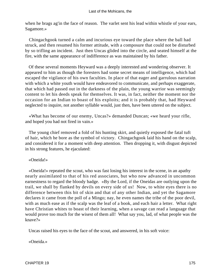when he brags ag'in the face of reason. The varlet sent his lead within whistle of your ears, Sagamore.»

 Chingachgook turned a calm and incurious eye toward the place where the ball had struck, and then resumed his former attitude, with a composure that could not be disturbed by so trifling an incident. Just then Uncas glided into the circle, and seated himself at the fire, with the same appearance of indifference as was maintained by his father.

 Of these several moments Heyward was a deeply interested and wondering observer. It appeared to him as though the foresters had some secret means of intelligence, which had escaped the vigilance of his own faculties. In place of that eager and garrulous narration with which a white youth would have endeavored to communicate, and perhaps exaggerate, that which had passed out in the darkness of the plain, the young warrior was seemingly content to let his deeds speak for themselves. It was, in fact, neither the moment nor the occasion for an Indian to boast of his exploits; and it is probably that, had Heyward neglected to inquire, not another syllable would, just then, have been uttered on the subject.

 «What has become of our enemy, Uncas?» demanded Duncan; «we heard your rifle, and hoped you had not fired in vain.»

 The young chief removed a fold of his hunting skirt, and quietly exposed the fatal tuft of hair, which he bore as the symbol of victory. Chingachgook laid his hand on the scalp, and considered it for a moment with deep attention. Then dropping it, with disgust depicted in his strong features, he ejaculated:

## «Oneida!»

 «Oneida!» repeated the scout, who was fast losing his interest in the scene, in an apathy nearly assimilated to that of his red associates, but who now advanced in uncommon earnestness to regard the bloody badge. «By the Lord, if the Oneidas are outlying upon the trail, we shall by flanked by devils on every side of us! Now, to white eyes there is no difference between this bit of skin and that of any other Indian, and yet the Sagamore declares it came from the poll of a Mingo; nay, he even names the tribe of the poor devil, with as much ease as if the scalp was the leaf of a book, and each hair a letter. What right have Christian whites to boast of their learning, when a savage can read a language that would prove too much for the wisest of them all! What say you, lad, of what people was the knave?»

Uncas raised his eyes to the face of the scout, and answered, in his soft voice:

«Oneida.»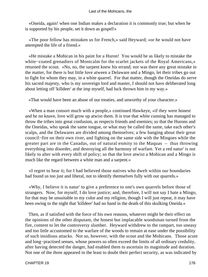«Oneida, again! when one Indian makes a declaration it is commonly true; but when he is supported by his people, set it down as gospel!»

 «The poor fellow has mistaken us for French,» said Heyward; «or he would not have attempted the life of a friend.»

 «He mistake a Mohican in his paint for a Huron! You would be as likely to mistake the white−coated grenadiers of Montcalm for the scarlet jackets of the Royal Americans,» returned the scout. «No, no, the sarpent knew his errand; nor was there any great mistake in the matter, for there is but little love atween a Delaware and a Mingo, let their tribes go out to fight for whom they may, in a white quarrel. For that matter, though the Oneidas do serve his sacred majesty, who is my sovereign lord and master, I should not have deliberated long about letting off 'killdeer' at the imp myself, had luck thrown him in my way.»

«That would have been an abuse of our treaties, and unworthy of your character.»

 «When a man consort much with a people,» continued Hawkeye, «if they were honest and he no knave, love will grow up atwixt them. It is true that white cunning has managed to throw the tribes into great confusion, as respects friends and enemies; so that the Hurons and the Oneidas, who speak the same tongue, or what may be called the same, take each other's scalps, and the Delawares are divided among themselves; a few hanging about their great council−fire on their own river, and fighting on the same side with the Mingoes while the greater part are in the Canadas, out of natural enmity to the Maquas – thus throwing everything into disorder, and destroying all the harmony of warfare. Yet a red natur' is not likely to alter with every shift of policy; so that the love atwixt a Mohican and a Mingo is much like the regard between a white man and a sarpent.»

 «I regret to hear it; for I had believed those natives who dwelt within our boundaries had found us too just and liberal, not to identify themselves fully with our quarrels.»

 «Why, I believe it is natur' to give a preference to one's own quarrels before those of strangers. Now, for myself, I do love justice; and, therefore, I will not say I hate a Mingo, for that may be unsuitable to my color and my religion, though I will just repeat, it may have been owing to the night that 'killdeer' had no hand in the death of this skulking Oneida.»

 Then, as if satisfied with the force of his own reasons, whatever might be their effect on the opinions of the other disputant, the honest but implacable woodsman turned from the fire, content to let the controversy slumber. Heyward withdrew to the rampart, too uneasy and too little accustomed to the warfare of the woods to remain at ease under the possibility of such insidious attacks. Not so, however, with the scout and the Mohicans. Those acute and long−practised senses, whose powers so often exceed the limits of all ordinary credulity, after having detected the danger, had enabled them to ascertain its magnitude and duration. Not one of the three appeared in the least to doubt their perfect security, as was indicated by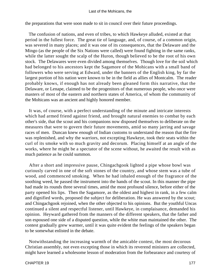### Last of the Mohicans, the

the preparations that were soon made to sit in council over their future proceedings.

 The confusion of nations, and even of tribes, to which Hawkeye alluded, existed at that period in the fullest force. The great tie of language, and, of course, of a common origin, was severed in many places; and it was one of its consequences, that the Delaware and the Mingo (as the people of the Six Nations were called) were found fighting in the same ranks, while the latter sought the scalp of the Huron, though believed to be the root of his own stock. The Delawares were even divided among themselves. Though love for the soil which had belonged to his ancestors kept the Sagamore of the Mohicans with a small band of followers who were serving at Edward, under the banners of the English king, by far the largest portion of his nation were known to be in the field as allies of Montcalm. The reader probably knows, if enough has not already been gleaned form this narrative, that the Delaware, or Lenape, claimed to be the progenitors of that numerous people, who once were masters of most of the eastern and northern states of America, of whom the community of the Mohicans was an ancient and highly honored member.

 It was, of course, with a perfect understanding of the minute and intricate interests which had armed friend against friend, and brought natural enemies to combat by each other's side, that the scout and his companions now disposed themselves to deliberate on the measures that were to govern their future movements, amid so many jarring and savage races of men. Duncan knew enough of Indian customs to understand the reason that the fire was replenished, and why the warriors, not excepting Hawkeye, took their seats within the curl of its smoke with so much gravity and decorum. Placing himself at an angle of the works, where he might be a spectator of the scene without, he awaited the result with as much patience as he could summon.

 After a short and impressive pause, Chingachgook lighted a pipe whose bowl was curiously carved in one of the soft stones of the country, and whose stem was a tube of wood, and commenced smoking. When he had inhaled enough of the fragrance of the soothing weed, he passed the instrument into the hands of the scout. In this manner the pipe had made its rounds three several times, amid the most profound silence, before either of the party opened his lips. Then the Sagamore, as the oldest and highest in rank, in a few calm and dignified words, proposed the subject for deliberation. He was answered by the scout; and Chingachgook rejoined, when the other objected to his opinions. But the youthful Uncas continued a silent and respectful listener, until Hawkeye, in complaisance, demanded his opinion. Heyward gathered from the manners of the different speakers, that the father and son espoused one side of a disputed question, while the white man maintained the other. The contest gradually grew warmer, until it was quite evident the feelings of the speakers began to be somewhat enlisted in the debate.

 Notwithstanding the increasing warmth of the amicable contest, the most decorous Christian assembly, not even excepting those in which its reverend ministers are collected, might have learned a wholesome lesson of moderation from the forbearance and courtesy of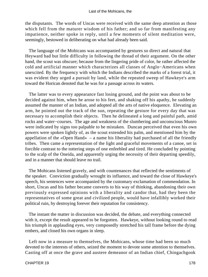the disputants. The words of Uncas were received with the same deep attention as those which fell from the maturer wisdom of his father; and so far from manifesting any impatience, neither spoke in reply, until a few moments of silent meditation were, seemingly, bestowed in deliberating on what had already been said.

 The language of the Mohicans was accompanied by gestures so direct and natural that Heyward had but little difficulty in following the thread of their argument. On the other hand, the scout was obscure; because from the lingering pride of color, he rather affected the cold and artificial manner which characterizes all classes of Anglo−Americans when unexcited. By the frequency with which the Indians described the marks of a forest trial, it was evident they urged a pursuit by land, while the repeated sweep of Hawkeye's arm toward the Horican denoted that he was for a passage across its waters.

 The latter was to every appearance fast losing ground, and the point was about to be decided against him, when he arose to his feet, and shaking off his apathy, he suddenly assumed the manner of an Indian, and adopted all the arts of native eloquence. Elevating an arm, he pointed out the track of the sun, repeating the gesture for every day that was necessary to accomplish their objects. Then he delineated a long and painful path, amid rocks and water−courses. The age and weakness of the slumbering and unconscious Munro were indicated by signs too palpable to be mistaken. Duncan perceived that even his own powers were spoken lightly of, as the scout extended his palm, and mentioned him by the appellation of the «Open Hand» – a name his liberality had purchased of all the friendly tribes. Then came a representation of the light and graceful movements of a canoe, set in forcible contrast to the tottering steps of one enfeebled and tired. He concluded by pointing to the scalp of the Oneida, and apparently urging the necessity of their departing speedily, and in a manner that should leave no trail.

 The Mohicans listened gravely, and with countenances that reflected the sentiments of the speaker. Conviction gradually wrought its influence, and toward the close of Hawkeye's speech, his sentences were accompanied by the customary exclamation of commendation. In short, Uncas and his father became converts to his way of thinking, abandoning their own previously expressed opinions with a liberality and candor that, had they been the representatives of some great and civilized people, would have infallibly worked their political ruin, by destroying forever their reputation for consistency.

 The instant the matter in discussion was decided, the debate, and everything connected with it, except the result appeared to be forgotten. Hawkeye, without looking round to read his triumph in applauding eyes, very composedly stretched his tall frame before the dying embers, and closed his own organs in sleep.

 Left now in a measure to themselves, the Mohicans, whose time had been so much devoted to the interests of others, seized the moment to devote some attention to themselves. Casting off at once the grave and austere demeanor of an Indian chief, Chingachgook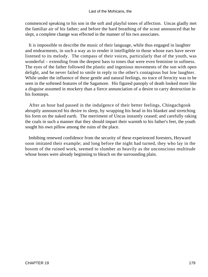commenced speaking to his son in the soft and playful tones of affection. Uncas gladly met the familiar air of his father; and before the hard breathing of the scout announced that he slept, a complete change was effected in the manner of his two associates.

 It is impossible to describe the music of their language, while thus engaged in laughter and endearments, in such a way as to render it intelligible to those whose ears have never listened to its melody. The compass of their voices, particularly that of the youth, was wonderful – extending from the deepest bass to tones that were even feminine in softness. The eyes of the father followed the plastic and ingenious movements of the son with open delight, and he never failed to smile in reply to the other's contagious but low laughter. While under the influence of these gentle and natural feelings, no trace of ferocity was to be seen in the softened features of the Sagamore. His figured panoply of death looked more like a disguise assumed in mockery than a fierce annunciation of a desire to carry destruction in his footsteps.

 After an hour had passed in the indulgence of their better feelings, Chingachgook abruptly announced his desire to sleep, by wrapping his head in his blanket and stretching his form on the naked earth. The merriment of Uncas instantly ceased; and carefully raking the coals in such a manner that they should impart their warmth to his father's feet, the youth sought his own pillow among the ruins of the place.

 Imbibing renewed confidence from the security of these experienced foresters, Heyward soon imitated their example; and long before the night had turned, they who lay in the bosom of the ruined work, seemed to slumber as heavily as the unconscious multitude whose bones were already beginning to bleach on the surrounding plain.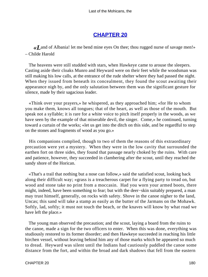# **[CHAPTER 20](#page-317-0)**

*«L*and of Albania! let me bend mine eyes On thee; thou rugged nurse of savage men!» – Childe Harold

 The heavens were still studded with stars, when Hawkeye came to arouse the sleepers. Casting aside their cloaks Munro and Heyward were on their feet while the woodsman was still making his low calls, at the entrance of the rude shelter where they had passed the night. When they issued from beneath its concealment, they found the scout awaiting their appearance nigh by, and the only salutation between them was the significant gesture for silence, made by their sagacious leader.

 «Think over your prayers,» he whispered, as they approached him; «for He to whom you make them, knows all tongues; that of the heart, as well as those of the mouth. But speak not a syllable; it is rare for a white voice to pitch itself properly in the woods, as we have seen by the example of that miserable devil, the singer. Come,» he continued, turning toward a curtain of the works; «let us get into the ditch on this side, and be regardful to step on the stones and fragments of wood as you go.»

 His companions complied, though to two of them the reasons of this extraordinary precaution were yet a mystery. When they were in the low cavity that surrounded the earthen fort on three sides, they found that passage nearly choked by the ruins. With care and patience, however, they succeeded in clambering after the scout, until they reached the sandy shore of the Horican.

 «That's a trail that nothing but a nose can follow,» said the satisfied scout, looking back along their difficult way; «grass is a treacherous carpet for a flying party to tread on, but wood and stone take no print from a moccasin. Had you worn your armed boots, there might, indeed, have been something to fear; but with the deer−skin suitably prepared, a man may trust himself, generally, on rocks with safety. Shove in the canoe nigher to the land, Uncas; this sand will take a stamp as easily as the butter of the Jarmans on the Mohawk. Softly, lad, softly; it must not touch the beach, or the knaves will know by what road we have left the place.»

 The young man observed the precaution; and the scout, laying a board from the ruins to the canoe, made a sign for the two officers to enter. When this was done, everything was studiously restored to its former disorder; and then Hawkeye succeeded in reaching his little birchen vessel, without leaving behind him any of those marks which he appeared so much to dread. Heyward was silent until the Indians had cautiously paddled the canoe some distance from the fort, and within the broad and dark shadows that fell from the eastern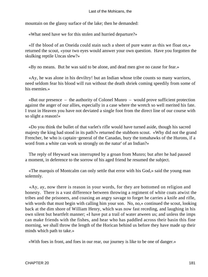mountain on the glassy surface of the lake; then he demanded:

«What need have we for this stolen and hurried departure?»

 «If the blood of an Oneida could stain such a sheet of pure water as this we float on,» returned the scout, «your two eyes would answer your own question. Have you forgotten the skulking reptile Uncas slew?»

«By no means. But he was said to be alone, and dead men give no cause for fear.»

 «Ay, he was alone in his deviltry! but an Indian whose tribe counts so many warriors, need seldom fear his blood will run without the death shriek coming speedily from some of his enemies.»

 «But our presence – the authority of Colonel Munro – would prove sufficient protection against the anger of our allies, especially in a case where the wretch so well merited his fate. I trust in Heaven you have not deviated a single foot from the direct line of our course with so slight a reason!»

 «Do you think the bullet of that varlet's rifle would have turned aside, though his sacred majesty the king had stood in its path?» returned the stubborn scout. «Why did not the grand Frencher, he who is captain−general of the Canadas, bury the tomahawks of the Hurons, if a word from a white can work so strongly on the natur' of an Indian?»

 The reply of Heyward was interrupted by a groan from Munro; but after he had paused a moment, in deference to the sorrow of his aged friend he resumed the subject.

 «The marquis of Montcalm can only settle that error with his God,» said the young man solemnly.

 «Ay, ay, now there is reason in your words, for they are bottomed on religion and honesty. There is a vast difference between throwing a regiment of white coats atwixt the tribes and the prisoners, and coaxing an angry savage to forget he carries a knife and rifle, with words that must begin with calling him your son. No, no,  $\infty$  continued the scout, looking back at the dim shore of William Henry, which was now fast receding, and laughing in his own silent but heartfelt manner; «I have put a trail of water atween us; and unless the imps can make friends with the fishes, and hear who has paddled across their basin this fine morning, we shall throw the length of the Horican behind us before they have made up their minds which path to take.»

«With foes in front, and foes in our rear, our journey is like to be one of danger.»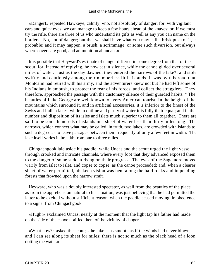«Danger!» repeated Hawkeye, calmly; «no, not absolutely of danger; for, with vigilant ears and quick eyes, we can manage to keep a few hours ahead of the knaves; or, if we must try the rifle, there are three of us who understand its gifts as well as any you can name on the borders. No, not of danger; but that we shall have what you may call a brisk push of it, is probable; and it may happen, a brush, a scrimmage, or some such divarsion, but always where covers are good, and ammunition abundant.»

 It is possible that Heyward's estimate of danger differed in some degree from that of the scout, for, instead of replying, he now sat in silence, while the canoe glided over several miles of water. Just as the day dawned, they entered the narrows of the lake\*, and stole swiftly and cautiously among their numberless little islands. It was by this road that Montcalm had retired with his army, and the adventurers knew not but he had left some of his Indians in ambush, to protect the rear of his forces, and collect the stragglers. They, therefore, approached the passage with the customary silence of their guarded habits. \* The beauties of Lake George are well known to every American tourist. In the height of the mountains which surround it, and in artificial accessories, it is inferior to the finest of the Swiss and Italian lakes, while in outline and purity of water it is fully their equal; and in the number and disposition of its isles and islets much superior to them all together. There are said to be some hundreds of islands in a sheet of water less than thirty miles long. The narrows, which connect what may be called, in truth, two lakes, are crowded with islands to such a degree as to leave passages between them frequently of only a few feet in width. The lake itself varies in breadth from one to three miles.

 Chingachgook laid aside his paddle; while Uncas and the scout urged the light vessel through crooked and intricate channels, where every foot that they advanced exposed them to the danger of some sudden rising on their progress. The eyes of the Sagamore moved warily from islet to islet, and copse to copse, as the canoe proceeded; and, when a clearer sheet of water permitted, his keen vision was bent along the bald rocks and impending forests that frowned upon the narrow strait.

 Heyward, who was a doubly interested spectator, as well from the beauties of the place as from the apprehension natural to his situation, was just believing that he had permitted the latter to be excited without sufficient reason, when the paddle ceased moving, in obedience to a signal from Chingachgook.

 «Hugh!» exclaimed Uncas, nearly at the moment that the light tap his father had made on the side of the canoe notified them of the vicinity of danger.

 «What now?» asked the scout; «the lake is as smooth as if the winds had never blown, and I can see along its sheet for miles; there is not so much as the black head of a loon dotting the water.»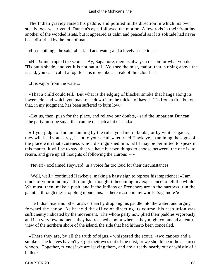The Indian gravely raised his paddle, and pointed in the direction in which his own steady look was riveted. Duncan's eyes followed the motion. A few rods in their front lay another of the wooded islets, but it appeared as calm and peaceful as if its solitude had never been disturbed by the foot of man.

«I see nothing,» he said, «but land and water; and a lovely scene it is.»

 «Hist!» interrupted the scout. «Ay, Sagamore, there is always a reason for what you do. 'Tis but a shade, and yet it is not natural. You see the mist, major, that is rising above the island; you can't call it a fog, for it is more like a streak of thin cloud  $-\infty$ 

«It is vapor from the water.»

 «That a child could tell. But what is the edging of blacker smoke that hangs along its lower side, and which you may trace down into the thicket of hazel? 'Tis from a fire; but one that, in my judgment, has been suffered to burn low.»

 «Let us, then, push for the place, and relieve our doubts,» said the impatient Duncan; «the party must be small that can lie on such a bit of land.»

 «If you judge of Indian cunning by the rules you find in books, or by white sagacity, they will lead you astray, if not to your death,» returned Hawkeye, examining the signs of the place with that acuteness which distinguished him. «If I may be permitted to speak in this matter, it will be to say, that we have but two things to choose between: the one is, to return, and give up all thoughts of following the Hurons  $-\infty$ 

«Never!» exclaimed Heyward, in a voice far too loud for their circumstances.

 «Well, well,» continued Hawkeye, making a hasty sign to repress his impatience; «I am much of your mind myself; though I thought it becoming my experience to tell the whole. We must, then, make a push, and if the Indians or Frenchers are in the narrows, run the gauntlet through these toppling mountains. Is there reason in my words, Sagamore?»

 The Indian made no other answer than by dropping his paddle into the water, and urging forward the canoe. As he held the office of directing its course, his resolution was sufficiently indicated by the movement. The whole party now plied their paddles vigorously, and in a very few moments they had reached a point whence they might command an entire view of the northern shore of the island, the side that had hitherto been concealed.

 «There they are, by all the truth of signs,» whispered the scout, «two canoes and a smoke. The knaves haven't yet got their eyes out of the mist, or we should hear the accursed whoop. Together, friends! we are leaving them, and are already nearly out of whistle of a bullet.»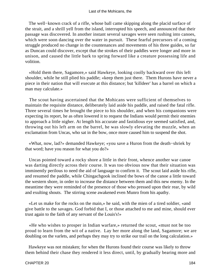The well−known crack of a rifle, whose ball came skipping along the placid surface of the strait, and a shrill yell from the island, interrupted his speech, and announced that their passage was discovered. In another instant several savages were seen rushing into canoes, which were soon dancing over the water in pursuit. These fearful precursors of a coming struggle produced no change in the countenances and movements of his three guides, so far as Duncan could discover, except that the strokes of their paddles were longer and more in unison, and caused the little bark to spring forward like a creature possessing life and volition.

 «Hold them there, Sagamore,» said Hawkeye, looking coolly backward over this left shoulder, while he still plied his paddle; «keep them just there. Them Hurons have never a piece in their nation that will execute at this distance; but 'killdeer' has a barrel on which a man may calculate.»

 The scout having ascertained that the Mohicans were sufficient of themselves to maintain the requisite distance, deliberately laid aside his paddle, and raised the fatal rifle. Three several times he brought the piece to his shoulder, and when his companions were expecting its report, he as often lowered it to request the Indians would permit their enemies to approach a little nigher. At length his accurate and fastidious eye seemed satisfied, and, throwing out his left arm on the barrel, he was slowly elevating the muzzle, when an exclamation from Uncas, who sat in the bow, once more caused him to suspend the shot.

 «What, now, lad?» demanded Hawkeye; «you save a Huron from the death−shriek by that word; have you reason for what you do?»

 Uncas pointed toward a rocky shore a little in their front, whence another war canoe was darting directly across their course. It was too obvious now that their situation was imminently perilous to need the aid of language to confirm it. The scout laid aside his rifle, and resumed the paddle, while Chingachgook inclined the bows of the canoe a little toward the western shore, in order to increase the distance between them and this new enemy. In the meantime they were reminded of the presence of those who pressed upon their rear, by wild and exulting shouts. The stirring scene awakened even Munro from his apathy.

 «Let us make for the rocks on the main,» he said, with the mien of a tired soldier, «and give battle to the savages. God forbid that I, or those attached to me and mine, should ever trust again to the faith of any servant of the Louis's!»

 «He who wishes to prosper in Indian warfare,» returned the scout, «must not be too proud to learn from the wit of a native. Lay her more along the land, Sagamore; we are doubling on the varlets, and perhaps they may try to strike our trail on the long calculation.»

 Hawkeye was not mistaken; for when the Hurons found their course was likely to throw them behind their chase they rendered it less direct, until, by gradually bearing more and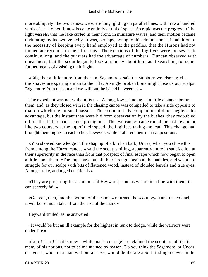more obliquely, the two canoes were, ere long, gliding on parallel lines, within two hundred yards of each other. It now became entirely a trial of speed. So rapid was the progress of the light vessels, that the lake curled in their front, in miniature waves, and their motion became undulating by its own velocity. It was, perhaps, owing to this circumstance, in addition to the necessity of keeping every hand employed at the paddles, that the Hurons had not immediate recourse to their firearms. The exertions of the fugitives were too severe to continue long, and the pursuers had the advantage of numbers. Duncan observed with uneasiness, that the scout began to look anxiously about him, as if searching for some further means of assisting their flight.

 «Edge her a little more from the sun, Sagamore,» said the stubborn woodsman; «I see the knaves are sparing a man to the rifle. A single broken bone might lose us our scalps. Edge more from the sun and we will put the island between us.»

 The expedient was not without its use. A long, low island lay at a little distance before them, and, as they closed with it, the chasing canoe was compelled to take a side opposite to that on which the pursued passed. The scout and his companions did not neglect this advantage, but the instant they were hid from observation by the bushes, they redoubled efforts that before had seemed prodigious. The two canoes came round the last low point, like two coursers at the top of their speed, the fugitives taking the lead. This change had brought them nigher to each other, however, while it altered their relative positions.

 «You showed knowledge in the shaping of a birchen bark, Uncas, when you chose this from among the Huron canoes,» said the scout, smiling, apparently more in satisfaction at their superiority in the race than from that prospect of final escape which now began to open a little upon them. «The imps have put all their strength again at the paddles, and we are to struggle for our scalps with bits of flattened wood, instead of clouded barrels and true eyes. A long stroke, and together, friends.»

 «They are preparing for a shot,» said Heyward; «and as we are in a line with them, it can scarcely fail.»

 «Get you, then, into the bottom of the canoe,» returned the scout; «you and the colonel; it will be so much taken from the size of the mark.»

Heyward smiled, as he answered:

 «It would be but an ill example for the highest in rank to dodge, while the warriors were under fire.»

 «Lord! Lord! That is now a white man's courage!» exclaimed the scout; «and like to many of his notions, not to be maintained by reason. Do you think the Sagamore, or Uncas, or even I, who am a man without a cross, would deliberate about finding a cover in the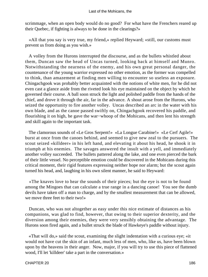scrimmage, when an open body would do no good? For what have the Frenchers reared up their Quebec, if fighting is always to be done in the clearings?»

 «All that you say is very true, my friend,» replied Heyward; «still, our customs must prevent us from doing as you wish.»

 A volley from the Hurons interrupted the discourse, and as the bullets whistled about them, Duncan saw the head of Uncas turned, looking back at himself and Munro. Notwithstanding the nearness of the enemy, and his own great personal danger, the countenance of the young warrior expressed no other emotion, as the former was compelled to think, than amazement at finding men willing to encounter so useless an exposure. Chingachgook was probably better acquainted with the notions of white men, for he did not even cast a glance aside from the riveted look his eye maintained on the object by which he governed their course. A ball soon struck the light and polished paddle from the hands of the chief, and drove it through the air, far in the advance. A shout arose from the Hurons, who seized the opportunity to fire another volley. Uncas described an arc in the water with his own blade, and as the canoe passed swiftly on, Chingachgook recovered his paddle, and flourishing it on high, he gave the war−whoop of the Mohicans, and then lent his strength and skill again to the important task.

 The clamorous sounds of «Le Gros Serpent!» «La Longue Carabine!» «Le Cerf Agile!» burst at once from the canoes behind, and seemed to give new zeal to the pursuers. The scout seized «killdeer» in his left hand, and elevating it about his head, he shook it in triumph at his enemies. The savages answered the insult with a yell, and immediately another volley succeeded. The bullets pattered along the lake, and one even pierced the bark of their little vessel. No perceptible emotion could be discovered in the Mohicans during this critical moment, their rigid features expressing neither hope nor alarm; but the scout again turned his head, and, laughing in his own silent manner, he said to Heyward:

 «The knaves love to hear the sounds of their pieces; but the eye is not to be found among the Mingoes that can calculate a true range in a dancing canoe! You see the dumb devils have taken off a man to charge, and by the smallest measurement that can be allowed, we move three feet to their two!»

 Duncan, who was not altogether as easy under this nice estimate of distances as his companions, was glad to find, however, that owing to their superior dexterity, and the diversion among their enemies, they were very sensibly obtaining the advantage. The Hurons soon fired again, and a bullet struck the blade of Hawkeye's paddle without injury.

 «That will do,» said the scout, examining the slight indentation with a curious eye; «it would not have cut the skin of an infant, much less of men, who, like us, have been blown upon by the heavens in their anger. Now, major, if you will try to use this piece of flattened wood, I'll let 'killdeer' take a part in the conversation.»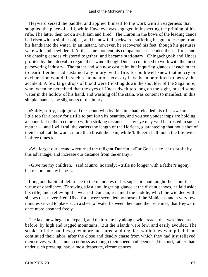Heyward seized the paddle, and applied himself to the work with an eagerness that supplied the place of skill, while Hawkeye was engaged in inspecting the priming of his rifle. The latter then took a swift aim and fired. The Huron in the bows of the leading canoe had risen with a similar object, and he now fell backward, suffering his gun to escape from his hands into the water. In an instant, however, he recovered his feet, though his gestures were wild and bewildered. At the same moment his companions suspended their efforts, and the chasing canoes clustered together, and became stationary. Chingachgook and Uncas profited by the interval to regain their wind, though Duncan continued to work with the most persevering industry. The father and son now cast calm but inquiring glances at each other, to learn if either had sustained any injury by the fire; for both well knew that no cry or exclamation would, in such a moment of necessity have been permitted to betray the accident. A few large drops of blood were trickling down the shoulder of the Sagamore, who, when he perceived that the eyes of Uncas dwelt too long on the sight, raised some water in the hollow of his hand, and washing off the stain, was content to manifest, in this simple manner, the slightness of the injury.

 «Softly, softly, major,» said the scout, who by this time had reloaded his rifle; «we are a little too far already for a rifle to put forth its beauties, and you see yonder imps are holding a council. Let them come up within striking distance – my eye may well be trusted in such a matter – and I will trail the varlets the length of the Horican, guaranteeing that not a shot of theirs shall, at the worst, more than break the skin, while 'killdeer' shall touch the life twice in three times.»

 «We forget our errand,» returned the diligent Duncan. «For God's sake let us profit by this advantage, and increase our distance from the enemy.»

 «Give me my children,» said Munro, hoarsely; «trifle no longer with a father's agony, but restore me my babes.»

 Long and habitual deference to the mandates of his superiors had taught the scout the virtue of obedience. Throwing a last and lingering glance at the distant canoes, he laid aside his rifle, and, relieving the wearied Duncan, resumed the paddle, which he wielded with sinews that never tired. His efforts were seconded by those of the Mohicans and a very few minutes served to place such a sheet of water between them and their enemies, that Heyward once more breathed freely.

 The lake now began to expand, and their route lay along a wide reach, that was lined, as before, by high and ragged mountains. But the islands were few, and easily avoided. The strokes of the paddles grew more measured and regular, while they who plied them continued their labor, after the close and deadly chase from which they had just relieved themselves, with as much coolness as though their speed had been tried in sport, rather than under such pressing, nay, almost desperate, circumstances.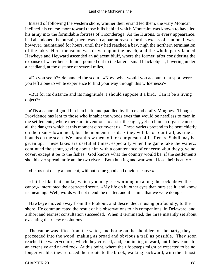Instead of following the western shore, whither their errand led them, the wary Mohican inclined his course more toward those hills behind which Montcalm was known to have led his army into the formidable fortress of Ticonderoga. As the Hurons, to every appearance, had abandoned the pursuit, there was no apparent reason for this excess of caution. It was, however, maintained for hours, until they had reached a bay, nigh the northern termination of the lake. Here the canoe was driven upon the beach, and the whole party landed. Hawkeye and Heyward ascended an adjacent bluff, where the former, after considering the expanse of water beneath him, pointed out to the latter a small black object, hovering under a headland, at the distance of several miles.

 «Do you see it?» demanded the scout. «Now, what would you account that spot, were you left alone to white experience to find your way through this wilderness?»

 «But for its distance and its magnitude, I should suppose it a bird. Can it be a living object?»

 «'Tis a canoe of good birchen bark, and paddled by fierce and crafty Mingoes. Though Providence has lent to those who inhabit the woods eyes that would be needless to men in the settlements, where there are inventions to assist the sight, yet no human organs can see all the dangers which at this moment circumvent us. These varlets pretend to be bent chiefly on their sun−down meal, but the moment it is dark they will be on our trail, as true as hounds on the scent. We must throw them off, or our pursuit of Le Renard Subtil may be given up. These lakes are useful at times, especially when the game take the water,» continued the scout, gazing about him with a countenance of concern; «but they give no cover, except it be to the fishes. God knows what the country would be, if the settlements should ever spread far from the two rivers. Both hunting and war would lose their beauty.»

«Let us not delay a moment, without some good and obvious cause.»

 «I little like that smoke, which you may see worming up along the rock above the canoe,» interrupted the abstracted scout. «My life on it, other eyes than ours see it, and know its meaning. Well, words will not mend the matter, and it is time that we were doing.»

 Hawkeye moved away from the lookout, and descended, musing profoundly, to the shore. He communicated the result of his observations to his companions, in Delaware, and a short and earnest consultation succeeded. When it terminated, the three instantly set about executing their new resolutions.

 The canoe was lifted from the water, and borne on the shoulders of the party, they proceeded into the wood, making as broad and obvious a trail as possible. They soon reached the water−course, which they crossed, and, continuing onward, until they came to an extensive and naked rock. At this point, where their footsteps might be expected to be no longer visible, they retraced their route to the brook, walking backward, with the utmost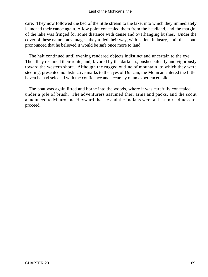care. They now followed the bed of the little stream to the lake, into which they immediately launched their canoe again. A low point concealed them from the headland, and the margin of the lake was fringed for some distance with dense and overhanging bushes. Under the cover of these natural advantages, they toiled their way, with patient industry, until the scout pronounced that he believed it would be safe once more to land.

 The halt continued until evening rendered objects indistinct and uncertain to the eye. Then they resumed their route, and, favored by the darkness, pushed silently and vigorously toward the western shore. Although the rugged outline of mountain, to which they were steering, presented no distinctive marks to the eyes of Duncan, the Mohican entered the little haven he had selected with the confidence and accuracy of an experienced pilot.

 The boat was again lifted and borne into the woods, where it was carefully concealed under a pile of brush. The adventurers assumed their arms and packs, and the scout announced to Munro and Heyward that he and the Indians were at last in readiness to proceed.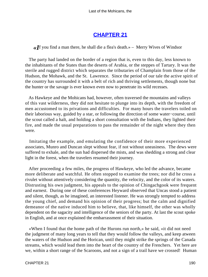# **[CHAPTER 21](#page-317-0)**

*«I*f you find a man there, he shall die a flea's death.» – Merry Wives of Windsor

 The party had landed on the border of a region that is, even to this day, less known to the inhabitants of the States than the deserts of Arabia, or the steppes of Tartary. It was the sterile and rugged district which separates the tributaries of Champlain from those of the Hudson, the Mohawk, and the St. Lawrence. Since the period of our tale the active spirit of the country has surrounded it with a belt of rich and thriving settlements, though none but the hunter or the savage is ever known even now to penetrate its wild recesses.

 As Hawkeye and the Mohicans had, however, often traversed the mountains and valleys of this vast wilderness, they did not hesitate to plunge into its depth, with the freedom of men accustomed to its privations and difficulties. For many hours the travelers toiled on their laborious way, guided by a star, or following the direction of some water−course, until the scout called a halt, and holding a short consultation with the Indians, they lighted their fire, and made the usual preparations to pass the remainder of the night where they then were.

 Imitating the example, and emulating the confidence of their more experienced associates, Munro and Duncan slept without fear, if not without uneasiness. The dews were suffered to exhale, and the sun had dispersed the mists, and was shedding a strong and clear light in the forest, when the travelers resumed their journey.

 After proceeding a few miles, the progress of Hawkeye, who led the advance, became more deliberate and watchful. He often stopped to examine the trees; nor did he cross a rivulet without attentively considering the quantity, the velocity, and the color of its waters. Distrusting his own judgment, his appeals to the opinion of Chingachgook were frequent and earnest. During one of these conferences Heyward observed that Uncas stood a patient and silent, though, as he imagined, an interested listener. He was strongly tempted to address the young chief, and demand his opinion of their progress; but the calm and dignified demeanor of the native induced him to believe, that, like himself, the other was wholly dependent on the sagacity and intelligence of the seniors of the party. At last the scout spoke in English, and at once explained the embarrassment of their situation.

 «When I found that the home path of the Hurons run north,» he said, «it did not need the judgment of many long years to tell that they would follow the valleys, and keep atween the waters of the Hudson and the Horican, until they might strike the springs of the Canada streams, which would lead them into the heart of the country of the Frenchers. Yet here are we, within a short range of the Scaroons, and not a sign of a trail have we crossed! Human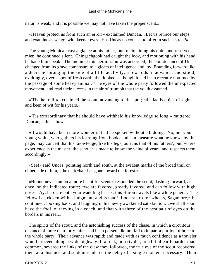natur' is weak, and it is possible we may not have taken the proper scent.»

 «Heaven protect us from such an error!» exclaimed Duncan. «Let us retrace our steps, and examine as we go, with keener eyes. Has Uncas no counsel to offer in such a strait?»

 The young Mohican cast a glance at his father, but, maintaining his quiet and reserved mien, he continued silent. Chingachgook had caught the look, and motioning with his hand, he bade him speak. The moment this permission was accorded, the countenance of Uncas changed from its grave composure to a gleam of intelligence and joy. Bounding forward like a deer, he sprang up the side of a little acclivity, a few rods in advance, and stood, exultingly, over a spot of fresh earth, that looked as though it had been recently upturned by the passage of some heavy animal. The eyes of the whole party followed the unexpected movement, and read their success in the air of triumph that the youth assumed.

 «'Tis the trail!» exclaimed the scout, advancing to the spot; «the lad is quick of sight and keen of wit for his years.»

 «'Tis extraordinary that he should have withheld his knowledge so long,» muttered Duncan, at his elbow.

 «It would have been more wonderful had he spoken without a bidding. No, no; your young white, who gathers his learning from books and can measure what he knows by the page, may conceit that his knowledge, like his legs, outruns that of his fathers', but, where experience is the master, the scholar is made to know the value of years, and respects them accordingly.»

 «See!» said Uncas, pointing north and south, at the evident marks of the broad trail on either side of him, «the dark−hair has gone toward the forest.»

 «Hound never ran on a more beautiful scent,» responded the scout, dashing forward, at once, on the indicated route; «we are favored, greatly favored, and can follow with high noses. Ay, here are both your waddling beasts: this Huron travels like a white general. The fellow is stricken with a judgment, and is mad! Look sharp for wheels, Sagamore,» he continued, looking back, and laughing in his newly awakened satisfaction; «we shall soon have the fool journeying in a coach, and that with three of the best pair of eyes on the borders in his rear.»

 The spirits of the scout, and the astonishing success of the chase, in which a circuitous distance of more than forty miles had been passed, did not fail to impart a portion of hope to the whole party. Their advance was rapid; and made with as much confidence as a traveler would proceed along a wide highway. If a rock, or a rivulet, or a bit of earth harder than common, severed the links of the clew they followed, the true eye of the scout recovered them at a distance, and seldom rendered the delay of a single moment necessary. Their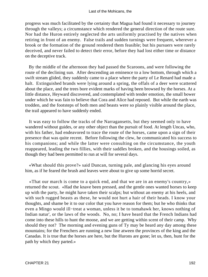progress was much facilitated by the certainty that Magua had found it necessary to journey through the valleys; a circumstance which rendered the general direction of the route sure. Nor had the Huron entirely neglected the arts uniformly practised by the natives when retiring in front of an enemy. False trails and sudden turnings were frequent, wherever a brook or the formation of the ground rendered them feasible; but his pursuers were rarely deceived, and never failed to detect their error, before they had lost either time or distance on the deceptive track.

 By the middle of the afternoon they had passed the Scaroons, and were following the route of the declining sun. After descending an eminence to a low bottom, through which a swift stream glided, they suddenly came to a place where the party of Le Renard had made a halt. Extinguished brands were lying around a spring, the offals of a deer were scattered about the place, and the trees bore evident marks of having been browsed by the horses. At a little distance, Heyward discovered, and contemplated with tender emotion, the small bower under which he was fain to believe that Cora and Alice had reposed. But while the earth was trodden, and the footsteps of both men and beasts were so plainly visible around the place, the trail appeared to have suddenly ended.

 It was easy to follow the tracks of the Narragansetts, but they seemed only to have wandered without guides, or any other object than the pursuit of food. At length Uncas, who, with his father, had endeavored to trace the route of the horses, came upon a sign of their presence that was quite recent. Before following the clew, he communicated his success to his companions; and while the latter were consulting on the circumstance, the youth reappeared, leading the two fillies, with their saddles broken, and the housings soiled, as though they had been permitted to run at will for several days.

 «What should this prove?» said Duncan, turning pale, and glancing his eyes around him, as if he feared the brush and leaves were about to give up some horrid secret.

 «That our march is come to a quick end, and that we are in an enemy's country,» returned the scout. «Had the knave been pressed, and the gentle ones wanted horses to keep up with the party, he might have taken their scalps; but without an enemy at his heels, and with such rugged beasts as these, he would not hurt a hair of their heads. I know your thoughts, and shame be it to our color that you have reason for them; but he who thinks that even a Mingo would ill−treat a woman, unless it be to tomahawk her, knows nothing of Indian natur', or the laws of the woods. No, no; I have heard that the French Indians had come into these hills to hunt the moose, and we are getting within scent of their camp. Why should they not? The morning and evening guns of Ty may be heard any day among these mountains; for the Frenchers are running a new line atween the provinces of the king and the Canadas. It is true that the horses are here, but the Hurons are gone; let us, then, hunt for the path by which they parted.»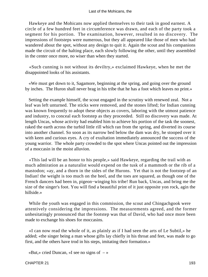Hawkeye and the Mohicans now applied themselves to their task in good earnest. A circle of a few hundred feet in circumference was drawn, and each of the party took a segment for his portion. The examination, however, resulted in no discovery. The impressions of footsteps were numerous, but they all appeared like those of men who had wandered about the spot, without any design to quit it. Again the scout and his companions made the circuit of the halting place, each slowly following the other, until they assembled in the center once more, no wiser than when they started.

 «Such cunning is not without its deviltry,» exclaimed Hawkeye, when he met the disappointed looks of his assistants.

 «We must get down to it, Sagamore, beginning at the spring, and going over the ground by inches. The Huron shall never brag in his tribe that he has a foot which leaves no print.»

 Setting the example himself, the scout engaged in the scrutiny with renewed zeal. Not a leaf was left unturned. The sticks were removed, and the stones lifted; for Indian cunning was known frequently to adopt these objects as covers, laboring with the utmost patience and industry, to conceal each footstep as they proceeded. Still no discovery was made. At length Uncas, whose activity had enabled him to achieve his portion of the task the soonest, raked the earth across the turbid little rill which ran from the spring, and diverted its course into another channel. So soon as its narrow bed below the dam was dry, he stooped over it with keen and curious eyes. A cry of exultation immediately announced the success of the young warrior. The whole party crowded to the spot where Uncas pointed out the impression of a moccasin in the moist alluvion.

 «This lad will be an honor to his people,» said Hawkeye, regarding the trail with as much admiration as a naturalist would expend on the tusk of a mammoth or the rib of a mastodon; «ay, and a thorn in the sides of the Hurons. Yet that is not the footstep of an Indian! the weight is too much on the heel, and the toes are squared, as though one of the French dancers had been in, pigeon−winging his tribe! Run back, Uncas, and bring me the size of the singer's foot. You will find a beautiful print of it just opposite yon rock, agin the hillside.»

 While the youth was engaged in this commission, the scout and Chingachgook were attentively considering the impressions. The measurements agreed, and the former unhesitatingly pronounced that the footstep was that of David, who had once more been made to exchange his shoes for moccasins.

 «I can now read the whole of it, as plainly as if I had seen the arts of Le Subtil,» he added; «the singer being a man whose gifts lay chiefly in his throat and feet, was made to go first, and the others have trod in his steps, imitating their formation.»

«But,» cried Duncan, «I see no signs of  $-\infty$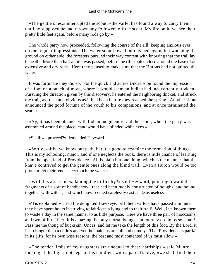«The gentle ones,» interrupted the scout; «the varlet has found a way to carry them, until he supposed he had thrown any followers off the scent. My life on it, we see their pretty little feet again, before many rods go by.»

 The whole party now proceeded, following the course of the rill, keeping anxious eyes on the regular impressions. The water soon flowed into its bed again, but watching the ground on either side, the foresters pursued their way content with knowing that the trail lay beneath. More than half a mile was passed, before the rill rippled close around the base of an extensive and dry rock. Here they paused to make sure that the Hurons had not quitted the water.

 It was fortunate they did so. For the quick and active Uncas soon found the impression of a foot on a bunch of moss, where it would seem an Indian had inadvertently trodden. Pursuing the direction given by this discovery, he entered the neighboring thicket, and struck the trail, as fresh and obvious as it had been before they reached the spring. Another shout announced the good fortune of the youth to his companions, and at once terminated the search.

 «Ay, it has been planned with Indian judgment,» said the scout, when the party was assembled around the place, «and would have blinded white eyes.»

«Shall we proceed?» demanded Heyward.

 «Softly, softly, we know our path; but it is good to examine the formation of things. This is my schooling, major; and if one neglects the book, there is little chance of learning from the open land of Providence. All is plain but one thing, which is the manner that the knave contrived to get the gentle ones along the blind trail. Even a Huron would be too proud to let their tender feet touch the water.»

 «Will this assist in explaining the difficulty?» said Heyward, pointing toward the fragments of a sort of handbarrow, that had been rudely constructed of boughs, and bound together with withes, and which now seemed carelessly cast aside as useless.

 «'Tis explained!» cried the delighted Hawkeye. «If them varlets have passed a minute, they have spent hours in striving to fabricate a lying end to their trail! Well, I've known them to waste a day in the same manner to as little purpose. Here we have three pair of moccasins, and two of little feet. It is amazing that any mortal beings can journey on limbs so small! Pass me the thong of buckskin, Uncas, and let me take the length of this foot. By the Lord, it is no longer than a child's and yet the maidens are tall and comely. That Providence is partial in its gifts, for its own wise reasons, the best and most contented of us must allow.»

 «The tender limbs of my daughters are unequal to these hardships,» said Munro, looking at the light footsteps of his children, with a parent's love; «we shall find their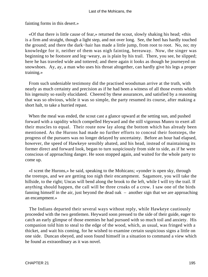fainting forms in this desert.»

 «Of that there is little cause of fear,» returned the scout, slowly shaking his head; «this is a firm and straight, though a light step, and not over long. See, the heel has hardly touched the ground; and there the dark−hair has made a little jump, from root to root. No, no; my knowledge for it, neither of them was nigh fainting, hereaway. Now, the singer was beginning to be footsore and leg−weary, as is plain by his trail. There, you see, he slipped; here he has traveled wide and tottered; and there again it looks as though he journeyed on snowshoes. Ay, ay, a man who uses his throat altogether, can hardly give his legs a proper training.»

 From such undeniable testimony did the practised woodsman arrive at the truth, with nearly as much certainty and precision as if he had been a witness of all those events which his ingenuity so easily elucidated. Cheered by these assurances, and satisfied by a reasoning that was so obvious, while it was so simple, the party resumed its course, after making a short halt, to take a hurried repast.

 When the meal was ended, the scout cast a glance upward at the setting sun, and pushed forward with a rapidity which compelled Heyward and the still vigorous Munro to exert all their muscles to equal. Their route now lay along the bottom which has already been mentioned. As the Hurons had made no further efforts to conceal their footsteps, the progress of the pursuers was no longer delayed by uncertainty. Before an hour had elapsed, however, the speed of Hawkeye sensibly abated, and his head, instead of maintaining its former direct and forward look, began to turn suspiciously from side to side, as if he were conscious of approaching danger. He soon stopped again, and waited for the whole party to come up.

 «I scent the Hurons,» he said, speaking to the Mohicans; «yonder is open sky, through the treetops, and we are getting too nigh their encampment. Sagamore, you will take the hillside, to the right; Uncas will bend along the brook to the left, while I will try the trail. If anything should happen, the call will be three croaks of a crow. I saw one of the birds fanning himself in the air, just beyond the dead oak – another sign that we are approaching an encampment.»

 The Indians departed their several ways without reply, while Hawkeye cautiously proceeded with the two gentlemen. Heyward soon pressed to the side of their guide, eager to catch an early glimpse of those enemies he had pursued with so much toil and anxiety. His companion told him to steal to the edge of the wood, which, as usual, was fringed with a thicket, and wait his coming, for he wished to examine certain suspicious signs a little on one side. Duncan obeyed, and soon found himself in a situation to command a view which he found as extraordinary as it was novel.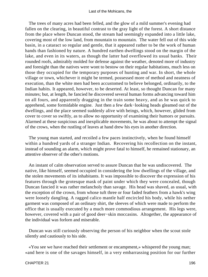The trees of many acres had been felled, and the glow of a mild summer's evening had fallen on the clearing, in beautiful contrast to the gray light of the forest. A short distance from the place where Duncan stood, the stream had seemingly expanded into a little lake, covering most of the low land, from mountain to mountain. The water fell out of this wide basin, in a cataract so regular and gentle, that it appeared rather to be the work of human hands than fashioned by nature. A hundred earthen dwellings stood on the margin of the lake, and even in its waters, as though the latter had overflowed its usual banks. Their rounded roofs, admirably molded for defense against the weather, denoted more of industry and foresight than the natives were wont to bestow on their regular habitations, much less on those they occupied for the temporary purposes of hunting and war. In short, the whole village or town, whichever it might be termed, possessed more of method and neatness of execution, than the white men had been accustomed to believe belonged, ordinarily, to the Indian habits. It appeared, however, to be deserted. At least, so thought Duncan for many minutes; but, at length, he fancied he discovered several human forms advancing toward him on all fours, and apparently dragging in the train some heavy, and as he was quick to apprehend, some formidable engine. Just then a few dark−looking heads gleamed out of the dwellings, and the place seemed suddenly alive with beings, which, however, glided from cover to cover so swiftly, as to allow no opportunity of examining their humors or pursuits. Alarmed at these suspicious and inexplicable movements, he was about to attempt the signal of the crows, when the rustling of leaves at hand drew his eyes in another direction.

 The young man started, and recoiled a few paces instinctively, when he found himself within a hundred yards of a stranger Indian. Recovering his recollection on the instant, instead of sounding an alarm, which might prove fatal to himself, he remained stationary, an attentive observer of the other's motions.

 An instant of calm observation served to assure Duncan that he was undiscovered. The native, like himself, seemed occupied in considering the low dwellings of the village, and the stolen movements of its inhabitants. It was impossible to discover the expression of his features through the grotesque mask of paint under which they were concealed, though Duncan fancied it was rather melancholy than savage. His head was shaved, as usual, with the exception of the crown, from whose tuft three or four faded feathers from a hawk's wing were loosely dangling. A ragged calico mantle half encircled his body, while his nether garment was composed of an ordinary shirt, the sleeves of which were made to perform the office that is usually executed by a much more commodious arrangement. His legs were, however, covered with a pair of good deer−skin moccasins. Altogether, the appearance of the individual was forlorn and miserable.

 Duncan was still curiously observing the person of his neighbor when the scout stole silently and cautiously to his side.

 «You see we have reached their settlement or encampment,» whispered the young man; «and here is one of the savages himself, in a very embarrassing position for our further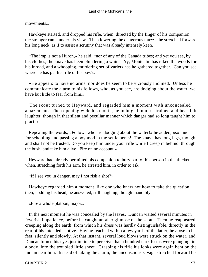movements.»

 Hawkeye started, and dropped his rifle, when, directed by the finger of his companion, the stranger came under his view. Then lowering the dangerous muzzle he stretched forward his long neck, as if to assist a scrutiny that was already intensely keen.

 «The imp is not a Huron,» he said, «nor of any of the Canada tribes; and yet you see, by his clothes, the knave has been plundering a white. Ay, Montcalm has raked the woods for his inroad, and a whooping, murdering set of varlets has he gathered together. Can you see where he has put his rifle or his bow?»

 «He appears to have no arms; nor does he seem to be viciously inclined. Unless he communicate the alarm to his fellows, who, as you see, are dodging about the water, we have but little to fear from him.»

 The scout turned to Heyward, and regarded him a moment with unconcealed amazement. Then opening wide his mouth, he indulged in unrestrained and heartfelt laughter, though in that silent and peculiar manner which danger had so long taught him to practise.

 Repeating the words, «Fellows who are dodging about the water!» he added, «so much for schooling and passing a boyhood in the settlements! The knave has long legs, though, and shall not be trusted. Do you keep him under your rifle while I creep in behind, through the bush, and take him alive. Fire on no account.»

 Heyward had already permitted his companion to bury part of his person in the thicket, when, stretching forth his arm, he arrested him, in order to ask:

«If I see you in danger, may I not risk a shot?»

 Hawkeye regarded him a moment, like one who knew not how to take the question; then, nodding his head, he answered, still laughing, though inaudibly:

«Fire a whole platoon, major.»

 In the next moment he was concealed by the leaves. Duncan waited several minutes in feverish impatience, before he caught another glimpse of the scout. Then he reappeared, creeping along the earth, from which his dress was hardly distinguishable, directly in the rear of his intended captive. Having reached within a few yards of the latter, he arose to his feet, silently and slowly. At that instant, several loud blows were struck on the water, and Duncan turned his eyes just in time to perceive that a hundred dark forms were plunging, in a body, into the troubled little sheet. Grasping his rifle his looks were again bent on the Indian near him. Instead of taking the alarm, the unconscious savage stretched forward his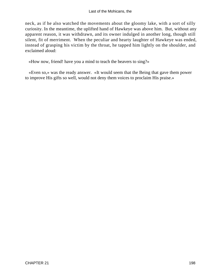neck, as if he also watched the movements about the gloomy lake, with a sort of silly curiosity. In the meantime, the uplifted hand of Hawkeye was above him. But, without any apparent reason, it was withdrawn, and its owner indulged in another long, though still silent, fit of merriment. When the peculiar and hearty laughter of Hawkeye was ended, instead of grasping his victim by the throat, he tapped him lightly on the shoulder, and exclaimed aloud:

«How now, friend! have you a mind to teach the beavers to sing?»

 «Even so,» was the ready answer. «It would seem that the Being that gave them power to improve His gifts so well, would not deny them voices to proclaim His praise.»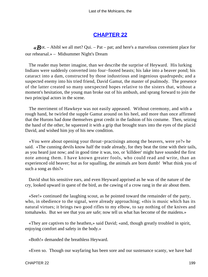# **[CHAPTER 22](#page-317-0)**

 $\mathcal{R}$ ot. – Abibl we all met? Qui. – Pat – pat; and here's a marvelous convenient place for our rehearsal.» – Midsummer Night's Dream

 The reader may better imagine, than we describe the surprise of Heyward. His lurking Indians were suddenly converted into four−footed beasts; his lake into a beaver pond; his cataract into a dam, constructed by those industrious and ingenious quadrupeds; and a suspected enemy into his tried friend, David Gamut, the master of psalmody. The presence of the latter created so many unexpected hopes relative to the sisters that, without a moment's hesitation, the young man broke out of his ambush, and sprang forward to join the two principal actors in the scene.

 The merriment of Hawkeye was not easily appeased. Without ceremony, and with a rough hand, he twirled the supple Gamut around on his heel, and more than once affirmed that the Hurons had done themselves great credit in the fashion of his costume. Then, seizing the hand of the other, he squeezed it with a grip that brought tears into the eyes of the placid David, and wished him joy of his new condition.

 «You were about opening your throat−practisings among the beavers, were ye?» he said. «The cunning devils know half the trade already, for they beat the time with their tails, as you heard just now; and in good time it was, too, or 'killdeer' might have sounded the first note among them. I have known greater fools, who could read and write, than an experienced old beaver; but as for squalling, the animals are born dumb! What think you of such a song as this?»

 David shut his sensitive ears, and even Heyward apprised as he was of the nature of the cry, looked upward in quest of the bird, as the cawing of a crow rang in the air about them.

 «See!» continued the laughing scout, as he pointed toward the remainder of the party, who, in obedience to the signal, were already approaching; «this is music which has its natural virtues; it brings two good rifles to my elbow, to say nothing of the knives and tomahawks. But we see that you are safe; now tell us what has become of the maidens.»

 «They are captives to the heathen,» said David; «and, though greatly troubled in spirit, enjoying comfort and safety in the body.»

«Both!» demanded the breathless Heyward.

«Even so. Though our wayfaring has been sore and our sustenance scanty, we have had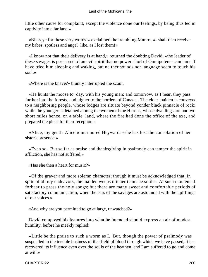little other cause for complaint, except the violence done our feelings, by being thus led in captivity into a far land.»

 «Bless ye for these very words!» exclaimed the trembling Munro; «I shall then receive my babes, spotless and angel−like, as I lost them!»

 «I know not that their delivery is at hand,» returned the doubting David; «the leader of these savages is possessed of an evil spirit that no power short of Omnipotence can tame. I have tried him sleeping and waking, but neither sounds nor language seem to touch his soul.»

«Where is the knave?» bluntly interrupted the scout.

 «He hunts the moose to−day, with his young men; and tomorrow, as I hear, they pass further into the forests, and nigher to the borders of Canada. The elder maiden is conveyed to a neighboring people, whose lodges are situate beyond yonder black pinnacle of rock; while the younger is detained among the women of the Hurons, whose dwellings are but two short miles hence, on a table−land, where the fire had done the office of the axe, and prepared the place for their reception.»

 «Alice, my gentle Alice!» murmured Heyward; «she has lost the consolation of her sister's presence!»

 «Even so. But so far as praise and thanksgiving in psalmody can temper the spirit in affliction, she has not suffered.»

«Has she then a heart for music?»

 «Of the graver and more solemn character; though it must be acknowledged that, in spite of all my endeavors, the maiden weeps oftener than she smiles. At such moments I forbear to press the holy songs; but there are many sweet and comfortable periods of satisfactory communication, when the ears of the savages are astounded with the upliftings of our voices.»

«And why are you permitted to go at large, unwatched?»

 David composed his features into what he intended should express an air of modest humility, before he meekly replied:

 «Little be the praise to such a worm as I. But, though the power of psalmody was suspended in the terrible business of that field of blood through which we have passed, it has recovered its influence even over the souls of the heathen, and I am suffered to go and come at will.»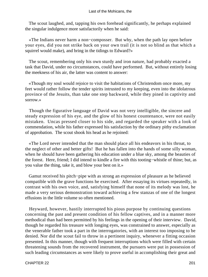The scout laughed, and, tapping his own forehead significantly, he perhaps explained the singular indulgence more satisfactorily when he said:

 «The Indians never harm a non−composser. But why, when the path lay open before your eyes, did you not strike back on your own trail (it is not so blind as that which a squirrel would make), and bring in the tidings to Edward?»

 The scout, remembering only his own sturdy and iron nature, had probably exacted a task that David, under no circumstances, could have performed. But, without entirely losing the meekness of his air, the latter was content to answer:

 «Though my soul would rejoice to visit the habitations of Christendom once more, my feet would rather follow the tender spirits intrusted to my keeping, even into the idolatrous province of the Jesuits, than take one step backward, while they pined in captivity and sorrow.»

 Though the figurative language of David was not very intelligible, the sincere and steady expression of his eye, and the glow of his honest countenance, were not easily mistaken. Uncas pressed closer to his side, and regarded the speaker with a look of commendation, while his father expressed his satisfaction by the ordinary pithy exclamation of approbation. The scout shook his head as he rejoined:

 «The Lord never intended that the man should place all his endeavors in his throat, to the neglect of other and better gifts! But he has fallen into the hands of some silly woman, when he should have been gathering his education under a blue sky, among the beauties of the forest. Here, friend; I did intend to kindle a fire with this tooting−whistle of thine; but, as you value the thing, take it, and blow your best on it.»

 Gamut received his pitch−pipe with as strong an expression of pleasure as he believed compatible with the grave functions he exercised. After essaying its virtues repeatedly, in contrast with his own voice, and, satisfying himself that none of its melody was lost, he made a very serious demonstration toward achieving a few stanzas of one of the longest effusions in the little volume so often mentioned.

 Heyward, however, hastily interrupted his pious purpose by continuing questions concerning the past and present condition of his fellow captives, and in a manner more methodical than had been permitted by his feelings in the opening of their interview. David, though he regarded his treasure with longing eyes, was constrained to answer, especially as the venerable father took a part in the interrogatories, with an interest too imposing to be denied. Nor did the scout fail to throw in a pertinent inquiry, whenever a fitting occasion presented. In this manner, though with frequent interruptions which were filled with certain threatening sounds from the recovered instrument, the pursuers were put in possession of such leading circumstances as were likely to prove useful in accomplishing their great and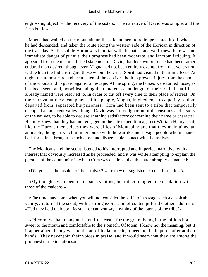engrossing object – the recovery of the sisters. The narrative of David was simple, and the facts but few.

 Magua had waited on the mountain until a safe moment to retire presented itself, when he had descended, and taken the route along the western side of the Horican in direction of the Canadas. As the subtle Huron was familiar with the paths, and well knew there was no immediate danger of pursuit, their progress had been moderate, and far from fatiguing. It appeared from the unembellished statement of David, that his own presence had been rather endured than desired; though even Magua had not been entirely exempt from that veneration with which the Indians regard those whom the Great Spirit had visited in their intellects. At night, the utmost care had been taken of the captives, both to prevent injury from the damps of the woods and to guard against an escape. At the spring, the horses were turned loose, as has been seen; and, notwithstanding the remoteness and length of their trail, the artifices already named were resorted to, in order to cut off every clue to their place of retreat. On their arrival at the encampment of his people, Magua, in obedience to a policy seldom departed from, separated his prisoners. Cora had been sent to a tribe that temporarily occupied an adjacent valley, though David was far too ignorant of the customs and history of the natives, to be able to declare anything satisfactory concerning their name or character. He only knew that they had not engaged in the late expedition against William Henry; that, like the Hurons themselves they were allies of Montcalm; and that they maintained an amicable, though a watchful intercourse with the warlike and savage people whom chance had, for a time, brought in such close and disagreeable contact with themselves.

 The Mohicans and the scout listened to his interrupted and imperfect narrative, with an interest that obviously increased as he proceeded; and it was while attempting to explain the pursuits of the community in which Cora was detained, that the latter abruptly demanded:

«Did you see the fashion of their knives? were they of English or French formation?»

 «My thoughts were bent on no such vanities, but rather mingled in consolation with those of the maidens.»

 «The time may come when you will not consider the knife of a savage such a despicable vanity,» returned the scout, with a strong expression of contempt for the other's dullness. «Had they held their corn feast – or can you say anything of the totems of the tribe?»

 «Of corn, we had many and plentiful feasts; for the grain, being in the milk is both sweet to the mouth and comfortable to the stomach. Of totem, I know not the meaning; but if it appertaineth in any wise to the art of Indian music, it need not be inquired after at their hands. They never join their voices in praise, and it would seem that they are among the profanest of the idolatrous.»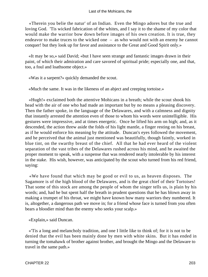«Therein you belie the natur' of an Indian. Even the Mingo adores but the true and loving God. 'Tis wicked fabrication of the whites, and I say it to the shame of my color that would make the warrior bow down before images of his own creation. It is true, they endeavor to make truces to the wicked one – as who would not with an enemy he cannot conquer! but they look up for favor and assistance to the Great and Good Spirit only.»

 «It may be so,» said David; «but I have seen strange and fantastic images drawn in their paint, of which their admiration and care savored of spiritual pride; especially one, and that, too, a foul and loathsome object.»

«Was it a sarpent?» quickly demanded the scout.

«Much the same. It was in the likeness of an abject and creeping tortoise.»

 «Hugh!» exclaimed both the attentive Mohicans in a breath; while the scout shook his head with the air of one who had made an important but by no means a pleasing discovery. Then the father spoke, in the language of the Delawares, and with a calmness and dignity that instantly arrested the attention even of those to whom his words were unintelligible. His gestures were impressive, and at times energetic. Once he lifted his arm on high; and, as it descended, the action threw aside the folds of his light mantle, a finger resting on his breast, as if he would enforce his meaning by the attitude. Duncan's eyes followed the movement, and he perceived that the animal just mentioned was beautifully, though faintly, worked in blue tint, on the swarthy breast of the chief. All that he had ever heard of the violent separation of the vast tribes of the Delawares rushed across his mind, and he awaited the proper moment to speak, with a suspense that was rendered nearly intolerable by his interest in the stake. His wish, however, was anticipated by the scout who turned from his red friend, saying:

 «We have found that which may be good or evil to us, as heaven disposes. The Sagamore is of the high blood of the Delawares, and is the great chief of their Tortoises! That some of this stock are among the people of whom the singer tells us, is plain by his words; and, had he but spent half the breath in prudent questions that he has blown away in making a trumpet of his throat, we might have known how many warriors they numbered. It is, altogether, a dangerous path we move in; for a friend whose face is turned from you often bears a bloodier mind than the enemy who seeks your scalp.»

«Explain,» said Duncan.

 «'Tis a long and melancholy tradition, and one I little like to think of; for it is not to be denied that the evil has been mainly done by men with white skins. But it has ended in turning the tomahawk of brother against brother, and brought the Mingo and the Delaware to travel in the same path.»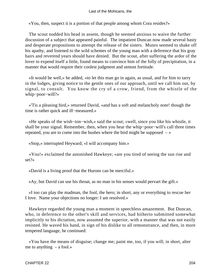«You, then, suspect it is a portion of that people among whom Cora resides?»

 The scout nodded his head in assent, though he seemed anxious to waive the further discussion of a subject that appeared painful. The impatient Duncan now made several hasty and desperate propositions to attempt the release of the sisters. Munro seemed to shake off his apathy, and listened to the wild schemes of the young man with a deference that his gray hairs and reverend years should have denied. But the scout, after suffering the ardor of the lover to expend itself a little, found means to convince him of the folly of precipitation, in a manner that would require their coolest judgment and utmost fortitude.

 «It would be well,» he added, «to let this man go in again, as usual, and for him to tarry in the lodges, giving notice to the gentle ones of our approach, until we call him out, by signal, to consult. You know the cry of a crow, friend, from the whistle of the whip−poor−will?»

 «'Tis a pleasing bird,» returned David, «and has a soft and melancholy note! though the time is rather quick and ill−measured.»

 «He speaks of the wish−ton−wish,» said the scout; «well, since you like his whistle, it shall be your signal. Remember, then, when you hear the whip−poor−will's call three times repeated, you are to come into the bushes where the bird might be supposed  $-\infty$ 

«Stop,» interrupted Heyward; «I will accompany him.»

 «You!» exclaimed the astonished Hawkeye; «are you tired of seeing the sun rise and set?»

«David is a living proof that the Hurons can be merciful.»

«Ay, but David can use his throat, as no man in his senses would pervart the gift.»

 «I too can play the madman, the fool, the hero; in short, any or everything to rescue her I love. Name your objections no longer: I am resolved.»

 Hawkeye regarded the young man a moment in speechless amazement. But Duncan, who, in deference to the other's skill and services, had hitherto submitted somewhat implicitly to his dictation, now assumed the superior, with a manner that was not easily resisted. He waved his hand, in sign of his dislike to all remonstrance, and then, in more tempered language, he continued:

 «You have the means of disguise; change me; paint me, too, if you will; in short, alter me to anything  $-$  a fool.»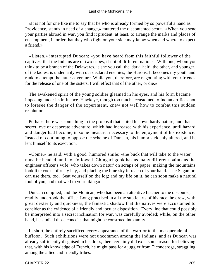«It is not for one like me to say that he who is already formed by so powerful a hand as Providence, stands in need of a change,» muttered the discontented scout. «When you send your parties abroad in war, you find it prudent, at least, to arrange the marks and places of encampment, in order that they who fight on your side may know when and where to expect a friend.»

 «Listen,» interrupted Duncan; «you have heard from this faithful follower of the captives, that the Indians are of two tribes, if not of different nations. With one, whom you think to be a branch of the Delawares, is she you call the 'dark−hair'; the other, and younger, of the ladies, is undeniably with our declared enemies, the Hurons. It becomes my youth and rank to attempt the latter adventure. While you, therefore, are negotiating with your friends for the release of one of the sisters, I will effect that of the other, or die.»

 The awakened spirit of the young soldier gleamed in his eyes, and his form became imposing under its influence. Hawkeye, though too much accustomed to Indian artifices not to foresee the danger of the experiment, knew not well how to combat this sudden resolution.

 Perhaps there was something in the proposal that suited his own hardy nature, and that secret love of desperate adventure, which had increased with his experience, until hazard and danger had become, in some measure, necessary to the enjoyment of his existence. Instead of continuing to oppose the scheme of Duncan, his humor suddenly altered, and he lent himself to its execution.

 «Come,» he said, with a good−humored smile; «the buck that will take to the water must be headed, and not followed. Chingachgook has as many different paints as the engineer officer's wife, who takes down natur' on scraps of paper, making the mountains look like cocks of rusty hay, and placing the blue sky in reach of your hand. The Sagamore can use them, too. Seat yourself on the log; and my life on it, he can soon make a natural fool of you, and that well to your liking.»

 Duncan complied; and the Mohican, who had been an attentive listener to the discourse, readily undertook the office. Long practised in all the subtle arts of his race, he drew, with great dexterity and quickness, the fantastic shadow that the natives were accustomed to consider as the evidence of a friendly and jocular disposition. Every line that could possibly be interpreted into a secret inclination for war, was carefully avoided; while, on the other hand, he studied those conceits that might be construed into amity.

 In short, he entirely sacrificed every appearance of the warrior to the masquerade of a buffoon. Such exhibitions were not uncommon among the Indians, and as Duncan was already sufficiently disguised in his dress, there certainly did exist some reason for believing that, with his knowledge of French, he might pass for a juggler from Ticonderoga, straggling among the allied and friendly tribes.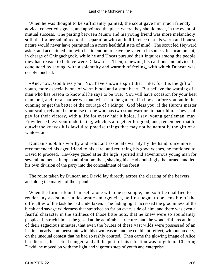When he was thought to be sufficiently painted, the scout gave him much friendly advice; concerted signals, and appointed the place where they should meet, in the event of mutual success. The parting between Munro and his young friend was more melancholy; still, the former submitted to the separation with an indifference that his warm and honest nature would never have permitted in a more healthful state of mind. The scout led Heyward aside, and acquainted him with his intention to leave the veteran in some safe encampment, in charge of Chingachgook, while he and Uncas pursued their inquires among the people they had reason to believe were Delawares. Then, renewing his cautions and advice, he concluded by saying, with a solemnity and warmth of feeling, with which Duncan was deeply touched:

 «And, now, God bless you! You have shown a spirit that I like; for it is the gift of youth, more especially one of warm blood and a stout heart. But believe the warning of a man who has reason to know all he says to be true. You will have occasion for your best manhood, and for a sharper wit than what is to be gathered in books, afore you outdo the cunning or get the better of the courage of a Mingo. God bless you! if the Hurons master your scalp, rely on the promise of one who has two stout warriors to back him. They shall pay for their victory, with a life for every hair it holds. I say, young gentleman, may Providence bless your undertaking, which is altogether for good; and, remember, that to outwit the knaves it is lawful to practise things that may not be naturally the gift of a white−skin.»

 Duncan shook his worthy and reluctant associate warmly by the hand, once more recommended his aged friend to his care, and returning his good wishes, he motioned to David to proceed. Hawkeye gazed after the high−spirited and adventurous young man for several moments, in open admiration; then, shaking his head doubtingly, he turned, and led his own division of the party into the concealment of the forest.

 The route taken by Duncan and David lay directly across the clearing of the beavers, and along the margin of their pond.

 When the former found himself alone with one so simple, and so little qualified to render any assistance in desperate emergencies, he first began to be sensible of the difficulties of the task he had undertaken. The fading light increased the gloominess of the bleak and savage wilderness that stretched so far on every side of him, and there was even a fearful character in the stillness of those little huts, that he knew were so abundantly peopled. It struck him, as he gazed at the admirable structures and the wonderful precautions of their sagacious inmates, that even the brutes of these vast wilds were possessed of an instinct nearly commensurate with his own reason; and he could not reflect, without anxiety, on the unequal contest that he had so rashly courted. Then came the glowing image of Alice; her distress; her actual danger; and all the peril of his situation was forgotten. Cheering David, he moved on with the light and vigorous step of youth and enterprise.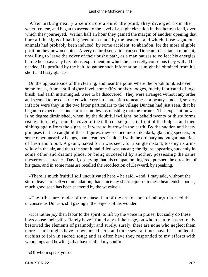After making nearly a semicircle around the pond, they diverged from the water−course, and began to ascend to the level of a slight elevation in that bottom land, over which they journeyed. Within half an hour they gained the margin of another opening that bore all the signs of having been also made by the beavers, and which those sagacious animals had probably been induced, by some accident, to abandon, for the more eligible position they now occupied. A very natural sensation caused Duncan to hesitate a moment, unwilling to leave the cover of their bushy path, as a man pauses to collect his energies before he essays any hazardous experiment, in which he is secretly conscious they will all be needed. He profited by the halt, to gather such information as might be obtained from his short and hasty glances.

 On the opposite side of the clearing, and near the point where the brook tumbled over some rocks, from a still higher level, some fifty or sixty lodges, rudely fabricated of logs brush, and earth intermingled, were to be discovered. They were arranged without any order, and seemed to be constructed with very little attention to neatness or beauty. Indeed, so very inferior were they in the two latter particulars to the village Duncan had just seen, that he began to expect a second surprise, no less astonishing that the former. This expectation was is no degree diminished, when, by the doubtful twilight, he beheld twenty or thirty forms rising alternately from the cover of the tall, coarse grass, in front of the lodges, and then sinking again from the sight, as it were to burrow in the earth. By the sudden and hasty glimpses that he caught of these figures, they seemed more like dark, glancing specters, or some other unearthly beings, than creatures fashioned with the ordinary and vulgar materials of flesh and blood. A gaunt, naked form was seen, for a single instant, tossing its arms wildly in the air, and then the spot it had filled was vacant; the figure appearing suddenly in some other and distant place, or being succeeded by another, possessing the same mysterious character. David, observing that his companion lingered, pursued the direction of his gaze, and in some measure recalled the recollection of Heyward, by speaking.

 «There is much fruitful soil uncultivated here,» he said; «and, I may add, without the sinful leaven of self–commendation, that, since my short sojourn in these heathenish abodes, much good seed has been scattered by the wayside.»

 «The tribes are fonder of the chase than of the arts of men of labor,» returned the unconscious Duncan, still gazing at the objects of his wonder.

 «It is rather joy than labor to the spirit, to lift up the voice in praise; but sadly do these boys abuse their gifts. Rarely have I found any of their age, on whom nature has so freely bestowed the elements of psalmody; and surely, surely, there are none who neglect them more. Three nights have I now tarried here, and three several times have I assembled the urchins to join in sacred song; and as often have they responded to my efforts with whoopings and howlings that have chilled my soul!»

«Of whom speak you?»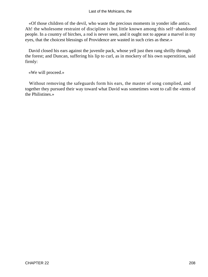«Of those children of the devil, who waste the precious moments in yonder idle antics. Ah! the wholesome restraint of discipline is but little known among this self−abandoned people. In a country of birches, a rod is never seen, and it ought not to appear a marvel in my eyes, that the choicest blessings of Providence are wasted in such cries as these.»

 David closed his ears against the juvenile pack, whose yell just then rang shrilly through the forest; and Duncan, suffering his lip to curl, as in mockery of his own superstition, said firmly:

«We will proceed.»

 Without removing the safeguards form his ears, the master of song complied, and together they pursued their way toward what David was sometimes wont to call the «tents of the Philistines.»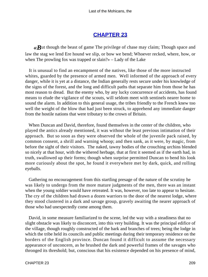# **[CHAPTER 23](#page-317-0)**

*«B*ut though the beast of game The privilege of chase may claim; Though space and law the stag we lend Ere hound we slip, or bow we bend; Whoever recked, where, how, or when The prowling fox was trapped or slain?» – Lady of the Lake

 It is unusual to find an encampment of the natives, like those of the more instructed whites, guarded by the presence of armed men. Well informed of the approach of every danger, while it is yet at a distance, the Indian generally rests secure under his knowledge of the signs of the forest, and the long and difficult paths that separate him from those he has most reason to dread. But the enemy who, by any lucky concurrence of accidents, has found means to elude the vigilance of the scouts, will seldom meet with sentinels nearer home to sound the alarm. In addition to this general usage, the tribes friendly to the French knew too well the weight of the blow that had just been struck, to apprehend any immediate danger from the hostile nations that were tributary to the crown of Britain.

 When Duncan and David, therefore, found themselves in the center of the children, who played the antics already mentioned, it was without the least previous intimation of their approach. But so soon as they were observed the whole of the juvenile pack raised, by common consent, a shrill and warning whoop; and then sank, as it were, by magic, from before the sight of their visitors. The naked, tawny bodies of the crouching urchins blended so nicely at that hour, with the withered herbage, that at first it seemed as if the earth had, in truth, swallowed up their forms; though when surprise permitted Duncan to bend his look more curiously about the spot, he found it everywhere met by dark, quick, and rolling eyeballs.

 Gathering no encouragement from this startling presage of the nature of the scrutiny he was likely to undergo from the more mature judgments of the men, there was an instant when the young soldier would have retreated. It was, however, too late to appear to hesitate. The cry of the children had drawn a dozen warriors to the door of the nearest lodge, where they stood clustered in a dark and savage group, gravely awaiting the nearer approach of those who had unexpectedly come among them.

 David, in some measure familiarized to the scene, led the way with a steadiness that no slight obstacle was likely to disconcert, into this very building. It was the principal edifice of the village, though roughly constructed of the bark and branches of trees; being the lodge in which the tribe held its councils and public meetings during their temporary residence on the borders of the English province. Duncan found it difficult to assume the necessary appearance of unconcern, as he brushed the dark and powerful frames of the savages who thronged its threshold; but, conscious that his existence depended on his presence of mind,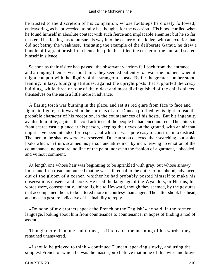he trusted to the discretion of his companion, whose footsteps he closely followed, endeavoring, as he proceeded, to rally his thoughts for the occasion. His blood curdled when he found himself in absolute contact with such fierce and implacable enemies; but he so far mastered his feelings as to pursue his way into the center of the lodge, with an exterior that did not betray the weakness. Imitating the example of the deliberate Gamut, he drew a bundle of fragrant brush from beneath a pile that filled the corner of the hut, and seated himself in silence.

 So soon as their visitor had passed, the observant warriors fell back from the entrance, and arranging themselves about him, they seemed patiently to await the moment when it might comport with the dignity of the stranger to speak. By far the greater number stood leaning, in lazy, lounging attitudes, against the upright posts that supported the crazy building, while three or four of the oldest and most distinguished of the chiefs placed themselves on the earth a little more in advance.

 A flaring torch was burning in the place, and set its red glare from face to face and figure to figure, as it waved in the currents of air. Duncan profited by its light to read the probable character of his reception, in the countenances of his hosts. But his ingenuity availed him little, against the cold artifices of the people he had encountered. The chiefs in front scarce cast a glance at his person, keeping their eyes on the ground, with an air that might have been intended for respect, but which it was quite easy to construe into distrust. The men in the shadow were less reserved. Duncan soon detected their searching, but stolen, looks which, in truth, scanned his person and attire inch by inch; leaving no emotion of the countenance, no gesture, no line of the paint, nor even the fashion of a garment, unheeded, and without comment.

 At length one whose hair was beginning to be sprinkled with gray, but whose sinewy limbs and firm tread announced that he was still equal to the duties of manhood, advanced out of the gloom of a corner, whither he had probably posted himself to make his observations unseen, and spoke. He used the language of the Wyandots, or Hurons; his words were, consequently, unintelligible to Heyward, though they seemed, by the gestures that accompanied them, to be uttered more in courtesy than anger. The latter shook his head, and made a gesture indicative of his inability to reply.

 «Do none of my brothers speak the French or the English?» he said, in the former language, looking about him from countenance to countenance, in hopes of finding a nod of assent.

 Though more than one had turned, as if to catch the meaning of his words, they remained unanswered.

 «I should be grieved to think,» continued Duncan, speaking slowly, and using the simplest French of which he was the master, «to believe that none of this wise and brave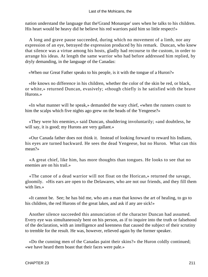nation understand the language that the'Grand Monarque' uses when he talks to his children. His heart would be heavy did he believe his red warriors paid him so little respect!»

 A long and grave pause succeeded, during which no movement of a limb, nor any expression of an eye, betrayed the expression produced by his remark. Duncan, who knew that silence was a virtue among his hosts, gladly had recourse to the custom, in order to arrange his ideas. At length the same warrior who had before addressed him replied, by dryly demanding, in the language of the Canadas:

«When our Great Father speaks to his people, is it with the tongue of a Huron?»

 «He knows no difference in his children, whether the color of the skin be red, or black, or white,» returned Duncan, evasively; «though chiefly is he satisfied with the brave Hurons.»

 «In what manner will he speak,» demanded the wary chief, «when the runners count to him the scalps which five nights ago grew on the heads of the Yengeese?»

 «They were his enemies,» said Duncan, shuddering involuntarily; «and doubtless, he will say, it is good; my Hurons are very gallant.»

 «Our Canada father does not think it. Instead of looking forward to reward his Indians, his eyes are turned backward. He sees the dead Yengeese, but no Huron. What can this mean?»

 «A great chief, like him, has more thoughts than tongues. He looks to see that no enemies are on his trail.»

 «The canoe of a dead warrior will not float on the Horican,» returned the savage, gloomily. «His ears are open to the Delawares, who are not our friends, and they fill them with lies.»

 «It cannot be. See; he has bid me, who am a man that knows the art of healing, to go to his children, the red Hurons of the great lakes, and ask if any are sick!»

 Another silence succeeded this annunciation of the character Duncan had assumed. Every eye was simultaneously bent on his person, as if to inquire into the truth or falsehood of the declaration, with an intelligence and keenness that caused the subject of their scrutiny to tremble for the result. He was, however, relieved again by the former speaker.

 «Do the cunning men of the Canadas paint their skins?» the Huron coldly continued; «we have heard them boast that their faces were pale.»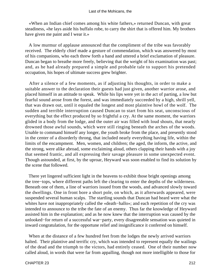«When an Indian chief comes among his white fathers,» returned Duncan, with great steadiness, «he lays aside his buffalo robe, to carry the shirt that is offered him. My brothers have given me paint and I wear it.»

 A low murmur of applause announced that the compliment of the tribe was favorably received. The elderly chief made a gesture of commendation, which was answered by most of his companions, who each threw forth a hand and uttered a brief exclamation of pleasure. Duncan began to breathe more freely, believing that the weight of his examination was past; and, as he had already prepared a simple and probable tale to support his pretended occupation, his hopes of ultimate success grew brighter.

 After a silence of a few moments, as if adjusting his thoughts, in order to make a suitable answer to the declaration their guests had just given, another warrior arose, and placed himself in an attitude to speak. While his lips were yet in the act of parting, a low but fearful sound arose from the forest, and was immediately succeeded by a high, shrill yell, that was drawn out, until it equaled the longest and most plaintive howl of the wolf. The sudden and terrible interruption caused Duncan to start from his seat, unconscious of everything but the effect produced by so frightful a cry. At the same moment, the warriors glided in a body from the lodge, and the outer air was filled with loud shouts, that nearly drowned those awful sounds, which were still ringing beneath the arches of the woods. Unable to command himself any longer, the youth broke from the place, and presently stood in the center of a disorderly throng, that included nearly everything having life, within the limits of the encampment. Men, women, and children; the aged, the inform, the active, and the strong, were alike abroad, some exclaiming aloud, others clapping their hands with a joy that seemed frantic, and all expressing their savage pleasure in some unexpected event. Though astounded, at first, by the uproar, Heyward was soon enabled to find its solution by the scene that followed.

 There yet lingered sufficient light in the heavens to exhibit those bright openings among the tree−tops, where different paths left the clearing to enter the depths of the wilderness. Beneath one of them, a line of warriors issued from the woods, and advanced slowly toward the dwellings. One in front bore a short pole, on which, as it afterwards appeared, were suspended several human scalps. The startling sounds that Duncan had heard were what the whites have not inappropriately called the «death−hallo»; and each repetition of the cry was intended to announce to the tribe the fate of an enemy. Thus far the knowledge of Heyward assisted him in the explanation; and as he now knew that the interruption was caused by the unlooked−for return of a successful war−party, every disagreeable sensation was quieted in inward congratulation, for the opportune relief and insignificance it conferred on himself.

 When at the distance of a few hundred feet from the lodges the newly arrived warriors halted. Their plaintive and terrific cry, which was intended to represent equally the wailings of the dead and the triumph to the victors, had entirely ceased. One of their number now called aloud, in words that were far from appalling, though not more intelligible to those for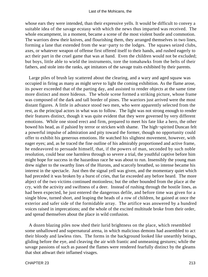whose ears they were intended, than their expressive yells. It would be difficult to convey a suitable idea of the savage ecstasy with which the news thus imparted was received. The whole encampment, in a moment, became a scene of the most violent bustle and commotion. The warriors drew their knives, and flourishing them, they arranged themselves in two lines, forming a lane that extended from the war−party to the lodges. The squaws seized clubs, axes, or whatever weapon of offense first offered itself to their hands, and rushed eagerly to act their part in the cruel game that was at hand. Even the children would not be excluded; but boys, little able to wield the instruments, tore the tomahawks from the belts of their fathers, and stole into the ranks, apt imitators of the savage traits exhibited by their parents.

 Large piles of brush lay scattered about the clearing, and a wary and aged squaw was occupied in firing as many as might serve to light the coming exhibition. As the flame arose, its power exceeded that of the parting day, and assisted to render objects at the same time more distinct and more hideous. The whole scene formed a striking picture, whose frame was composed of the dark and tall border of pines. The warriors just arrived were the most distant figures. A little in advance stood two men, who were apparently selected from the rest, as the principal actors in what was to follow. The light was not strong enough to render their features distinct, though it was quite evident that they were governed by very different emotions. While one stood erect and firm, prepared to meet his fate like a hero, the other bowed his head, as if palsied by terror or stricken with shame. The high−spirited Duncan felt a powerful impulse of admiration and pity toward the former, though no opportunity could offer to exhibit his generous emotions. He watched his slightest movement, however, with eager eyes; and, as he traced the fine outline of his admirably proportioned and active frame, he endeavored to persuade himself, that, if the powers of man, seconded by such noble resolution, could bear one harmless through so severe a trial, the youthful captive before him might hope for success in the hazardous race he was about to run. Insensibly the young man drew nigher to the swarthy lines of the Hurons, and scarcely breathed, so intense became his interest in the spectacle. Just then the signal yell was given, and the momentary quiet which had preceded it was broken by a burst of cries, that far exceeded any before heard. The more abject of the two victims continued motionless; but the other bounded from the place at the cry, with the activity and swiftness of a deer. Instead of rushing through the hostile lines, as had been expected, he just entered the dangerous defile, and before time was given for a single blow, turned short, and leaping the heads of a row of children, he gained at once the exterior and safer side of the formidable array. The artifice was answered by a hundred voices raised in imprecations; and the whole of the excited multitude broke from their order, and spread themselves about the place in wild confusion.

 A dozen blazing piles now shed their lurid brightness on the place, which resembled some unhallowed and supernatural arena, in which malicious demons had assembled to act their bloody and lawless rites. The forms in the background looked like unearthly beings, gliding before the eye, and cleaving the air with frantic and unmeaning gestures; while the savage passions of such as passed the flames were rendered fearfully distinct by the gleams that shot athwart their inflamed visages.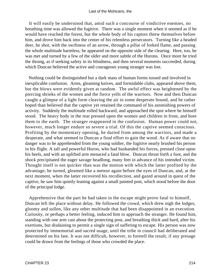It will easily be understood that, amid such a concourse of vindictive enemies, no breathing time was allowed the fugitive. There was a single moment when it seemed as if he would have reached the forest, but the whole body of his captors threw themselves before him, and drove him back into the center of his relentless persecutors. Turning like a headed deer, he shot, with the swiftness of an arrow, through a pillar of forked flame, and passing the whole multitude harmless, he appeared on the opposite side of the clearing. Here, too, he was met and turned by a few of the older and more subtle of the Hurons. Once more he tried the throng, as if seeking safety in its blindness, and then several moments succeeded, during which Duncan believed the active and courageous young stranger was lost.

 Nothing could be distinguished but a dark mass of human forms tossed and involved in inexplicable confusion. Arms, gleaming knives, and formidable clubs, appeared above them, but the blows were evidently given at random. The awful effect was heightened by the piercing shrieks of the women and the fierce yells of the warriors. Now and then Duncan caught a glimpse of a light form cleaving the air in some desperate bound, and he rather hoped than believed that the captive yet retained the command of his astonishing powers of activity. Suddenly the multitude rolled backward, and approached the spot where he himself stood. The heavy body in the rear pressed upon the women and children in front, and bore them to the earth. The stranger reappeared in the confusion. Human power could not, however, much longer endure so severe a trial. Of this the captive seemed conscious. Profiting by the momentary opening, he darted from among the warriors, and made a desperate, and what seemed to Duncan a final effort to gain the wood. As if aware that no danger was to be apprehended from the young soldier, the fugitive nearly brushed his person in his flight. A tall and powerful Huron, who had husbanded his forces, pressed close upon his heels, and with an uplifted arm menaced a fatal blow. Duncan thrust forth a foot, and the shock precipitated the eager savage headlong, many feet in advance of his intended victim. Thought itself is not quicker than was the motion with which the latter profited by the advantage; he turned, gleamed like a meteor again before the eyes of Duncan, and, at the next moment, when the latter recovered his recollection, and gazed around in quest of the captive, he saw him quietly leaning against a small painted post, which stood before the door of the principal lodge.

 Apprehensive that the part he had taken in the escape might prove fatal to himself, Duncan left the place without delay. He followed the crowd, which drew nigh the lodges, gloomy and sullen, like any other multitude that had been disappointed in an execution. Curiosity, or perhaps a better feeling, induced him to approach the stranger. He found him, standing with one arm cast about the protecting post, and breathing thick and hard, after his exertions, but disdaining to permit a single sign of suffering to escape. His person was now protected by immemorial and sacred usage, until the tribe in council had deliberated and determined on his fate. It was not difficult, however, to foretell the result, if any presage could be drawn from the feelings of those who crowded the place.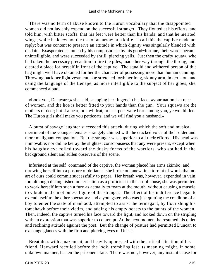There was no term of abuse known to the Huron vocabulary that the disappointed women did not lavishly expend on the successful stranger. They flouted at his efforts, and told him, with bitter scoffs, that his feet were better than his hands; and that he merited wings, while he knew not the use of an arrow or a knife. To all this the captive made no reply; but was content to preserve an attitude in which dignity was singularly blended with disdain. Exasperated as much by his composure as by his good−fortune, their words became unintelligible, and were succeeded by shrill, piercing yells. Just then the crafty squaw, who had taken the necessary precaution to fire the piles, made her way through the throng, and cleared a place for herself in front of the captive. The squalid and withered person of this hag might well have obtained for her the character of possessing more than human cunning. Throwing back her light vestment, she stretched forth her long, skinny arm, in derision, and using the language of the Lenape, as more intelligible to the subject of her gibes, she commenced aloud:

 «Look you, Delaware,» she said, snapping her fingers in his face; «your nation is a race of women, and the hoe is better fitted to your hands than the gun. Your squaws are the mothers of deer; but if a bear, or a wildcat, or a serpent were born among you, ye would flee. The Huron girls shall make you petticoats, and we will find you a husband.»

 A burst of savage laughter succeeded this attack, during which the soft and musical merriment of the younger females strangely chimed with the cracked voice of their older and more malignant companion. But the stranger was superior to all their efforts. His head was immovable; nor did he betray the slightest consciousness that any were present, except when his haughty eye rolled toward the dusky forms of the warriors, who stalked in the background silent and sullen observers of the scene.

 Infuriated at the self−command of the captive, the woman placed her arms akimbo; and, throwing herself into a posture of defiance, she broke out anew, in a torrent of words that no art of ours could commit successfully to paper. Her breath was, however, expended in vain; for, although distinguished in her nation as a proficient in the art of abuse, she was permitted to work herself into such a fury as actually to foam at the mouth, without causing a muscle to vibrate in the motionless figure of the stranger. The effect of his indifference began to extend itself to the other spectators; and a youngster, who was just quitting the condition of a boy to enter the state of manhood, attempted to assist the termagant, by flourishing his tomahawk before their victim, and adding his empty boasts to the taunts of the women. Then, indeed, the captive turned his face toward the light, and looked down on the stripling with an expression that was superior to contempt. At the next moment he resumed his quiet and reclining attitude against the post. But the change of posture had permitted Duncan to exchange glances with the firm and piercing eyes of Uncas.

 Breathless with amazement, and heavily oppressed with the critical situation of his friend, Heyward recoiled before the look, trembling lest its meaning might, in some unknown manner, hasten the prisoner's fate. There was not, however, any instant cause for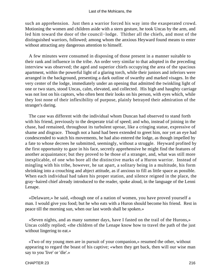such an apprehension. Just then a warrior forced his way into the exasperated crowd. Motioning the women and children aside with a stern gesture, he took Uncas by the arm, and led him toward the door of the council−lodge. Thither all the chiefs, and most of the distinguished warriors, followed; among whom the anxious Heyward found means to enter without attracting any dangerous attention to himself.

 A few minutes were consumed in disposing of those present in a manner suitable to their rank and influence in the tribe. An order very similar to that adopted in the preceding interview was observed; the aged and superior chiefs occupying the area of the spacious apartment, within the powerful light of a glaring torch, while their juniors and inferiors were arranged in the background, presenting a dark outline of swarthy and marked visages. In the very center of the lodge, immediately under an opening that admitted the twinkling light of one or two stars, stood Uncas, calm, elevated, and collected. His high and haughty carriage was not lost on his captors, who often bent their looks on his person, with eyes which, while they lost none of their inflexibility of purpose, plainly betrayed their admiration of the stranger's daring.

 The case was different with the individual whom Duncan had observed to stand forth with his friend, previously to the desperate trial of speed; and who, instead of joining in the chase, had remained, throughout its turbulent uproar, like a cringing statue, expressive of shame and disgrace. Though not a hand had been extended to greet him, nor yet an eye had condescended to watch his movements, he had also entered the lodge, as though impelled by a fate to whose decrees he submitted, seemingly, without a struggle. Heyward profited by the first opportunity to gaze in his face, secretly apprehensive he might find the features of another acquaintance; but they proved to be those of a stranger, and, what was still more inexplicable, of one who bore all the distinctive marks of a Huron warrior. Instead of mingling with his tribe, however, he sat apart, a solitary being in a multitude, his form shrinking into a crouching and abject attitude, as if anxious to fill as little space as possible. When each individual had taken his proper station, and silence reigned in the place, the gray−haired chief already introduced to the reader, spoke aloud, in the language of the Lenni Lenape.

 «Delaware,» he said, «though one of a nation of women, you have proved yourself a man. I would give you food; but he who eats with a Huron should become his friend. Rest in peace till the morning sun, when our last words shall be spoken.»

 «Seven nights, and as many summer days, have I fasted on the trail of the Hurons,» Uncas coldly replied; «the children of the Lenape know how to travel the path of the just without lingering to eat.»

 «Two of my young men are in pursuit of your companion,» resumed the other, without appearing to regard the boast of his captive; «when they get back, then will our wise man say to you 'live' or 'die'.»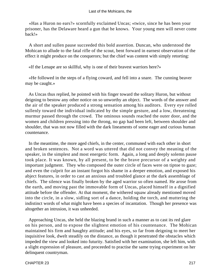«Has a Huron no ears?» scornfully exclaimed Uncas; «twice, since he has been your prisoner, has the Delaware heard a gun that he knows. Your young men will never come back!»

 A short and sullen pause succeeded this bold assertion. Duncan, who understood the Mohican to allude to the fatal rifle of the scout, bent forward in earnest observation of the effect it might produce on the conquerors; but the chief was content with simply retorting:

«If the Lenape are so skillful, why is one of their bravest warriors here?»

 «He followed in the steps of a flying coward, and fell into a snare. The cunning beaver may be caught.»

 As Uncas thus replied, he pointed with his finger toward the solitary Huron, but without deigning to bestow any other notice on so unworthy an object. The words of the answer and the air of the speaker produced a strong sensation among his auditors. Every eye rolled sullenly toward the individual indicated by the simple gesture, and a low, threatening murmur passed through the crowd. The ominous sounds reached the outer door, and the women and children pressing into the throng, no gap had been left, between shoulder and shoulder, that was not now filled with the dark lineaments of some eager and curious human countenance.

 In the meantime, the more aged chiefs, in the center, communed with each other in short and broken sentences. Not a word was uttered that did not convey the meaning of the speaker, in the simplest and most energetic form. Again, a long and deeply solemn pause took place. It was known, by all present, to be the brave precursor of a weighty and important judgment. They who composed the outer circle of faces were on tiptoe to gaze; and even the culprit for an instant forgot his shame in a deeper emotion, and exposed his abject features, in order to cast an anxious and troubled glance at the dark assemblage of chiefs. The silence was finally broken by the aged warrior so often named. He arose from the earth, and moving past the immovable form of Uncas, placed himself in a dignified attitude before the offender. At that moment, the withered squaw already mentioned moved into the circle, in a slow, sidling sort of a dance, holding the torch, and muttering the indistinct words of what might have been a species of incantation. Though her presence was altogether an intrusion, it was unheeded.

 Approaching Uncas, she held the blazing brand in such a manner as to cast its red glare on his person, and to expose the slightest emotion of his countenance. The Mohican maintained his firm and haughty attitude; and his eyes, so far from deigning to meet her inquisitive look, dwelt steadily on the distance, as though it penetrated the obstacles which impeded the view and looked into futurity. Satisfied with her examination, she left him, with a slight expression of pleasure, and proceeded to practise the same trying experiment on her delinquent countryman.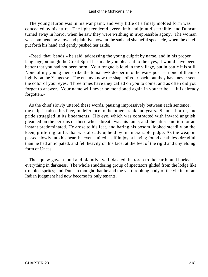The young Huron was in his war paint, and very little of a finely molded form was concealed by his attire. The light rendered every limb and joint discernible, and Duncan turned away in horror when he saw they were writhing in irrepressible agony. The woman was commencing a low and plaintive howl at the sad and shameful spectacle, when the chief put forth his hand and gently pushed her aside.

 «Reed−that−bends,» he said, addressing the young culprit by name, and in his proper language, «though the Great Spirit has made you pleasant to the eyes, it would have been better that you had not been born. Your tongue is loud in the village, but in battle it is still. None of my young men strike the tomahawk deeper into the war− post – none of them so lightly on the Yengeese. The enemy know the shape of your back, but they have never seen the color of your eyes. Three times have they called on you to come, and as often did you forget to answer. Your name will never be mentioned again in your tribe – it is already forgotten.»

 As the chief slowly uttered these words, pausing impressively between each sentence, the culprit raised his face, in deference to the other's rank and years. Shame, horror, and pride struggled in its lineaments. His eye, which was contracted with inward anguish, gleamed on the persons of those whose breath was his fame; and the latter emotion for an instant predominated. He arose to his feet, and baring his bosom, looked steadily on the keen, glittering knife, that was already upheld by his inexorable judge. As the weapon passed slowly into his heart he even smiled, as if in joy at having found death less dreadful than he had anticipated, and fell heavily on his face, at the feet of the rigid and unyielding form of Uncas.

 The squaw gave a loud and plaintive yell, dashed the torch to the earth, and buried everything in darkness. The whole shuddering group of spectators glided from the lodge like troubled sprites; and Duncan thought that he and the yet throbbing body of the victim of an Indian judgment had now become its only tenants.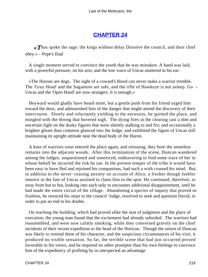# **[CHAPTER 24](#page-317-0)**

*«T*hus spoke the sage: the kings without delay Dissolve the council, and their chief obey.» – Pope's Iliad

 A single moment served to convince the youth that he was mistaken. A hand was laid, with a powerful pressure, on his arm, and the low voice of Uncas muttered in his ear:

 «The Hurons are dogs. The sight of a coward's blood can never make a warrior tremble. The 'Gray Head' and the Sagamore are safe, and the rifle of Hawkeye is not asleep. Go – Uncas and the 'Open Hand' are now strangers. It is enough.»

 Heyward would gladly have heard more, but a gentle push from his friend urged him toward the door, and admonished him of the danger that might attend the discovery of their intercourse. Slowly and reluctantly yielding to the necessity, he quitted the place, and mingled with the throng that hovered nigh. The dying fires in the clearing cast a dim and uncertain light on the dusky figures that were silently stalking to and fro; and occasionally a brighter gleam than common glanced into the lodge, and exhibited the figure of Uncas still maintaining its upright attitude near the dead body of the Huron.

 A knot of warriors soon entered the place again, and reissuing, they bore the senseless remains into the adjacent woods. After this termination of the scene, Duncan wandered among the lodges, unquestioned and unnoticed, endeavoring to find some trace of her in whose behalf he incurred the risk he ran. In the present temper of the tribe it would have been easy to have fled and rejoined his companions, had such a wish crossed his mind. But, in addition to the never−ceasing anxiety on account of Alice, a fresher though feebler interest in the fate of Uncas assisted to chain him to the spot. He continued, therefore, to stray from hut to hut, looking into each only to encounter additional disappointment, until he had made the entire circuit of the village. Abandoning a species of inquiry that proved so fruitless, he retraced his steps to the council−lodge, resolved to seek and question David, in order to put an end to his doubts.

 On reaching the building, which had proved alike the seat of judgment and the place of execution, the young man found that the excitement had already subsided. The warriors had reassembled, and were now calmly smoking, while they conversed gravely on the chief incidents of their recent expedition to the head of the Horican. Though the return of Duncan was likely to remind them of his character, and the suspicious circumstances of his visit, it produced no visible sensation. So far, the terrible scene that had just occurred proved favorable to his views, and he required no other prompter than his own feelings to convince him of the expediency of profiting by so unexpected an advantage.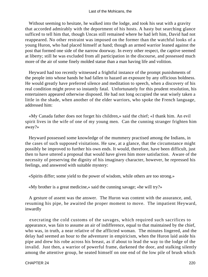Without seeming to hesitate, he walked into the lodge, and took his seat with a gravity that accorded admirably with the deportment of his hosts. A hasty but searching glance sufficed to tell him that, though Uncas still remained where he had left him, David had not reappeared. No other restraint was imposed on the former than the watchful looks of a young Huron, who had placed himself at hand; though an armed warrior leaned against the post that formed one side of the narrow doorway. In every other respect, the captive seemed at liberty; still he was excluded from all participation in the discourse, and possessed much more of the air of some finely molded statue than a man having life and volition.

 Heyward had too recently witnessed a frightful instance of the prompt punishments of the people into whose hands he had fallen to hazard an exposure by any officious boldness. He would greatly have preferred silence and meditation to speech, when a discovery of his real condition might prove so instantly fatal. Unfortunately for this prudent resolution, his entertainers appeared otherwise disposed. He had not long occupied the seat wisely taken a little in the shade, when another of the elder warriors, who spoke the French language, addressed him:

 «My Canada father does not forget his children,» said the chief; «I thank him. An evil spirit lives in the wife of one of my young men. Can the cunning stranger frighten him away?»

 Heyward possessed some knowledge of the mummery practised among the Indians, in the cases of such supposed visitations. He saw, at a glance, that the circumstance might possibly be improved to further his own ends. It would, therefore, have been difficult, just then to have uttered a proposal that would have given him more satisfaction. Aware of the necessity of preserving the dignity of his imaginary character, however, he repressed his feelings, and answered with suitable mystery:

«Spirits differ; some yield to the power of wisdom, while others are too strong.»

«My brother is a great medicine,» said the cunning savage; «he will try?»

 A gesture of assent was the answer. The Huron was content with the assurance, and, resuming his pipe, he awaited the proper moment to move. The impatient Heyward, inwardly

 execrating the cold customs of the savages, which required such sacrifices to appearance, was fain to assume an air of indifference, equal to that maintained by the chief, who was, in truth, a near relative of the afflicted woman. The minutes lingered, and the delay had seemed an hour to the adventurer in empiricism, when the Huron laid aside his pipe and drew his robe across his breast, as if about to lead the way to the lodge of the invalid. Just then, a warrior of powerful frame, darkened the door, and stalking silently among the attentive group, he seated himself on one end of the low pile of brush which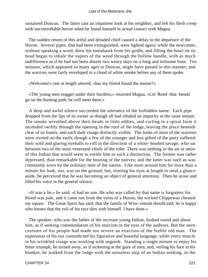sustained Duncan. The latter cast an impatient look at his neighbor, and felt his flesh creep with uncontrollable horror when he found himself in actual contact with Magua.

 The sudden return of this artful and dreaded chief caused a delay in the departure of the Huron. Several pipes, that had been extinguished, were lighted again; while the newcomer, without speaking a word, drew his tomahawk from his girdle, and filling the bowl on its head began to inhale the vapors of the weed through the hollow handle, with as much indifference as if he had not been absent two weary days on a long and toilsome hunt. Ten minutes, which appeared so many ages to Duncan, might have passed in this manner; and the warriors were fairly enveloped in a cloud of white smoke before any of them spoke.

«Welcome!» one at length uttered; «has my friend found the moose?»

 «The young men stagger under their burdens,» returned Magua. «Let 'Reed−that−bends' go on the hunting path; he will meet them.»

 A deep and awful silence succeeded the utterance of the forbidden name. Each pipe dropped from the lips of its owner as though all had inhaled an impurity at the same instant. The smoke wreathed above their heads in little eddies, and curling in a spiral form it ascended swiftly through the opening in the roof of the lodge, leaving the place beneath clear of its fumes, and each dark visage distinctly visible. The looks of most of the warriors were riveted on the earth; though a few of the younger and less gifted of the party suffered their wild and glaring eyeballs to roll in the direction of a white−headed savage, who sat between two of the most venerated chiefs of the tribe. There was nothing in the air or attire of this Indian that would seem to entitle him to such a distinction. The former was rather depressed, than remarkable for the bearing of the natives; and the latter was such as was commonly worn by the ordinary men of the nation. Like most around him for more than a minute his look, too, was on the ground; but, trusting his eyes at length to steal a glance aside, he perceived that he was becoming an object of general attention. Then he arose and lifted his voice in the general silence.

 «It was a lie,» he said; «I had no son. He who was called by that name is forgotten; his blood was pale, and it came not from the veins of a Huron; the wicked Chippewas cheated my squaw. The Great Spirit has said, that the family of Wiss−entush should end; he is happy who knows that the evil of his race dies with himself. I have done.»

 The speaker, who was the father of the recreant young Indian, looked round and about him, as if seeking commendation of his stoicism in the eyes of the auditors. But the stern customs of his people had made too severe an exaction of the feeble old man. The expression of his eye contradicted his figurative and boastful language, while every muscle in his wrinkled visage was working with anguish. Standing a single minute to enjoy his bitter triumph, he turned away, as if sickening at the gaze of men, and, veiling his face in his blanket, he walked from the lodge with the noiseless step of an Indian seeking, in the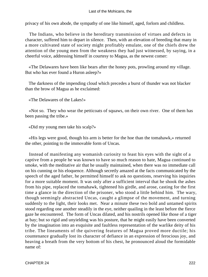#### Last of the Mohicans, the

privacy of his own abode, the sympathy of one like himself, aged, forlorn and childless.

 The Indians, who believe in the hereditary transmission of virtues and defects in character, suffered him to depart in silence. Then, with an elevation of breeding that many in a more cultivated state of society might profitably emulate, one of the chiefs drew the attention of the young men from the weakness they had just witnessed, by saying, in a cheerful voice, addressing himself in courtesy to Magua, as the newest comer:

 «The Delawares have been like bears after the honey pots, prowling around my village. But who has ever found a Huron asleep?»

 The darkness of the impending cloud which precedes a burst of thunder was not blacker than the brow of Magua as he exclaimed:

«The Delawares of the Lakes!»

 «Not so. They who wear the petticoats of squaws, on their own river. One of them has been passing the tribe.»

«Did my young men take his scalp?»

 «His legs were good, though his arm is better for the hoe than the tomahawk,» returned the other, pointing to the immovable form of Uncas.

 Instead of manifesting any womanish curiosity to feast his eyes with the sight of a captive from a people he was known to have so much reason to hate, Magua continued to smoke, with the meditative air that he usually maintained, when there was no immediate call on his cunning or his eloquence. Although secretly amazed at the facts communicated by the speech of the aged father, he permitted himself to ask no questions, reserving his inquiries for a more suitable moment. It was only after a sufficient interval that he shook the ashes from his pipe, replaced the tomahawk, tightened his girdle, and arose, casting for the first time a glance in the direction of the prisoner, who stood a little behind him. The wary, though seemingly abstracted Uncas, caught a glimpse of the movement, and turning suddenly to the light, their looks met. Near a minute these two bold and untamed spirits stood regarding one another steadily in the eye, neither quailing in the least before the fierce gaze he encountered. The form of Uncas dilated, and his nostrils opened like those of a tiger at bay; but so rigid and unyielding was his posture, that he might easily have been converted by the imagination into an exquisite and faultless representation of the warlike deity of his tribe. The lineaments of the quivering features of Magua proved more ductile; his countenance gradually lost its character of defiance in an expression of ferocious joy, and heaving a breath from the very bottom of his chest, he pronounced aloud the formidable name of: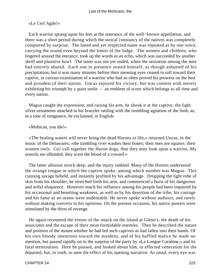## «Le Cerf Agile!»

 Each warrior sprang upon his feet at the utterance of the well−known appellation, and there was a short period during which the stoical constancy of the natives was completely conquered by surprise. The hated and yet respected name was repeated as by one voice, carrying the sound even beyond the limits of the lodge. The women and children, who lingered around the entrance, took up the words in an echo, which was succeeded by another shrill and plaintive howl. The latter was not yet ended, when the sensation among the men had entirely abated. Each one in presence seated himself, as though ashamed of his precipitation; but it was many minutes before their meaning eyes ceased to roll toward their captive, in curious examination of a warrior who had so often proved his prowess on the best and proudest of their nation. Uncas enjoyed his victory, but was content with merely exhibiting his triumph by a quiet smile – an emblem of scorn which belongs to all time and every nation.

 Magua caught the expression, and raising his arm, he shook it at the captive, the light silver ornaments attached to his bracelet rattling with the trembling agitation of the limb, as, in a tone of vengeance, he exclaimed, in English:

### «Mohican, you die!»

 «The healing waters will never bring the dead Hurons to life,» returned Uncas, in the music of the Delawares; «the tumbling river washes their bones; their men are squaws: their women owls. Go! call together the Huron dogs, that they may look upon a warrior, My nostrils are offended; they scent the blood of a coward.»

 The latter allusion struck deep, and the injury rankled. Many of the Hurons understood the strange tongue in which the captive spoke, among which number was Magua. This cunning savage beheld, and instantly profited by his advantage. Dropping the light robe of skin from his shoulder, he stretched forth his arm, and commenced a burst of his dangerous and artful eloquence. However much his influence among his people had been impaired by his occasional and besetting weakness, as well as by his desertion of the tribe, his courage and his fame as an orator were undeniable. He never spoke without auditors, and rarely without making converts to his opinions. On the present occasion, his native powers were stimulated by the thirst of revenge.

 He again recounted the events of the attack on the island at Glenn's, the death of his associates and the escape of their most formidable enemies. Then he described the nature and position of the mount whither he had led such captives as had fallen into their hands. Of his own bloody intentions toward the maidens, and of his baffled malice he made no mention, but passed rapidly on to the surprise of the party by «La Longue Carabine,» and its fatal termination. Here he paused, and looked about him, in affected veneration for the departed, but, in truth, to note the effect of his opening narrative. As usual, every eye was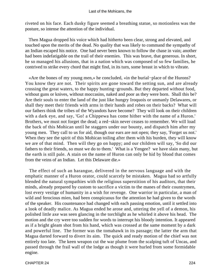riveted on his face. Each dusky figure seemed a breathing statue, so motionless was the posture, so intense the attention of the individual.

 Then Magua dropped his voice which had hitherto been clear, strong and elevated, and touched upon the merits of the dead. No quality that was likely to command the sympathy of an Indian escaped his notice. One had never been known to follow the chase in vain; another had been indefatigable on the trail of their enemies. This was brave, that generous. In short, he so managed his allusions, that in a nation which was composed of so few families, he contrived to strike every chord that might find, in its turn, some breast in which to vibrate.

 «Are the bones of my young men,» he concluded, «in the burial−place of the Hurons? You know they are not. Their spirits are gone toward the setting sun, and are already crossing the great waters, to the happy hunting−grounds. But they departed without food, without guns or knives, without moccasins, naked and poor as they were born. Shall this be? Are their souls to enter the land of the just like hungry Iroquois or unmanly Delawares, or shall they meet their friends with arms in their hands and robes on their backs? What will our fathers think the tribes of the Wyandots have become? They will look on their children with a dark eye, and say, 'Go! a Chippewa has come hither with the name of a Huron.' Brothers, we must not forget the dead; a red−skin never ceases to remember. We will load the back of this Mohican until he staggers under our bounty, and dispatch him after my young men. They call to us for aid, though our ears are not open; they say, 'Forget us not.' When they see the spirit of this Mohican toiling after them with his burden, they will know we are of that mind. Then will they go on happy; and our children will say, 'So did our fathers to their friends, so must we do to them.' What is a Yengee? we have slain many, but the earth is still pale. A stain on the name of Huron can only be hid by blood that comes from the veins of an Indian. Let this Delaware die.»

 The effect of such an harangue, delivered in the nervous language and with the emphatic manner of a Huron orator, could scarcely be mistaken. Magua had so artfully blended the natural sympathies with the religious superstition of his auditors, that their minds, already prepared by custom to sacrifice a victim to the manes of their countrymen, lost every vestige of humanity in a wish for revenge. One warrior in particular, a man of wild and ferocious mien, had been conspicuous for the attention he had given to the words of the speaker. His countenance had changed with each passing emotion, until it settled into a look of deadly malice. As Magua ended he arose and, uttering the yell of a demon, his polished little axe was seen glancing in the torchlight as he whirled it above his head. The motion and the cry were too sudden for words to interrupt his bloody intention. It appeared as if a bright gleam shot from his hand, which was crossed at the same moment by a dark and powerful line. The former was the tomahawk in its passage; the latter the arm that Magua darted forward to divert its aim. The quick and ready motion of the chief was not entirely too late. The keen weapon cut the war plume from the scalping tuft of Uncas, and passed through the frail wall of the lodge as though it were hurled from some formidable engine.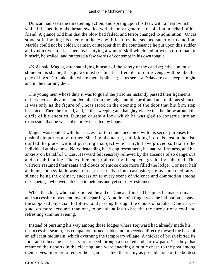Duncan had seen the threatening action, and sprang upon his feet, with a heart which, while it leaped into his throat, swelled with the most generous resolution in behalf of his friend. A glance told him that the blow had failed, and terror changed to admiration. Uncas stood still, looking his enemy in the eye with features that seemed superior to emotion. Marble could not be colder, calmer, or steadier than the countenance he put upon this sudden and vindictive attack. Then, as if pitying a want of skill which had proved so fortunate to himself, he smiled, and muttered a few words of contempt in his own tongue.

 «No!» said Magua, after satisfying himself of the safety of the captive; «the sun must shine on his shame; the squaws must see his flesh tremble, or our revenge will be like the play of boys. Go! take him where there is silence; let us see if a Delaware can sleep at night, and in the morning die.»

 The young men whose duty it was to guard the prisoner instantly passed their ligaments of bark across his arms, and led him from the lodge, amid a profound and ominous silence. It was only as the figure of Uncas stood in the opening of the door that his firm step hesitated. There he turned, and, in the sweeping and haughty glance that he threw around the circle of his enemies, Duncan caught a look which he was glad to construe into an expression that he was not entirely deserted by hope.

 Magua was content with his success, or too much occupied with his secret purposes to push his inquiries any further. Shaking his mantle, and folding it on his bosom, he also quitted the place, without pursuing a subject which might have proved so fatal to the individual at his elbow. Notwithstanding his rising resentment, his natural firmness, and his anxiety on behalf of Uncas, Heyward felt sensibly relieved by the absence of so dangerous and so subtle a foe. The excitement produced by the speech gradually subsided. The warriors resumed their seats and clouds of smoke once more filled the lodge. For near half an hour, not a syllable was uttered, or scarcely a look cast aside; a grave and meditative silence being the ordinary succession to every scene of violence and commotion among these beings, who were alike so impetuous and yet so self−restrained.

 When the chief, who had solicited the aid of Duncan, finished his pipe, he made a final and successful movement toward departing. A motion of a finger was the intimation he gave the supposed physician to follow; and passing through the clouds of smoke, Duncad was glad, on more accounts than one, to be able at last to breathe the pure air of a cool and refreshing summer evening.

 Instead of pursuing his way among those lodges where Heyward had already made his unsuccessful search, his companion turned aside, and proceeded directly toward the base of an adjacent mountain, which overhung the temporary village. A thicket of brush skirted its foot, and it became necessary to proceed through a crooked and narrow path. The boys had resumed their sports in the clearing, and were enacting a mimic chase to the post among themselves. In order to render their games as like the reality as possible, one of the boldest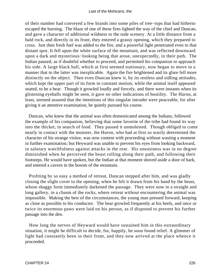of their number had conveyed a few brands into some piles of tree−tops that had hitherto escaped the burning. The blaze of one of these fires lighted the way of the chief and Duncan, and gave a character of additional wildness to the rude scenery. At a little distance from a bald rock, and directly in its front, they entered a grassy opening, which they prepared to cross. Just then fresh fuel was added to the fire, and a powerful light penetrated even to that distant spot. It fell upon the white surface of the mountain, and was reflected downward upon a dark and mysterious−looking being that arose, unexpectedly, in their path. The Indian paused, as if doubtful whether to proceed, and permitted his companion to approach his side. A large black ball, which at first seemed stationary, now began to move in a manner that to the latter was inexplicable. Again the fire brightened and its glare fell more distinctly on the object. Then even Duncan knew it, by its restless and sidling attitudes, which kept the upper part of its form in constant motion, while the animal itself appeared seated, to be a bear. Though it growled loudly and fiercely, and there were instants when its glistening eyeballs might be seen, it gave no other indications of hostility. The Huron, at least, seemed assured that the intentions of this singular intruder were peaceable, for after giving it an attentive examination, he quietly pursued his course.

 Duncan, who knew that the animal was often domesticated among the Indians, followed the example of his companion, believing that some favorite of the tribe had found its way into the thicket, in search of food. They passed it unmolested. Though obliged to come nearly in contact with the monster, the Huron, who had at first so warily determined the character of his strange visitor, was now content with proceeding without wasting a moment in further examination; but Heyward was unable to prevent his eyes from looking backward, in salutary watchfulness against attacks in the rear. His uneasiness was in no degree diminished when he perceived the beast rolling along their path, and following their footsteps. He would have spoken, but the Indian at that moment shoved aside a door of bark, and entered a cavern in the bosom of the mountain.

 Profiting by so easy a method of retreat, Duncan stepped after him, and was gladly closing the slight cover to the opening, when he felt it drawn from his hand by the beast, whose shaggy form immediately darkened the passage. They were now in a straight and long gallery, in a chasm of the rocks, where retreat without encountering the animal was impossible. Making the best of the circumstances, the young man pressed forward, keeping as close as possible to his conductor. The bear growled frequently at his heels, and once or twice its enormous paws were laid on his person, as if disposed to prevent his further passage into the den.

 How long the nerves of Heyward would have sustained him in this extraordinary situation, it might be difficult to decide, for, happily, he soon found relief. A glimmer of light had constantly been in their front, and they now arrived at the place whence it proceeded.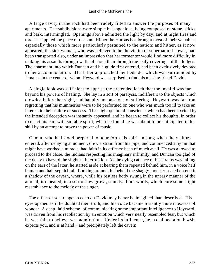#### Last of the Mohicans, the

 A large cavity in the rock had been rudely fitted to answer the purposes of many apartments. The subdivisions were simple but ingenious, being composed of stone, sticks, and bark, intermingled. Openings above admitted the light by day, and at night fires and torches supplied the place of the sun. Hither the Hurons had brought most of their valuables, especially those which more particularly pertained to the nation; and hither, as it now appeared, the sick woman, who was believed to be the victim of supernatural power, had been transported also, under an impression that her tormentor would find more difficulty in making his assaults through walls of stone than through the leafy coverings of the lodges. The apartment into which Duncan and his guide first entered, had been exclusively devoted to her accommodation. The latter approached her bedside, which was surrounded by females, in the center of whom Heyward was surprised to find his missing friend David.

 A single look was sufficient to apprise the pretended leech that the invalid was far beyond his powers of healing. She lay in a sort of paralysis, indifferent to the objects which crowded before her sight, and happily unconscious of suffering. Heyward was far from regretting that his mummeries were to be performed on one who was much too ill to take an interest in their failure or success. The slight qualm of conscience which had been excited by the intended deception was instantly appeased, and he began to collect his thoughts, in order to enact his part with suitable spirit, when he found he was about to be anticipated in his skill by an attempt to prove the power of music.

 Gamut, who had stood prepared to pour forth his spirit in song when the visitors entered, after delaying a moment, drew a strain from his pipe, and commenced a hymn that might have worked a miracle, had faith in its efficacy been of much avail. He was allowed to proceed to the close, the Indians respecting his imaginary infirmity, and Duncan too glad of the delay to hazard the slightest interruption. As the dying cadence of his strains was falling on the ears of the latter, he started aside at hearing them repeated behind him, in a voice half human and half sepulchral. Looking around, he beheld the shaggy monster seated on end in a shadow of the cavern, where, while his restless body swung in the uneasy manner of the animal, it repeated, in a sort of low growl, sounds, if not words, which bore some slight resemblance to the melody of the singer.

 The effect of so strange an echo on David may better be imagined than described. His eyes opened as if he doubted their truth; and his voice became instantly mute in excess of wonder. A deep−laid scheme, of communicating some important intelligence to Heyward, was driven from his recollection by an emotion which very nearly resembled fear, but which he was fain to believe was admiration. Under its influence, he exclaimed aloud: «She expects you, and is at hand»; and precipitately left the cavern.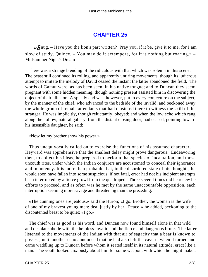# **[CHAPTER 25](#page-317-0)**

*«S*nug. – Have you the lion's part written? Pray you, if it be, give it to me, for I am slow of study. Quince. – You may do it extempore, for it is nothing but roaring.» – Midsummer Night's Dream

 There was a strange blending of the ridiculous with that which was solemn in this scene. The beast still continued its rolling, and apparently untiring movements, though its ludicrous attempt to imitate the melody of David ceased the instant the latter abandoned the field. The words of Gamut were, as has been seen, in his native tongue; and to Duncan they seem pregnant with some hidden meaning, though nothing present assisted him in discovering the object of their allusion. A speedy end was, however, put to every conjecture on the subject, by the manner of the chief, who advanced to the bedside of the invalid, and beckoned away the whole group of female attendants that had clustered there to witness the skill of the stranger. He was implicitly, though reluctantly, obeyed; and when the low echo which rang along the hollow, natural gallery, from the distant closing door, had ceased, pointing toward his insensible daughter, he said:

«Now let my brother show his power.»

 Thus unequivocally called on to exercise the functions of his assumed character, Heyward was apprehensive that the smallest delay might prove dangerous. Endeavoring, then, to collect his ideas, he prepared to perform that species of incantation, and those uncouth rites, under which the Indian conjurers are accustomed to conceal their ignorance and impotency. It is more than probable that, in the disordered state of his thoughts, he would soon have fallen into some suspicious, if not fatal, error had not his incipient attempts been interrupted by a fierce growl from the quadruped. Three several times did he renew his efforts to proceed, and as often was he met by the same unaccountable opposition, each interruption seeming more savage and threatening than the preceding.

 «The cunning ones are jealous,» said the Huron; «I go. Brother, the woman is the wife of one of my bravest young men; deal justly by her. Peace!» he added, beckoning to the discontented beast to be quiet; «I go.»

 The chief was as good as his word, and Duncan now found himself alone in that wild and desolate abode with the helpless invalid and the fierce and dangerous brute. The latter listened to the movements of the Indian with that air of sagacity that a bear is known to possess, until another echo announced that he had also left the cavern, when it turned and came waddling up to Duncan before whom it seated itself in its natural attitude, erect like a man. The youth looked anxiously about him for some weapon, with which he might make a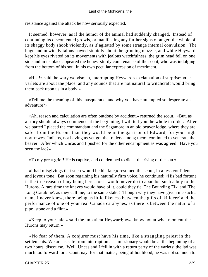resistance against the attack he now seriously expected.

 It seemed, however, as if the humor of the animal had suddenly changed. Instead of continuing its discontented growls, or manifesting any further signs of anger, the whole of its shaggy body shook violently, as if agitated by some strange internal convulsion. The huge and unwieldy talons pawed stupidly about the grinning muzzle, and while Heyward kept his eyes riveted on its movements with jealous watchfulness, the grim head fell on one side and in its place appeared the honest sturdy countenance of the scout, who was indulging from the bottom of his soul in his own peculiar expression of merriment.

 «Hist!» said the wary woodsman, interrupting Heyward's exclamation of surprise; «the varlets are about the place, and any sounds that are not natural to witchcraft would bring them back upon us in a body.»

 «Tell me the meaning of this masquerade; and why you have attempted so desperate an adventure?»

 «Ah, reason and calculation are often outdone by accident,» returned the scout. «But, as a story should always commence at the beginning, I will tell you the whole in order. After we parted I placed the commandant and the Sagamore in an old beaver lodge, where they are safer from the Hurons than they would be in the garrison of Edward; for your high north−west Indians, not having as yet got the traders among them, continued to venerate the beaver. After which Uncas and I pushed for the other encampment as was agreed. Have you seen the lad?»

«To my great grief! He is captive, and condemned to die at the rising of the sun.»

 «I had misgivings that such would be his fate,» resumed the scout, in a less confident and joyous tone. But soon regaining his naturally firm voice, he continued: «His bad fortune is the true reason of my being here, for it would never do to abandon such a boy to the Hurons. A rare time the knaves would have of it, could they tie 'The Bounding Elk' and 'The Long Carabine', as they call me, to the same stake! Though why they have given me such a name I never knew, there being as little likeness between the gifts of 'killdeer' and the performance of one of your real Canada carabynes, as there is between the natur' of a pipe−stone and a flint.»

 «Keep to your tale,» said the impatient Heyward; «we know not at what moment the Hurons may return.»

 «No fear of them. A conjurer must have his time, like a straggling priest in the settlements. We are as safe from interruption as a missionary would be at the beginning of a two hours' discourse. Well, Uncas and I fell in with a return party of the varlets; the lad was much too forward for a scout; nay, for that matter, being of hot blood, he was not so much to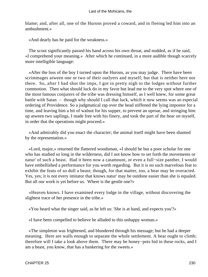blame; and, after all, one of the Hurons proved a coward, and in fleeing led him into an ambushment.»

«And dearly has he paid for the weakness.»

 The scout significantly passed his hand across his own throat, and nodded, as if he said, «I comprehend your meaning.» After which he continued, in a more audible though scarcely more intelligible language:

 «After the loss of the boy I turned upon the Hurons, as you may judge. There have been scrimmages atween one or two of their outlyers and myself; but that is neither here nor there. So, after I had shot the imps, I got in pretty nigh to the lodges without further commotion. Then what should luck do in my favor but lead me to the very spot where one of the most famous conjurers of the tribe was dressing himself, as I well knew, for some great battle with Satan – though why should I call that luck, which it now seems was an especial ordering of Providence. So a judgmatical rap over the head stiffened the lying impostor for a time, and leaving him a bit of walnut for his supper, to prevent an uproar, and stringing him up atween two saplings, I made free with his finery, and took the part of the bear on myself, in order that the operations might proceed.»

 «And admirably did you enact the character; the animal itself might have been shamed by the representation.»

 «Lord, major,» returned the flattered woodsman, «I should be but a poor scholar for one who has studied so long in the wilderness, did I not know how to set forth the movements or natur' of such a beast. Had it been now a catamount, or even a full−size panther, I would have embellished a performance for you worth regarding. But it is no such marvelous feat to exhibit the feats of so dull a beast; though, for that matter, too, a bear may be overacted. Yes, yes; it is not every imitator that knows natur' may be outdone easier than she is equaled. But all our work is yet before us. Where is the gentle one?»

 «Heaven knows. I have examined every lodge in the village, without discovering the slightest trace of her presence in the tribe.»

«You heard what the singer said, as he left us: 'She is at hand, and expects you'?»

«I have been compelled to believe he alluded to this unhappy woman.»

 «The simpleton was frightened, and blundered through his message; but he had a deeper meaning. Here are walls enough to separate the whole settlement. A bear ought to climb; therefore will I take a look above them. There may be honey−pots hid in these rocks, and I am a beast, you know, that has a hankering for the sweets.»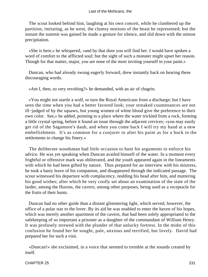#### Last of the Mohicans, the

 The scout looked behind him, laughing at his own conceit, while he clambered up the partition, imitating, as he went, the clumsy motions of the beast he represented; but the instant the summit was gained he made a gesture for silence, and slid down with the utmost precipitation.

 «She is here,» he whispered, «and by that door you will find her. I would have spoken a word of comfort to the afflicted soul; but the sight of such a monster might upset her reason. Though for that matter, major, you are none of the most inviting yourself in your paint.»

 Duncan, who had already swung eagerly forward, drew instantly back on hearing these discouraging words.

«Am I, then, so very revolting?» he demanded, with an air of chagrin.

 «You might not startle a wolf, or turn the Royal Americans from a discharge; but I have seen the time when you had a better favored look; your streaked countenances are not ill−judged of by the squaws, but young women of white blood give the preference to their own color. See,» he added, pointing to a place where the water trickled from a rock, forming a little crystal spring, before it found an issue through the adjacent crevices; «you may easily get rid of the Sagamore's daub, and when you come back I will try my hand at a new embellishment. It's as common for a conjurer to alter his paint as for a buck in the settlements to change his finery.»

 The deliberate woodsman had little occasion to hunt for arguments to enforce his advice. He was yet speaking when Duncan availed himself of the water. In a moment every frightful or offensive mark was obliterated, and the youth appeared again in the lineaments with which he had been gifted by nature. Thus prepared for an interview with his mistress, he took a hasty leave of his companion, and disappeared through the indicated passage. The scout witnessed his departure with complacency, nodding his head after him, and muttering his good wishes; after which he very coolly set about an examination of the state of the larder, among the Hurons, the cavern, among other purposes, being used as a receptacle for the fruits of their hunts.

 Duncan had no other guide than a distant glimmering light, which served, however, the office of a polar star to the lover. By its aid he was enabled to enter the haven of his hopes, which was merely another apartment of the cavern, that had been solely appropriated to the safekeeping of so important a prisoner as a daughter of the commandant of William Henry. It was profusely strewed with the plunder of that unlucky fortress. In the midst of this confusion he found her he sought, pale, anxious and terrified, but lovely. David had prepared her for such a visit.

 «Duncan!» she exclaimed, in a voice that seemed to tremble at the sounds created by itself.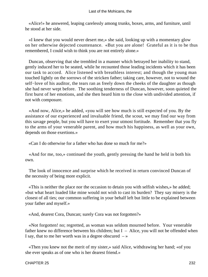«Alice!» he answered, leaping carelessly among trunks, boxes, arms, and furniture, until he stood at her side.

 «I knew that you would never desert me,» she said, looking up with a momentary glow on her otherwise dejected countenance. «But you are alone! Grateful as it is to be thus remembered, I could wish to think you are not entirely alone.»

 Duncan, observing that she trembled in a manner which betrayed her inability to stand, gently induced her to be seated, while he recounted those leading incidents which it has been our task to accord. Alice listened with breathless interest; and though the young man touched lightly on the sorrows of the stricken father; taking care, however, not to wound the self–love of his auditor, the tears ran as freely down the cheeks of the daughter as though she had never wept before. The soothing tenderness of Duncan, however, soon quieted the first burst of her emotions, and she then heard him to the close with undivided attention, if not with composure.

 «And now, Alice,» he added, «you will see how much is still expected of you. By the assistance of our experienced and invaluable friend, the scout, we may find our way from this savage people, but you will have to exert your utmost fortitude. Remember that you fly to the arms of your venerable parent, and how much his happiness, as well as your own, depends on those exertions.»

«Can I do otherwise for a father who has done so much for me?»

 «And for me, too,» continued the youth, gently pressing the hand he held in both his own.

 The look of innocence and surprise which he received in return convinced Duncan of the necessity of being more explicit.

 «This is neither the place nor the occasion to detain you with selfish wishes,» he added; «but what heart loaded like mine would not wish to cast its burden? They say misery is the closest of all ties; our common suffering in your behalf left but little to be explained between your father and myself.»

«And, dearest Cora, Duncan; surely Cora was not forgotten?»

 «Not forgotten! no; regretted, as woman was seldom mourned before. Your venerable father knew no difference between his children; but  $I -$  Alice, you will not be offended when I say, that to me her worth was in a degree obscured  $-\infty$ 

 «Then you knew not the merit of my sister,» said Alice, withdrawing her hand; «of you she ever speaks as of one who is her dearest friend.»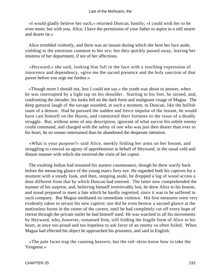#### Last of the Mohicans, the

 «I would gladly believe her such,» returned Duncan, hastily; «I could wish her to be even more; but with you, Alice, I have the permission of your father to aspire to a still nearer and dearer tie.»

 Alice trembled violently, and there was an instant during which she bent her face aside, yielding to the emotions common to her sex; but they quickly passed away, leaving her mistress of her deportment, if not of her affections.

 «Heyward,» she said, looking him full in the face with a touching expression of innocence and dependency, «give me the sacred presence and the holy sanction of that parent before you urge me further.»

 «Though more I should not, less I could not say,» the youth was about to answer, when he was interrupted by a light tap on his shoulder. Starting to his feet, he turned, and, confronting the intruder, his looks fell on the dark form and malignant visage of Magua. The deep guttural laugh of the savage sounded, at such a moment, to Duncan, like the hellish taunt of a demon. Had he pursued the sudden and fierce impulse of the instant, he would have cast himself on the Huron, and committed their fortunes to the issue of a deadly struggle. But, without arms of any description, ignorant of what succor his subtle enemy could command, and charged with the safety of one who was just then dearer than ever to his heart, he no sooner entertained than he abandoned the desperate intention.

 «What is your purpose?» said Alice, meekly folding her arms on her bosom, and struggling to conceal an agony of apprehension in behalf of Heyward, in the usual cold and distant manner with which she received the visits of her captor.

 The exulting Indian had resumed his austere countenance, though he drew warily back before the menacing glance of the young man's fiery eye. He regarded both his captives for a moment with a steady look, and then, stepping aside, he dropped a log of wood across a door different from that by which Duncan had entered. The latter now comprehended the manner of his surprise, and, believing himself irretrievably lost, he drew Alice to his bosom, and stood prepared to meet a fate which he hardly regretted, since it was to be suffered in such company. But Magua meditated no immediate violence. His first measures were very evidently taken to secure his new captive; nor did he even bestow a second glance at the motionless forms in the center of the cavern, until he had completely cut off every hope of retreat through the private outlet he had himself used. He was watched in all his movements by Heyward, who, however, remained firm, still folding the fragile form of Alice to his heart, at once too proud and too hopeless to ask favor of an enemy so often foiled. When Magua had effected his object he approached his prisoners, and said in English:

 «The pale faces trap the cunning beavers; but the red−skins know how to take the Yengeese.»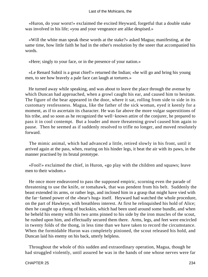«Huron, do your worst!» exclaimed the excited Heyward, forgetful that a double stake was involved in his life; «you and your vengeance are alike despised.»

 «Will the white man speak these words at the stake?» asked Magua; manifesting, at the same time, how little faith he had in the other's resolution by the sneer that accompanied his words.

«Here; singly to your face, or in the presence of your nation.»

 «Le Renard Subtil is a great chief!» returned the Indian; «he will go and bring his young men, to see how bravely a pale face can laugh at tortures.»

 He turned away while speaking, and was about to leave the place through the avenue by which Duncan had approached, when a growl caught his ear, and caused him to hesitate. The figure of the bear appeared in the door, where it sat, rolling from side to side in its customary restlessness. Magua, like the father of the sick woman, eyed it keenly for a moment, as if to ascertain its character. He was far above the more vulgar superstitions of his tribe, and so soon as he recognized the well−known attire of the conjurer, he prepared to pass it in cool contempt. But a louder and more threatening growl caused him again to pause. Then he seemed as if suddenly resolved to trifle no longer, and moved resolutely forward.

 The mimic animal, which had advanced a little, retired slowly in his front, until it arrived again at the pass, when, rearing on his hinder legs, it beat the air with its paws, in the manner practised by its brutal prototype.

 «Fool!» exclaimed the chief, in Huron, «go play with the children and squaws; leave men to their wisdom.»

 He once more endeavored to pass the supposed empiric, scorning even the parade of threatening to use the knife, or tomahawk, that was pendent from his belt. Suddenly the beast extended its arms, or rather legs, and inclosed him in a grasp that might have vied with the far−famed power of the «bear's hug» itself. Heyward had watched the whole procedure, on the part of Hawkeye, with breathless interest. At first he relinquished his hold of Alice; then he caught up a thong of buckskin, which had been used around some bundle, and when he beheld his enemy with his two arms pinned to his side by the iron muscles of the scout, he rushed upon him, and effectually secured them there. Arms, legs, and feet were encircled in twenty folds of the thong, in less time than we have taken to record the circumstance. When the formidable Huron was completely pinioned, the scout released his hold, and Duncan laid his enemy on his back, utterly helpless.

 Throughout the whole of this sudden and extraordinary operation, Magua, though he had struggled violently, until assured he was in the hands of one whose nerves were far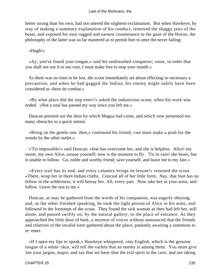better strung than his own, had not uttered the slightest exclamation. But when Hawkeye, by way of making a summary explanation of his conduct, removed the shaggy jaws of the beast, and exposed his own rugged and earnest countenance to the gaze of the Huron, the philosophy of the latter was so far mastered as to permit him to utter the never failing:

## «Hugh!»

 «Ay, you've found your tongue,» said his undisturbed conqueror; «now, in order that you shall not use it to our ruin, I must make free to stop your mouth.»

 As there was no time to be lost, the scout immediately set about effecting so necessary a precaution; and when he had gagged the Indian, his enemy might safely have been considered as «hors de combat.»

 «By what place did the imp enter?» asked the industrious scout, when his work was ended. «Not a soul has passed my way since you left me.»

 Duncan pointed out the door by which Magua had come, and which now presented too many obstacles to a quick retreat.

 «Bring on the gentle one, then,» continued his friend; «we must make a push for the woods by the other outlet.»

 «'Tis impossible!» said Duncan; «fear has overcome her, and she is helpless. Alice! my sweet, my own Alice, arouse yourself; now is the moment to fly. 'Tis in vain! she hears, but is unable to follow. Go, noble and worthy friend; save yourself, and leave me to my fate.»

 «Every trail has its end, and every calamity brings its lesson!» returned the scout. «There, wrap her in them Indian cloths. Conceal all of her little form. Nay, that foot has no fellow in the wilderness; it will betray her. All, every part. Now take her in your arms, and follow. Leave the rest to me.»

 Duncan, as may be gathered from the words of his companion, was eagerly obeying; and, as the other finished speaking, he took the light person of Alice in his arms, and followed in the footsteps of the scout. They found the sick woman as they had left her, still alone, and passed swiftly on, by the natural gallery, to the place of entrance. As they approached the little door of bark, a murmur of voices without announced that the friends and relatives of the invalid were gathered about the place, patiently awaiting a summons to re−enter.

 «If I open my lips to speak,» Hawkeye whispered, «my English, which is the genuine tongue of a white−skin, will tell the varlets that an enemy is among them. You must give 'em your jargon, major; and say that we have shut the evil spirit in the cave, and are taking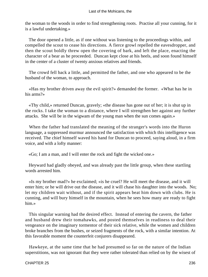the woman to the woods in order to find strengthening roots. Practise all your cunning, for it is a lawful undertaking.»

 The door opened a little, as if one without was listening to the proceedings within, and compelled the scout to cease his directions. A fierce growl repelled the eavesdropper, and then the scout boldly threw open the covering of bark, and left the place, enacting the character of a bear as he proceeded. Duncan kept close at his heels, and soon found himself in the center of a cluster of twenty anxious relatives and friends.

 The crowd fell back a little, and permitted the father, and one who appeared to be the husband of the woman, to approach.

 «Has my brother driven away the evil spirit?» demanded the former. «What has he in his arms?»

 «Thy child,» returned Duncan, gravely; «the disease has gone out of her; it is shut up in the rocks. I take the woman to a distance, where I will strengthen her against any further attacks. She will be in the wigwam of the young man when the sun comes again.»

 When the father had translated the meaning of the stranger's words into the Huron language, a suppressed murmur announced the satisfaction with which this intelligence was received. The chief himself waved his hand for Duncan to proceed, saying aloud, in a firm voice, and with a lofty manner:

«Go; I am a man, and I will enter the rock and fight the wicked one.»

 Heyward had gladly obeyed, and was already past the little group, when these startling words arrested him.

 «Is my brother mad?» he exclaimed; «is he cruel? He will meet the disease, and it will enter him; or he will drive out the disease, and it will chase his daughter into the woods. No; let my children wait without, and if the spirit appears beat him down with clubs. He is cunning, and will bury himself in the mountain, when he sees how many are ready to fight him.»

 This singular warning had the desired effect. Instead of entering the cavern, the father and husband drew their tomahawks, and posted themselves in readiness to deal their vengeance on the imaginary tormentor of their sick relative, while the women and children broke branches from the bushes, or seized fragments of the rock, with a similar intention. At this favorable moment the counterfeit conjurers disappeared.

 Hawkeye, at the same time that he had presumed so far on the nature of the Indian superstitions, was not ignorant that they were rather tolerated than relied on by the wisest of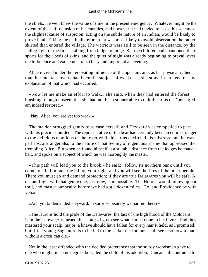the chiefs. He well knew the value of time in the present emergency. Whatever might be the extent of the self−delusion of his enemies, and however it had tended to assist his schemes, the slightest cause of suspicion, acting on the subtle nature of an Indian, would be likely to prove fatal. Taking the path, therefore, that was most likely to avoid observation, he rather skirted than entered the village. The warriors were still to be seen in the distance, by the fading light of the fires, stalking from lodge to lodge. But the children had abandoned their sports for their beds of skins, and the quiet of night was already beginning to prevail over the turbulence and excitement of so busy and important an evening.

 Alice revived under the renovating influence of the open air, and, as her physical rather than her mental powers had been the subject of weakness, she stood in no need of any explanation of that which had occurred.

 «Now let me make an effort to walk,» she said, when they had entered the forest, blushing, though unseen, that she had not been sooner able to quit the arms of Duncan; «I am indeed restored.»

«Nay, Alice, you are yet too weak.»

 The maiden struggled gently to release herself, and Heyward was compelled to part with his precious burden. The representative of the bear had certainly been an entire stranger to the delicious emotions of the lover while his arms encircled his mistress; and he was, perhaps, a stranger also to the nature of that feeling of ingenuous shame that oppressed the trembling Alice. But when he found himself at a suitable distance from the lodges he made a halt, and spoke on a subject of which he was thoroughly the master.

 «This path will lead you to the brook,» he said; «follow its northern bank until you come to a fall; mount the hill on your right, and you will see the fires of the other people. There you must go and demand protection; if they are true Delawares you will be safe. A distant flight with that gentle one, just now, is impossible. The Hurons would follow up our trail, and master our scalps before we had got a dozen miles. Go, and Providence be with you.»

«And you!» demanded Heyward, in surprise; «surely we part not here?»

 «The Hurons hold the pride of the Delawares; the last of the high blood of the Mohicans is in their power,» returned the scout; «I go to see what can be done in his favor. Had they mastered your scalp, major, a knave should have fallen for every hair it held, as I promised; but if the young Sagamore is to be led to the stake, the Indians shall see also how a man without a cross can die.»

 Not in the least offended with the decided preference that the sturdy woodsman gave to one who might, in some degree, be called the child of his adoption, Duncan still continued to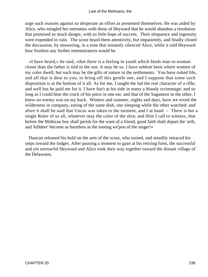urge such reasons against so desperate an effort as presented themselves. He was aided by Alice, who mingled her entreaties with those of Heyward that he would abandon a resolution that promised so much danger, with so little hope of success. Their eloquence and ingenuity were expended in vain. The scout heard them attentively, but impatiently, and finally closed the discussion, by answering, in a tone that instantly silenced Alice, while it told Heyward how fruitless any further remonstrances would be.

 «I have heard,» he said, «that there is a feeling in youth which binds man to woman closer than the father is tied to the son. It may be so. I have seldom been where women of my color dwell; but such may be the gifts of nature in the settlements. You have risked life, and all that is dear to you, to bring off this gentle one, and I suppose that some such disposition is at the bottom of it all. As for me, I taught the lad the real character of a rifle; and well has he paid me for it. I have fou't at his side in many a bloody scrimmage; and so long as I could hear the crack of his piece in one ear, and that of the Sagamore in the other, I knew no enemy was on my back. Winters and summer, nights and days, have we roved the wilderness in company, eating of the same dish, one sleeping while the other watched; and afore it shall be said that Uncas was taken to the torment, and I at hand – There is but a single Ruler of us all, whatever may the color of the skin; and Him I call to witness, that before the Mohican boy shall perish for the want of a friend, good faith shall depart the 'arth, and 'killdeer' become as harmless as the tooting we'pon of the singer!»

 Duncan released his hold on the arm of the scout, who turned, and steadily retraced his steps toward the lodges. After pausing a moment to gaze at his retiring form, the successful and yet sorrowful Heyward and Alice took their way together toward the distant village of the Delawares.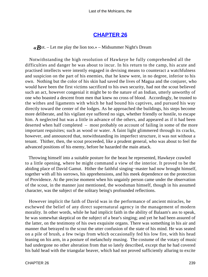## **[CHAPTER 26](#page-317-0)**

 $\langle \mathbf{R} \rangle$ ot. – Let me play the lion too.» – Midsummer Night's Dream

 Notwithstanding the high resolution of Hawkeye he fully comprehended all the difficulties and danger he was about to incur. In his return to the camp, his acute and practised intellects were intently engaged in devising means to counteract a watchfulness and suspicion on the part of his enemies, that he knew were, in no degree, inferior to his own. Nothing but the color of his skin had saved the lives of Magua and the conjurer, who would have been the first victims sacrificed to his own security, had not the scout believed such an act, however congenial it might be to the nature of an Indian, utterly unworthy of one who boasted a descent from men that knew no cross of blood. Accordingly, he trusted to the withes and ligaments with which he had bound his captives, and pursued his way directly toward the center of the lodges. As he approached the buildings, his steps become more deliberate, and his vigilant eye suffered no sign, whether friendly or hostile, to escape him. A neglected hut was a little in advance of the others, and appeared as if it had been deserted when half completed – most probably on account of failing in some of the more important requisites; such as wood or water. A faint light glimmered through its cracks, however, and announced that, notwithstanding its imperfect structure, it was not without a tenant. Thither, then, the scout proceeded, like a prudent general, who was about to feel the advanced positions of his enemy, before he hazarded the main attack.

 Throwing himself into a suitable posture for the beast he represented, Hawkeye crawled to a little opening, where he might command a view of the interior. It proved to be the abiding place of David Gamut. Hither the faithful singing−master had now brought himself, together with all his sorrows, his apprehensions, and his meek dependence on the protection of Providence. At the precise moment when his ungainly person came under the observation of the scout, in the manner just mentioned, the woodsman himself, though in his assumed character, was the subject of the solitary being's profounded reflections.

 However implicit the faith of David was in the performance of ancient miracles, he eschewed the belief of any direct supernatural agency in the management of modern morality. In other words, while he had implicit faith in the ability of Balaam's ass to speak, he was somewhat skeptical on the subject of a bear's singing; and yet he had been assured of the latter, on the testimony of his own exquisite organs. There was something in his air and manner that betrayed to the scout the utter confusion of the state of his mind. He was seated on a pile of brush, a few twigs from which occasionally fed his low fire, with his head leaning on his arm, in a posture of melancholy musing. The costume of the votary of music had undergone no other alteration from that so lately described, except that he had covered his bald head with the triangular beaver, which had not proved sufficiently alluring to excite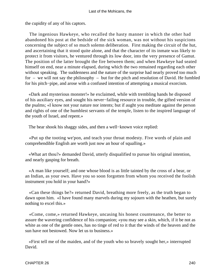the cupidity of any of his captors.

 The ingenious Hawkeye, who recalled the hasty manner in which the other had abandoned his post at the bedside of the sick woman, was not without his suspicions concerning the subject of so much solemn deliberation. First making the circuit of the hut, and ascertaining that it stood quite alone, and that the character of its inmate was likely to protect it from visitors, he ventured through its low door, into the very presence of Gamut. The position of the latter brought the fire between them; and when Hawkeye had seated himself on end, near a minute elapsed, during which the two remained regarding each other without speaking. The suddenness and the nature of the surprise had nearly proved too much for – we will not say the philosophy – but for the pitch and resolution of David. He fumbled for his pitch−pipe, and arose with a confused intention of attempting a musical exorcism.

 «Dark and mysterious monster!» he exclaimed, while with trembling hands he disposed of his auxiliary eyes, and sought his never−failing resource in trouble, the gifted version of the psalms; «I know not your nature nor intents; but if aught you meditate against the person and rights of one of the humblest servants of the temple, listen to the inspired language of the youth of Israel, and repent.»

The bear shook his shaggy sides, and then a well−known voice replied:

 «Put up the tooting we'pon, and teach your throat modesty. Five words of plain and comprehendible English are worth just now an hour of squalling.»

 «What art thou?» demanded David, utterly disqualified to pursue his original intention, and nearly gasping for breath.

 «A man like yourself; and one whose blood is as little tainted by the cross of a bear, or an Indian, as your own. Have you so soon forgotten from whom you received the foolish instrument you hold in your hand?»

 «Can these things be?» returned David, breathing more freely, as the truth began to dawn upon him. «I have found many marvels during my sojourn with the heathen, but surely nothing to excel this.»

 «Come, come,» returned Hawkeye, uncasing his honest countenance, the better to assure the wavering confidence of his companion; «you may see a skin, which, if it be not as white as one of the gentle ones, has no tinge of red to it that the winds of the heaven and the sun have not bestowed. Now let us to business.»

 «First tell me of the maiden, and of the youth who so bravely sought her,» interrupted David.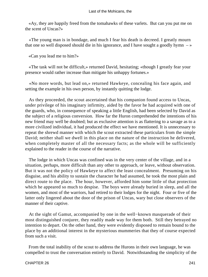«Ay, they are happily freed from the tomahawks of these varlets. But can you put me on the scent of Uncas?»

 «The young man is in bondage, and much I fear his death is decreed. I greatly mourn that one so well disposed should die in his ignorance, and I have sought a goodly hymn  $-\infty$ 

«Can you lead me to him?»

 «The task will not be difficult,» returned David, hesitating; «though I greatly fear your presence would rather increase than mitigate his unhappy fortunes.»

 «No more words, but lead on,» returned Hawkeye, concealing his face again, and setting the example in his own person, by instantly quitting the lodge.

 As they proceeded, the scout ascertained that his companion found access to Uncas, under privilege of his imaginary infirmity, aided by the favor he had acquired with one of the guards, who, in consequence of speaking a little English, had been selected by David as the subject of a religious conversion. How far the Huron comprehended the intentions of his new friend may well be doubted; but as exclusive attention is as flattering to a savage as to a more civilized individual, it had produced the effect we have mentioned. It is unnecessary to repeat the shrewd manner with which the scout extracted these particulars from the simple David; neither shall we dwell in this place on the nature of the instruction he delivered, when completely master of all the necessary facts; as the whole will be sufficiently explained to the reader in the course of the narrative.

 The lodge in which Uncas was confined was in the very center of the village, and in a situation, perhaps, more difficult than any other to approach, or leave, without observation. But it was not the policy of Hawkeye to affect the least concealment. Presuming on his disguise, and his ability to sustain the character he had assumed, he took the most plain and direct route to the place. The hour, however, afforded him some little of that protection which he appeared so much to despise. The boys were already buried in sleep, and all the women, and most of the warriors, had retired to their lodges for the night. Four or five of the latter only lingered about the door of the prison of Uncas, wary but close observers of the manner of their captive.

 At the sight of Gamut, accompanied by one in the well−known masquerade of their most distinguished conjurer, they readily made way for them both. Still they betrayed no intention to depart. On the other hand, they were evidently disposed to remain bound to the place by an additional interest in the mysterious mummeries that they of course expected from such a visit.

 From the total inability of the scout to address the Hurons in their own language, he was compelled to trust the conversation entirely to David. Notwithstanding the simplicity of the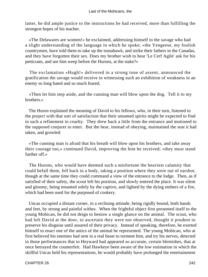latter, he did ample justice to the instructions he had received, more than fulfilling the strongest hopes of his teacher.

 «The Delawares are women!» he exclaimed, addressing himself to the savage who had a slight understanding of the language in which he spoke; «the Yengeese, my foolish countrymen, have told them to take up the tomahawk, and strike their fathers in the Canadas, and they have forgotten their sex. Does my brother wish to hear 'Le Cerf Agile' ask for his petticoats, and see him weep before the Hurons, at the stake?»

 The exclamation «Hugh!» delivered in a strong tone of assent, announced the gratification the savage would receive in witnessing such an exhibition of weakness in an enemy so long hated and so much feared.

 «Then let him step aside, and the cunning man will blow upon the dog. Tell it to my brothers.»

 The Huron explained the meaning of David to his fellows, who, in their turn, listened to the project with that sort of satisfaction that their untamed spirits might be expected to find in such a refinement in cruelty. They drew back a little from the entrance and motioned to the supposed conjurer to enter. But the bear, instead of obeying, maintained the seat it had taken, and growled:

 «The cunning man is afraid that his breath will blow upon his brothers, and take away their courage too,» continued David, improving the hint he received; «they must stand further off.»

 The Hurons, who would have deemed such a misfortune the heaviest calamity that could befall them, fell back in a body, taking a position where they were out of earshot, though at the same time they could command a view of the entrance to the lodge. Then, as if satisfied of their safety, the scout left his position, and slowly entered the place. It was silent and gloomy, being tenanted solely by the captive, and lighted by the dying embers of a fire, which had been used for the purposed of cookery.

 Uncas occupied a distant corner, in a reclining attitude, being rigidly bound, both hands and feet, by strong and painful withes. When the frightful object first presented itself to the young Mohican, he did not deign to bestow a single glance on the animal. The scout, who had left David at the door, to ascertain they were not observed, thought it prudent to preserve his disguise until assured of their privacy. Instead of speaking, therefore, he exerted himself to enact one of the antics of the animal he represented. The young Mohican, who at first believed his enemies had sent in a real beast to torment him, and try his nerves, detected in those performances that to Heyward had appeared so accurate, certain blemishes, that at once betrayed the counterfeit. Had Hawkeye been aware of the low estimation in which the skillful Uncas held his representations, he would probably have prolonged the entertainment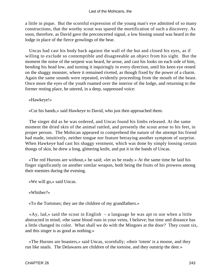a little in pique. But the scornful expression of the young man's eye admitted of so many constructions, that the worthy scout was spared the mortification of such a discovery. As soon, therefore, as David gave the preconcerted signal, a low hissing sound was heard in the lodge in place of the fierce growlings of the bear.

 Uncas had cast his body back against the wall of the hut and closed his eyes, as if willing to exclude so contemptible and disagreeable an object from his sight. But the moment the noise of the serpent was heard, he arose, and cast his looks on each side of him, bending his head low, and turning it inquiringly in every direction, until his keen eye rested on the shaggy monster, where it remained riveted, as though fixed by the power of a charm. Again the same sounds were repeated, evidently proceeding from the mouth of the beast. Once more the eyes of the youth roamed over the interior of the lodge, and returning to the former resting place, he uttered, in a deep, suppressed voice:

«Hawkeye!»

«Cut his bands,» said Hawkeye to David, who just then approached them.

 The singer did as he was ordered, and Uncas found his limbs released. At the same moment the dried skin of the animal rattled, and presently the scout arose to his feet, in proper person. The Mohican appeared to comprehend the nature of the attempt his friend had made, intuitively, neither tongue nor feature betraying another symptom of surprise. When Hawkeye had cast his shaggy vestment, which was done by simply loosing certain thongs of skin, he drew a long, glittering knife, and put it in the hands of Uncas.

 «The red Hurons are without,» he said; «let us be ready.» At the same time he laid his finger significantly on another similar weapon, both being the fruits of his prowess among their enemies during the evening.

«We will go,» said Uncas.

«Whither?»

«To the Tortoises; they are the children of my grandfathers.»

 «Ay, lad,» said the scout in English – a language he was apt to use when a little abstracted in mind; «the same blood runs in your veins, I believe; but time and distance has a little changed its color. What shall we do with the Mingoes at the door? They count six, and this singer is as good as nothing.»

 «The Hurons are boasters,» said Uncas, scornfully; «their 'totem' is a moose, and they run like snails. The Delawares are children of the tortoise, and they outstrip the deer.»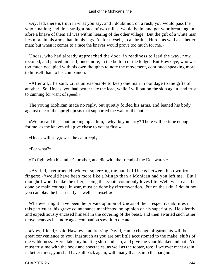«Ay, lad, there is truth in what you say; and I doubt not, on a rush, you would pass the whole nation; and, in a straight race of two miles, would be in, and get your breath again, afore a knave of them all was within hearing of the other village. But the gift of a white man lies more in his arms than in his legs. As for myself, I can brain a Huron as well as a better man; but when it comes to a race the knaves would prove too much for me.»

 Uncas, who had already approached the door, in readiness to lead the way, now recoiled, and placed himself, once more, in the bottom of the lodge. But Hawkeye, who was too much occupied with his own thoughts to note the movement, continued speaking more to himself than to his companion.

 «After all,» he said, «it is unreasonable to keep one man in bondage to the gifts of another. So, Uncas, you had better take the lead, while I will put on the skin again, and trust to cunning for want of speed.»

 The young Mohican made no reply, but quietly folded his arms, and leaned his body against one of the upright posts that supported the wall of the hut.

 «Well,» said the scout looking up at him, «why do you tarry? There will be time enough for me, as the knaves will give chase to you at first.»

«Uncas will stay,» was the calm reply.

«For what?»

«To fight with his father's brother, and die with the friend of the Delawares.»

 «Ay, lad,» returned Hawkeye, squeezing the hand of Uncas between his own iron fingers; «'twould have been more like a Mingo than a Mohican had you left me. But I thought I would make the offer, seeing that youth commonly loves life. Well, what can't be done by main courage, in war, must be done by circumvention. Put on the skin; I doubt not you can play the bear nearly as well as myself.»

 Whatever might have been the private opinion of Uncas of their respective abilities in this particular, his grave countenance manifested no opinion of his superiority. He silently and expeditiously encased himself in the covering of the beast, and then awaited such other movements as his more aged companion saw fit to dictate.

 «Now, friend,» said Hawkeye, addressing David, «an exchange of garments will be a great convenience to you, inasmuch as you are but little accustomed to the make−shifts of the wilderness. Here, take my hunting shirt and cap, and give me your blanket and hat. You must trust me with the book and spectacles, as well as the tooter, too; if we ever meet again, in better times, you shall have all back again, with many thanks into the bargain.»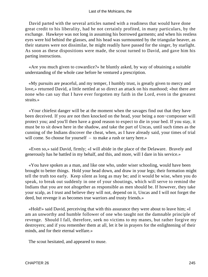David parted with the several articles named with a readiness that would have done great credit to his liberality, had he not certainly profited, in many particulars, by the exchange. Hawkeye was not long in assuming his borrowed garments; and when his restless eyes were hid behind the glasses, and his head was surmounted by the triangular beaver, as their statures were not dissimilar, he might readily have passed for the singer, by starlight. As soon as these dispositions were made, the scout turned to David, and gave him his parting instructions.

 «Are you much given to cowardice?» he bluntly asked, by way of obtaining a suitable understanding of the whole case before he ventured a prescription.

 «My pursuits are peaceful, and my temper, I humbly trust, is greatly given to mercy and love,» returned David, a little nettled at so direct an attack on his manhood; «but there are none who can say that I have ever forgotten my faith in the Lord, even in the greatest straits.»

 «Your chiefest danger will be at the moment when the savages find out that they have been deceived. If you are not then knocked on the head, your being a non−composser will protect you; and you'll then have a good reason to expect to die in your bed. If you stay, it must be to sit down here in the shadow, and take the part of Uncas, until such times as the cunning of the Indians discover the cheat, when, as I have already said, your times of trial will come. So choose for yourself – to make a rush or tarry here.»

 «Even so,» said David, firmly; «I will abide in the place of the Delaware. Bravely and generously has he battled in my behalf, and this, and more, will I dare in his service.»

 «You have spoken as a man, and like one who, under wiser schooling, would have been brought to better things. Hold your head down, and draw in your legs; their formation might tell the truth too early. Keep silent as long as may be; and it would be wise, when you do speak, to break out suddenly in one of your shoutings, which will serve to remind the Indians that you are not altogether as responsible as men should be. If however, they take your scalp, as I trust and believe they will not, depend on it, Uncas and I will not forget the deed, but revenge it as becomes true warriors and trusty friends.»

 «Hold!» said David, perceiving that with this assurance they were about to leave him; «I am an unworthy and humble follower of one who taught not the damnable principle of revenge. Should I fall, therefore, seek no victims to my manes, but rather forgive my destroyers; and if you remember them at all, let it be in prayers for the enlightening of their minds, and for their eternal welfare.»

The scout hesitated, and appeared to muse.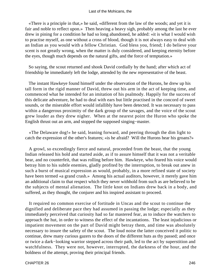«There is a principle in that,» he said, «different from the law of the woods; and yet it is fair and noble to reflect upon.» Then heaving a heavy sigh, probably among the last he ever drew in pining for a condition he had so long abandoned, he added: «it is what I would wish to practise myself, as one without a cross of blood, though it is not always easy to deal with an Indian as you would with a fellow Christian. God bless you, friend; I do believe your scent is not greatly wrong, when the matter is duly considered, and keeping eternity before the eyes, though much depends on the natural gifts, and the force of temptation.»

 So saying, the scout returned and shook David cordially by the hand; after which act of friendship he immediately left the lodge, attended by the new representative of the beast.

 The instant Hawkeye found himself under the observation of the Hurons, he drew up his tall form in the rigid manner of David, threw out his arm in the act of keeping time, and commenced what he intended for an imitation of his psalmody. Happily for the success of this delicate adventure, he had to deal with ears but little practised in the concord of sweet sounds, or the miserable effort would infallibly have been detected. It was necessary to pass within a dangerous proximity of the dark group of the savages, and the voice of the scout grew louder as they drew nigher. When at the nearest point the Huron who spoke the English thrust out an arm, and stopped the supposed singing−master.

 «The Delaware dog!» he said, leaning forward, and peering through the dim light to catch the expression of the other's features; «is he afraid? Will the Hurons hear his groans?»

 A growl, so exceedingly fierce and natural, proceeded from the beast, that the young Indian released his hold and started aside, as if to assure himself that it was not a veritable bear, and no counterfeit, that was rolling before him. Hawkeye, who feared his voice would betray him to his subtle enemies, gladly profited by the interruption, to break out anew in such a burst of musical expression as would, probably, in a more refined state of society have been termed «a grand crash.» Among his actual auditors, however, it merely gave him an additional claim to that respect which they never withhold from such as are believed to be the subjects of mental alienation. The little knot on Indians drew back in a body, and suffered, as they thought, the conjurer and his inspired assistant to proceed.

 It required no common exercise of fortitude in Uncas and the scout to continue the dignified and deliberate pace they had assumed in passing the lodge; especially as they immediately perceived that curiosity had so far mastered fear, as to induce the watchers to approach the hut, in order to witness the effect of the incantations. The least injudicious or impatient movement on the part of David might betray them, and time was absolutely necessary to insure the safety of the scout. The loud noise the latter conceived it politic to continue, drew many curious gazers to the doors of the different huts as thy passed; and once or twice a dark−looking warrior stepped across their path, led to the act by superstition and watchfulness. They were not, however, interrupted, the darkness of the hour, and the boldness of the attempt, proving their principal friends.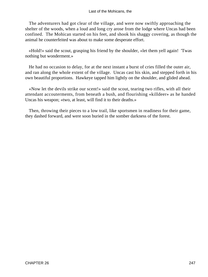#### Last of the Mohicans, the

 The adventurers had got clear of the village, and were now swiftly approaching the shelter of the woods, when a loud and long cry arose from the lodge where Uncas had been confined. The Mohican started on his feet, and shook his shaggy covering, as though the animal he counterfeited was about to make some desperate effort.

 «Hold!» said the scout, grasping his friend by the shoulder, «let them yell again! 'Twas nothing but wonderment.»

 He had no occasion to delay, for at the next instant a burst of cries filled the outer air, and ran along the whole extent of the village. Uncas cast his skin, and stepped forth in his own beautiful proportions. Hawkeye tapped him lightly on the shoulder, and glided ahead.

 «Now let the devils strike our scent!» said the scout, tearing two rifles, with all their attendant accouterments, from beneath a bush, and flourishing «killdeer» as he handed Uncas his weapon; «two, at least, will find it to their deaths.»

 Then, throwing their pieces to a low trail, like sportsmen in readiness for their game, they dashed forward, and were soon buried in the somber darkness of the forest.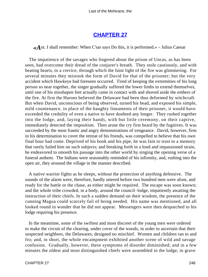## **[CHAPTER 27](#page-317-0)**

*«A*nt. I shall remember: When C'sar says Do this, it is performed.» – Julius Caesar

 The impatience of the savages who lingered about the prison of Uncas, as has been seen, had overcome their dread of the conjurer's breath. They stole cautiously, and with beating hearts, to a crevice, through which the faint light of the fire was glimmering. For several minutes they mistook the form of David for that of the prisoner; but the very accident which Hawkeye had foreseen occurred. Tired of keeping the extremities of his long person so near together, the singer gradually suffered the lower limbs to extend themselves, until one of his misshapen feet actually came in contact with and shoved aside the embers of the fire. At first the Hurons believed the Delaware had been thus deformed by witchcraft. But when David, unconscious of being observed, turned his head, and exposed his simple, mild countenance, in place of the haughty lineaments of their prisoner, it would have exceeded the credulity of even a native to have doubted any longer. They rushed together into the lodge, and, laying their hands, with but little ceremony, on their captive, immediately detected the imposition. Then arose the cry first heard by the fugitives. It was succeeded by the most frantic and angry demonstrations of vengeance. David, however, firm in his determination to cover the retreat of his friends, was compelled to believe that his own final hour had come. Deprived of his book and his pipe, he was fain to trust to a memory that rarely failed him on such subjects; and breaking forth in a loud and impassioned strain, he endeavored to smooth his passage into the other world by singing the opening verse of a funeral anthem. The Indians were seasonably reminded of his infirmity, and, rushing into the open air, they aroused the village in the manner described.

 A native warrior fights as he sleeps, without the protection of anything defensive. The sounds of the alarm were, therefore, hardly uttered before two hundred men were afoot, and ready for the battle or the chase, as either might be required. The escape was soon known; and the whole tribe crowded, in a body, around the council−lodge, impatiently awaiting the instruction of their chiefs. In such a sudden demand on their wisdom, the presence of the cunning Magua could scarcely fail of being needed. His name was mentioned, and all looked round in wonder that he did not appear. Messengers were then despatched to his lodge requiring his presence.

 In the meantime, some of the swiftest and most discreet of the young men were ordered to make the circuit of the clearing, under cover of the woods, in order to ascertain that their suspected neighbors, the Delawares, designed no mischief. Women and children ran to and fro; and, in short, the whole encampment exhibited another scene of wild and savage confusion. Gradually, however, these symptoms of disorder diminished; and in a few minutes the oldest and most distinguished chiefs were assembled in the lodge, in grave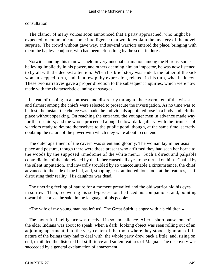### consultation.

 The clamor of many voices soon announced that a party approached, who might be expected to communicate some intelligence that would explain the mystery of the novel surprise. The crowd without gave way, and several warriors entered the place, bringing with them the hapless conjurer, who had been left so long by the scout in duress.

 Notwithstanding this man was held in very unequal estimation among the Hurons, some believing implicitly in his power, and others deeming him an impostor, he was now listened to by all with the deepest attention. When his brief story was ended, the father of the sick woman stepped forth, and, in a few pithy expression, related, in his turn, what he knew. These two narratives gave a proper direction to the subsequent inquiries, which were now made with the characteristic cunning of savages.

 Instead of rushing in a confused and disorderly throng to the cavern, ten of the wisest and firmest among the chiefs were selected to prosecute the investigation. As no time was to be lost, the instant the choice was made the individuals appointed rose in a body and left the place without speaking. On reaching the entrance, the younger men in advance made way for their seniors; and the whole proceeded along the low, dark gallery, with the firmness of warriors ready to devote themselves to the public good, though, at the same time, secretly doubting the nature of the power with which they were about to contend.

 The outer apartment of the cavern was silent and gloomy. The woman lay in her usual place and posture, though there were those present who affirmed they had seen her borne to the woods by the supposed «medicine of the white men.» Such a direct and palpable contradiction of the tale related by the father caused all eyes to be turned on him. Chafed by the silent imputation, and inwardly troubled by so unaccountable a circumstance, the chief advanced to the side of the bed, and, stooping, cast an incredulous look at the features, as if distrusting their reality. His daughter was dead.

 The unerring feeling of nature for a moment prevailed and the old warrior hid his eyes in sorrow. Then, recovering his self−possession, he faced his companions, and, pointing toward the corpse, he said, in the language of his people:

«The wife of my young man has left us! The Great Spirit is angry with his children.»

 The mournful intelligence was received in solemn silence. After a short pause, one of the elder Indians was about to speak, when a dark−looking object was seen rolling out of an adjoining apartment, into the very center of the room where they stood. Ignorant of the nature of the beings they had to deal with, the whole party drew back a little, and, rising on end, exhibited the distorted but still fierce and sullen features of Magua. The discovery was succeeded by a general exclamation of amazement.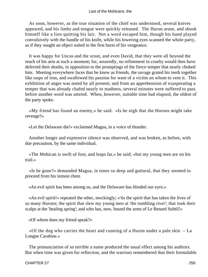As soon, however, as the true situation of the chief was understood, several knives appeared, and his limbs and tongue were quickly released. The Huron arose, and shook himself like a lion quitting his lair. Not a word escaped him, though his hand played convulsively with the handle of his knife, while his lowering eyes scanned the whole party, as if they sought an object suited to the first burst of his vengeance.

 It was happy for Uncas and the scout, and even David, that they were all beyond the reach of his arm at such a moment; for, assuredly, no refinement in cruelty would then have deferred their deaths, in opposition to the promptings of the fierce temper that nearly choked him. Meeting everywhere faces that he knew as friends, the savage grated his teeth together like rasps of iron, and swallowed his passion for want of a victim on whom to vent it. This exhibition of anger was noted by all present; and from an apprehension of exasperating a temper that was already chafed nearly to madness, several minutes were suffered to pass before another word was uttered. When, however, suitable time had elapsed, the oldest of the party spoke.

 «My friend has found an enemy,» he said. «Is he nigh that the Hurons might take revenge?»

«Let the Delaware die!» exclaimed Magua, in a voice of thunder.

 Another longer and expressive silence was observed, and was broken, as before, with due precaution, by the same individual.

 «The Mohican is swift of foot, and leaps far,» he said; «but my young men are on his trail.»

 «Is he gone?» demanded Magua, in tones so deep and guttural, that they seemed to proceed from his inmost chest.

«An evil spirit has been among us, and the Delaware has blinded our eyes.»

 «An evil spirit!» repeated the other, mockingly; «'tis the spirit that has taken the lives of so many Hurons; the spirit that slew my young men at 'the tumbling river'; that took their scalps at the 'healing spring'; and who has, now, bound the arms of Le Renard Subtil!»

«Of whom does my friend speak?»

 «Of the dog who carries the heart and cunning of a Huron under a pale skin – La Longue Carabine.»

 The pronunciation of so terrible a name produced the usual effect among his auditors. But when time was given for reflection, and the warriors remembered that their formidable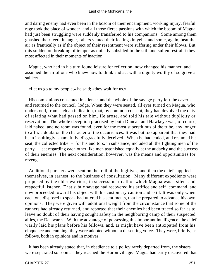and daring enemy had even been in the bosom of their encampment, working injury, fearful rage took the place of wonder, and all those fierce passions with which the bosom of Magua had just been struggling were suddenly transferred to his companions. Some among them gnashed their teeth in anger, others vented their feelings in yells, and some, again, beat the air as frantically as if the object of their resentment were suffering under their blows. But this sudden outbreaking of temper as quickly subsided in the still and sullen restraint they most affected in their moments of inaction.

 Magua, who had in his turn found leisure for reflection, now changed his manner, and assumed the air of one who knew how to think and act with a dignity worthy of so grave a subject.

«Let us go to my people,» he said; «they wait for us.»

 His companions consented in silence, and the whole of the savage party left the cavern and returned to the council−lodge. When they were seated, all eyes turned on Magua, who understood, from such an indication, that, by common consent, they had devolved the duty of relating what had passed on him. He arose, and told his tale without duplicity or reservation. The whole deception practised by both Duncan and Hawkeye was, of course, laid naked, and no room was found, even for the most superstitious of the tribe, any longer to affix a doubt on the character of the occurrences. It was but too apparent that they had been insultingly, shamefully, disgracefully deceived. When he had ended, and resumed his seat, the collected tribe – for his auditors, in substance, included all the fighting men of the party – sat regarding each other like men astonished equally at the audacity and the success of their enemies. The next consideration, however, was the means and opportunities for revenge.

 Additional pursuers were sent on the trail of the fugitives; and then the chiefs applied themselves, in earnest, to the business of consultation. Many different expedients were proposed by the elder warriors, in succession, to all of which Magua was a silent and respectful listener. That subtle savage had recovered his artifice and self−command, and now proceeded toward his object with his customary caution and skill. It was only when each one disposed to speak had uttered his sentiments, that he prepared to advance his own opinions. They were given with additional weight from the circumstance that some of the runners had already returned, and reported that their enemies had been traced so far as to leave no doubt of their having sought safety in the neighboring camp of their suspected allies, the Delawares. With the advantage of possessing this important intelligence, the chief warily laid his plans before his fellows, and, as might have been anticipated from his eloquence and cunning, they were adopted without a dissenting voice. They were, briefly, as follows, both in opinions and in motives.

 It has been already stated that, in obedience to a policy rarely departed from, the sisters were separated so soon as they reached the Huron village. Magua had early discovered that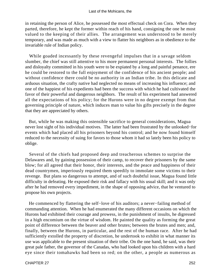in retaining the person of Alice, he possessed the most effectual check on Cora. When they parted, therefore, he kept the former within reach of his hand, consigning the one he most valued to the keeping of their allies. The arrangement was understood to be merely temporary, and was made as much with a view to flatter his neighbors as in obedience to the invariable rule of Indian policy.

 While goaded incessantly by these revengeful impulses that in a savage seldom slumber, the chief was still attentive to his more permanent personal interests. The follies and disloyalty committed in his youth were to be expiated by a long and painful penance, ere he could be restored to the full enjoyment of the confidence of his ancient people; and without confidence there could be no authority in an Indian tribe. In this delicate and arduous situation, the crafty native had neglected no means of increasing his influence; and one of the happiest of his expedients had been the success with which he had cultivated the favor of their powerful and dangerous neighbors. The result of his experiment had answered all the expectations of his policy; for the Hurons were in no degree exempt from that governing principle of nature, which induces man to value his gifts precisely in the degree that they are appreciated by others.

 But, while he was making this ostensible sacrifice to general considerations, Magua never lost sight of his individual motives. The latter had been frustrated by the unlooked−for events which had placed all his prisoners beyond his control; and he now found himself reduced to the necessity of suing for favors to those whom it had so lately been his policy to oblige.

 Several of the chiefs had proposed deep and treacherous schemes to surprise the Delawares and, by gaining possession of their camp, to recover their prisoners by the same blow; for all agreed that their honor, their interests, and the peace and happiness of their dead countrymen, imperiously required them speedily to immolate some victims to their revenge. But plans so dangerous to attempt, and of such doubtful issue, Magua found little difficulty in defeating. He exposed their risk and fallacy with his usual skill; and it was only after he had removed every impediment, in the shape of opposing advice, that he ventured to propose his own projects.

 He commenced by flattering the self−love of his auditors; a never−failing method of commanding attention. When he had enumerated the many different occasions on which the Hurons had exhibited their courage and prowess, in the punishment of insults, he digressed in a high encomium on the virtue of wisdom. He painted the quality as forming the great point of difference between the beaver and other brutes; between the brutes and men; and, finally, between the Hurons, in particular, and the rest of the human race. After he had sufficiently extolled the property of discretion, he undertook to exhibit in what manner its use was applicable to the present situation of their tribe. On the one hand, he said, was their great pale father, the governor of the Canadas, who had looked upon his children with a hard eye since their tomahawks had been so red; on the other, a people as numerous as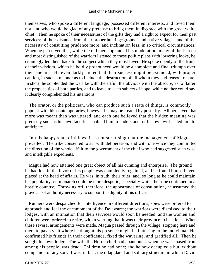themselves, who spoke a different language, possessed different interests, and loved them not, and who would be glad of any pretense to bring them in disgrace with the great white chief. Then he spoke of their necessities; of the gifts they had a right to expect for their past services; of their distance from their proper hunting−grounds and native villages; and of the necessity of consulting prudence more, and inclination less, in so critical circumstances. When he perceived that, while the old men applauded his moderation, many of the fiercest and most distinguished of the warriors listened to these politic plans with lowering looks, he cunningly led them back to the subject which they most loved. He spoke openly of the fruits of their wisdom, which he boldly pronounced would be a complete and final triumph over their enemies. He even darkly hinted that their success might be extended, with proper caution, in such a manner as to include the destruction of all whom they had reason to hate. In short, he so blended the warlike with the artful, the obvious with the obscure, as to flatter the propensities of both parties, and to leave to each subject of hope, while neither could say it clearly comprehended his intentions.

 The orator, or the politician, who can produce such a state of things, is commonly popular with his contemporaries, however he may be treated by posterity. All perceived that more was meant than was uttered, and each one believed that the hidden meaning was precisely such as his own faculties enabled him to understand, or his own wishes led him to anticipate.

 In this happy state of things, it is not surprising that the management of Magua prevailed. The tribe consented to act with deliberation, and with one voice they committed the direction of the whole affair to the government of the chief who had suggested such wise and intelligible expedients.

 Magua had now attained one great object of all his cunning and enterprise. The ground he had lost in the favor of his people was completely regained, and he found himself even placed at the head of affairs. He was, in truth, their ruler; and, so long as he could maintain his popularity, no monarch could be more despotic, especially while the tribe continued in a hostile country. Throwing off, therefore, the appearance of consultation, he assumed the grave air of authority necessary to support the dignity of his office.

 Runners were despatched for intelligence in different directions; spies were ordered to approach and feel the encampment of the Delawares; the warriors were dismissed to their lodges, with an intimation that their services would soon be needed; and the women and children were ordered to retire, with a warning that it was their province to be silent. When these several arrangements were made, Magua passed through the village, stopping here and there to pay a visit where he thought his presence might be flattering to the individual. He confirmed his friends in their confidence, fixed the wavering, and gratified all. Then he sought his own lodge. The wife the Huron chief had abandoned, when he was chased from among his people, was dead. Children he had none; and he now occupied a hut, without companion of any sort. It was, in fact, the dilapidated and solitary structure in which David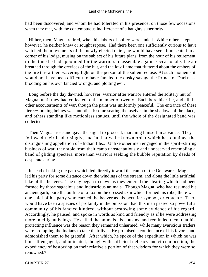had been discovered, and whom he had tolerated in his presence, on those few occasions when they met, with the contemptuous indifference of a haughty superiority.

 Hither, then, Magua retired, when his labors of policy were ended. While others slept, however, he neither knew or sought repose. Had there been one sufficiently curious to have watched the movements of the newly elected chief, he would have seen him seated in a corner of his lodge, musing on the subject of his future plans, from the hour of his retirement to the time he had appointed for the warriors to assemble again. Occasionally the air breathed through the crevices of the hut, and the low flame that fluttered about the embers of the fire threw their wavering light on the person of the sullen recluse. At such moments it would not have been difficult to have fancied the dusky savage the Prince of Darkness brooding on his own fancied wrongs, and plotting evil.

 Long before the day dawned, however, warrior after warrior entered the solitary hut of Magua, until they had collected to the number of twenty. Each bore his rifle, and all the other accouterments of war, though the paint was uniformly peaceful. The entrance of these fierce−looking beings was unnoticed: some seating themselves in the shadows of the place, and others standing like motionless statues, until the whole of the designated band was collected.

 Then Magua arose and gave the signal to proceed, marching himself in advance. They followed their leader singly, and in that well−known order which has obtained the distinguishing appellation of «Indian file.» Unlike other men engaged in the spirit−stirring business of war, they stole from their camp unostentatiously and unobserved resembling a band of gliding specters, more than warriors seeking the bubble reputation by deeds of desperate daring.

 Instead of taking the path which led directly toward the camp of the Delawares, Magua led his party for some distance down the windings of the stream, and along the little artificial lake of the beavers. The day began to dawn as they entered the clearing which had been formed by those sagacious and industrious animals. Though Magua, who had resumed his ancient garb, bore the outline of a fox on the dressed skin which formed his robe, there was one chief of his party who carried the beaver as his peculiar symbol, or «totem.» There would have been a species of profanity in the omission, had this man passed so powerful a community of his fancied kindred, without bestowing some evidence of his regard. Accordingly, he paused, and spoke in words as kind and friendly as if he were addressing more intelligent beings. He called the animals his cousins, and reminded them that his protecting influence was the reason they remained unharmed, while many avaricious traders were prompting the Indians to take their lives. He promised a continuance of his favors, and admonished them to be grateful. After which, he spoke of the expedition in which he was himself engaged, and intimated, though with sufficient delicacy and circumlocution, the expediency of bestowing on their relative a portion of that wisdom for which they were so renowned.\*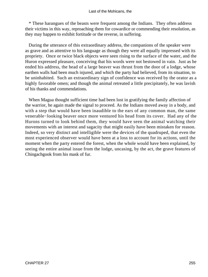\* These harangues of the beasts were frequent among the Indians. They often address their victims in this way, reproaching them for cowardice or commending their resolution, as they may happen to exhibit fortitude or the reverse, in suffering.

 During the utterance of this extraordinary address, the companions of the speaker were as grave and as attentive to his language as though they were all equally impressed with its propriety. Once or twice black objects were seen rising to the surface of the water, and the Huron expressed pleasure, conceiving that his words were not bestowed in vain. Just as he ended his address, the head of a large beaver was thrust from the door of a lodge, whose earthen walls had been much injured, and which the party had believed, from its situation, to be uninhabited. Such an extraordinary sign of confidence was received by the orator as a highly favorable omen; and though the animal retreated a little precipitately, he was lavish of his thanks and commendations.

 When Magua thought sufficient time had been lost in gratifying the family affection of the warrior, he again made the signal to proceed. As the Indians moved away in a body, and with a step that would have been inaudible to the ears of any common man, the same venerable−looking beaver once more ventured his head from its cover. Had any of the Hurons turned to look behind them, they would have seen the animal watching their movements with an interest and sagacity that might easily have been mistaken for reason. Indeed, so very distinct and intelligible were the devices of the quadruped, that even the most experienced observer would have been at a loss to account for its actions, until the moment when the party entered the forest, when the whole would have been explained, by seeing the entire animal issue from the lodge, uncasing, by the act, the grave features of Chingachgook from his mask of fur.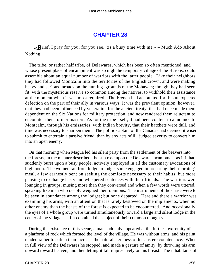### **[CHAPTER 28](#page-317-0)**

 $\mathcal{R}$ rief, I pray for you; for you see, 'tis a busy time with me.» – Much Ado About Nothing

 The tribe, or rather half tribe, of Delawares, which has been so often mentioned, and whose present place of encampment was so nigh the temporary village of the Hurons, could assemble about an equal number of warriors with the latter people. Like their neighbors, they had followed Montcalm into the territories of the English crown, and were making heavy and serious inroads on the hunting−grounds of the Mohawks; though they had seen fit, with the mysterious reserve so common among the natives, to withhold their assistance at the moment when it was most required. The French had accounted for this unexpected defection on the part of their ally in various ways. It was the prevalent opinion, however, that they had been influenced by veneration for the ancient treaty, that had once made them dependent on the Six Nations for military protection, and now rendered them reluctant to encounter their former masters. As for the tribe itself, it had been content to announce to Montcalm, through his emissaries, with Indian brevity, that their hatchets were dull, and time was necessary to sharpen them. The politic captain of the Canadas had deemed it wiser to submit to entertain a passive friend, than by any acts of ill−judged severity to convert him into an open enemy.

 On that morning when Magua led his silent party from the settlement of the beavers into the forests, in the manner described, the sun rose upon the Delaware encampment as if it had suddenly burst upon a busy people, actively employed in all the customary avocations of high noon. The women ran from lodge to lodge, some engaged in preparing their morning's meal, a few earnestly bent on seeking the comforts necessary to their habits, but more pausing to exchange hasty and whispered sentences with their friends. The warriors were lounging in groups, musing more than they conversed and when a few words were uttered, speaking like men who deeply weighed their opinions. The instruments of the chase were to be seen in abundance among the lodges; but none departed. Here and there a warrior was examining his arms, with an attention that is rarely bestowed on the implements, when no other enemy than the beasts of the forest is expected to be encountered. And occasionally, the eyes of a whole group were turned simultaneously toward a large and silent lodge in the center of the village, as if it contained the subject of their common thoughts.

 During the existence of this scene, a man suddenly appeared at the furthest extremity of a platform of rock which formed the level of the village. He was without arms, and his paint tended rather to soften than increase the natural sternness of his austere countenance. When in full view of the Delawares he stopped, and made a gesture of amity, by throwing his arm upward toward heaven, and then letting it fall impressively on his breast. The inhabitants of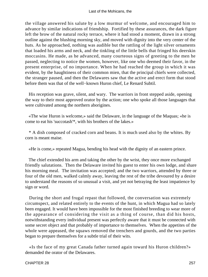the village answered his salute by a low murmur of welcome, and encouraged him to advance by similar indications of friendship. Fortified by these assurances, the dark figure left the brow of the natural rocky terrace, where it had stood a moment, drawn in a strong outline against the blushing morning sky, and moved with dignity into the very center of the huts. As he approached, nothing was audible but the rattling of the light silver ornaments that loaded his arms and neck, and the tinkling of the little bells that fringed his deerskin moccasins. He made, as he advanced, many courteous signs of greeting to the men he passed, neglecting to notice the women, however, like one who deemed their favor, in the present enterprise, of no importance. When he had reached the group in which it was evident, by the haughtiness of their common mien, that the principal chiefs were collected, the stranger paused, and then the Delawares saw that the active and erect form that stood before them was that of the well−known Huron chief, Le Renard Subtil.

 His reception was grave, silent, and wary. The warriors in front stepped aside, opening the way to their most approved orator by the action; one who spoke all those languages that were cultivated among the northern aborigines.

 «The wise Huron is welcome,» said the Delaware, in the language of the Maquas; «he is come to eat his 'succotash'\*, with his brothers of the lakes.»

 \* A dish composed of cracked corn and beans. It is much used also by the whites. By corn is meant maise.

«He is come,» repeated Magua, bending his head with the dignity of an eastern prince.

 The chief extended his arm and taking the other by the wrist, they once more exchanged friendly salutations. Then the Delaware invited his guest to enter his own lodge, and share his morning meal. The invitation was accepted; and the two warriors, attended by three or four of the old men, walked calmly away, leaving the rest of the tribe devoured by a desire to understand the reasons of so unusual a visit, and yet not betraying the least impatience by sign or word.

 During the short and frugal repast that followed, the conversation was extremely circumspect, and related entirely to the events of the hunt, in which Magua had so lately been engaged. It would have been impossible for the most finished breeding to wear more of the appearance of considering the visit as a thing of course, than did his hosts, notwithstanding every individual present was perfectly aware that it must be connected with some secret object and that probably of importance to themselves. When the appetites of the whole were appeased, the squaws removed the trenchers and gourds, and the two parties began to prepare themselves for a subtle trial of their wits.

 «Is the face of my great Canada father turned again toward his Huron children?» demanded the orator of the Delawares.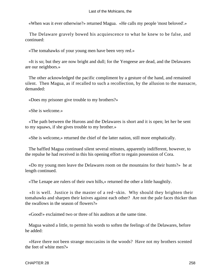«When was it ever otherwise?» returned Magua. «He calls my people 'most beloved'.»

 The Delaware gravely bowed his acquiescence to what he knew to be false, and continued:

«The tomahawks of your young men have been very red.»

 «It is so; but they are now bright and dull; for the Yengeese are dead, and the Delawares are our neighbors.»

 The other acknowledged the pacific compliment by a gesture of the hand, and remained silent. Then Magua, as if recalled to such a recollection, by the allusion to the massacre, demanded:

«Does my prisoner give trouble to my brothers?»

«She is welcome.»

 «The path between the Hurons and the Delawares is short and it is open; let her be sent to my squaws, if she gives trouble to my brother.»

«She is welcome,» returned the chief of the latter nation, still more emphatically.

 The baffled Magua continued silent several minutes, apparently indifferent, however, to the repulse he had received in this his opening effort to regain possession of Cora.

 «Do my young men leave the Delawares room on the mountains for their hunts?» he at length continued.

«The Lenape are rulers of their own hills,» returned the other a little haughtily.

 «It is well. Justice is the master of a red−skin. Why should they brighten their tomahawks and sharpen their knives against each other? Are not the pale faces thicker than the swallows in the season of flowers?»

«Good!» exclaimed two or three of his auditors at the same time.

 Magua waited a little, to permit his words to soften the feelings of the Delawares, before he added:

 «Have there not been strange moccasins in the woods? Have not my brothers scented the feet of white men?»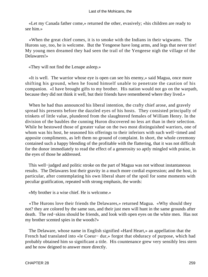«Let my Canada father come,» returned the other, evasively; «his children are ready to see him.»

 «When the great chief comes, it is to smoke with the Indians in their wigwams. The Hurons say, too, he is welcome. But the Yengeese have long arms, and legs that never tire! My young men dreamed they had seen the trail of the Yengeese nigh the village of the Delawares!»

«They will not find the Lenape asleep.»

 «It is well. The warrior whose eye is open can see his enemy,» said Magua, once more shifting his ground, when he found himself unable to penetrate the caution of his companion. «I have brought gifts to my brother. His nation would not go on the warpath, because they did not think it well, but their friends have remembered where they lived.»

 When he had thus announced his liberal intention, the crafty chief arose, and gravely spread his presents before the dazzled eyes of his hosts. They consisted principally of trinkets of little value, plundered from the slaughtered females of William Henry. In the division of the baubles the cunning Huron discovered no less art than in their selection. While he bestowed those of greater value on the two most distinguished warriors, one of whom was his host, he seasoned his offerings to their inferiors with such well−timed and apposite compliments, as left them no ground of complaint. In short, the whole ceremony contained such a happy blending of the profitable with the flattering, that it was not difficult for the donor immediately to read the effect of a generosity so aptly mingled with praise, in the eyes of those he addressed.

 This well−judged and politic stroke on the part of Magua was not without instantaneous results. The Delawares lost their gravity in a much more cordial expression; and the host, in particular, after contemplating his own liberal share of the spoil for some moments with peculiar gratification, repeated with strong emphasis, the words:

«My brother is a wise chief. He is welcome.»

 «The Hurons love their friends the Delawares,» returned Magua. «Why should they not? they are colored by the same sun, and their just men will hunt in the same grounds after death. The red−skins should be friends, and look with open eyes on the white men. Has not my brother scented spies in the woods?»

 The Delaware, whose name in English signified «Hard Heart,» an appellation that the French had translated into «le Coeur− dur,» forgot that obduracy of purpose, which had probably obtained him so significant a title. His countenance grew very sensibly less stern and he now deigned to answer more directly.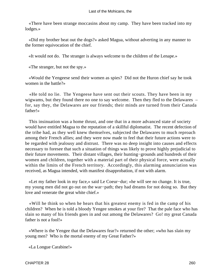«There have been strange moccasins about my camp. They have been tracked into my lodges.»

 «Did my brother beat out the dogs?» asked Magua, without adverting in any manner to the former equivocation of the chief.

«It would not do. The stranger is always welcome to the children of the Lenape.»

«The stranger, but not the spy.»

 «Would the Yengeese send their women as spies? Did not the Huron chief say he took women in the battle?»

 «He told no lie. The Yengeese have sent out their scouts. They have been in my wigwams, but they found there no one to say welcome. Then they fled to the Delawares – for, say they, the Delawares are our friends; their minds are turned from their Canada father!»

 This insinuation was a home thrust, and one that in a more advanced state of society would have entitled Magua to the reputation of a skillful diplomatist. The recent defection of the tribe had, as they well knew themselves, subjected the Delawares to much reproach among their French allies; and they were now made to feel that their future actions were to be regarded with jealousy and distrust. There was no deep insight into causes and effects necessary to foresee that such a situation of things was likely to prove highly prejudicial to their future movements. Their distant villages, their hunting−grounds and hundreds of their women and children, together with a material part of their physical force, were actually within the limits of the French territory. Accordingly, this alarming annunciation was received, as Magua intended, with manifest disapprobation, if not with alarm.

 «Let my father look in my face,» said Le Coeur−dur; «he will see no change. It is true, my young men did not go out on the war−path; they had dreams for not doing so. But they love and venerate the great white chief.»

 «Will he think so when he hears that his greatest enemy is fed in the camp of his children? When he is told a bloody Yengee smokes at your fire? That the pale face who has slain so many of his friends goes in and out among the Delawares? Go! my great Canada father is not a fool!»

 «Where is the Yengee that the Delawares fear?» returned the other; «who has slain my young men? Who is the mortal enemy of my Great Father?»

«La Longue Carabine!»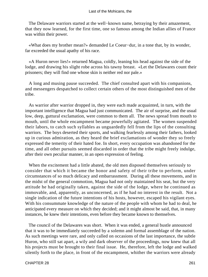The Delaware warriors started at the well−known name, betraying by their amazement, that they now learned, for the first time, one so famous among the Indian allies of France was within their power.

 «What does my brother mean?» demanded Le Coeur−dur, in a tone that, by its wonder, far exceeded the usual apathy of his race.

 «A Huron never lies!» returned Magua, coldly, leaning his head against the side of the lodge, and drawing his slight robe across his tawny breast. «Let the Delawares count their prisoners; they will find one whose skin is neither red nor pale.»

 A long and musing pause succeeded. The chief consulted apart with his companions, and messengers despatched to collect certain others of the most distinguished men of the tribe.

 As warrior after warrior dropped in, they were each made acquainted, in turn, with the important intelligence that Magua had just communicated. The air of surprise, and the usual low, deep, guttural exclamation, were common to them all. The news spread from mouth to mouth, until the whole encampment became powerfully agitated. The women suspended their labors, to catch such syllables as unguardedly fell from the lips of the consulting warriors. The boys deserted their sports, and walking fearlessly among their fathers, looked up in curious admiration, as they heard the brief exclamations of wonder they so freely expressed the temerity of their hated foe. In short, every occupation was abandoned for the time, and all other pursuits seemed discarded in order that the tribe might freely indulge, after their own peculiar manner, in an open expression of feeling.

 When the excitement had a little abated, the old men disposed themselves seriously to consider that which it became the honor and safety of their tribe to perform, under circumstances of so much delicacy and embarrassment. During all these movements, and in the midst of the general commotion, Magua had not only maintained his seat, but the very attitude he had originally taken, against the side of the lodge, where he continued as immovable, and, apparently, as unconcerned, as if he had no interest in the result. Not a single indication of the future intentions of his hosts, however, escaped his vigilant eyes. With his consummate knowledge of the nature of the people with whom he had to deal, he anticipated every measure on which they decided; and it might almost be said, that, in many instances, he knew their intentions, even before they became known to themselves.

 The council of the Delawares was short. When it was ended, a general bustle announced that it was to be immediately succeeded by a solemn and formal assemblage of the nation. As such meetings were rare, and only called on occasions of the last importance, the subtle Huron, who still sat apart, a wily and dark observer of the proceedings, now knew that all his projects must be brought to their final issue. He, therefore, left the lodge and walked silently forth to the place, in front of the encampment, whither the warriors were already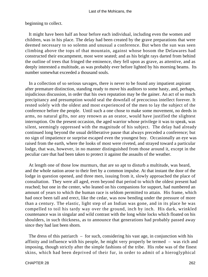#### Last of the Mohicans, the

beginning to collect.

 It might have been half an hour before each individual, including even the women and children, was in his place. The delay had been created by the grave preparations that were deemed necessary to so solemn and unusual a conference. But when the sun was seen climbing above the tops of that mountain, against whose bosom the Delawares had constructed their encampment, most were seated; and as his bright rays darted from behind the outline of trees that fringed the eminence, they fell upon as grave, as attentive, and as deeply interested a multitude, as was probably ever before lighted by his morning beams. Its number somewhat exceeded a thousand souls.

 In a collection of so serious savages, there is never to be found any impatient aspirant after premature distinction, standing ready to move his auditors to some hasty, and, perhaps, injudicious discussion, in order that his own reputation may be the gainer. An act of so much precipitancy and presumption would seal the downfall of precocious intellect forever. It rested solely with the oldest and most experienced of the men to lay the subject of the conference before the people. Until such a one chose to make some movement, no deeds in arms, no natural gifts, nor any renown as an orator, would have justified the slightest interruption. On the present occasion, the aged warrior whose privilege it was to speak, was silent, seemingly oppressed with the magnitude of his subject. The delay had already continued long beyond the usual deliberative pause that always preceded a conference; but no sign of impatience or surprise escaped even the youngest boy. Occasionally an eye was raised from the earth, where the looks of most were riveted, and strayed toward a particular lodge, that was, however, in no manner distinguished from those around it, except in the peculiar care that had been taken to protect it against the assaults of the weather.

 At length one of those low murmurs, that are so apt to disturb a multitude, was heard, and the whole nation arose to their feet by a common impulse. At that instant the door of the lodge in question opened, and three men, issuing from it, slowly approached the place of consultation. They were all aged, even beyond that period to which the oldest present had reached; but one in the center, who leaned on his companions for support, had numbered an amount of years to which the human race is seldom permitted to attain. His frame, which had once been tall and erect, like the cedar, was now bending under the pressure of more than a century. The elastic, light step of an Indian was gone, and in its place he was compelled to toil his tardy way over the ground, inch by inch. His dark, wrinkled countenance was in singular and wild contrast with the long white locks which floated on his shoulders, in such thickness, as to announce that generations had probably passed away since they had last been shorn.

 The dress of this patriarch – for such, considering his vast age, in conjunction with his affinity and influence with his people, he might very properly be termed – was rich and imposing, though strictly after the simple fashions of the tribe. His robe was of the finest skins, which had been deprived of their fur, in order to admit of a hieroglyphical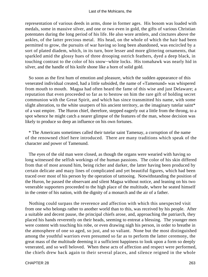#### Last of the Mohicans, the

representation of various deeds in arms, done in former ages. His bosom was loaded with medals, some in massive silver, and one or two even in gold, the gifts of various Christian potentates during the long period of his life. He also wore armlets, and cinctures above the ankles, of the latter precious metal. His head, on the whole of which the hair had been permitted to grow, the pursuits of war having so long been abandoned, was encircled by a sort of plated diadem, which, in its turn, bore lesser and more glittering ornaments, that sparkled amid the glossy hues of three drooping ostrich feathers, dyed a deep black, in touching contrast to the color of his snow−white locks. His tomahawk was nearly hid in silver, and the handle of his knife shone like a horn of solid gold.

 So soon as the first hum of emotion and pleasure, which the sudden appearance of this venerated individual created, had a little subsided, the name of «Tamenund» was whispered from mouth to mouth. Magua had often heard the fame of this wise and just Delaware; a reputation that even proceeded so far as to bestow on him the rare gift of holding secret communion with the Great Spirit, and which has since transmitted his name, with some slight alteration, to the white usurpers of his ancient territory, as the imaginary tutelar saint\* of a vast empire. The Huron chief, therefore, stepped eagerly out a little from the throng, to a spot whence he might catch a nearer glimpse of the features of the man, whose decision was likely to produce so deep an influence on his own fortunes.

 \* The Americans sometimes called their tutelar saint Tamenay, a corruption of the name of the renowned chief here introduced. There are many traditions which speak of the character and power of Tamenund.

 The eyes of the old man were closed, as though the organs were wearied with having so long witnessed the selfish workings of the human passions. The color of his skin differed from that of most around him, being richer and darker, the latter having been produced by certain delicate and mazy lines of complicated and yet beautiful figures, which had been traced over most of his person by the operation of tattooing. Notwithstanding the position of the Huron, he passed the observant and silent Magua without notice, and leaning on his two venerable supporters proceeded to the high place of the multitude, where he seated himself in the center of his nation, with the dignity of a monarch and the air of a father.

 Nothing could surpass the reverence and affection with which this unexpected visit from one who belongs rather to another world than to this, was received by his people. After a suitable and decent pause, the principal chiefs arose, and, approaching the patriarch, they placed his hands reverently on their heads, seeming to entreat a blessing. The younger men were content with touching his robe, or even drawing nigh his person, in order to breathe in the atmosphere of one so aged, so just, and so valiant. None but the most distinguished among the youthful warriors even presumed so far as to perform the latter ceremony, the great mass of the multitude deeming it a sufficient happiness to look upon a form so deeply venerated, and so well beloved. When these acts of affection and respect were performed, the chiefs drew back again to their several places, and silence reigned in the whole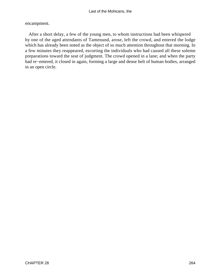encampment.

 After a short delay, a few of the young men, to whom instructions had been whispered by one of the aged attendants of Tamenund, arose, left the crowd, and entered the lodge which has already been noted as the object of so much attention throughout that morning. In a few minutes they reappeared, escorting the individuals who had caused all these solemn preparations toward the seat of judgment. The crowd opened in a lane; and when the party had re−entered, it closed in again, forming a large and dense belt of human bodies, arranged in an open circle.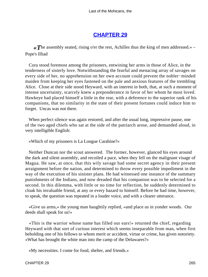# **[CHAPTER 29](#page-317-0)**

*«T*he assembly seated, rising o'er the rest, Achilles thus the king of men addressed.» – Pope's Illiad

 Cora stood foremost among the prisoners, entwining her arms in those of Alice, in the tenderness of sisterly love. Notwithstanding the fearful and menacing array of savages on every side of her, no apprehension on her own account could prevent the nobler−minded maiden from keeping her eyes fastened on the pale and anxious features of the trembling Alice. Close at their side stood Heyward, with an interest in both, that, at such a moment of intense uncertainty, scarcely knew a preponderance in favor of her whom he most loved. Hawkeye had placed himself a little in the rear, with a deference to the superior rank of his companions, that no similarity in the state of their present fortunes could induce him to forget. Uncas was not there.

 When perfect silence was again restored, and after the usual long, impressive pause, one of the two aged chiefs who sat at the side of the patriarch arose, and demanded aloud, in very intelligible English:

«Which of my prisoners is La Longue Carabine?»

 Neither Duncan nor the scout answered. The former, however, glanced his eyes around the dark and silent assembly, and recoiled a pace, when they fell on the malignant visage of Magua. He saw, at once, that this wily savage had some secret agency in their present arraignment before the nation, and determined to throw every possible impediment in the way of the execution of his sinister plans. He had witnessed one instance of the summary punishments of the Indians, and now dreaded that his companion was to be selected for a second. In this dilemma, with little or no time for reflection, he suddenly determined to cloak his invaluable friend, at any or every hazard to himself. Before he had time, however, to speak, the question was repeated in a louder voice, and with a clearer utterance.

 «Give us arms,» the young man haughtily replied, «and place us in yonder woods. Our deeds shall speak for us!»

 «This is the warrior whose name has filled our ears!» returned the chief, regarding Heyward with that sort of curious interest which seems inseparable from man, when first beholding one of his fellows to whom merit or accident, virtue or crime, has given notoriety. «What has brought the white man into the camp of the Delawares?»

«My necessities. I come for food, shelter, and friends.»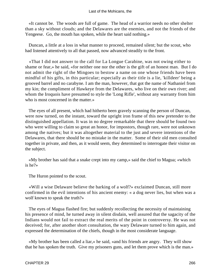«It cannot be. The woods are full of game. The head of a warrior needs no other shelter than a sky without clouds; and the Delawares are the enemies, and not the friends of the Yengeese. Go, the mouth has spoken, while the heart said nothing.»

 Duncan, a little at a loss in what manner to proceed, remained silent; but the scout, who had listened attentively to all that passed, now advanced steadily to the front.

 «That I did not answer to the call for La Longue Carabine, was not owing either to shame or fear,» he said, «for neither one nor the other is the gift of an honest man. But I do not admit the right of the Mingoes to bestow a name on one whose friends have been mindful of his gifts, in this particular; especially as their title is a lie, 'killdeer' being a grooved barrel and no carabyne. I am the man, however, that got the name of Nathaniel from my kin; the compliment of Hawkeye from the Delawares, who live on their own river; and whom the Iroquois have presumed to style the 'Long Rifle', without any warranty from him who is most concerned in the matter.»

 The eyes of all present, which had hitherto been gravely scanning the person of Duncan, were now turned, on the instant, toward the upright iron frame of this new pretender to the distinguished appellation. It was in no degree remarkable that there should be found two who were willing to claim so great an honor, for impostors, though rare, were not unknown among the natives; but it was altogether material to the just and severe intentions of the Delawares, that there should be no mistake in the matter. Some of their old men consulted together in private, and then, as it would seem, they determined to interrogate their visitor on the subject.

 «My brother has said that a snake crept into my camp,» said the chief to Magua; «which is he?»

The Huron pointed to the scout.

 «Will a wise Delaware believe the barking of a wolf?» exclaimed Duncan, still more confirmed in the evil intentions of his ancient enemy: « a dog never lies, but when was a wolf known to speak the truth?»

 The eyes of Magua flashed fire; but suddenly recollecting the necessity of maintaining his presence of mind, he turned away in silent disdain, well assured that the sagacity of the Indians would not fail to extract the real merits of the point in controversy. He was not deceived; for, after another short consultation, the wary Delaware turned to him again, and expressed the determination of the chiefs, though in the most considerate language.

 «My brother has been called a liar,» he said, «and his friends are angry. They will show that he has spoken the truth. Give my prisoners guns, and let them prove which is the man.»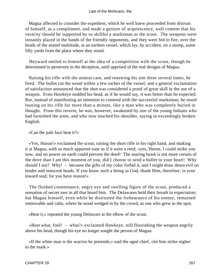Magua affected to consider the expedient, which he well knew proceeded from distrust of himself, as a compliment, and made a gesture of acquiescence, well content that his veracity should be supported by so skillful a marksman as the scout. The weapons were instantly placed in the hands of the friendly opponents, and they were bid to fire, over the heads of the seated multitude, at an earthen vessel, which lay, by accident, on a stump, some fifty yards from the place where they stood.

 Heyward smiled to himself at the idea of a competition with the scout, though he determined to persevere in the deception, until apprised of the real designs of Magua.

 Raising his rifle with the utmost care, and renewing his aim three several times, he fired. The bullet cut the wood within a few inches of the vessel; and a general exclamation of satisfaction announced that the shot was considered a proof of great skill in the use of a weapon. Even Hawkeye nodded his head, as if he would say, it was better than he expected. But, instead of manifesting an intention to contend with the successful marksman, he stood leaning on his rifle for more than a minute, like a man who was completely buried in thought. From this reverie, he was, however, awakened by one of the young Indians who had furnished the arms, and who now touched his shoulder, saying in exceedingly broken English:

«Can the pale face beat it?»

 «Yes, Huron!» exclaimed the scout, raising the short rifle in his right hand, and shaking it at Magua, with as much apparent ease as if it were a reed; «yes, Huron, I could strike you now, and no power on earth could prevent the deed! The soaring hawk is not more certain of the dove than I am this moment of you, did I choose to send a bullet to your heart! Why should I not? Why! – because the gifts of my color forbid it, and I might draw down evil on tender and innocent heads. If you know such a being as God, thank Him, therefore, in your inward soul; for you have reason!»

 The flushed countenance, angry eye and swelling figure of the scout, produced a sensation of secret awe in all that heard him. The Delawares held their breath in expectation; but Magua himself, even while he distrusted the forbearance of his enemy, remained immovable and calm, where he stood wedged in by the crowd, as one who grew to the spot.

«Beat it,» repeated the young Delaware at the elbow of the scout.

 «Beat what, fool! – what?» exclaimed Hawkeye, still flourishing the weapon angrily above his head, though his eye no longer sought the person of Magua.

 «If the white man is the warrior he pretends,» said the aged chief, «let him strike nigher to the mark.»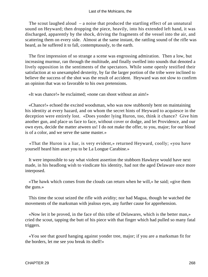The scout laughed aloud – a noise that produced the startling effect of an unnatural sound on Heyward; then dropping the piece, heavily, into his extended left hand, it was discharged, apparently by the shock, driving the fragments of the vessel into the air, and scattering them on every side. Almost at the same instant, the rattling sound of the rifle was heard, as he suffered it to fall, contemptuously, to the earth.

 The first impression of so strange a scene was engrossing admiration. Then a low, but increasing murmur, ran through the multitude, and finally swelled into sounds that denoted a lively opposition in the sentiments of the spectators. While some openly testified their satisfaction at so unexampled dexterity, by far the larger portion of the tribe were inclined to believe the success of the shot was the result of accident. Heyward was not slow to confirm an opinion that was so favorable to his own pretensions.

«It was chance!» he exclaimed; «none can shoot without an aim!»

 «Chance!» echoed the excited woodsman, who was now stubbornly bent on maintaining his identity at every hazard, and on whom the secret hints of Heyward to acquiesce in the deception were entirely lost. «Does yonder lying Huron, too, think it chance? Give him another gun, and place us face to face, without cover or dodge, and let Providence, and our own eyes, decide the matter atween us! I do not make the offer, to you, major; for our blood is of a color, and we serve the same master.»

 «That the Huron is a liar, is very evident,» returned Heyward, coolly; «you have yourself heard him asset you to be La Longue Carabine.»

 It were impossible to say what violent assertion the stubborn Hawkeye would have next made, in his headlong wish to vindicate his identity, had not the aged Delaware once more interposed.

 «The hawk which comes from the clouds can return when he will,» he said; «give them the guns.»

 This time the scout seized the rifle with avidity; nor had Magua, though he watched the movements of the marksman with jealous eyes, any further cause for apprehension.

 «Now let it be proved, in the face of this tribe of Delawares, which is the better man,» cried the scout, tapping the butt of his piece with that finger which had pulled so many fatal triggers.

 «You see that gourd hanging against yonder tree, major; if you are a marksman fit for the borders, let me see you break its shell!»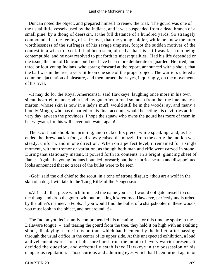Duncan noted the object, and prepared himself to renew the trial. The gourd was one of the usual little vessels used by the Indians, and it was suspended from a dead branch of a small pine, by a thong of deerskin, at the full distance of a hundred yards. So strangely compounded is the feeling of self−love, that the young soldier, while he knew the utter worthlessness of the suffrages of his savage umpires, forgot the sudden motives of the contest in a wish to excel. It had been seen, already, that his skill was far from being contemptible, and he now resolved to put forth its nicest qualities. Had his life depended on the issue, the aim of Duncan could not have been more deliberate or guarded. He fired; and three or four young Indians, who sprang forward at the report, announced with a shout, that the ball was in the tree, a very little on one side of the proper object. The warriors uttered a common ejaculation of pleasure, and then turned their eyes, inquiringly, on the movements of his rival.

 «It may do for the Royal Americans!» said Hawkeye, laughing once more in his own silent, heartfelt manner; «but had my gun often turned so much from the true line, many a marten, whose skin is now in a lady's muff, would still be in the woods; ay, and many a bloody Mingo, who has departed to his final account, would be acting his deviltries at this very day, atween the provinces. I hope the squaw who owns the gourd has more of them in her wigwam, for this will never hold water again!»

 The scout had shook his priming, and cocked his piece, while speaking; and, as he ended, he threw back a foot, and slowly raised the muzzle from the earth: the motion was steady, uniform, and in one direction. When on a perfect level, it remained for a single moment, without tremor or variation, as though both man and rifle were carved in stone. During that stationary instant, it poured forth its contents, in a bright, glancing sheet of flame. Again the young Indians bounded forward; but their hurried search and disappointed looks announced that no traces of the bullet were to be seen.

 «Go!» said the old chief to the scout, in a tone of strong disgust; «thou art a wolf in the skin of a dog. I will talk to the 'Long Rifle' of the Yengeese.»

 «Ah! had I that piece which furnished the name you use, I would obligate myself to cut the thong, and drop the gourd without breaking it!» returned Hawkeye, perfectly undisturbed by the other's manner. «Fools, if you would find the bullet of a sharpshooter in these woods, you must look in the object, and not around it!»

 The Indian youths instantly comprehended his meaning – for this time he spoke in the Delaware tongue – and tearing the gourd from the tree, they held it on high with an exulting shout, displaying a hole in its bottom, which had been cut by the bullet, after passing through the usual orifice in the center of its upper side. At this unexpected exhibition, a loud and vehement expression of pleasure burst from the mouth of every warrior present. It decided the question, and effectually established Hawkeye in the possession of his dangerous reputation. Those curious and admiring eyes which had been turned again on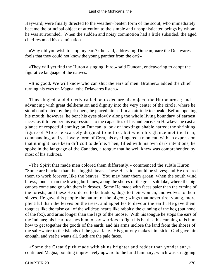Heyward, were finally directed to the weather−beaten form of the scout, who immediately became the principal object of attention to the simple and unsophisticated beings by whom he was surrounded. When the sudden and noisy commotion had a little subsided, the aged chief resumed his examination.

 «Why did you wish to stop my ears?» he said, addressing Duncan; «are the Delawares fools that they could not know the young panther from the cat?»

 «They will yet find the Huron a singing−bird,» said Duncan, endeavoring to adopt the figurative language of the natives.

 «It is good. We will know who can shut the ears of men. Brother,» added the chief turning his eyes on Magua, «the Delawares listen.»

 Thus singled, and directly called on to declare his object, the Huron arose; and advancing with great deliberation and dignity into the very center of the circle, where he stood confronted by the prisoners, he placed himself in an attitude to speak. Before opening his mouth, however, he bent his eyes slowly along the whole living boundary of earnest faces, as if to temper his expressions to the capacities of his audience. On Hawkeye he cast a glance of respectful enmity; on Duncan, a look of inextinguishable hatred; the shrinking figure of Alice he scarcely deigned to notice; but when his glance met the firm, commanding, and yet lovely form of Cora, his eye lingered a moment, with an expression that it might have been difficult to define. Then, filled with his own dark intentions, he spoke in the language of the Canadas, a tongue that he well knew was comprehended by most of his auditors.

 «The Spirit that made men colored them differently,» commenced the subtle Huron. "Some are blacker than the sluggish bear. These He said should be slaves; and He ordered them to work forever, like the beaver. You may hear them groan, when the south wind blows, louder than the lowing buffaloes, along the shores of the great salt lake, where the big canoes come and go with them in droves. Some He made with faces paler than the ermine of the forests; and these He ordered to be traders; dogs to their women, and wolves to their slaves. He gave this people the nature of the pigeon; wings that never tire; young, more plentiful than the leaves on the trees, and appetites to devour the earth. He gave them tongues like the false call of the wildcat; hearts like rabbits; the cunning of the hog (but none of the fox), and arms longer than the legs of the moose. With his tongue he stops the ears of the Indians; his heart teaches him to pay warriors to fight his battles; his cunning tells him how to get together the goods of the earth; and his arms inclose the land from the shores of the salt−water to the islands of the great lake. His gluttony makes him sick. God gave him enough, and yet he wants all. Such are the pale faces.

 «Some the Great Spirit made with skins brighter and redder than yonder sun,» continued Magua, pointing impressively upward to the lurid luminary, which was struggling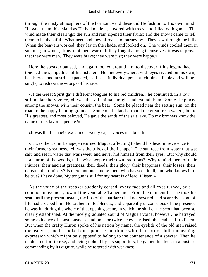through the misty atmosphere of the horizon; «and these did He fashion to His own mind. He gave them this island as He had made it, covered with trees, and filled with game. The wind made their clearings; the sun and rain ripened their fruits; and the snows came to tell them to be thankful. What need had they of roads to journey by! They saw through the hills! When the beavers worked, they lay in the shade, and looked on. The winds cooled them in summer; in winter, skins kept them warm. If they fought among themselves, it was to prove that they were men. They were brave; they were just; they were happy.»

 Here the speaker paused, and again looked around him to discover if his legend had touched the sympathies of his listeners. He met everywhere, with eyes riveted on his own, heads erect and nostrils expanded, as if each individual present felt himself able and willing, singly, to redress the wrongs of his race.

 «If the Great Spirit gave different tongues to his red children,» he continued, in a low, still melancholy voice, «it was that all animals might understand them. Some He placed among the snows, with their cousin, the bear. Some he placed near the setting sun, on the road to the happy hunting grounds. Some on the lands around the great fresh waters; but to His greatest, and most beloved, He gave the sands of the salt lake. Do my brothers know the name of this favored people?»

«It was the Lenape!» exclaimed twenty eager voices in a breath.

 «It was the Lenni Lenape,» returned Magua, affecting to bend his head in reverence to their former greatness. «It was the tribes of the Lenape! The sun rose from water that was salt, and set in water that was sweet, and never hid himself from their eyes. But why should I, a Huron of the woods, tell a wise people their own traditions? Why remind them of their injuries; their ancient greatness; their deeds; their glory; their happiness; their losses; their defeats; their misery? Is there not one among them who has seen it all, and who knows it to be true? I have done. My tongue is still for my heart is of lead. I listen.»

 As the voice of the speaker suddenly ceased, every face and all eyes turned, by a common movement, toward the venerable Tamenund. From the moment that he took his seat, until the present instant, the lips of the patriarch had not severed, and scarcely a sign of life had escaped him. He sat bent in feebleness, and apparently unconscious of the presence he was in, during the whole of that opening scene, in which the skill of the scout had been so clearly established. At the nicely graduated sound of Magua's voice, however, he betrayed some evidence of consciousness, and once or twice he even raised his head, as if to listen. But when the crafty Huron spoke of his nation by name, the eyelids of the old man raised themselves, and he looked out upon the multitude with that sort of dull, unmeaning expression which might be supposed to belong to the countenance of a specter. Then he made an effort to rise, and being upheld by his supporters, he gained his feet, in a posture commanding by its dignity, while he tottered with weakness.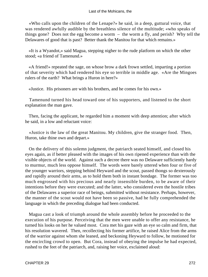«Who calls upon the children of the Lenape?» he said, in a deep, guttural voice, that was rendered awfully audible by the breathless silence of the multitude; «who speaks of things gone? Does not the egg become a worm – the worm a fly, and perish? Why tell the Delawares of good that is past? Better thank the Manitou for that which remains.»

 «It is a Wyandot,» said Magua, stepping nigher to the rude platform on which the other stood; «a friend of Tamenund.»

 «A friend!» repeated the sage, on whose brow a dark frown settled, imparting a portion of that severity which had rendered his eye so terrible in middle age. «Are the Mingoes rulers of the earth? What brings a Huron in here?»

«Justice. His prisoners are with his brothers, and he comes for his own.»

 Tamenund turned his head toward one of his supporters, and listened to the short explanation the man gave.

 Then, facing the applicant, he regarded him a moment with deep attention; after which he said, in a low and reluctant voice:

 «Justice is the law of the great Manitou. My children, give the stranger food. Then, Huron, take thine own and depart.»

 On the delivery of this solemn judgment, the patriarch seated himself, and closed his eyes again, as if better pleased with the images of his own ripened experience than with the visible objects of the world. Against such a decree there was no Delaware sufficiently hardy to murmur, much less oppose himself. The words were barely uttered when four or five of the younger warriors, stepping behind Heyward and the scout, passed thongs so dexterously and rapidly around their arms, as to hold them both in instant bondage. The former was too much engrossed with his precious and nearly insensible burden, to be aware of their intentions before they were executed; and the latter, who considered even the hostile tribes of the Delawares a superior race of beings, submitted without resistance. Perhaps, however, the manner of the scout would not have been so passive, had he fully comprehended the language in which the preceding dialogue had been conducted.

 Magua cast a look of triumph around the whole assembly before he proceeded to the execution of his purpose. Perceiving that the men were unable to offer any resistance, he turned his looks on her he valued most. Cora met his gaze with an eye so calm and firm, that his resolution wavered. Then, recollecting his former artifice, he raised Alice from the arms of the warrior against whom she leaned, and beckoning Heyward to follow, he motioned for the encircling crowd to open. But Cora, instead of obeying the impulse he had expected, rushed to the feet of the patriarch, and, raising her voice, exclaimed aloud: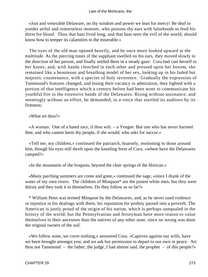«Just and venerable Delaware, on thy wisdom and power we lean for mercy! Be deaf to yonder artful and remorseless monster, who poisons thy ears with falsehoods to feed his thirst for blood. Thou that hast lived long, and that hast seen the evil of the world, should know how to temper its calamities to the miserable.»

 The eyes of the old man opened heavily, and he once more looked upward at the multitude. As the piercing tones of the suppliant swelled on his ears, they moved slowly in the direction of her person, and finally settled there in a steady gaze. Cora had cast herself to her knees; and, with hands clenched in each other and pressed upon her bosom, she remained like a beauteous and breathing model of her sex, looking up in his faded but majestic countenance, with a species of holy reverence. Gradually the expression of Tamenund's features changed, and losing their vacancy in admiration, they lighted with a portion of that intelligence which a century before had been wont to communicate his youthful fire to the extensive bands of the Delawares. Rising without assistance, and seemingly without an effort, he demanded, in a voice that startled its auditors by its firmness:

«What art thou?»

 «A woman. One of a hated race, if thou wilt – a Yengee. But one who has never harmed thee, and who cannot harm thy people, if she would; who asks for succor.»

 «Tell me, my children,» continued the patriarch, hoarsely, motioning to those around him, though his eyes still dwelt upon the kneeling form of Cora, «where have the Delawares camped?»

«In the mountains of the Iroquois, beyond the clear springs of the Horican.»

 «Many parching summers are come and gone,» continued the sage, «since I drank of the water of my own rivers. The children of Minquon\* are the justest white men, but they were thirsty and they took it to themselves. Do they follow us so far?»

 \* William Penn was termed Minquon by the Delawares, and, as he never used violence or injustice in his dealings with them, his reputation for probity passed into a proverb. The American is justly proud of the origin of his nation, which is perhaps unequaled in the history of the world; but the Pennsylvanian and Jerseyman have more reason to value themselves in their ancestors than the natives of any other state, since no wrong was done the original owners of the soil.

 «We follow none, we covet nothing,» answered Cora. «Captives against our wills, have we been brought amongst you; and we ask but permission to depart to our own in peace. Art thou not Tamenund – the father, the judge, I had almost said, the prophet – of this people?»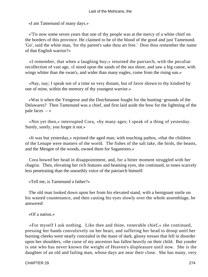«I am Tamenund of many days.»

 «'Tis now some seven years that one of thy people was at the mercy of a white chief on the borders of this province. He claimed to be of the blood of the good and just Tamenund. 'Go', said the white man, 'for thy parent's sake thou art free.' Dost thou remember the name of that English warrior?»

 «I remember, that when a laughing boy,» returned the patriarch, with the peculiar recollection of vast age, «I stood upon the sands of the sea shore, and saw a big canoe, with wings whiter than the swan's, and wider than many eagles, come from the rising sun.»

 «Nay, nay; I speak not of a time so very distant, but of favor shown to thy kindred by one of mine, within the memory of thy youngest warrior.»

 «Was it when the Yengeese and the Dutchmanne fought for the hunting−grounds of the Delawares? Then Tamenund was a chief, and first laid aside the bow for the lightning of the pale faces  $-\infty$ 

 «Not yet then,» interrupted Cora, «by many ages; I speak of a thing of yesterday. Surely, surely, you forget it not.»

 «It was but yesterday,» rejoined the aged man, with touching pathos, «that the children of the Lenape were masters of the world. The fishes of the salt lake, the birds, the beasts, and the Mengee of the woods, owned them for Sagamores.»

 Cora bowed her head in disappointment, and, for a bitter moment struggled with her chagrin. Then, elevating her rich features and beaming eyes, she continued, in tones scarcely less penetrating than the unearthly voice of the patriarch himself:

«Tell me, is Tamenund a father?»

 The old man looked down upon her from his elevated stand, with a benignant smile on his wasted countenance, and then casting his eyes slowly over the whole assemblage, he answered:

«Of a nation.»

 «For myself I ask nothing. Like thee and thine, venerable chief,» she continued, pressing her hands convulsively on her heart, and suffering her head to droop until her burning cheeks were nearly concealed in the maze of dark, glossy tresses that fell in disorder upon her shoulders, «the curse of my ancestors has fallen heavily on their child. But yonder is one who has never known the weight of Heaven's displeasure until now. She is the daughter of an old and failing man, whose days are near their close. She has many, very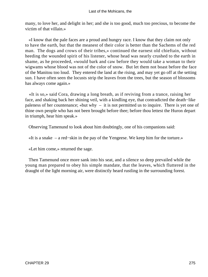many, to love her, and delight in her; and she is too good, much too precious, to become the victim of that villain.»

 «I know that the pale faces are a proud and hungry race. I know that they claim not only to have the earth, but that the meanest of their color is better than the Sachems of the red man. The dogs and crows of their tribes,» continued the earnest old chieftain, without heeding the wounded spirit of his listener, whose head was nearly crushed to the earth in shame, as he proceeded, «would bark and caw before they would take a woman to their wigwams whose blood was not of the color of snow. But let them not boast before the face of the Manitou too loud. They entered the land at the rising, and may yet go off at the setting sun. I have often seen the locusts strip the leaves from the trees, but the season of blossoms has always come again.»

 «It is so,» said Cora, drawing a long breath, as if reviving from a trance, raising her face, and shaking back her shining veil, with a kindling eye, that contradicted the death−like paleness of her countenance; «but why – it is not permitted us to inquire. There is yet one of thine own people who has not been brought before thee; before thou lettest the Huron depart in triumph, hear him speak.»

Observing Tamenund to look about him doubtingly, one of his companions said:

«It is a snake – a red−skin in the pay of the Yengeese. We keep him for the torture.»

«Let him come,» returned the sage.

 Then Tamenund once more sank into his seat, and a silence so deep prevailed while the young man prepared to obey his simple mandate, that the leaves, which fluttered in the draught of the light morning air, were distinctly heard rustling in the surrounding forest.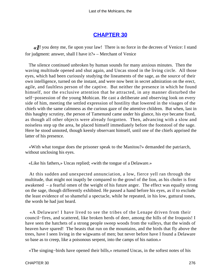# **[CHAPTER 30](#page-317-0)**

*«I*f you deny me, fie upon your law! There is no force in the decrees of Venice: I stand for judgment: answer, shall I have it?» – Merchant of Venice

 The silence continued unbroken by human sounds for many anxious minutes. Then the waving multitude opened and shut again, and Uncas stood in the living circle. All those eyes, which had been curiously studying the lineaments of the sage, as the source of their own intelligence, turned on the instant, and were now bent in secret admiration on the erect, agile, and faultless person of the captive. But neither the presence in which he found himself, nor the exclusive attention that he attracted, in any manner disturbed the self−possession of the young Mohican. He cast a deliberate and observing look on every side of him, meeting the settled expression of hostility that lowered in the visages of the chiefs with the same calmness as the curious gaze of the attentive children. But when, last in this haughty scrutiny, the person of Tamenund came under his glance, his eye became fixed, as though all other objects were already forgotten. Then, advancing with a slow and noiseless step up the area, he placed himself immediately before the footstool of the sage. Here he stood unnoted, though keenly observant himself, until one of the chiefs apprised the latter of his presence.

 «With what tongue does the prisoner speak to the Manitou?» demanded the patriarch, without unclosing his eyes.

«Like his fathers,» Uncas replied; «with the tongue of a Delaware.»

 At this sudden and unexpected annunciation, a low, fierce yell ran through the multitude, that might not inaptly be compared to the growl of the lion, as his choler is first awakened – a fearful omen of the weight of his future anger. The effect was equally strong on the sage, though differently exhibited. He passed a hand before his eyes, as if to exclude the least evidence of so shameful a spectacle, while he repeated, in his low, guttural tones, the words he had just heard.

 «A Delaware! I have lived to see the tribes of the Lenape driven from their council−fires, and scattered, like broken herds of deer, among the hills of the Iroquois! I have seen the hatchets of a strong people sweep woods from the valleys, that the winds of heaven have spared! The beasts that run on the mountains, and the birds that fly above the trees, have I seen living in the wigwams of men; but never before have I found a Delaware so base as to creep, like a poisonous serpent, into the camps of his nation.»

«The singing−birds have opened their bills,» returned Uncas, in the softest notes of his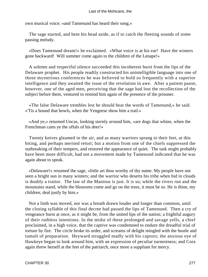own musical voice; «and Tamenund has heard their song.»

 The sage started, and bent his head aside, as if to catch the fleeting sounds of some passing melody.

 «Does Tamenund dream!» he exclaimed. «What voice is at his ear! Have the winters gone backward! Will summer come again to the children of the Lenape!»

 A solemn and respectful silence succeeded this incoherent burst from the lips of the Delaware prophet. His people readily constructed his unintelligible language into one of those mysterious conferences he was believed to hold so frequently with a superior intelligence and they awaited the issue of the revelation in awe. After a patient pause, however, one of the aged men, perceiving that the sage had lost the recollection of the subject before them, ventured to remind him again of the presence of the prisoner.

 «The false Delaware trembles lest he should hear the words of Tamenund,» he said. «'Tis a hound that howls, when the Yengeese show him a trail.»

 «And ye,» returned Uncas, looking sternly around him, «are dogs that whine, when the Frenchman casts ye the offals of his deer!»

 Twenty knives gleamed in the air, and as many warriors sprang to their feet, at this biting, and perhaps merited retort; but a motion from one of the chiefs suppressed the outbreaking of their tempers, and restored the appearance of quiet. The task might probably have been more difficult, had not a movement made by Tamenund indicated that he was again about to speak.

 «Delaware!» resumed the sage, «little art thou worthy of thy name. My people have not seen a bright sun in many winters; and the warrior who deserts his tribe when hid in clouds is doubly a traitor. The law of the Manitou is just. It is so; while the rivers run and the mountains stand, while the blossoms come and go on the trees, it must be so. He is thine, my children; deal justly by him.»

 Not a limb was moved, nor was a breath drawn louder and longer than common, until the closing syllable of this final decree had passed the lips of Tamenund. Then a cry of vengeance burst at once, as it might be, from the united lips of the nation; a frightful augury of their ruthless intentions. In the midst of these prolonged and savage yells, a chief proclaimed, in a high voice, that the captive was condemned to endure the dreadful trial of torture by fire. The circle broke its order, and screams of delight mingled with the bustle and tumult of preparation. Heyward struggled madly with his captors; the anxious eye of Hawkeye began to look around him, with an expression of peculiar earnestness; and Cora again threw herself at the feet of the patriarch, once more a suppliant for mercy.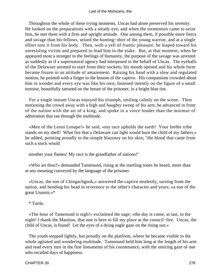Throughout the whole of these trying moments, Uncas had alone preserved his serenity. He looked on the preparations with a steady eye, and when the tormentors came to seize him, he met them with a firm and upright attitude. One among them, if possible more fierce and savage than his fellows, seized the hunting−shirt of the young warrior, and at a single effort tore it from his body. Then, with a yell of frantic pleasure, he leaped toward his unresisting victim and prepared to lead him to the stake. But, at that moment, when he appeared most a stranger to the feelings of humanity, the purpose of the savage was arrested as suddenly as if a supernatural agency had interposed in the behalf of Uncas. The eyeballs of the Delaware seemed to start from their sockets; his mouth opened and his whole form became frozen in an attitude of amazement. Raising his hand with a slow and regulated motion, he pointed with a finger to the bosom of the captive. His companions crowded about him in wonder and every eye was like his own, fastened intently on the figure of a small tortoise, beautifully tattooed on the breast of the prisoner, in a bright blue tint.

 For a single instant Uncas enjoyed his triumph, smiling calmly on the scene. Then motioning the crowd away with a high and haughty sweep of his arm, he advanced in front of the nation with the air of a king, and spoke in a voice louder than the murmur of admiration that ran through the multitude.

 «Men of the Lenni Lenape!» he said, «my race upholds the earth! Your feeble tribe stands on my shell! What fire that a Delaware can light would burn the child of my fathers,» he added, pointing proudly to the simple blazonry on his skin; "the blood that came from such a stock would

smother your flames! My race is the grandfather of nations!"

 «Who art thou?» demanded Tamenund, rising at the startling tones he heard, more than at any meaning conveyed by the language of the prisoner.

 «Uncas, the son of Chingachgook,» answered the captive modestly, turning from the nation, and bending his head in reverence to the other's character and years; «a son of the great Unamis.»\*

\* Turtle.

 «The hour of Tamenund is nigh!» exclaimed the sage; «the day is come, at last, to the night! I thank the Manitou, that one is here to fill my place at the council−fire. Uncas, the child of Uncas, is found! Let the eyes of a dying eagle gaze on the rising sun.»

 The youth stepped lightly, but proudly on the platform, where he became visible to the whole agitated and wondering multitude. Tamenund held him long at the length of his arm and read every turn in the fine lineaments of his countenance, with the untiring gaze of one who recalled days of happiness.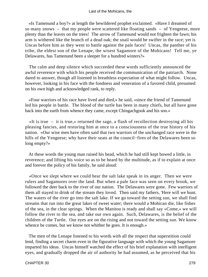«Is Tamenund a boy?» at length the bewildered prophet exclaimed. «Have I dreamed of so many snows – that my people were scattered like floating sands – of Yengeese, more plenty than the leaves on the trees! The arrow of Tamenund would not frighten the fawn; his arm is withered like the branch of a dead oak; the snail would be swifter in the race; yet is Uncas before him as they went to battle against the pale faces! Uncas, the panther of his tribe, the eldest son of the Lenape, the wisest Sagamore of the Mohicans! Tell me, ye Delawares, has Tamenund been a sleeper for a hundred winters?»

 The calm and deep silence which succeeded these words sufficiently announced the awful reverence with which his people received the communication of the patriarch. None dared to answer, though all listened in breathless expectation of what might follow. Uncas, however, looking in his face with the fondness and veneration of a favored child, presumed on his own high and acknowledged rank, to reply.

 «Four warriors of his race have lived and died,» he said, «since the friend of Tamenund led his people in battle. The blood of the turtle has been in many chiefs, but all have gone back into the earth from whence they came, except Chingachgook and his son.»

 «It is true – it is true,» returned the sage, a flash of recollection destroying all his pleasing fancies, and restoring him at once to a consciousness of the true history of his nation. «Our wise men have often said that two warriors of the unchanged race were in the hills of the Yengeese; why have their seats at the council−fires of the Delawares been so long empty?»

 At these words the young man raised his head, which he had still kept bowed a little, in reverence; and lifting his voice so as to be heard by the multitude, as if to explain at once and forever the policy of his family, he said aloud:

 «Once we slept where we could hear the salt lake speak in its anger. Then we were rulers and Sagamores over the land. But when a pale face was seen on every brook, we followed the deer back to the river of our nation. The Delawares were gone. Few warriors of them all stayed to drink of the stream they loved. Then said my fathers, 'Here will we hunt. The waters of the river go into the salt lake. If we go toward the setting sun, we shall find streams that run into the great lakes of sweet water; there would a Mohican die, like fishes of the sea, in the clear springs. When the Manitou is ready and shall say »Come,« we will follow the river to the sea, and take our own again. Such, Delawares, is the belief of the children of the Turtle. Our eyes are on the rising and not toward the setting sun. We know whence he comes, but we know not whither he goes. It is enough.»

 The men of the Lenape listened to his words with all the respect that superstition could lend, finding a secret charm even in the figurative language with which the young Sagamore imparted his ideas. Uncas himself watched the effect of his brief explanation with intelligent eyes, and gradually dropped the air of authority he had assumed, as he perceived that his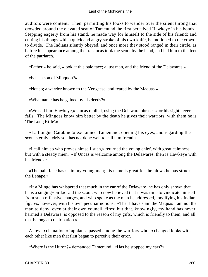auditors were content. Then, permitting his looks to wander over the silent throng that crowded around the elevated seat of Tamenund, he first perceived Hawkeye in his bonds. Stepping eagerly from his stand, he made way for himself to the side of his friend; and cutting his thongs with a quick and angry stroke of his own knife, he motioned to the crowd to divide. The Indians silently obeyed, and once more they stood ranged in their circle, as before his appearance among them. Uncas took the scout by the hand, and led him to the feet of the patriarch.

«Father,» he said, «look at this pale face; a just man, and the friend of the Delawares.»

«Is he a son of Minquon?»

«Not so; a warrior known to the Yengeese, and feared by the Maquas.»

«What name has he gained by his deeds?»

 «We call him Hawkeye,» Uncas replied, using the Delaware phrase; «for his sight never fails. The Mingoes know him better by the death he gives their warriors; with them he is 'The Long Rifle'.»

 «La Longue Carabine!» exclaimed Tamenund, opening his eyes, and regarding the scout sternly. «My son has not done well to call him friend.»

 «I call him so who proves himself such,» returned the young chief, with great calmness, but with a steady mien. «If Uncas is welcome among the Delawares, then is Hawkeye with his friends.»

 «The pale face has slain my young men; his name is great for the blows he has struck the Lenape.»

 «If a Mingo has whispered that much in the ear of the Delaware, he has only shown that he is a singing−bird,» said the scout, who now believed that it was time to vindicate himself from such offensive charges, and who spoke as the man he addressed, modifying his Indian figures, however, with his own peculiar notions. «That I have slain the Maquas I am not the man to deny, even at their own council−fires; but that, knowingly, my hand has never harmed a Delaware, is opposed to the reason of my gifts, which is friendly to them, and all that belongs to their nation.»

 A low exclamation of applause passed among the warriors who exchanged looks with each other like men that first began to perceive their error.

«Where is the Huron?» demanded Tamenund. «Has he stopped my ears?»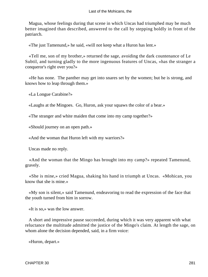Magua, whose feelings during that scene in which Uncas had triumphed may be much better imagined than described, answered to the call by stepping boldly in front of the patriarch.

«The just Tamenund,» he said, «will not keep what a Huron has lent.»

 «Tell me, son of my brother,» returned the sage, avoiding the dark countenance of Le Subtil, and turning gladly to the more ingenuous features of Uncas, «has the stranger a conqueror's right over you?»

 «He has none. The panther may get into snares set by the women; but he is strong, and knows how to leap through them.»

«La Longue Carabine?»

«Laughs at the Mingoes. Go, Huron, ask your squaws the color of a bear.»

«The stranger and white maiden that come into my camp together?»

«Should journey on an open path.»

«And the woman that Huron left with my warriors?»

Uncas made no reply.

 «And the woman that the Mingo has brought into my camp?» repeated Tamenund, gravely.

 «She is mine,» cried Magua, shaking his hand in triumph at Uncas. «Mohican, you know that she is mine.»

 «My son is silent,» said Tamenund, endeavoring to read the expression of the face that the youth turned from him in sorrow.

«It is so,» was the low answer.

 A short and impressive pause succeeded, during which it was very apparent with what reluctance the multitude admitted the justice of the Mingo's claim. At length the sage, on whom alone the decision depended, said, in a firm voice:

«Huron, depart.»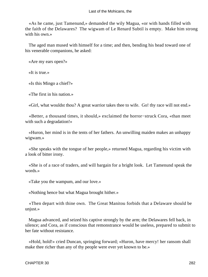#### Last of the Mohicans, the

 «As he came, just Tamenund,» demanded the wily Magua, «or with hands filled with the faith of the Delawares? The wigwam of Le Renard Subtil is empty. Make him strong with his own.»

 The aged man mused with himself for a time; and then, bending his head toward one of his venerable companions, he asked:

«Are my ears open?»

«It is true.»

«Is this Mingo a chief?»

«The first in his nation.»

«Girl, what wouldst thou? A great warrior takes thee to wife. Go! thy race will not end.»

 «Better, a thousand times, it should,» exclaimed the horror−struck Cora, «than meet with such a degradation!»

 «Huron, her mind is in the tents of her fathers. An unwilling maiden makes an unhappy wigwam.»

 «She speaks with the tongue of her people,» returned Magua, regarding his victim with a look of bitter irony.

 «She is of a race of traders, and will bargain for a bright look. Let Tamenund speak the words.»

«Take you the wampum, and our love.»

«Nothing hence but what Magua brought hither.»

 «Then depart with thine own. The Great Manitou forbids that a Delaware should be unjust.»

 Magua advanced, and seized his captive strongly by the arm; the Delawares fell back, in silence; and Cora, as if conscious that remonstrance would be useless, prepared to submit to her fate without resistance.

 «Hold, hold!» cried Duncan, springing forward; «Huron, have mercy! her ransom shall make thee richer than any of thy people were ever yet known to be.»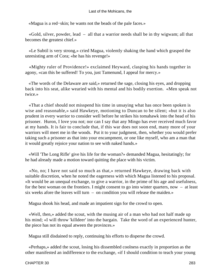«Magua is a red−skin; he wants not the beads of the pale faces.»

 «Gold, silver, powder, lead – all that a warrior needs shall be in thy wigwam; all that becomes the greatest chief.»

 «Le Subtil is very strong,» cried Magua, violently shaking the hand which grasped the unresisting arm of Cora; «he has his revenge!»

 «Mighty ruler of Providence!» exclaimed Heyward, clasping his hands together in agony, «can this be suffered! To you, just Tamenund, I appeal for mercy.»

 «The words of the Delaware are said,» returned the sage, closing his eyes, and dropping back into his seat, alike wearied with his mental and his bodily exertion. «Men speak not twice.»

 «That a chief should not misspend his time in unsaying what has once been spoken is wise and reasonable,» said Hawkeye, motioning to Duncan to be silent; «but it is also prudent in every warrior to consider well before he strikes his tomahawk into the head of his prisoner. Huron, I love you not; nor can I say that any Mingo has ever received much favor at my hands. It is fair to conclude that, if this war does not soon end, many more of your warriors will meet me in the woods. Put it to your judgment, then, whether you would prefer taking such a prisoner as that into your encampment, or one like myself, who am a man that it would greatly rejoice your nation to see with naked hands.»

 «Will 'The Long Rifle' give his life for the woman?» demanded Magua, hesitatingly; for he had already made a motion toward quitting the place with his victim.

 «No, no; I have not said so much as that,» returned Hawkeye, drawing back with suitable discretion, when he noted the eagerness with which Magua listened to his proposal. «It would be an unequal exchange, to give a warrior, in the prime of his age and usefulness, for the best woman on the frontiers. I might consent to go into winter quarters, now – at least six weeks afore the leaves will turn – on condition you will release the maiden.»

Magua shook his head, and made an impatient sign for the crowd to open.

 «Well, then,» added the scout, with the musing air of a man who had not half made up his mind; «I will throw 'killdeer' into the bargain. Take the word of an experienced hunter, the piece has not its equal atween the provinces.»

Magua still disdained to reply, continuing his efforts to disperse the crowd.

 «Perhaps,» added the scout, losing his dissembled coolness exactly in proportion as the other manifested an indifference to the exchange, «if I should condition to teach your young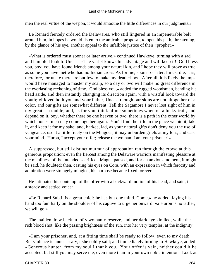men the real virtue of the we'pon, it would smoothe the little differences in our judgments.»

 Le Renard fiercely ordered the Delawares, who still lingered in an impenetrable belt around him, in hopes he would listen to the amicable proposal, to open his path, threatening, by the glance of his eye, another appeal to the infallible justice of their «prophet.»

 «What is ordered must sooner or later arrive,» continued Hawkeye, turning with a sad and humbled look to Uncas. «The varlet knows his advantage and will keep it! God bless you, boy; you have found friends among your natural kin, and I hope they will prove as true as some you have met who had no Indian cross. As for me, sooner or later, I must die; it is, therefore, fortunate there are but few to make my death−howl. After all, it is likely the imps would have managed to master my scalp, so a day or two will make no great difference in the everlasting reckoning of time. God bless you,» added the rugged woodsman, bending his head aside, and then instantly changing its direction again, with a wistful look toward the youth; «I loved both you and your father, Uncas, though our skins are not altogether of a color, and our gifts are somewhat different. Tell the Sagamore I never lost sight of him in my greatest trouble; and, as for you, think of me sometimes when on a lucky trail, and depend on it, boy, whether there be one heaven or two, there is a path in the other world by which honest men may come together again. You'll find the rifle in the place we hid it; take it, and keep it for my sake; and, harkee, lad, as your natural gifts don't deny you the use of vengeance, use it a little freely on the Mingoes; it may unburden griefs at my loss, and ease your mind. Huron, I accept your offer; release the woman. I am your prisoner!»

 A suppressed, but still distinct murmur of approbation ran through the crowd at this generous proposition; even the fiercest among the Delaware warriors manifesting pleasure at the manliness of the intended sacrifice. Magua paused, and for an anxious moment, it might be said, he doubted; then, casting his eyes on Cora, with an expression in which ferocity and admiration were strangely mingled, his purpose became fixed forever.

 He intimated his contempt of the offer with a backward motion of his head, and said, in a steady and settled voice:

 «Le Renard Subtil is a great chief; he has but one mind. Come,» he added, laying his hand too familiarly on the shoulder of his captive to urge her onward; «a Huron is no tattler; we will go.»

 The maiden drew back in lofty womanly reserve, and her dark eye kindled, while the rich blood shot, like the passing brightness of the sun, into her very temples, at the indignity.

 «I am your prisoner, and, at a fitting time shall be ready to follow, even to my death. But violence is unnecessary,» she coldly said; and immediately turning to Hawkeye, added: «Generous hunter! from my soul I thank you. Your offer is vain, neither could it be accepted; but still you may serve me, even more than in your own noble intention. Look at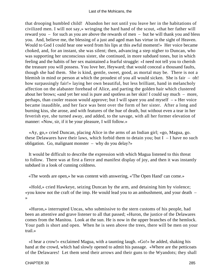that drooping humbled child! Abandon her not until you leave her in the habitations of civilized men. I will not say,» wringing the hard hand of the scout, «that her father will reward you – for such as you are above the rewards of men – but he will thank you and bless you. And, believe me, the blessing of a just and aged man has virtue in the sight of Heaven. Would to God I could hear one word from his lips at this awful moment!» Her voice became choked, and, for an instant, she was silent; then, advancing a step nigher to Duncan, who was supporting her unconscious sister, she continued, in more subdued tones, but in which feeling and the habits of her sex maintained a fearful struggle: «I need not tell you to cherish the treasure you will possess. You love her, Heyward; that would conceal a thousand faults, though she had them. She is kind, gentle, sweet, good, as mortal may be. There is not a blemish in mind or person at which the proudest of you all would sicken. She is fair – oh! how surpassingly fair!» laying her own beautiful, but less brilliant, hand in melancholy affection on the alabaster forehead of Alice, and parting the golden hair which clustered about her brows; «and yet her soul is pure and spotless as her skin! I could say much – more, perhaps, than cooler reason would approve; but I will spare you and myself – » Her voice became inaudible, and her face was bent over the form of her sister. After a long and burning kiss, she arose, and with features of the hue of death, but without even a tear in her feverish eye, she turned away, and added, to the savage, with all her former elevation of manner: «Now, sir, if it be your pleasure, I will follow.»

 «Ay, go,» cried Duncan, placing Alice in the arms of an Indian girl; «go, Magua, go. these Delawares have their laws, which forbid them to detain you; but  $I - I$  have no such obligation. Go, malignant monster – why do you delay?»

 It would be difficult to describe the expression with which Magua listened to this threat to follow. There was at first a fierce and manifest display of joy, and then it was instantly subdued in a look of cunning coldness.

«The words are open,» he was content with answering, «'The Open Hand' can come.»

 «Hold,» cried Hawkeye, seizing Duncan by the arm, and detaining him by violence; «you know not the craft of the imp. He would lead you to an ambushment, and your death – »

 «Huron,» interrupted Uncas, who submissive to the stern customs of his people, had been an attentive and grave listener to all that passed; «Huron, the justice of the Delawares comes from the Manitou. Look at the sun. He is now in the upper branches of the hemlock. Your path is short and open. When he is seen above the trees, there will be men on your trail.»

 «I hear a crow!» exclaimed Magua, with a taunting laugh. «Go!» he added, shaking his hand at the crowd, which had slowly opened to admit his passage. «Where are the petticoats of the Delawares! Let them send their arrows and their guns to the Wyandots; they shall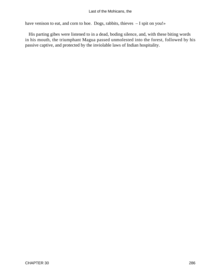### Last of the Mohicans, the

have venison to eat, and corn to hoe. Dogs, rabbits, thieves - I spit on you!»

 His parting gibes were listened to in a dead, boding silence, and, with these biting words in his mouth, the triumphant Magua passed unmolested into the forest, followed by his passive captive, and protected by the inviolable laws of Indian hospitality.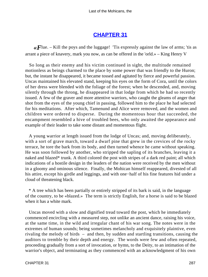# **[CHAPTER 31](#page-317-0)**

 $\ll F$ lue. – Kill the poys and the luggage! Tis expressly against the law of arms; 'tis as arrant a piece of knavery, mark you now, as can be offered in the 'orld.» – King Henry V

 So long as their enemy and his victim continued in sight, the multitude remained motionless as beings charmed to the place by some power that was friendly to the Huron; but, the instant he disappeared, it became tossed and agitated by fierce and powerful passion. Uncas maintained his elevated stand, keeping his eyes on the form of Cora, until the colors of her dress were blended with the foliage of the forest; when he descended, and, moving silently through the throng, he disappeared in that lodge from which he had so recently issued. A few of the graver and more attentive warriors, who caught the gleams of anger that shot from the eyes of the young chief in passing, followed him to the place he had selected for his meditations. After which, Tamenund and Alice were removed, and the women and children were ordered to disperse. During the momentous hour that succeeded, the encampment resembled a hive of troubled bees, who only awaited the appearance and example of their leader to take some distant and momentous flight.

 A young warrior at length issued from the lodge of Uncas; and, moving deliberately, with a sort of grave march, toward a dwarf pine that grew in the crevices of the rocky terrace, he tore the bark from its body, and then turned whence he came without speaking. He was soon followed by another, who stripped the sapling of its branches, leaving it a naked and blazed\* trunk. A third colored the post with stripes of a dark red paint; all which indications of a hostile design in the leaders of the nation were received by the men without in a gloomy and ominous silence. Finally, the Mohican himself reappeared, divested of all his attire, except his girdle and leggings, and with one−half of his fine features hid under a cloud of threatening black.

 \* A tree which has been partially or entirely stripped of its bark is said, in the language of the country, to be «blazed.» The term is strictly English, for a horse is said to be blazed when it has a white mark.

 Uncas moved with a slow and dignified tread toward the post, which he immediately commenced encircling with a measured step, not unlike an ancient dance, raising his voice, at the same time, in the wild and irregular chant of his war song. The notes were in the extremes of human sounds; being sometimes melancholy and exquisitely plaintive, even rivaling the melody of birds – and then, by sudden and startling transitions, causing the auditors to tremble by their depth and energy. The words were few and often repeated, proceeding gradually from a sort of invocation, or hymn, to the Deity, to an intimation of the warrior's object, and terminating as they commenced with an acknowledgment of his own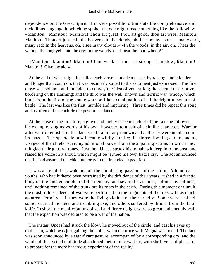dependence on the Great Spirit. If it were possible to translate the comprehensive and melodious language in which he spoke, the ode might read something like the following: «Manitou! Manitou! Manitou! Thou art great, thou art good, thou art wise: Manitou! Manitou! Thou art just. »In the heavens, in the clouds, oh, I see many spots – many dark, many red: In the heavens, oh, I see many clouds.« »In the woods, in the air, oh, I hear the whoop, the long yell, and the cry: In the woods, oh, I hear the loud whoop!"

 «Manitou! Manitou! Manitou! I am weak – thou art strong; I am slow; Manitou! Manitou! Give me aid.»

 At the end of what might be called each verse he made a pause, by raising a note louder and longer than common, that was peculiarly suited to the sentiment just expressed. The first close was solemn, and intended to convey the idea of veneration; the second descriptive, bordering on the alarming; and the third was the well−known and terrific war−whoop, which burst from the lips of the young warrior, like a combination of all the frightful sounds of battle. The last was like the first, humble and imploring. Three times did he repeat this song, and as often did he encircle the post in his dance.

 At the close of the first turn, a grave and highly esteemed chief of the Lenape followed his example, singing words of his own, however, to music of a similar character. Warrior after warrior enlisted in the dance, until all of any renown and authority were numbered in its mazes. The spectacle now became wildly terrific; the fierce−looking and menacing visages of the chiefs receiving additional power from the appalling strains in which they mingled their guttural tones. Just then Uncas struck his tomahawk deep into the post, and raised his voice in a shout, which might be termed his own battle cry. The act announced that he had assumed the chief authority in the intended expedition.

 It was a signal that awakened all the slumbering passions of the nation. A hundred youths, who had hitherto been restrained by the diffidence of their years, rushed in a frantic body on the fancied emblem of their enemy, and severed it asunder, splinter by splinter, until nothing remained of the trunk but its roots in the earth. During this moment of tumult, the most ruthless deeds of war were performed on the fragments of the tree, with as much apparent ferocity as if they were the living victims of their cruelty. Some were scalped; some received the keen and trembling axe; and others suffered by thrusts from the fatal knife. In short, the manifestations of zeal and fierce delight were so great and unequivocal, that the expedition was declared to be a war of the nation.

 The instant Uncas had struck the blow, he moved out of the circle, and cast his eyes up to the sun, which was just gaining the point, when the truce with Magua was to end. The fact was soon announced by a significant gesture, accompanied by a corresponding cry; and the whole of the excited multitude abandoned their mimic warfare, with shrill yells of pleasure, to prepare for the more hazardous experiment of the reality.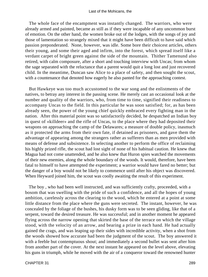The whole face of the encampment was instantly changed. The warriors, who were already armed and painted, became as still as if they were incapable of any uncommon burst of emotion. On the other hand, the women broke out of the lodges, with the songs of joy and those of lamentation so strangely mixed that it might have been difficult to have said which passion preponderated. None, however, was idle. Some bore their choicest articles, others their young, and some their aged and infirm, into the forest, which spread itself like a verdant carpet of bright green against the side of the mountain. Thither Tamenund also retired, with calm composure, after a short and touching interview with Uncas; from whom the sage separated with the reluctance that a parent would quit a long lost and just recovered child. In the meantime, Duncan saw Alice to a place of safety, and then sought the scout, with a countenance that denoted how eagerly he also panted for the approaching contest.

 But Hawkeye was too much accustomed to the war song and the enlistments of the natives, to betray any interest in the passing scene. He merely cast an occasional look at the number and quality of the warriors, who, from time to time, signified their readiness to accompany Uncas to the field. In this particular he was soon satisfied; for, as has been already seen, the power of the young chief quickly embraced every fighting man in the nation. After this material point was so satisfactorily decided, he despatched an Indian boy in quest of «killdeer» and the rifle of Uncas, to the place where they had deposited their weapons on approaching the camp of the Delawares; a measure of double policy, inasmuch as it protected the arms from their own fate, if detained as prisoners, and gave them the advantage of appearing among the strangers rather as sufferers than as men provided with means of defense and subsistence. In selecting another to perform the office of reclaiming his highly prized rifle, the scout had lost sight of none of his habitual caution. He knew that Magua had not come unattended, and he also knew that Huron spies watched the movements of their new enemies, along the whole boundary of the woods. It would, therefore, have been fatal to himself to have attempted the experiment; a warrior would have fared no better; but the danger of a boy would not be likely to commence until after his object was discovered. When Heyward joined him, the scout was coolly awaiting the result of this experiment.

 The boy , who had been well instructed, and was sufficiently crafty, proceeded, with a bosom that was swelling with the pride of such a confidence, and all the hopes of young ambition, carelessly across the clearing to the wood, which he entered at a point at some little distance from the place where the guns were secreted. The instant, however, he was concealed by the foliage of the bushes, his dusky form was to be seen gliding, like that of a serpent, toward the desired treasure. He was successful; and in another moment he appeared flying across the narrow opening that skirted the base of the terrace on which the village stood, with the velocity of an arrow, and bearing a prize in each hand. He had actually gained the crags, and was leaping up their sides with incredible activity, when a shot from the woods showed how accurate had been the judgment of the scout. The boy answered it with a feeble but contemptuous shout; and immediately a second bullet was sent after him from another part of the cover. At the next instant he appeared on the level above, elevating his guns in triumph, while he moved with the air of a conqueror toward the renowned hunter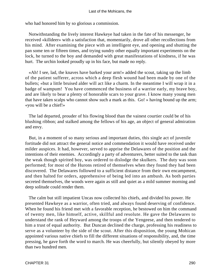who had honored him by so glorious a commission.

 Notwithstanding the lively interest Hawkeye had taken in the fate of his messenger, he received «killdeer» with a satisfaction that, momentarily, drove all other recollections from his mind. After examining the piece with an intelligent eye, and opening and shutting the pan some ten or fifteen times, and trying sundry other equally important experiments on the lock, he turned to the boy and demanded with great manifestations of kindness, if he was hurt. The urchin looked proudly up in his face, but made no reply.

 «Ah! I see, lad, the knaves have barked your arm!» added the scout, taking up the limb of the patient sufferer, across which a deep flesh wound had been made by one of the bullets; «but a little bruised alder will act like a charm. In the meantime I will wrap it in a badge of wampum! You have commenced the business of a warrior early, my brave boy, and are likely to bear a plenty of honorable scars to your grave. I know many young men that have taken scalps who cannot show such a mark as this. Go! » having bound up the arm; «you will be a chief!»

 The lad departed, prouder of his flowing blood than the vainest courtier could be of his blushing ribbon; and stalked among the fellows of his age, an object of general admiration and envy.

 But, in a moment of so many serious and important duties, this single act of juvenile fortitude did not attract the general notice and commendation it would have received under milder auspices. It had, however, served to apprise the Delawares of the position and the intentions of their enemies. Accordingly a party of adventurers, better suited to the task than the weak though spirited boy, was ordered to dislodge the skulkers. The duty was soon performed; for most of the Hurons retired of themselves when they found they had been discovered. The Delawares followed to a sufficient distance from their own encampment, and then halted for orders, apprehensive of being led into an ambush. As both parties secreted themselves, the woods were again as still and quiet as a mild summer morning and deep solitude could render them.

 The calm but still impatient Uncas now collected his chiefs, and divided his power. He presented Hawkeye as a warrior, often tried, and always found deserving of confidence. When he found his friend met with a favorable reception, he bestowed on him the command of twenty men, like himself, active, skillful and resolute. He gave the Delawares to understand the rank of Heyward among the troops of the Yengeese, and then tendered to him a trust of equal authority. But Duncan declined the charge, professing his readiness to serve as a volunteer by the side of the scout. After this disposition, the young Mohican appointed various native chiefs to fill the different situations of responsibility, and, the time pressing, he gave forth the word to march. He was cheerfully, but silently obeyed by more than two hundred men.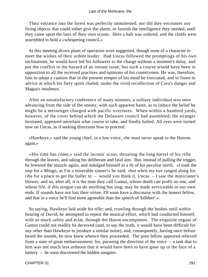Their entrance into the forest was perfectly unmolested; nor did they encounter any living objects that could either give the alarm, or furnish the intelligence they needed, until they came upon the lairs of their own scouts. Here a halt was ordered, and the chiefs were assembled to hold a «whispering council.»

 At this meeting divers plans of operation were suggested, though none of a character to meet the wishes of their ardent leader. Had Uncas followed the promptings of his own inclinations, he would have led his followers to the charge without a moment's delay, and put the conflict to the hazard of an instant issue; but such a course would have been in opposition to all the received practises and opinions of his countrymen. He was, therefore, fain to adopt a caution that in the present temper of his mind he execrated, and to listen to advice at which his fiery spirit chafed, under the vivid recollection of Cora's danger and Magua's insolence.

 After an unsatisfactory conference of many minutes, a solitary individual was seen advancing from the side of the enemy, with such apparent haste, as to induce the belief he might be a messenger charged with pacific overtures. When within a hundred yards, however, of the cover behind which the Delaware council had assembled, the stranger hesitated, appeared uncertain what course to take, and finally halted. All eyes were turned now on Uncas, as if seeking directions how to proceed.

 «Hawkeye,» said the young chief, in a low voice, «he must never speak to the Hurons again.»

 «His time has come,» said the laconic scout, thrusting the long barrel of his rifle through the leaves, and taking his deliberate and fatal aim. But, instead of pulling the trigger, he lowered the muzzle again, and indulged himself in a fit of his peculiar mirth. «I took the imp for a Mingo, as I'm a miserable sinner!» he said; «but when my eye ranged along his ribs for a place to get the bullet in – would you think it, Uncas – I saw the musicianer's blower; and so, after all, it is the man they call Gamut, whose death can profit no one, and whose life, if this tongue can do anything but sing, may be made serviceable to our own ends. If sounds have not lost their virtue, I'll soon have a discourse with the honest fellow, and that in a voice he'll find more agreeable than the speech of 'killdeer'.»

 So saying, Hawkeye laid aside his rifle; and, crawling through the bushes until within hearing of David, he attempted to repeat the musical effort, which had conducted himself, with so much safety and eclat, through the Huron encampment. The exquisite organs of Gamut could not readily be deceived (and, to say the truth, it would have been difficult for any other than Hawkeye to produce a similar noise), and, consequently, having once before heard the sounds, he now knew whence they proceeded. The poor fellow appeared relieved from a state of great embarrassment; for, pursuing the direction of the voice – a task that to him was not much less arduous that it would have been to have gone up in the face of a battery – he soon discovered the hidden songster.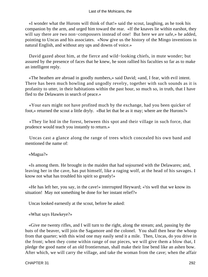«I wonder what the Hurons will think of that!» said the scout, laughing, as he took his companion by the arm, and urged him toward the rear. «If the knaves lie within earshot, they will say there are two non−compossers instead of one! But here we are safe,» he added, pointing to Uncas and his associates. «Now give us the history of the Mingo inventions in natural English, and without any ups and downs of voice.»

 David gazed about him, at the fierce and wild−looking chiefs, in mute wonder; but assured by the presence of faces that he knew, he soon rallied his faculties so far as to make an intelligent reply.

 «The heathen are abroad in goodly numbers,» said David; «and, I fear, with evil intent. There has been much howling and ungodly revelry, together with such sounds as it is profanity to utter, in their habitations within the past hour, so much so, in truth, that I have fled to the Delawares in search of peace.»

 «Your ears might not have profited much by the exchange, had you been quicker of foot,» returned the scout a little dryly. «But let that be as it may; where are the Hurons?»

 «They lie hid in the forest, between this spot and their village in such force, that prudence would teach you instantly to return.»

 Uncas cast a glance along the range of trees which concealed his own band and mentioned the name of:

«Magua?»

 «Is among them. He brought in the maiden that had sojourned with the Delawares; and, leaving her in the cave, has put himself, like a raging wolf, at the head of his savages. I know not what has troubled his spirit so greatly!»

 «He has left her, you say, in the cave!» interrupted Heyward; «'tis well that we know its situation! May not something be done for her instant relief?»

Uncas looked earnestly at the scout, before he asked:

«What says Hawkeye?»

 «Give me twenty rifles, and I will turn to the right, along the stream; and, passing by the huts of the beaver, will join the Sagamore and the colonel. You shall then hear the whoop from that quarter; with this wind one may easily send it a mile. Then, Uncas, do you drive in the front; when they come within range of our pieces, we will give them a blow that, I pledge the good name of an old frontiersman, shall make their line bend like an ashen bow. After which, we will carry the village, and take the woman from the cave; when the affair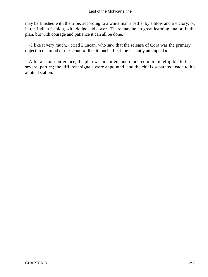may be finished with the tribe, according to a white man's battle, by a blow and a victory; or, in the Indian fashion, with dodge and cover. There may be no great learning, major, in this plan, but with courage and patience it can all be done.»

 «I like it very much,» cried Duncan, who saw that the release of Cora was the primary object in the mind of the scout; «I like it much. Let it be instantly attempted.»

 After a short conference, the plan was matured, and rendered more intelligible to the several parties; the different signals were appointed, and the chiefs separated, each to his allotted station.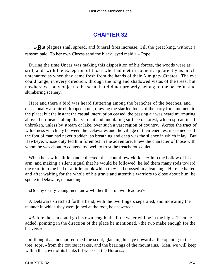## **[CHAPTER 32](#page-317-0)**

<span id="page-294-0"></span>*«B*ut plagues shall spread, and funeral fires increase, Till the great king, without a ransom paid, To her own Chrysa send the black−eyed maid.» – Pope

 During the time Uncas was making this disposition of his forces, the woods were as still, and, with the exception of those who had met in council, apparently as much untenanted as when they came fresh from the hands of their Almighty Creator. The eye could range, in every direction, through the long and shadowed vistas of the trees; but nowhere was any object to be seen that did not properly belong to the peaceful and slumbering scenery.

 Here and there a bird was heard fluttering among the branches of the beeches, and occasionally a squirrel dropped a nut, drawing the startled looks of the party for a moment to the place; but the instant the casual interruption ceased, the passing air was heard murmuring above their heads, along that verdant and undulating surface of forest, which spread itself unbroken, unless by stream or lake, over such a vast region of country. Across the tract of wilderness which lay between the Delawares and the village of their enemies, it seemed as if the foot of man had never trodden, so breathing and deep was the silence in which it lay. But Hawkeye, whose duty led him foremost in the adventure, knew the character of those with whom he was about to contend too well to trust the treacherous quiet.

When he saw his little band collected, the scout threw «killdeer» into the hollow of his arm, and making a silent signal that he would be followed, he led them many rods toward the rear, into the bed of a little brook which they had crossed in advancing. Here he halted, and after waiting for the whole of his grave and attentive warriors to close about him, he spoke in Delaware, demanding:

«Do any of my young men know whither this run will lead us?»

 A Delaware stretched forth a hand, with the two fingers separated, and indicating the manner in which they were joined at the root, he answered:

 «Before the sun could go his own length, the little water will be in the big.» Then he added, pointing in the direction of the place he mentioned, «the two make enough for the beavers.»

 «I thought as much,» returned the scout, glancing his eye upward at the opening in the tree−tops, «from the course it takes, and the bearings of the mountains. Men, we will keep within the cover of its banks till we scent the Hurons.»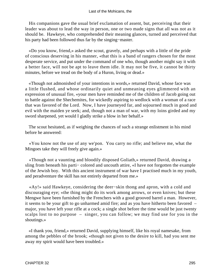His companions gave the usual brief exclamation of assent, but, perceiving that their leader was about to lead the way in person, one or two made signs that all was not as it should be. Hawkeye, who comprehended their meaning glances, turned and perceived that his party had been followed thus far by the singing−master.

 «Do you know, friend,» asked the scout, gravely, and perhaps with a little of the pride of conscious deserving in his manner, «that this is a band of rangers chosen for the most desperate service, and put under the command of one who, though another might say it with a better face, will not be apt to leave them idle. It may not be five, it cannot be thirty minutes, before we tread on the body of a Huron, living or dead.»

 «Though not admonished of your intentions in words,» returned David, whose face was a little flushed, and whose ordinarily quiet and unmeaning eyes glimmered with an expression of unusual fire, «your men have reminded me of the children of Jacob going out to battle against the Shechemites, for wickedly aspiring to wedlock with a woman of a race that was favored of the Lord. Now, I have journeyed far, and sojourned much in good and evil with the maiden ye seek; and, though not a man of war, with my loins girded and my sword sharpened, yet would I gladly strike a blow in her behalf.»

 The scout hesitated, as if weighing the chances of such a strange enlistment in his mind before he answered:

 «You know not the use of any we'pon. You carry no rifle; and believe me, what the Mingoes take they will freely give again.»

 «Though not a vaunting and bloodily disposed Goliath,» returned David, drawing a sling from beneath his parti− colored and uncouth attire, «I have not forgotten the example of the Jewish boy. With this ancient instrument of war have I practised much in my youth, and peradventure the skill has not entirely departed from me.»

 «Ay!» said Hawkeye, considering the deer−skin thong and apron, with a cold and discouraging eye; «the thing might do its work among arrows, or even knives; but these Mengwe have been furnished by the Frenchers with a good grooved barrel a man. However, it seems to be your gift to go unharmed amid fire; and as you have hitherto been favored – major, you have left your rifle at a cock; a single shot before the time would be just twenty scalps lost to no purpose – singer, you can follow; we may find use for you in the shoutings.»

 «I thank you, friend,» returned David, supplying himself, like his royal namesake, from among the pebbles of the brook; «though not given to the desire to kill, had you sent me away my spirit would have been troubled.»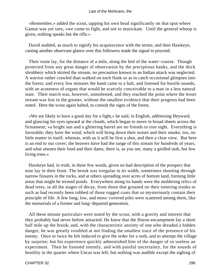«Remember,» added the scout, tapping his own head significantly on that spot where Gamut was yet sore, «we come to fight, and not to musickate. Until the general whoop is given, nothing speaks but the rifle.»

 David nodded, as much to signify his acquiescence with the terms; and then Hawkeye, casting another observant glance over this followers made the signal to proceed.

 Their route lay, for the distance of a mile, along the bed of the water−course. Though protected from any great danger of observation by the precipitous banks, and the thick shrubbery which skirted the stream, no precaution known to an Indian attack was neglected. A warrior rather crawled than walked on each flank so as to catch occasional glimpses into the forest; and every few minutes the band came to a halt, and listened for hostile sounds, with an acuteness of organs that would be scarcely conceivable to a man in a less natural state. Their march was, however, unmolested, and they reached the point where the lesser stream was lost in the greater, without the smallest evidence that their progress had been noted. Here the scout again halted, to consult the signs of the forest.

 «We are likely to have a good day for a fight,» he said, in English, addressing Heyward, and glancing his eyes upward at the clouds, which began to move in broad sheets across the firmament; «a bright sun and a glittering barrel are no friends to true sight. Everything is favorable; they have the wind, which will bring down their noises and their smoke, too, no little matter in itself; whereas, with us it will be first a shot, and then a clear view. But here is an end to our cover; the beavers have had the range of this stream for hundreds of years, and what atween their food and their dams, there is, as you see, many a girdled stub, but few living trees.»

 Hawkeye had, in truth, in these few words, given no bad description of the prospect that now lay in their front. The brook was irregular in its width, sometimes shooting through narrow fissures in the rocks, and at others spreading over acres of bottom land, forming little areas that might be termed ponds. Everywhere along its bands were the moldering relics of dead trees, in all the stages of decay, from those that groaned on their tottering trunks to such as had recently been robbed of those rugged coats that so mysteriously contain their principle of life. A few long, low, and moss−covered piles were scattered among them, like the memorials of a former and long−departed generation.

 All these minute particulars were noted by the scout, with a gravity and interest that they probably had never before attracted. He knew that the Huron encampment lay a short half mile up the brook; and, with the characteristic anxiety of one who dreaded a hidden danger, he was greatly troubled at not finding the smallest trace of the presence of his enemy. Once or twice he felt induced to give the order for a rush, and to attempt the village by surprise; but his experience quickly admonished him of the danger of so useless an experiment. Then he listened intently, and with painful uncertainty, for the sounds of hostility in the quarter where Uncas was left; but nothing was audible except the sighing of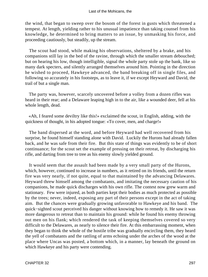the wind, that began to sweep over the bosom of the forest in gusts which threatened a tempest. At length, yielding rather to his unusual impatience than taking counsel from his knowledge, he determined to bring matters to an issue, by unmasking his force, and proceeding cautiously, but steadily, up the stream.

 The scout had stood, while making his observations, sheltered by a brake, and his companions still lay in the bed of the ravine, through which the smaller stream debouched; but on hearing his low, though intelligible, signal the whole party stole up the bank, like so many dark specters, and silently arranged themselves around him. Pointing in the direction he wished to proceed, Hawkeye advanced, the band breaking off in single files, and following so accurately in his footsteps, as to leave it, if we except Heyward and David, the trail of but a single man.

 The party was, however, scarcely uncovered before a volley from a dozen rifles was heard in their rear; and a Delaware leaping high in to the air, like a wounded deer, fell at his whole length, dead.

 «Ah, I feared some deviltry like this!» exclaimed the scout, in English, adding, with the quickness of thought, in his adopted tongue: «To cover, men, and charge!»

 The band dispersed at the word, and before Heyward had well recovered from his surprise, he found himself standing alone with David. Luckily the Hurons had already fallen back, and he was safe from their fire. But this state of things was evidently to be of short continuance; for the scout set the example of pressing on their retreat, by discharging his rifle, and darting from tree to tree as his enemy slowly yielded ground.

 It would seem that the assault had been made by a very small party of the Hurons, which, however, continued to increase in numbers, as it retired on its friends, until the return fire was very nearly, if not quite, equal to that maintained by the advancing Delawares. Heyward threw himself among the combatants, and imitating the necessary caution of his companions, he made quick discharges with his own rifle. The contest now grew warm and stationary. Few were injured, as both parties kept their bodies as much protected as possible by the trees; never, indeed, exposing any part of their persons except in the act of taking aim. But the chances were gradually growing unfavorable to Hawkeye and his band. The quick−sighted scout perceived his danger without knowing how to remedy it. He saw it was more dangerous to retreat than to maintain his ground: while he found his enemy throwing out men on his flank; which rendered the task of keeping themselves covered so very difficult to the Delawares, as nearly to silence their fire. At this embarrassing moment, when they began to think the whole of the hostile tribe was gradually encircling them, they heard the yell of combatants and the rattling of arms echoing under the arches of the wood at the place where Uncas was posted, a bottom which, in a manner, lay beneath the ground on which Hawkeye and his party were contending.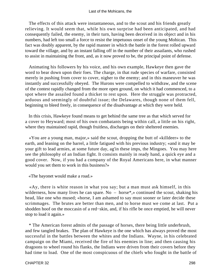The effects of this attack were instantaneous, and to the scout and his friends greatly relieving. It would seem that, while his own surprise had been anticipated, and had consequently failed, the enemy, in their turn, having been deceived in its object and in his numbers, had left too small a force to resist the impetuous onset of the young Mohican. This fact was doubly apparent, by the rapid manner in which the battle in the forest rolled upward toward the village, and by an instant falling off in the number of their assailants, who rushed to assist in maintaining the front, and, as it now proved to be, the principal point of defense.

 Animating his followers by his voice, and his own example, Hawkeye then gave the word to bear down upon their foes. The charge, in that rude species of warfare, consisted merely in pushing from cover to cover, nigher to the enemy; and in this maneuver he was instantly and successfully obeyed. The Hurons were compelled to withdraw, and the scene of the contest rapidly changed from the more open ground, on which it had commenced, to a spot where the assailed found a thicket to rest upon. Here the struggle was protracted, arduous and seemingly of doubtful issue; the Delawares, though none of them fell, beginning to bleed freely, in consequence of the disadvantage at which they were held.

 In this crisis, Hawkeye found means to get behind the same tree as that which served for a cover to Heyward; most of his own combatants being within call, a little on his right, where they maintained rapid, though fruitless, discharges on their sheltered enemies.

 «You are a young man, major,» said the scout, dropping the butt of «killdeer» to the earth, and leaning on the barrel, a little fatigued with his previous industry; «and it may be your gift to lead armies, at some future day, ag'in these imps, the Mingoes. You may here see the philosophy of an Indian fight. It consists mainly in ready hand, a quick eye and a good cover. Now, if you had a company of the Royal Americans here, in what manner would you set them to work in this business?»

«The bayonet would make a road.»

 «Ay, there is white reason in what you say; but a man must ask himself, in this wilderness, how many lives he can spare. No – horse\*, $\gg$  continued the scout, shaking his head, like one who mused; «horse, I am ashamed to say must sooner or later decide these scrimmages. The brutes are better than men, and to horse must we come at last. Put a shodden hoof on the moccasin of a red−skin, and, if his rifle be once emptied, he will never stop to load it again.»

 \* The American forest admits of the passage of horses, there being little underbrush, and few tangled brakes. The plan of Hawkeye is the one which has always proved the most successful in the battles between the whites and the Indians. Wayne, in his celebrated campaign on the Miami, received the fire of his enemies in line; and then causing his dragoons to wheel round his flanks, the Indians were driven from their covers before they had time to load. One of the most conspicuous of the chiefs who fought in the battle of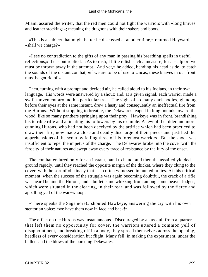Miami assured the writer, that the red men could not fight the warriors with «long knives and leather stockings»; meaning the dragoons with their sabers and boots.

 «This is a subject that might better be discussed at another time,» returned Heyward; «shall we charge?»

 «I see no contradiction to the gifts of any man in passing his breathing spells in useful reflections,» the scout replied. «As to rush, I little relish such a measure; for a scalp or two must be thrown away in the attempt. And yet,» he added, bending his head aside, to catch the sounds of the distant combat, «if we are to be of use to Uncas, these knaves in our front must be got rid of.»

 Then, turning with a prompt and decided air, he called aloud to his Indians, in their own language. His words were answered by a shout; and, at a given signal, each warrior made a swift movement around his particular tree. The sight of so many dark bodies, glancing before their eyes at the same instant, drew a hasty and consequently an ineffectual fire from the Hurons. Without stopping to breathe, the Delawares leaped in long bounds toward the wood, like so many panthers springing upon their prey. Hawkeye was in front, brandishing his terrible rifle and animating his followers by his example. A few of the older and more cunning Hurons, who had not been deceived by the artifice which had been practiced to draw their fire, now made a close and deadly discharge of their pieces and justified the apprehensions of the scout by felling three of his foremost warriors. But the shock was insufficient to repel the impetus of the charge. The Delawares broke into the cover with the ferocity of their natures and swept away every trace of resistance by the fury of the onset.

 The combat endured only for an instant, hand to hand, and then the assailed yielded ground rapidly, until they reached the opposite margin of the thicket, where they clung to the cover, with the sort of obstinacy that is so often witnessed in hunted brutes. At this critical moment, when the success of the struggle was again becoming doubtful, the crack of a rifle was heard behind the Hurons, and a bullet came whizzing from among some beaver lodges, which were situated in the clearing, in their rear, and was followed by the fierce and appalling yell of the war−whoop.

 «There speaks the Sagamore!» shouted Hawkeye, answering the cry with his own stentorian voice; «we have them now in face and back!»

 The effect on the Hurons was instantaneous. Discouraged by an assault from a quarter that left them no opportunity for cover, the warriors uttered a common yell of disappointment, and breaking off in a body, they spread themselves across the opening, heedless of every consideration but flight. Many fell, in making the experiment, under the bullets and the blows of the pursuing Delawares.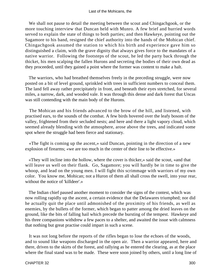We shall not pause to detail the meeting between the scout and Chingachgook, or the more touching interview that Duncan held with Munro. A few brief and hurried words served to explain the state of things to both parties; and then Hawkeye, pointing out the Sagamore to his band, resigned the chief authority into the hands of the Mohican chief. Chingachgook assumed the station to which his birth and experience gave him so distinguished a claim, with the grave dignity that always gives force to the mandates of a native warrior. Following the footsteps of the scout, he led the party back through the thicket, his men scalping the fallen Hurons and secreting the bodies of their own dead as they proceeded, until they gained a point where the former was content to make a halt.

 The warriors, who had breathed themselves freely in the preceding struggle, were now posted on a bit of level ground, sprinkled with trees in sufficient numbers to conceal them. The land fell away rather precipitately in front, and beneath their eyes stretched, for several miles, a narrow, dark, and wooded vale. It was through this dense and dark forest that Uncas was still contending with the main body of the Hurons.

 The Mohican and his friends advanced to the brow of the hill, and listened, with practised ears, to the sounds of the combat. A few birds hovered over the leafy bosom of the valley, frightened from their secluded nests; and here and there a light vapory cloud, which seemed already blending with the atmosphere, arose above the trees, and indicated some spot where the struggle had been fierce and stationary.

 «The fight is coming up the ascent,» said Duncan, pointing in the direction of a new explosion of firearms; «we are too much in the center of their line to be effective.»

 «They will incline into the hollow, where the cover is thicker,» said the scout, «and that will leave us well on their flank. Go, Sagamore; you will hardly be in time to give the whoop, and lead on the young men. I will fight this scrimmage with warriors of my own color. You know me, Mohican; not a Huron of them all shall cross the swell, into your rear, without the notice of 'killdeer'.»

 The Indian chief paused another moment to consider the signs of the contest, which was now rolling rapidly up the ascent, a certain evidence that the Delawares triumphed; nor did he actually quit the place until admonished of the proximity of his friends, as well as enemies, by the bullets of the former, which began to patter among the dried leaves on the ground, like the bits of falling hail which precede the bursting of the tempest. Hawkeye and his three companions withdrew a few paces to a shelter, and awaited the issue with calmness that nothing but great practise could impart in such a scene.

 It was not long before the reports of the rifles began to lose the echoes of the woods, and to sound like weapons discharged in the open air. Then a warrior appeared, here and there, driven to the skirts of the forest, and rallying as he entered the clearing, as at the place where the final stand was to be made. These were soon joined by others, until a long line of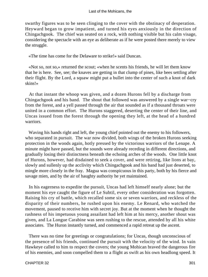swarthy figures was to be seen clinging to the cover with the obstinacy of desperation. Heyward began to grow impatient, and turned his eyes anxiously in the direction of Chingachgook. The chief was seated on a rock, with nothing visible but his calm visage, considering the spectacle with an eye as deliberate as if he were posted there merely to view the struggle.

«The time has come for the Delaware to strike!» said Duncan.

 «Not so, not so,» returned the scout; «when he scents his friends, he will let them know that he is here. See, see; the knaves are getting in that clump of pines, like bees settling after their flight. By the Lord, a squaw might put a bullet into the center of such a knot of dark skins!»

 At that instant the whoop was given, and a dozen Hurons fell by a discharge from Chingachgook and his band. The shout that followed was answered by a single war−cry from the forest, and a yell passed through the air that sounded as if a thousand throats were united in a common effort. The Hurons staggered, deserting the center of their line, and Uncas issued from the forest through the opening they left, at the head of a hundred warriors.

 Waving his hands right and left, the young chief pointed out the enemy to his followers, who separated in pursuit. The war now divided, both wings of the broken Hurons seeking protection in the woods again, hotly pressed by the victorious warriors of the Lenape. A minute might have passed, but the sounds were already receding in different directions, and gradually losing their distinctness beneath the echoing arches of the woods. One little knot of Hurons, however, had disdained to seek a cover, and were retiring, like lions at bay, slowly and sullenly up the acclivity which Chingachgook and his band had just deserted, to mingle more closely in the fray. Magua was conspicuous in this party, both by his fierce and savage mien, and by the air of haughty authority he yet maintained.

 In his eagerness to expedite the pursuit, Uncas had left himself nearly alone; but the moment his eye caught the figure of Le Subtil, every other consideration was forgotten. Raising his cry of battle, which recalled some six or seven warriors, and reckless of the disparity of their numbers, he rushed upon his enemy. Le Renard, who watched the movement, paused to receive him with secret joy. But at the moment when he thought the rashness of his impetuous young assailant had left him at his mercy, another shout was given, and La Longue Carabine was seen rushing to the rescue, attended by all his white associates. The Huron instantly turned, and commenced a rapid retreat up the ascent.

 There was no time for greetings or congratulations; for Uncas, though unconscious of the presence of his friends, continued the pursuit with the velocity of the wind. In vain Hawkeye called to him to respect the covers; the young Mohican braved the dangerous fire of his enemies, and soon compelled them to a flight as swift as his own headlong speed. It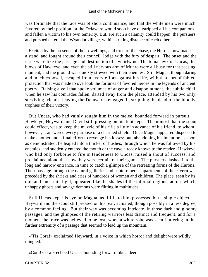was fortunate that the race was of short continuance, and that the white men were much favored by their position, or the Delaware would soon have outstripped all his companions, and fallen a victim to his own temerity. But, ere such a calamity could happen, the pursuers and pursued entered the Wyandot village, within striking distance of each other.

 Excited by the presence of their dwellings, and tired of the chase, the Hurons now made a stand, and fought around their council−lodge with the fury of despair. The onset and the issue were like the passage and destruction of a whirlwind. The tomahawk of Uncas, the blows of Hawkeye, and even the still nervous arm of Munro were all busy for that passing moment, and the ground was quickly strewed with their enemies. Still Magua, though daring and much exposed, escaped from every effort against his life, with that sort of fabled protection that was made to overlook the fortunes of favored heroes in the legends of ancient poetry. Raising a yell that spoke volumes of anger and disappointment, the subtle chief, when he saw his comrades fallen, darted away from the place, attended by his two only surviving friends, leaving the Delawares engaged in stripping the dead of the bloody trophies of their victory.

 But Uncas, who had vainly sought him in the melee, bounded forward in pursuit; Hawkeye, Heyward and David still pressing on his footsteps. The utmost that the scout could effect, was to keep the muzzle of his rifle a little in advance of his friend, to whom, however, it answered every purpose of a charmed shield. Once Magua appeared disposed to make another and a final effort to revenge his losses; but, abandoning his intention as soon as demonstrated, he leaped into a thicket of bushes, through which he was followed by his enemies, and suddenly entered the mouth of the cave already known to the reader. Hawkeye, who had only forborne to fire in tenderness to Uncas, raised a shout of success, and proclaimed aloud that now they were certain of their game. The pursuers dashed into the long and narrow entrance, in time to catch a glimpse of the retreating forms of the Hurons. Their passage through the natural galleries and subterraneous apartments of the cavern was preceded by the shrieks and cries of hundreds of women and children. The place, seen by its dim and uncertain light, appeared like the shades of the infernal regions, across which unhappy ghosts and savage demons were flitting in multitudes.

 Still Uncas kept his eye on Magua, as if life to him possessed but a single object. Heyward and the scout still pressed on his rear, actuated, though possibly in a less degree, by a common feeling. But their way was becoming intricate, in those dark and gloomy passages, and the glimpses of the retiring warriors less distinct and frequent; and for a moment the trace was believed to be lost, when a white robe was seen fluttering in the further extremity of a passage that seemed to lead up the mountain.

 «'Tis Cora!» exclaimed Heyward, in a voice in which horror and delight were wildly mingled.

«Cora! Cora!» echoed Uncas, bounding forward like a deer.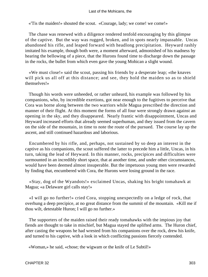«'Tis the maiden!» shouted the scout. «Courage, lady; we come! we come!»

 The chase was renewed with a diligence rendered tenfold encouraging by this glimpse of the captive. But the way was rugged, broken, and in spots nearly impassable. Uncas abandoned his rifle, and leaped forward with headlong precipitation. Heyward rashly imitated his example, though both were, a moment afterward, admonished of his madness by hearing the bellowing of a piece, that the Hurons found time to discharge down the passage in the rocks, the bullet from which even gave the young Mohican a slight wound.

 «We must close!» said the scout, passing his friends by a desperate leap; «the knaves will pick us all off at this distance; and see, they hold the maiden so as to shield themselves!»

 Though his words were unheeded, or rather unheard, his example was followed by his companions, who, by incredible exertions, got near enough to the fugitives to perceive that Cora was borne along between the two warriors while Magua prescribed the direction and manner of their flight. At this moment the forms of all four were strongly drawn against an opening in the sky, and they disappeared. Nearly frantic with disappointment, Uncas and Heyward increased efforts that already seemed superhuman, and they issued from the cavern on the side of the mountain, in time to note the route of the pursued. The course lay up the ascent, and still continued hazardous and laborious.

 Encumbered by his rifle, and, perhaps, not sustained by so deep an interest in the captive as his companions, the scout suffered the latter to precede him a little, Uncas, in his turn, taking the lead of Heyward. In this manner, rocks, precipices and difficulties were surmounted in an incredibly short space, that at another time, and under other circumstances, would have been deemed almost insuperable. But the impetuous young men were rewarded by finding that, encumbered with Cora, the Hurons were losing ground in the race.

 «Stay, dog of the Wyandots!» exclaimed Uncas, shaking his bright tomahawk at Magua; «a Delaware girl calls stay!»

 «I will go no further!» cried Cora, stopping unexpectedly on a ledge of rock, that overhung a deep precipice, at no great distance from the summit of the mountain. «Kill me if thou wilt, detestable Huron; I will go no further.»

 The supporters of the maiden raised their ready tomahawks with the impious joy that fiends are thought to take in mischief, but Magua stayed the uplifted arms. The Huron chief, after casting the weapons he had wrested from his companions over the rock, drew his knife, and turned to his captive, with a look in which conflicting passions fiercely contended.

«Woman,» he said, «chose; the wigwam or the knife of Le Subtil!»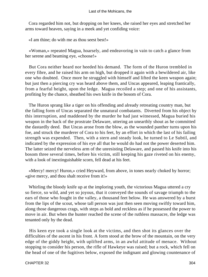Cora regarded him not, but dropping on her knees, she raised her eyes and stretched her arms toward heaven, saying in a meek and yet confiding voice:

«I am thine; do with me as thou seest best!»

 «Woman,» repeated Magua, hoarsely, and endeavoring in vain to catch a glance from her serene and beaming eye, «choose!»

 But Cora neither heard nor heeded his demand. The form of the Huron trembled in every fibre, and he raised his arm on high, but dropped it again with a bewildered air, like one who doubted. Once more he struggled with himself and lifted the keen weapon again; but just then a piercing cry was heard above them, and Uncas appeared, leaping frantically, from a fearful height, upon the ledge. Magua recoiled a step; and one of his assistants, profiting by the chance, sheathed his own knife in the bosom of Cora.

 The Huron sprang like a tiger on his offending and already retreating country man, but the falling form of Uncas separated the unnatural combatants. Diverted from his object by this interruption, and maddened by the murder he had just witnessed, Magua buried his weapon in the back of the prostrate Delaware, uttering an unearthly shout as he committed the dastardly deed. But Uncas arose from the blow, as the wounded panther turns upon his foe, and struck the murderer of Cora to his feet, by an effort in which the last of his failing strength was expended. Then, with a stern and steady look, he turned to Le Subtil, and indicated by the expression of his eye all that he would do had not the power deserted him. The latter seized the nerveless arm of the unresisting Delaware, and passed his knife into his bosom three several times, before his victim, still keeping his gaze riveted on his enemy, with a look of inextinguishable scorn, fell dead at his feet.

 «Mercy! mercy! Huron,» cried Heyward, from above, in tones nearly choked by horror; «give mercy, and thou shalt receive from it!»

 Whirling the bloody knife up at the imploring youth, the victorious Magua uttered a cry so fierce, so wild, and yet so joyous, that it conveyed the sounds of savage triumph to the ears of those who fought in the valley, a thousand feet below. He was answered by a burst from the lips of the scout, whose tall person was just then seen moving swiftly toward him, along those dangerous crags, with steps as bold and reckless as if he possessed the power to move in air. But when the hunter reached the scene of the ruthless massacre, the ledge was tenanted only by the dead.

 His keen eye took a single look at the victims, and then shot its glances over the difficulties of the ascent in his front. A form stood at the brow of the mountain, on the very edge of the giddy height, with uplifted arms, in an awful attitude of menace. Without stopping to consider his person, the rifle of Hawkeye was raised; but a rock, which fell on the head of one of the fugitives below, exposed the indignant and glowing countenance of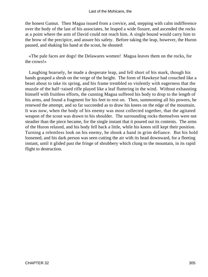the honest Gamut. Then Magua issued from a crevice, and, stepping with calm indifference over the body of the last of his associates, he leaped a wide fissure, and ascended the rocks at a point where the arm of David could not reach him. A single bound would carry him to the brow of the precipice, and assure his safety. Before taking the leap, however, the Huron paused, and shaking his hand at the scout, he shouted:

 «The pale faces are dogs! the Delawares women! Magua leaves them on the rocks, for the crows!»

 Laughing hoarsely, he made a desperate leap, and fell short of his mark, though his hands grasped a shrub on the verge of the height. The form of Hawkeye had crouched like a beast about to take its spring, and his frame trembled so violently with eagerness that the muzzle of the half−raised rifle played like a leaf fluttering in the wind. Without exhausting himself with fruitless efforts, the cunning Magua suffered his body to drop to the length of his arms, and found a fragment for his feet to rest on. Then, summoning all his powers, he renewed the attempt, and so far succeeded as to draw his knees on the edge of the mountain. It was now, when the body of his enemy was most collected together, that the agitated weapon of the scout was drawn to his shoulder. The surrounding rocks themselves were not steadier than the piece became, for the single instant that it poured out its contents. The arms of the Huron relaxed, and his body fell back a little, while his knees still kept their position. Turning a relentless look on his enemy, he shook a hand in grim defiance. But his hold loosened, and his dark person was seen cutting the air with its head downward, for a fleeting instant, until it glided past the fringe of shrubbery which clung to the mountain, in its rapid flight to destruction.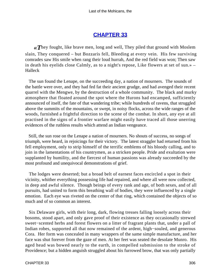### **[CHAPTER 33](#page-317-0)**

<span id="page-306-0"></span>*«T*hey fought, like brave men, long and well, They piled that ground with Moslem slain, They conquered – but Bozzaris fell, Bleeding at every vein. His few surviving comrades saw His smile when rang their loud hurrah, And the red field was won; Then saw in death his eyelids close Calmly, as to a night's repose, Like flowers at set of sun.» – Halleck

 The sun found the Lenape, on the succeeding day, a nation of mourners. The sounds of the battle were over, and they had fed fat their ancient grudge, and had avenged their recent quarrel with the Mengwe, by the destruction of a whole community. The black and murky atmosphere that floated around the spot where the Hurons had encamped, sufficiently announced of itself, the fate of that wandering tribe; while hundreds of ravens, that struggled above the summits of the mountains, or swept, in noisy flocks, across the wide ranges of the woods, furnished a frightful direction to the scene of the combat. In short, any eye at all practised in the signs of a frontier warfare might easily have traced all those unerring evidences of the ruthless results which attend an Indian vengeance.

 Still, the sun rose on the Lenape a nation of mourners. No shouts of success, no songs of triumph, were heard, in rejoicings for their victory. The latest straggler had returned from his fell employment, only to strip himself of the terrific emblems of his bloody calling, and to join in the lamentations of his countrymen, as a stricken people. Pride and exultation were supplanted by humility, and the fiercest of human passions was already succeeded by the most profound and unequivocal demonstrations of grief.

 The lodges were deserted; but a broad belt of earnest faces encircled a spot in their vicinity, whither everything possessing life had repaired, and where all were now collected, in deep and awful silence. Though beings of every rank and age, of both sexes, and of all pursuits, had united to form this breathing wall of bodies, they were influenced by a single emotion. Each eye was riveted on the center of that ring, which contained the objects of so much and of so common an interest.

 Six Delaware girls, with their long, dark, flowing tresses falling loosely across their bosoms, stood apart, and only gave proof of their existence as they occasionally strewed sweet−scented herbs and forest flowers on a litter of fragrant plants that, under a pall of Indian robes, supported all that now remained of the ardent, high−souled, and generous Cora. Her form was concealed in many wrappers of the same simple manufacture, and her face was shut forever from the gaze of men. At her feet was seated the desolate Munro. His aged head was bowed nearly to the earth, in compelled submission to the stroke of Providence; but a hidden anguish struggled about his furrowed brow, that was only partially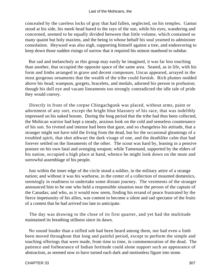concealed by the careless locks of gray that had fallen, neglected, on his temples. Gamut stood at his side, his meek head bared to the rays of the sun, while his eyes, wandering and concerned, seemed to be equally divided between that little volume, which contained so many quaint but holy maxims, and the being in whose behalf his soul yearned to administer consolation. Heyward was also nigh, supporting himself against a tree, and endeavoring to keep down those sudden risings of sorrow that it required his utmost manhood to subdue.

 But sad and melancholy as this group may easily be imagined, it was far less touching than another, that occupied the opposite space of the same area. Seated, as in life, with his form and limbs arranged in grave and decent composure, Uncas appeared, arrayed in the most gorgeous ornaments that the wealth of the tribe could furnish. Rich plumes nodded above his head; wampum, gorgets, bracelets, and medals, adorned his person in profusion; though his dull eye and vacant lineaments too strongly contradicted the idle tale of pride they would convey.

 Directly in front of the corpse Chingachgook was placed, without arms, paint or adornment of any sort, except the bright blue blazonry of his race, that was indelibly impressed on his naked bosom. During the long period that the tribe had thus been collected, the Mohican warrior had kept a steady, anxious look on the cold and senseless countenance of his son. So riveted and intense had been that gaze, and so changeless his attitude, that a stranger might not have told the living from the dead, but for the occasional gleamings of a troubled spirit, that shot athwart the dark visage of one, and the deathlike calm that had forever settled on the lineaments of the other. The scout was hard by, leaning in a pensive posture on his own fatal and avenging weapon; while Tamenund, supported by the elders of his nation, occupied a high place at hand, whence he might look down on the mute and sorrowful assemblage of his people.

 Just within the inner edge of the circle stood a soldier, in the military attire of a strange nation; and without it was his warhorse, in the center of a collection of mounted domestics, seemingly in readiness to undertake some distant journey. The vestments of the stranger announced him to be one who held a responsible situation near the person of the captain of the Canadas; and who, as it would now seem, finding his errand of peace frustrated by the fierce impetuosity of his allies, was content to become a silent and sad spectator of the fruits of a contest that he had arrived too late to anticipate.

 The day was drawing to the close of its first quarter, and yet had the multitude maintained its breathing stillness since its dawn.

 No sound louder than a stifled sob had been heard among them, nor had even a limb been moved throughout that long and painful period, except to perform the simple and touching offerings that were made, from time to time, in commemoration of the dead. The patience and forbearance of Indian fortitude could alone support such an appearance of abstraction, as seemed now to have turned each dark and motionless figure into stone.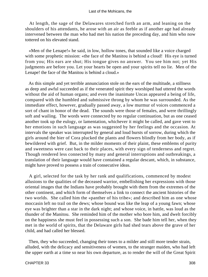At length, the sage of the Delawares stretched forth an arm, and leaning on the shoulders of his attendants, he arose with an air as feeble as if another age had already intervened between the man who had met his nation the preceding day, and him who now tottered on his elevated stand.

 «Men of the Lenape!» he said, in low, hollow tones, that sounded like a voice charged with some prophetic mission: «the face of the Manitou is behind a cloud! His eye is turned from you; His ears are shut; His tongue gives no answer. You see him not; yet His judgments are before you. Let your hearts be open and your spirits tell no lie. Men of the Lenape! the face of the Manitou is behind a cloud.»

 As this simple and yet terrible annunciation stole on the ears of the multitude, a stillness as deep and awful succeeded as if the venerated spirit they worshiped had uttered the words without the aid of human organs; and even the inanimate Uncas appeared a being of life, compared with the humbled and submissive throng by whom he was surrounded. As the immediate effect, however, gradually passed away, a low murmur of voices commenced a sort of chant in honor of the dead. The sounds were those of females, and were thrillingly soft and wailing. The words were connected by no regular continuation, but as one ceased another took up the eulogy, or lamentation, whichever it might be called, and gave vent to her emotions in such language as was suggested by her feelings and the occasion. At intervals the speaker was interrupted by general and loud bursts of sorrow, during which the girls around the bier of Cora plucked the plants and flowers blindly from her body, as if bewildered with grief. But, in the milder moments of their plaint, these emblems of purity and sweetness were cast back to their places, with every sign of tenderness and regret. Though rendered less connected by many and general interruptions and outbreakings, a translation of their language would have contained a regular descant, which, in substance, might have proved to possess a train of consecutive ideas.

 A girl, selected for the task by her rank and qualifications, commenced by modest allusions to the qualities of the deceased warrior, embellishing her expressions with those oriental images that the Indians have probably brought with them from the extremes of the other continent, and which form of themselves a link to connect the ancient histories of the two worlds. She called him the «panther of his tribe»; and described him as one whose moccasin left no trail on the dews; whose bound was like the leap of a young fawn; whose eye was brighter than a star in the dark night; and whose voice, in battle, was loud as the thunder of the Manitou. She reminded him of the mother who bore him, and dwelt forcibly on the happiness she must feel in possessing such a son. She bade him tell her, when they met in the world of spirits, that the Delaware girls had shed tears above the grave of her child, and had called her blessed.

 Then, they who succeeded, changing their tones to a milder and still more tender strain, alluded, with the delicacy and sensitiveness of women, to the stranger maiden, who had left the upper earth at a time so near his own departure, as to render the will of the Great Spirit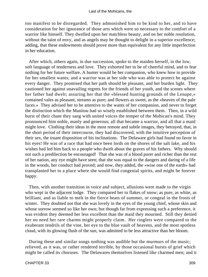too manifest to be disregarded. They admonished him to be kind to her, and to have consideration for her ignorance of those arts which were so necessary to the comfort of a warrior like himself. They dwelled upon her matchless beauty, and on her noble resolution, without the taint of envy, and as angels may be thought to delight in a superior excellence; adding, that these endowments should prove more than equivalent for any little imperfection in her education.

 After which, others again, in due succession, spoke to the maiden herself, in the low, soft language of tenderness and love. They exhorted her to be of cheerful mind, and to fear nothing for her future welfare. A hunter would be her companion, who knew how to provide for her smallest wants; and a warrior was at her side who was able to protect he against every danger. They promised that her path should be pleasant, and her burden light. They cautioned her against unavailing regrets for the friends of her youth, and the scenes where her father had dwelt; assuring her that the «blessed hunting grounds of the Lenape,» contained vales as pleasant, streams as pure; and flowers as sweet, as the «heaven of the pale faces.» They advised her to be attentive to the wants of her companion, and never to forget the distinction which the Manitou had so wisely established between them. Then, in a wild burst of their chant they sang with united voices the temper of the Mohican's mind. They pronounced him noble, manly and generous; all that became a warrior, and all that a maid might love. Clothing their ideas in the most remote and subtle images, they betrayed, that, in the short period of their intercourse, they had discovered, with the intuitive perception of their sex, the truant disposition of his inclinations. The Delaware girls had found no favor in his eyes! He was of a race that had once been lords on the shores of the salt lake, and his wishes had led him back to a people who dwelt about the graves of his fathers. Why should not such a predilection be encouraged! That she was of a blood purer and richer than the rest of her nation, any eye might have seen; that she was equal to the dangers and daring of a life in the woods, her conduct had proved; and now, they added, the «wise one of the earth» had transplanted her to a place where she would find congenial spirits, and might be forever happy.

 Then, with another transition in voice and subject, allusions were made to the virgin who wept in the adjacent lodge. They compared her to flakes of snow; as pure, as white, as brilliant, and as liable to melt in the fierce heats of summer, or congeal in the frosts of winter. They doubted not that she was lovely in the eyes of the young chief, whose skin and whose sorrow seemed so like her own; but though far from expressing such a preference, it was evident they deemed her less excellent than the maid they mourned. Still they denied her no need her rare charms might properly claim. Her ringlets were compared to the exuberant tendrils of the vine, her eye to the blue vault of heavens, and the most spotless cloud, with its glowing flush of the sun, was admitted to be less attractive than her bloom.

 During these and similar songs nothing was audible but the murmurs of the music; relieved, as it was, or rather rendered terrible, by those occasional bursts of grief which might be called its choruses. The Delawares themselves listened like charmed men; and it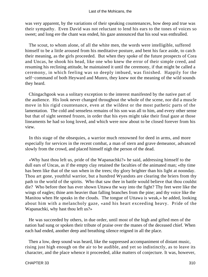was very apparent, by the variations of their speaking countenances, how deep and true was their sympathy. Even David was not reluctant to lend his ears to the tones of voices so sweet; and long ere the chant was ended, his gaze announced that his soul was enthralled.

 The scout, to whom alone, of all the white men, the words were intelligible, suffered himself to be a little aroused from his meditative posture, and bent his face aside, to catch their meaning, as the girls proceeded. But when they spoke of the future prospects of Cora and Uncas, he shook his head, like one who knew the error of their simple creed, and resuming his reclining attitude, he maintained it until the ceremony, if that might be called a ceremony, in which feeling was so deeply imbued, was finished. Happily for the self−command of both Heyward and Munro, they knew not the meaning of the wild sounds they heard.

 Chingachgook was a solitary exception to the interest manifested by the native part of the audience. His look never changed throughout the whole of the scene, nor did a muscle move in his rigid countenance, even at the wildest or the most pathetic parts of the lamentation. The cold and senseless remains of his son was all to him, and every other sense but that of sight seemed frozen, in order that his eyes might take their final gaze at those lineaments he had so long loved, and which were now about to be closed forever from his view.

 In this stage of the obsequies, a warrior much renowned for deed in arms, and more especially for services in the recent combat, a man of stern and grave demeanor, advanced slowly from the crowd, and placed himself nigh the person of the dead.

 «Why hast thou left us, pride of the Wapanachki?» he said, addressing himself to the dull ears of Uncas, as if the empty clay retained the faculties of the animated man; «thy time has been like that of the sun when in the trees; thy glory brighter than his light at noonday. Thou art gone, youthful warrior, but a hundred Wyandots are clearing the briers from thy path to the world of the spirits. Who that saw thee in battle would believe that thou couldst die? Who before thee has ever shown Uttawa the way into the fight? Thy feet were like the wings of eagles; thine arm heavier than falling branches from the pine; and thy voice like the Manitou when He speaks in the clouds. The tongue of Uttawa is weak,» he added, looking about him with a melancholy gaze, «and his heart exceeding heavy. Pride of the Wapanachki, why hast thou left us?»

 He was succeeded by others, in due order, until most of the high and gifted men of the nation had sung or spoken their tribute of praise over the manes of the deceased chief. When each had ended, another deep and breathing silence reigned in all the place.

 Then a low, deep sound was heard, like the suppressed accompaniment of distant music, rising just high enough on the air to be audible, and yet so indistinctly, as to leave its character, and the place whence it proceeded, alike matters of conjecture. It was, however,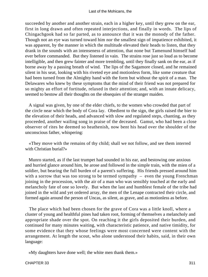succeeded by another and another strain, each in a higher key, until they grew on the ear, first in long drawn and often repeated interjections, and finally in words. The lips of Chingachgook had so far parted, as to announce that it was the monody of the father. Though not an eye was turned toward him nor the smallest sign of impatience exhibited, it was apparent, by the manner in which the multitude elevated their heads to listen, that they drank in the sounds with an intenseness of attention, that none but Tamenund himself had ever before commanded. But they listened in vain. The strains rose just so loud as to become intelligible, and then grew fainter and more trembling, until they finally sank on the ear, as if borne away by a passing breath of wind. The lips of the Sagamore closed, and he remained silent in his seat, looking with his riveted eye and motionless form, like some creature that had been turned from the Almighty hand with the form but without the spirit of a man. The Delawares who knew by these symptoms that the mind of their friend was not prepared for so mighty an effort of fortitude, relaxed in their attention; and, with an innate delicacy, seemed to bestow all their thoughts on the obsequies of the stranger maiden.

 A signal was given, by one of the elder chiefs, to the women who crowded that part of the circle near which the body of Cora lay. Obedient to the sign, the girls raised the bier to the elevation of their heads, and advanced with slow and regulated steps, chanting, as they proceeded, another wailing song in praise of the deceased. Gamut, who had been a close observer of rites he deemed so heathenish, now bent his head over the shoulder of the unconscious father, whispering:

 «They move with the remains of thy child; shall we not follow, and see them interred with Christian burial?»

 Munro started, as if the last trumpet had sounded in his ear, and bestowing one anxious and hurried glance around him, he arose and followed in the simple train, with the mien of a soldier, but bearing the full burden of a parent's suffering. His friends pressed around him with a sorrow that was too strong to be termed sympathy  $-$  even the young Frenchman joining in the procession, with the air of a man who was sensibly touched at the early and melancholy fate of one so lovely. But when the last and humblest female of the tribe had joined in the wild and yet ordered array, the men of the Lenape contracted their circle, and formed again around the person of Uncas, as silent, as grave, and as motionless as before.

 The place which had been chosen for the grave of Cora was a little knoll, where a cluster of young and healthful pines had taken root, forming of themselves a melancholy and appropriate shade over the spot. On reaching it the girls deposited their burden, and continued for many minutes waiting, with characteristic patience, and native timidity, for some evidence that they whose feelings were most concerned were content with the arrangement. At length the scout, who alone understood their habits, said, in their own language:

«My daughters have done well; the white men thank them.»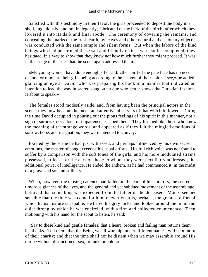Satisfied with this testimony in their favor, the girls proceeded to deposit the body in a shell, ingeniously, and not inelegantly, fabricated of the bark of the birch; after which they lowered it into its dark and final abode. The ceremony of covering the remains, and concealing the marks of the fresh earth, by leaves and other natural and customary objects, was conducted with the same simple and silent forms. But when the labors of the kind beings who had performed these sad and friendly offices were so far completed, they hesitated, in a way to show that they knew not how much further they might proceed. It was in this stage of the rites that the scout again addressed them:

 «My young women have done enough,» he said: «the spirit of the pale face has no need of food or raiment, their gifts being according to the heaven of their color. I see,» he added, glancing an eye at David, who was preparing his book in a manner that indicated an intention to lead the way in sacred song, «that one who better knows the Christian fashions is about to speak.»

 The females stood modestly aside, and, from having been the principal actors in the scene, they now became the meek and attentive observers of that which followed. During the time David occupied in pouring out the pious feelings of his spirit in this manner, not a sign of surprise, nor a look of impatience, escaped them. They listened like those who knew the meaning of the strange words, and appeared as if they felt the mingled emotions of sorrow, hope, and resignation, they were intended to convey.

 Excited by the scene he had just witnessed, and perhaps influenced by his own secret emotions, the master of song exceeded his usual efforts. His full rich voice was not found to suffer by a comparison with the soft tones of the girls; and his more modulated strains possessed, at least for the ears of those to whom they were peculiarly addressed, the additional power of intelligence. He ended the anthem, as he had commenced it, in the midst of a grave and solemn stillness.

 When, however, the closing cadence had fallen on the ears of his auditors, the secret, timorous glances of the eyes, and the general and yet subdued movement of the assemblage, betrayed that something was expected from the father of the deceased. Munro seemed sensible that the time was come for him to exert what is, perhaps, the greatest effort of which human nature is capable. He bared his gray locks, and looked around the timid and quiet throng by which he was encircled, with a firm and collected countenance. Then, motioning with his hand for the scout to listen, he said:

 «Say to these kind and gentle females, that a heart−broken and failing man returns them his thanks. Tell them, that the Being we all worship, under different names, will be mindful of their charity; and that the time shall not be distant when we may assemble around His throne without distinction of sex, or rank, or color.»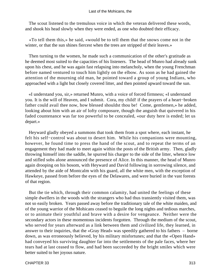The scout listened to the tremulous voice in which the veteran delivered these words, and shook his head slowly when they were ended, as one who doubted their efficacy.

 «To tell them this,» he said, «would be to tell them that the snows come not in the winter, or that the sun shines fiercest when the trees are stripped of their leaves.»

 Then turning to the women, he made such a communication of the other's gratitude as he deemed most suited to the capacities of his listeners. The head of Munro had already sunk upon his chest, and he was again fast relapsing into melancholy, when the young Frenchman before named ventured to touch him lightly on the elbow. As soon as he had gained the attention of the mourning old man, he pointed toward a group of young Indians, who approached with a light but closely covered litter, and then pointed upward toward the sun.

 «I understand you, sir,» returned Munro, with a voice of forced firmness; «I understand you. It is the will of Heaven, and I submit. Cora, my child! if the prayers of a heart−broken father could avail thee now, how blessed shouldst thou be! Come, gentlemen,» he added, looking about him with an air of lofty composure, though the anguish that quivered in his faded countenance was far too powerful to be concealed, «our duty here is ended; let us depart.»

 Heyward gladly obeyed a summons that took them from a spot where, each instant, he felt his self−control was about to desert him. While his companions were mounting, however, he found time to press the hand of the scout, and to repeat the terms of an engagement they had made to meet again within the posts of the British army. Then, gladly throwing himself into the saddle, he spurred his charger to the side of the litter, whence low and stifled sobs alone announced the presence of Alice. In this manner, the head of Munro again drooping on his bosom, with Heyward and David following in sorrowing silence, and attended by the aide of Montcalm with his guard, all the white men, with the exception of Hawkeye, passed from before the eyes of the Delawares, and were buried in the vast forests of that region.

 But the tie which, through their common calamity, had united the feelings of these simple dwellers in the woods with the strangers who had thus transiently visited them, was not so easily broken. Years passed away before the traditionary tale of the white maiden, and of the young warrior of the Mohicans ceased to beguile the long nights and tedious marches, or to animate their youthful and brave with a desire for vengeance. Neither were the secondary actors in these momentous incidents forgotten. Through the medium of the scout, who served for years afterward as a link between them and civilized life, they learned, in answer to their inquiries, that the «Gray Head» was speedily gathered to his fathers – borne down, as was erroneously believed, by his military misfortunes; and that the «Open Hand» had conveyed his surviving daughter far into the settlements of the pale faces, where her tears had at last ceased to flow, and had been succeeded by the bright smiles which were better suited to her joyous nature.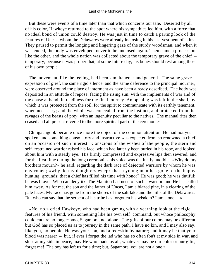But these were events of a time later than that which concerns our tale. Deserted by all of his color, Hawkeye returned to the spot where his sympathies led him, with a force that no ideal bond of union could destroy. He was just in time to catch a parting look of the features of Uncas, whom the Delawares were already inclosing in his last vestment of skins. They paused to permit the longing and lingering gaze of the sturdy woodsman, and when it was ended, the body was enveloped, never to be unclosed again. Then came a procession like the other, and the whole nation was collected about the temporary grave of the chief – temporary, because it was proper that, at some future day, his bones should rest among those of his own people.

 The movement, like the feeling, had been simultaneous and general. The same grave expression of grief, the same rigid silence, and the same deference to the principal mourner, were observed around the place of interment as have been already described. The body was deposited in an attitude of repose, facing the rising sun, with the implements of war and of the chase at hand, in readiness for the final journey. An opening was left in the shell, by which it was protected from the soil, for the spirit to communicate with its earthly tenement, when necessary; and the whole was concealed from the instinct, and protected from the ravages of the beasts of prey, with an ingenuity peculiar to the natives. The manual rites then ceased and all present reverted to the more spiritual part of the ceremonies.

 Chingachgook became once more the object of the common attention. He had not yet spoken, and something consolatory and instructive was expected from so renowned a chief on an occasion of such interest. Conscious of the wishes of the people, the stern and self−restrained warrior raised his face, which had latterly been buried in his robe, and looked about him with a steady eye. His firmly compressed and expressive lips then severed, and for the first time during the long ceremonies his voice was distinctly audible. «Why do my brothers mourn?» he said, regarding the dark race of dejected warriors by whom he was environed; «why do my daughters weep? that a young man has gone to the happy hunting−grounds; that a chief has filled his time with honor? He was good; he was dutiful; he was brave. Who can deny it? The Manitou had need of such a warrior, and He has called him away. As for me, the son and the father of Uncas, I am a blazed pine, in a clearing of the pale faces. My race has gone from the shores of the salt lake and the hills of the Delawares. But who can say that the serpent of his tribe has forgotten his wisdom? I am alone  $-\infty$ 

 «No, no,» cried Hawkeye, who had been gazing with a yearning look at the rigid features of his friend, with something like his own self−command, but whose philosophy could endure no longer; «no, Sagamore, not alone. The gifts of our colors may be different, but God has so placed us as to journey in the same path. I have no kin, and I may also say, like you, no people. He was your son, and a red−skin by nature; and it may be that your blood was nearer – but, if ever I forget the lad who has so often fou't at my side in war, and slept at my side in peace, may He who made us all, whatever may be our color or our gifts, forget me! The boy has left us for a time; but, Sagamore, you are not alone.»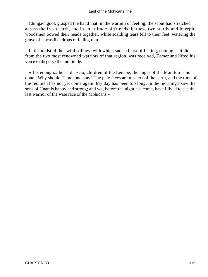Chingachgook grasped the hand that, in the warmth of feeling, the scout had stretched across the fresh earth, and in an attitude of friendship these two sturdy and intrepid woodsmen bowed their heads together, while scalding tears fell to their feet, watering the grave of Uncas like drops of falling rain.

 In the midst of the awful stillness with which such a burst of feeling, coming as it did, from the two most renowned warriors of that region, was received, Tamenund lifted his voice to disperse the multitude.

 «It is enough,» he said. «Go, children of the Lenape, the anger of the Manitou is not done. Why should Tamenund stay? The pale faces are masters of the earth, and the time of the red men has not yet come again. My day has been too long. In the morning I saw the sons of Unamis happy and strong; and yet, before the night has come, have I lived to see the last warrior of the wise race of the Mohicans.»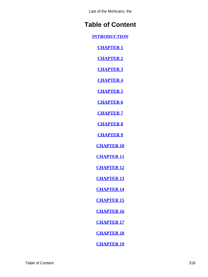# **Table of Content**

**[INTRODUCTION](#page-3-0)**

**[CHAPTER 1](#page-6-0)**

**[CHAPTER 2](#page-13-0)**

**[CHAPTER 3](#page-20-0)**

**[CHAPTER 4](#page-27-0)**

**[CHAPTER 5](#page-35-0)**

**[CHAPTER 6](#page-43-0)**

**[CHAPTER 7](#page-52-0)**

**[CHAPTER 8](#page-61-0)**

**[CHAPTER 9](#page-69-0)**

**[CHAPTER 10](#page-76-0)**

**[CHAPTER 11](#page-86-0)**

**[CHAPTER 12](#page-96-0)**

**[CHAPTER 13](#page-107-0)**

**[CHAPTER 14](#page-116-0)**

**[CHAPTER 15](#page-128-0)**

**[CHAPTER 16](#page-138-0)**

**[CHAPTER 17](#page-148-0)**

**[CHAPTER 18](#page-160-0)**

**[CHAPTER 19](#page-170-0)**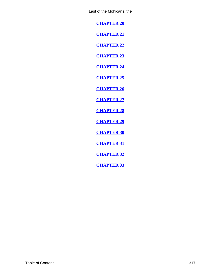<span id="page-317-0"></span>**[CHAPTER 20](#page-180-0)**

**[CHAPTER 21](#page-190-0)**

**[CHAPTER 22](#page-199-0)**

**[CHAPTER 23](#page-209-0)**

**[CHAPTER 24](#page-219-0)**

**[CHAPTER 25](#page-228-0)**

**[CHAPTER 26](#page-239-0)**

**[CHAPTER 27](#page-248-0)**

**[CHAPTER 28](#page-256-0)**

**[CHAPTER 29](#page-265-0)**

**[CHAPTER 30](#page-276-0)**

**[CHAPTER 31](#page-287-0)**

**[CHAPTER 32](#page-294-0)**

**[CHAPTER 33](#page-306-0)**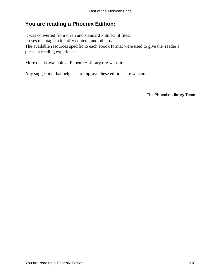# **You are reading a Phoenix Edition:**

It was converted from clean and standard xhtml/xml files. It uses metatags to identify content, and other data. The available resources specific to each ebook format were used to give the reader a pleasant reading experience.

More detais available at Phoenix−Library.org website.

Any suggestion that helps us to improve these editions are welcome.

**The Phoenix−Library Team**